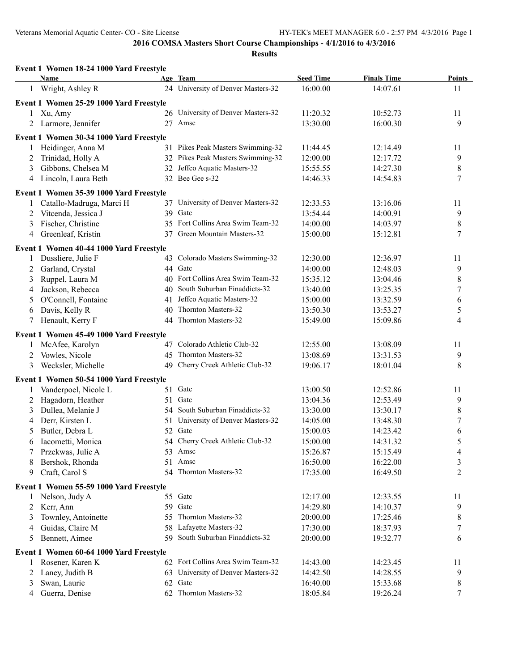|    | Event 1 Women 18-24 1000 Yard Freestyle |     |                                    |                  |                    |                  |
|----|-----------------------------------------|-----|------------------------------------|------------------|--------------------|------------------|
|    | <b>Name</b>                             |     | Age Team                           | <b>Seed Time</b> | <b>Finals Time</b> | <b>Points</b>    |
|    | 1 Wright, Ashley R                      |     | 24 University of Denver Masters-32 | 16:00.00         | 14:07.61           | 11               |
|    | Event 1 Women 25-29 1000 Yard Freestyle |     |                                    |                  |                    |                  |
|    | Xu, Amy                                 |     | 26 University of Denver Masters-32 | 11:20.32         | 10:52.73           | 11               |
| 2  | Larmore, Jennifer                       |     | 27 Amsc                            | 13:30.00         | 16:00.30           | 9                |
|    | Event 1 Women 30-34 1000 Yard Freestyle |     |                                    |                  |                    |                  |
|    | Heidinger, Anna M                       |     | 31 Pikes Peak Masters Swimming-32  | 11:44.45         | 12:14.49           | 11               |
| 2  | Trinidad, Holly A                       |     | 32 Pikes Peak Masters Swimming-32  | 12:00.00         | 12:17.72           | 9                |
| 3  | Gibbons, Chelsea M                      | 32  | Jeffco Aquatic Masters-32          | 15:55.55         | 14:27.30           | $\,8\,$          |
| 4  | Lincoln, Laura Beth                     |     | 32 Bee Gee s-32                    | 14:46.33         | 14:54.83           | $\overline{7}$   |
|    | Event 1 Women 35-39 1000 Yard Freestyle |     |                                    |                  |                    |                  |
|    | Catallo-Madruga, Marci H                |     | 37 University of Denver Masters-32 | 12:33.53         | 13:16.06           | 11               |
| 2  | Vitcenda, Jessica J                     |     | 39 Gate                            | 13:54.44         | 14:00.91           | 9                |
| 3  | Fischer, Christine                      |     | 35 Fort Collins Area Swim Team-32  | 14:00.00         | 14:03.97           | $\,8\,$          |
| 4  | Greenleaf, Kristin                      | 37  | Green Mountain Masters-32          | 15:00.00         | 15:12.81           | $\overline{7}$   |
|    | Event 1 Women 40-44 1000 Yard Freestyle |     |                                    |                  |                    |                  |
| 1  | Dussliere, Julie F                      | 43  | Colorado Masters Swimming-32       | 12:30.00         | 12:36.97           | 11               |
| 2  | Garland, Crystal                        |     | 44 Gatc                            | 14:00.00         | 12:48.03           | 9                |
| 3  | Ruppel, Laura M                         |     | 40 Fort Collins Area Swim Team-32  | 15:35.12         | 13:04.46           | $\,$ $\,$        |
| 4  | Jackson, Rebecca                        | 40  | South Suburban Finaddicts-32       | 13:40.00         | 13:25.35           | $\boldsymbol{7}$ |
| 5  | O'Connell, Fontaine                     | 41  | Jeffco Aquatic Masters-32          | 15:00.00         | 13:32.59           | 6                |
| 6  | Davis, Kelly R                          | 40  | Thornton Masters-32                | 13:50.30         | 13:53.27           | 5                |
| 7  | Henault, Kerry F                        | 44  | Thornton Masters-32                | 15:49.00         | 15:09.86           | $\overline{4}$   |
|    | Event 1 Women 45-49 1000 Yard Freestyle |     |                                    |                  |                    |                  |
|    | McAfee, Karolyn                         |     | 47 Colorado Athletic Club-32       | 12:55.00         | 13:08.09           | 11               |
| 2  | Vowles, Nicole                          | 45  | Thornton Masters-32                | 13:08.69         | 13:31.53           | 9                |
| 3  | Wecksler, Michelle                      | 49  | Cherry Creek Athletic Club-32      | 19:06.17         | 18:01.04           | 8                |
|    | Event 1 Women 50-54 1000 Yard Freestyle |     |                                    |                  |                    |                  |
| 1  | Vanderpoel, Nicole L                    | 51  | Gatc                               | 13:00.50         | 12:52.86           | 11               |
| 2  | Hagadorn, Heather                       | 51  | Gatc                               | 13:04.36         | 12:53.49           | 9                |
| 3  | Dullea, Melanie J                       |     | 54 South Suburban Finaddicts-32    | 13:30.00         | 13:30.17           | $\,$ $\,$        |
| 4  | Derr, Kirsten L                         | 51  | University of Denver Masters-32    | 14:05.00         | 13:48.30           | 7                |
| 5  | Butler, Debra L                         |     | 52 Gate                            | 15:00.03         | 14:23.42           | 6                |
|    | 6 Iacometti, Monica                     |     | 54 Cherry Creek Athletic Club-32   | 15:00.00         | 14:31.32           | 5                |
|    | Przekwas, Julie A                       |     | 53 Amsc                            | 15:26.87         | 15:15.49           | 4                |
| 8  | Bershok, Rhonda                         |     | 51 Amsc                            | 16:50.00         | 16:22.00           | 3                |
| 9. | Craft, Carol S                          |     | 54 Thornton Masters-32             | 17:35.00         | 16:49.50           | 2                |
|    | Event 1 Women 55-59 1000 Yard Freestyle |     |                                    |                  |                    |                  |
| 1  | Nelson, Judy A                          |     | 55 Gatc                            | 12:17.00         | 12:33.55           | 11               |
| 2  | Kerr, Ann                               |     | 59 Gatc                            | 14:29.80         | 14:10.37           | 9                |
| 3  | Townley, Antoinette                     | 55. | Thornton Masters-32                | 20:00.00         | 17:25.46           | 8                |
| 4  | Guidas, Claire M                        |     | 58 Lafayette Masters-32            | 17:30.00         | 18:37.93           | 7                |
| 5  | Bennett, Aimee                          |     | 59 South Suburban Finaddicts-32    | 20:00.00         | 19:32.77           | 6                |
|    | Event 1 Women 60-64 1000 Yard Freestyle |     |                                    |                  |                    |                  |
| 1  | Rosener, Karen K                        |     | 62 Fort Collins Area Swim Team-32  | 14:43.00         | 14:23.45           | 11               |
| 2  | Laney, Judith B                         | 63  | University of Denver Masters-32    | 14:42.50         | 14:28.55           | 9                |
| 3  | Swan, Laurie                            | 62  | Gatc                               | 16:40.00         | 15:33.68           | 8                |
| 4  | Guerra, Denise                          |     | 62 Thornton Masters-32             | 18:05.84         | 19:26.24           | $\tau$           |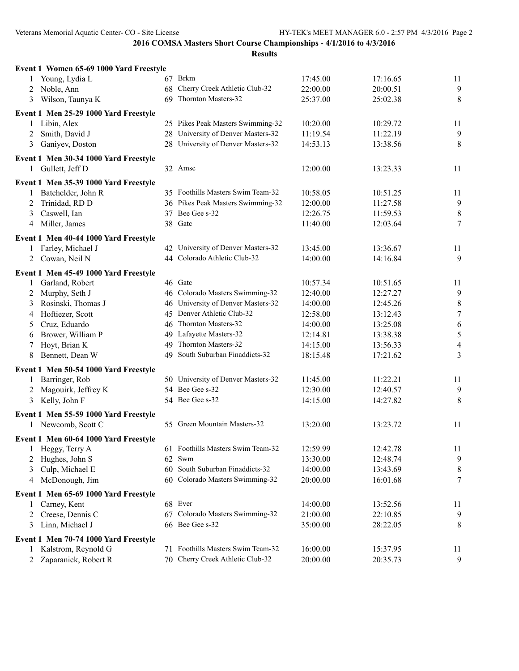| Event 1 Women 65-69 1000 Yard Freestyle |    |                                    |          |          |                  |
|-----------------------------------------|----|------------------------------------|----------|----------|------------------|
| Young, Lydia L<br>1                     |    | 67 Brkm                            | 17:45.00 | 17:16.65 | 11               |
| Noble, Ann<br>2                         |    | 68 Cherry Creek Athletic Club-32   | 22:00.00 | 20:00.51 | 9                |
| Wilson, Taunya K<br>3                   |    | 69 Thornton Masters-32             | 25:37.00 | 25:02.38 | 8                |
| Event 1 Men 25-29 1000 Yard Freestyle   |    |                                    |          |          |                  |
| Libin, Alex<br>1                        |    | 25 Pikes Peak Masters Swimming-32  | 10:20.00 | 10:29.72 | 11               |
| Smith, David J<br>2                     |    | 28 University of Denver Masters-32 | 11:19.54 | 11:22.19 | 9                |
| 3<br>Ganiyev, Doston                    |    | 28 University of Denver Masters-32 | 14:53.13 | 13:38.56 | 8                |
| Event 1 Men 30-34 1000 Yard Freestyle   |    |                                    |          |          |                  |
| Gullett, Jeff D<br>1                    |    | 32 Amsc                            | 12:00.00 | 13:23.33 | 11               |
| Event 1 Men 35-39 1000 Yard Freestyle   |    |                                    |          |          |                  |
| Batchelder, John R                      |    | 35 Foothills Masters Swim Team-32  | 10:58.05 | 10:51.25 | 11               |
| Trinidad, RD D<br>2                     |    | 36 Pikes Peak Masters Swimming-32  | 12:00.00 | 11:27.58 | $\overline{9}$   |
| Caswell, Ian<br>3                       |    | 37 Bee Gee s-32                    | 12:26.75 | 11:59.53 | $\,$ $\,$        |
| Miller, James<br>4                      |    | 38 Gate                            | 11:40.00 | 12:03.64 | $\tau$           |
| Event 1 Men 40-44 1000 Yard Freestyle   |    |                                    |          |          |                  |
| Farley, Michael J<br>1                  |    | 42 University of Denver Masters-32 | 13:45.00 | 13:36.67 | 11               |
| Cowan, Neil N<br>2                      |    | 44 Colorado Athletic Club-32       | 14:00.00 | 14:16.84 | 9                |
| Event 1 Men 45-49 1000 Yard Freestyle   |    |                                    |          |          |                  |
| Garland, Robert<br>$\mathbf{1}$         |    | 46 Gatc                            | 10:57.34 | 10:51.65 | 11               |
| Murphy, Seth J<br>2                     |    | 46 Colorado Masters Swimming-32    | 12:40.00 | 12:27.27 | $\overline{9}$   |
| Rosinski, Thomas J<br>3                 |    | 46 University of Denver Masters-32 | 14:00.00 | 12:45.26 | $\,8\,$          |
| Hoftiezer, Scott<br>4                   |    | 45 Denver Athletic Club-32         | 12:58.00 | 13:12.43 | $\boldsymbol{7}$ |
| Cruz, Eduardo<br>5                      |    | 46 Thornton Masters-32             | 14:00.00 | 13:25.08 | $\sqrt{6}$       |
| Brower, William P<br>6                  |    | 49 Lafayette Masters-32            | 12:14.81 | 13:38.38 | $\sqrt{5}$       |
| Hoyt, Brian K<br>7                      |    | 49 Thornton Masters-32             | 14:15.00 | 13:56.33 | $\overline{4}$   |
| 8<br>Bennett, Dean W                    |    | 49 South Suburban Finaddicts-32    | 18:15.48 | 17:21.62 | $\overline{3}$   |
| Event 1 Men 50-54 1000 Yard Freestyle   |    |                                    |          |          |                  |
| Barringer, Rob<br>1                     |    | 50 University of Denver Masters-32 | 11:45.00 | 11:22.21 | 11               |
| Magouirk, Jeffrey K<br>2                |    | 54 Bee Gee s-32                    | 12:30.00 | 12:40.57 | 9                |
| Kelly, John F<br>3                      |    | 54 Bee Gee s-32                    | 14:15.00 | 14:27.82 | 8                |
| Event 1 Men 55-59 1000 Yard Freestyle   |    |                                    |          |          |                  |
| 1 Newcomb, Scott C                      |    | 55 Green Mountain Masters-32       | 13:20.00 | 13:23.72 | 11               |
| Event 1 Men 60-64 1000 Yard Freestyle   |    |                                    |          |          |                  |
| Heggy, Terry A<br>$\mathbf{I}$          |    | 61 Foothills Masters Swim Team-32  | 12:59.99 | 12:42.78 | 11               |
| Hughes, John S<br>2                     |    | 62 Swm                             | 13:30.00 | 12:48.74 | 9                |
| Culp, Michael E<br>3                    | 60 | South Suburban Finaddicts-32       | 14:00.00 | 13:43.69 | 8                |
| McDonough, Jim<br>4                     |    | 60 Colorado Masters Swimming-32    | 20:00.00 | 16:01.68 | 7                |
| Event 1 Men 65-69 1000 Yard Freestyle   |    |                                    |          |          |                  |
| Carney, Kent<br>1                       |    | 68 Ever                            | 14:00.00 | 13:52.56 | 11               |
| Creese, Dennis C<br>2                   |    | 67 Colorado Masters Swimming-32    | 21:00.00 | 22:10.85 | 9                |
| Linn, Michael J<br>3                    |    | 66 Bee Gee s-32                    | 35:00.00 | 28:22.05 | 8                |
| Event 1 Men 70-74 1000 Yard Freestyle   |    |                                    |          |          |                  |
| Kalstrom, Reynold G<br>$\mathbf{1}$     |    | 71 Foothills Masters Swim Team-32  | 16:00.00 | 15:37.95 | 11               |
| Zaparanick, Robert R                    |    | 70 Cherry Creek Athletic Club-32   | 20:00.00 | 20:35.73 | 9                |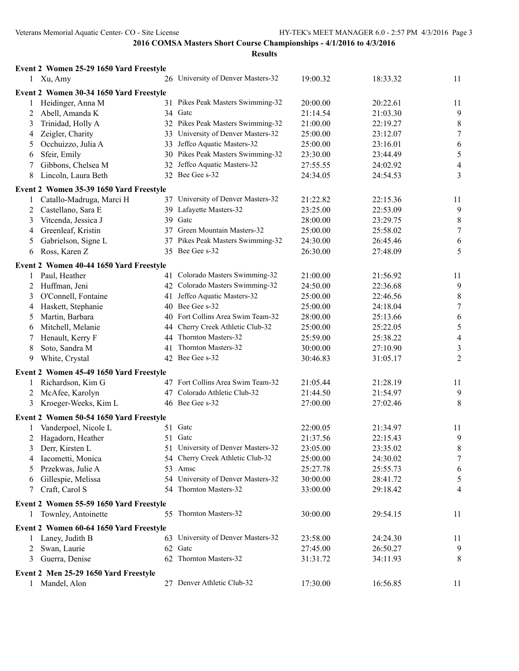|              | Event 2 Women 25-29 1650 Yard Freestyle |                                                 |          |          |                  |
|--------------|-----------------------------------------|-------------------------------------------------|----------|----------|------------------|
|              | 1 Xu, Amy                               | 26 University of Denver Masters-32              | 19:00.32 | 18:33.32 | 11               |
|              | Event 2 Women 30-34 1650 Yard Freestyle |                                                 |          |          |                  |
| 1            | Heidinger, Anna M                       | 31 Pikes Peak Masters Swimming-32               | 20:00.00 | 20:22.61 | 11               |
| $\mathbf{2}$ | Abell, Amanda K                         | 34 Gatc                                         | 21:14.54 | 21:03.30 | 9                |
| 3            | Trinidad, Holly A                       | 32 Pikes Peak Masters Swimming-32               | 21:00.00 | 22:19.27 | $\,8\,$          |
| 4            | Zeigler, Charity                        | 33 University of Denver Masters-32              | 25:00.00 | 23:12.07 | $\tau$           |
| 5            | Occhuizzo, Julia A                      | 33 Jeffco Aquatic Masters-32                    | 25:00.00 | 23:16.01 | $\sqrt{6}$       |
| 6            | Sfeir, Emily                            | 30 Pikes Peak Masters Swimming-32               | 23:30.00 | 23:44.49 | $\sqrt{5}$       |
| 7            | Gibbons, Chelsea M                      | 32 Jeffco Aquatic Masters-32                    | 27:55.55 | 24:02.92 | $\overline{4}$   |
| 8            | Lincoln, Laura Beth                     | 32 Bee Gee s-32                                 | 24:34.05 | 24:54.53 | 3                |
|              | Event 2 Women 35-39 1650 Yard Freestyle |                                                 |          |          |                  |
| $\mathbf{1}$ | Catallo-Madruga, Marci H                | 37 University of Denver Masters-32              | 21:22.82 | 22:15.36 | 11               |
| 2            | Castellano, Sara E                      | 39 Lafayette Masters-32                         | 23:25.00 | 22:53.09 | 9                |
| 3            | Vitcenda, Jessica J                     | 39 Gate                                         | 28:00.00 | 23:29.75 | $\,8\,$          |
| 4            | Greenleaf, Kristin                      | 37 Green Mountain Masters-32                    | 25:00.00 | 25:58.02 | $\boldsymbol{7}$ |
| 5            | Gabrielson, Signe L                     | 37 Pikes Peak Masters Swimming-32               | 24:30.00 | 26:45.46 | $\sqrt{6}$       |
| 6            | Ross, Karen Z                           | 35 Bee Gee s-32                                 | 26:30.00 | 27:48.09 | 5                |
|              |                                         |                                                 |          |          |                  |
|              | Event 2 Women 40-44 1650 Yard Freestyle | 41 Colorado Masters Swimming-32                 |          |          |                  |
| 1            | Paul, Heather                           | 42 Colorado Masters Swimming-32                 | 21:00.00 | 21:56.92 | 11               |
|              | 2 Huffman, Jeni                         |                                                 | 24:50.00 | 22:36.68 | 9                |
| 3            | O'Connell, Fontaine                     | 41 Jeffco Aquatic Masters-32<br>40 Bee Gee s-32 | 25:00.00 | 22:46.56 | $\,8\,$          |
| 4            | Haskett, Stephanie                      |                                                 | 25:00.00 | 24:18.04 | $\tau$           |
| 5            | Martin, Barbara                         | 40 Fort Collins Area Swim Team-32               | 28:00.00 | 25:13.66 | $\sqrt{6}$       |
| 6            | Mitchell, Melanie                       | 44 Cherry Creek Athletic Club-32                | 25:00.00 | 25:22.05 | $\sqrt{5}$       |
| 7            | Henault, Kerry F                        | 44 Thornton Masters-32                          | 25:59.00 | 25:38.22 | $\overline{4}$   |
| 8            | Soto, Sandra M                          | 41 Thornton Masters-32                          | 30:00.00 | 27:10.90 | $\mathfrak{Z}$   |
| 9            | White, Crystal                          | 42 Bee Gee s-32                                 | 30:46.83 | 31:05.17 | $\overline{2}$   |
|              | Event 2 Women 45-49 1650 Yard Freestyle |                                                 |          |          |                  |
| 1            | Richardson, Kim G                       | 47 Fort Collins Area Swim Team-32               | 21:05.44 | 21:28.19 | 11               |
| 2            | McAfee, Karolyn                         | 47 Colorado Athletic Club-32                    | 21:44.50 | 21:54.97 | 9                |
| 3            | Kroeger-Weeks, Kim L                    | 46 Bee Gee s-32                                 | 27:00.00 | 27:02.46 | $8\,$            |
|              | Event 2 Women 50-54 1650 Yard Freestyle |                                                 |          |          |                  |
| 1            | Vanderpoel, Nicole L                    | 51 Gate                                         | 22:00.05 | 21:34.97 | 11               |
| 2            | Hagadorn, Heather                       | 51 Gate                                         | 21:37.56 | 22:15.43 | 9                |
| 3            | Derr, Kirsten L                         | 51 University of Denver Masters-32              | 23:05.00 | 23:35.02 | 8                |
| 4            | Iacometti, Monica                       | 54 Cherry Creek Athletic Club-32                | 25:00.00 | 24:30.02 | $\tau$           |
| 5            | Przekwas, Julie A                       | 53 Amsc                                         | 25:27.78 | 25:55.73 | 6                |
| 6            | Gillespie, Melissa                      | 54 University of Denver Masters-32              | 30:00.00 | 28:41.72 | 5                |
| 7            | Craft, Carol S                          | 54 Thornton Masters-32                          | 33:00.00 | 29:18.42 | 4                |
|              | Event 2 Women 55-59 1650 Yard Freestyle |                                                 |          |          |                  |
| 1            | Townley, Antoinette                     | 55 Thornton Masters-32                          | 30:00.00 | 29:54.15 | 11               |
|              |                                         |                                                 |          |          |                  |
|              | Event 2 Women 60-64 1650 Yard Freestyle |                                                 |          |          |                  |
| 1            | Laney, Judith B                         | 63 University of Denver Masters-32              | 23:58.00 | 24:24.30 | 11               |
| 2            | Swan, Laurie                            | 62 Gatc                                         | 27:45.00 | 26:50.27 | 9                |
| 3            | Guerra, Denise                          | 62 Thornton Masters-32                          | 31:31.72 | 34:11.93 | 8                |
|              | Event 2 Men 25-29 1650 Yard Freestyle   |                                                 |          |          |                  |
| $\mathbf{1}$ | Mandel, Alon                            | 27 Denver Athletic Club-32                      | 17:30.00 | 16:56.85 | 11               |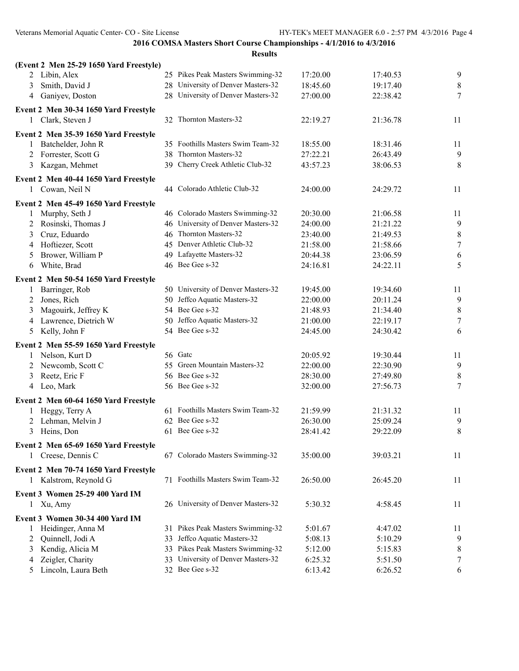| (Event 2 Men 25-29 1650 Yard Freestyle)                  |                                    |          |          |                  |
|----------------------------------------------------------|------------------------------------|----------|----------|------------------|
| 2 Libin, Alex                                            | 25 Pikes Peak Masters Swimming-32  | 17:20.00 | 17:40.53 | 9                |
| Smith, David J<br>3                                      | 28 University of Denver Masters-32 | 18:45.60 | 19:17.40 | $\,8\,$          |
| Ganiyev, Doston<br>4                                     | 28 University of Denver Masters-32 | 27:00.00 | 22:38.42 | $\tau$           |
| Event 2 Men 30-34 1650 Yard Freestyle                    |                                    |          |          |                  |
| 1 Clark, Steven J                                        | 32 Thornton Masters-32             | 22:19.27 | 21:36.78 | 11               |
| Event 2 Men 35-39 1650 Yard Freestyle                    |                                    |          |          |                  |
| Batchelder, John R<br>1                                  | 35 Foothills Masters Swim Team-32  | 18:55.00 | 18:31.46 | 11               |
| Forrester, Scott G<br>2                                  | 38 Thornton Masters-32             | 27:22.21 | 26:43.49 | 9                |
| Kazgan, Mehmet<br>3                                      | 39 Cherry Creek Athletic Club-32   | 43:57.23 | 38:06.53 | 8                |
|                                                          |                                    |          |          |                  |
| Event 2 Men 40-44 1650 Yard Freestyle<br>1 Cowan, Neil N | 44 Colorado Athletic Club-32       | 24:00.00 | 24:29.72 | 11               |
|                                                          |                                    |          |          |                  |
| Event 2 Men 45-49 1650 Yard Freestyle                    |                                    |          |          |                  |
| Murphy, Seth J<br>1                                      | 46 Colorado Masters Swimming-32    | 20:30.00 | 21:06.58 | 11               |
| Rosinski, Thomas J<br>2                                  | 46 University of Denver Masters-32 | 24:00.00 | 21:21.22 | 9                |
| Cruz, Eduardo<br>3                                       | 46 Thornton Masters-32             | 23:40.00 | 21:49.53 | $\,8\,$          |
| Hoftiezer, Scott<br>4                                    | 45 Denver Athletic Club-32         | 21:58.00 | 21:58.66 | $\boldsymbol{7}$ |
| Brower, William P<br>5                                   | 49 Lafayette Masters-32            | 20:44.38 | 23:06.59 | 6                |
| White, Brad<br>6                                         | 46 Bee Gee s-32                    | 24:16.81 | 24:22.11 | 5                |
| Event 2 Men 50-54 1650 Yard Freestyle                    |                                    |          |          |                  |
| Barringer, Rob<br>1                                      | 50 University of Denver Masters-32 | 19:45.00 | 19:34.60 | 11               |
| Jones, Rich<br>2                                         | 50 Jeffco Aquatic Masters-32       | 22:00.00 | 20:11.24 | $\overline{9}$   |
| Magouirk, Jeffrey K<br>3                                 | 54 Bee Gee s-32                    | 21:48.93 | 21:34.40 | $\,8\,$          |
| Lawrence, Dietrich W<br>4                                | 50 Jeffco Aquatic Masters-32       | 21:00.00 | 22:19.17 | $\tau$           |
| Kelly, John F<br>5                                       | 54 Bee Gee s-32                    | 24:45.00 | 24:30.42 | 6                |
| Event 2 Men 55-59 1650 Yard Freestyle                    |                                    |          |          |                  |
| Nelson, Kurt D<br>1                                      | 56 Gatc                            | 20:05.92 | 19:30.44 | 11               |
| Newcomb, Scott C<br>2                                    | 55 Green Mountain Masters-32       | 22:00.00 | 22:30.90 | $\overline{9}$   |
| Reetz, Eric F<br>3                                       | 56 Bee Gee s-32                    | 28:30.00 | 27:49.80 | $\,8\,$          |
| Leo, Mark<br>4                                           | 56 Bee Gee s-32                    | 32:00.00 | 27:56.73 | $\tau$           |
|                                                          |                                    |          |          |                  |
| Event 2 Men 60-64 1650 Yard Freestyle                    | 61 Foothills Masters Swim Team-32  | 21:59.99 |          |                  |
| Heggy, Terry A<br>1                                      | 62 Bee Gee s-32                    |          | 21:31.32 | 11               |
| Lehman, Melvin J<br>2                                    | 61 Bee Gee s-32                    | 26:30.00 | 25:09.24 | 9<br>$\,8\,$     |
| 3<br>Heins, Don                                          |                                    | 28:41.42 | 29:22.09 |                  |
| Event 2 Men 65-69 1650 Yard Freestyle                    |                                    |          |          |                  |
| 1 Creese, Dennis C                                       | 67 Colorado Masters Swimming-32    | 35:00.00 | 39:03.21 | 11               |
| Event 2 Men 70-74 1650 Yard Freestyle                    |                                    |          |          |                  |
| 1 Kalstrom, Reynold G                                    | 71 Foothills Masters Swim Team-32  | 26:50.00 | 26:45.20 | 11               |
| Event 3 Women 25-29 400 Yard IM                          |                                    |          |          |                  |
| 1 Xu, Amy                                                | 26 University of Denver Masters-32 | 5:30.32  | 4:58.45  | 11               |
|                                                          |                                    |          |          |                  |
| Event 3 Women 30-34 400 Yard IM                          |                                    |          |          |                  |
| Heidinger, Anna M<br>1                                   | 31 Pikes Peak Masters Swimming-32  | 5:01.67  | 4:47.02  | 11               |
| Quinnell, Jodi A<br>2                                    | 33 Jeffco Aquatic Masters-32       | 5:08.13  | 5:10.29  | 9                |
| Kendig, Alicia M<br>3                                    | 33 Pikes Peak Masters Swimming-32  | 5:12.00  | 5:15.83  | 8                |
| Zeigler, Charity<br>4                                    | 33 University of Denver Masters-32 | 6:25.32  | 5:51.50  | 7                |
| Lincoln, Laura Beth<br>5                                 | 32 Bee Gee s-32                    | 6:13.42  | 6:26.52  | 6                |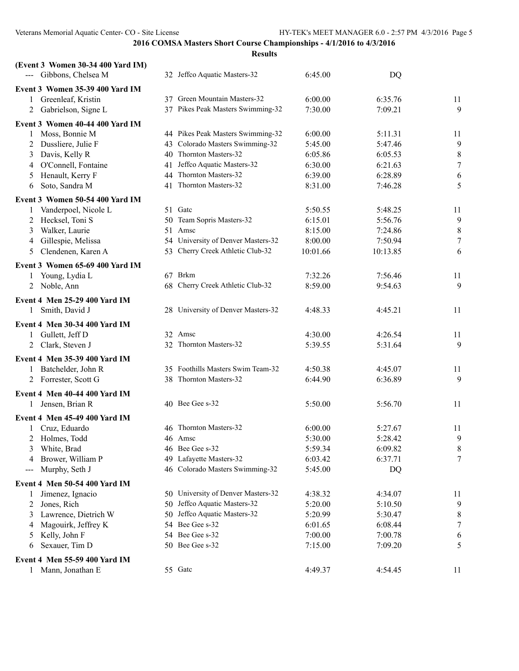| (Event 3 Women 30-34 400 Yard IM)<br>--- Gibbons, Chelsea M | 32 Jeffco Aquatic Masters-32                                         | 6:45.00            | DQ                 |                  |
|-------------------------------------------------------------|----------------------------------------------------------------------|--------------------|--------------------|------------------|
|                                                             |                                                                      |                    |                    |                  |
| Event 3 Women 35-39 400 Yard IM<br>Greenleaf, Kristin<br>1  | 37 Green Mountain Masters-32                                         | 6:00.00            | 6:35.76            | 11               |
| Gabrielson, Signe L<br>2                                    | 37 Pikes Peak Masters Swimming-32                                    | 7:30.00            | 7:09.21            | 9                |
|                                                             |                                                                      |                    |                    |                  |
| Event 3 Women 40-44 400 Yard IM                             |                                                                      |                    |                    |                  |
| Moss, Bonnie M<br>1                                         | 44 Pikes Peak Masters Swimming-32<br>43 Colorado Masters Swimming-32 | 6:00.00<br>5:45.00 | 5:11.31            | 11               |
| Dussliere, Julie F<br>2<br>Davis, Kelly R<br>3              | 40 Thornton Masters-32                                               | 6:05.86            | 5:47.46<br>6:05.53 | 9<br>$\,$ 8 $\,$ |
| O'Connell, Fontaine<br>4                                    | 41 Jeffco Aquatic Masters-32                                         | 6:30.00            | 6:21.63            | $\boldsymbol{7}$ |
| Henault, Kerry F<br>5                                       | 44 Thornton Masters-32                                               | 6:39.00            | 6:28.89            | 6                |
| Soto, Sandra M<br>6                                         | 41 Thornton Masters-32                                               | 8:31.00            | 7:46.28            | 5                |
|                                                             |                                                                      |                    |                    |                  |
| Event 3 Women 50-54 400 Yard IM                             | 51 Gatc                                                              | 5:50.55            | 5:48.25            |                  |
| Vanderpoel, Nicole L<br>1<br>Hecksel, Toni S<br>2           | 50 Team Sopris Masters-32                                            | 6:15.01            | 5:56.76            | 11<br>9          |
| Walker, Laurie<br>3                                         | 51 Amsc                                                              | 8:15.00            | 7:24.86            | $\,$ 8 $\,$      |
| Gillespie, Melissa<br>4                                     | 54 University of Denver Masters-32                                   | 8:00.00            | 7:50.94            | 7                |
| Clendenen, Karen A<br>5                                     | 53 Cherry Creek Athletic Club-32                                     | 10:01.66           | 10:13.85           | 6                |
|                                                             |                                                                      |                    |                    |                  |
| Event 3 Women 65-69 400 Yard IM                             | 67 Brkm                                                              |                    |                    |                  |
| Young, Lydia L<br>1                                         |                                                                      | 7:32.26            | 7:56.46            | 11               |
| 2 Noble, Ann                                                | 68 Cherry Creek Athletic Club-32                                     | 8:59.00            | 9:54.63            | 9                |
| <b>Event 4 Men 25-29 400 Yard IM</b>                        |                                                                      |                    |                    |                  |
| Smith, David J<br>$\mathbf{1}$                              | 28 University of Denver Masters-32                                   | 4:48.33            | 4:45.21            | 11               |
| <b>Event 4 Men 30-34 400 Yard IM</b>                        |                                                                      |                    |                    |                  |
| 1 Gullett, Jeff D                                           | 32 Amsc                                                              | 4:30.00            | 4:26.54            | 11               |
| 2 Clark, Steven J                                           | 32 Thornton Masters-32                                               | 5:39.55            | 5:31.64            | 9                |
| <b>Event 4 Men 35-39 400 Yard IM</b>                        |                                                                      |                    |                    |                  |
| Batchelder, John R<br>1                                     | 35 Foothills Masters Swim Team-32                                    | 4:50.38            | 4:45.07            | 11               |
| 2 Forrester, Scott G                                        | 38 Thornton Masters-32                                               | 6:44.90            | 6:36.89            | 9                |
| Event 4 Men 40-44 400 Yard IM                               |                                                                      |                    |                    |                  |
| Jensen, Brian R                                             | 40 Bee Gee s-32                                                      | 5:50.00            | 5:56.70            | 11               |
|                                                             |                                                                      |                    |                    |                  |
| <b>Event 4 Men 45-49 400 Yard IM</b><br>1 Cruz, Eduardo     | 46 Thornton Masters-32                                               | 6:00.00            | 5:27.67            | 11               |
| 2 Holmes, Todd                                              | 46 Amsc                                                              | 5:30.00            | 5:28.42            | 9                |
| White, Brad<br>3                                            | 46 Bee Gee s-32                                                      | 5:59.34            | 6:09.82            | 8                |
| Brower, William P<br>4                                      | 49 Lafayette Masters-32                                              | 6:03.42            | 6:37.71            | 7                |
| Murphy, Seth J<br>$\qquad \qquad - \qquad -$                | 46 Colorado Masters Swimming-32                                      | 5:45.00            | DQ                 |                  |
|                                                             |                                                                      |                    |                    |                  |
| Event 4 Men 50-54 400 Yard IM                               | 50 University of Denver Masters-32                                   | 4:38.32            | 4:34.07            |                  |
| Jimenez, Ignacio<br>1<br>Jones, Rich<br>2                   | 50 Jeffco Aquatic Masters-32                                         | 5:20.00            | 5:10.50            | 11<br>9          |
| Lawrence, Dietrich W<br>3                                   | 50 Jeffco Aquatic Masters-32                                         | 5:20.99            | 5:30.47            | 8                |
| Magouirk, Jeffrey K<br>4                                    | 54 Bee Gee s-32                                                      | 6:01.65            | 6:08.44            | 7                |
| Kelly, John F<br>5                                          | 54 Bee Gee s-32                                                      | 7:00.00            | 7:00.78            | 6                |
| Sexauer, Tim D<br>6                                         | 50 Bee Gee s-32                                                      | 7:15.00            | 7:09.20            | 5                |
|                                                             |                                                                      |                    |                    |                  |
| Event 4 Men 55-59 400 Yard IM                               |                                                                      |                    |                    |                  |
| Mann, Jonathan E<br>1                                       | 55 Gate                                                              | 4:49.37            | 4:54.45            | 11               |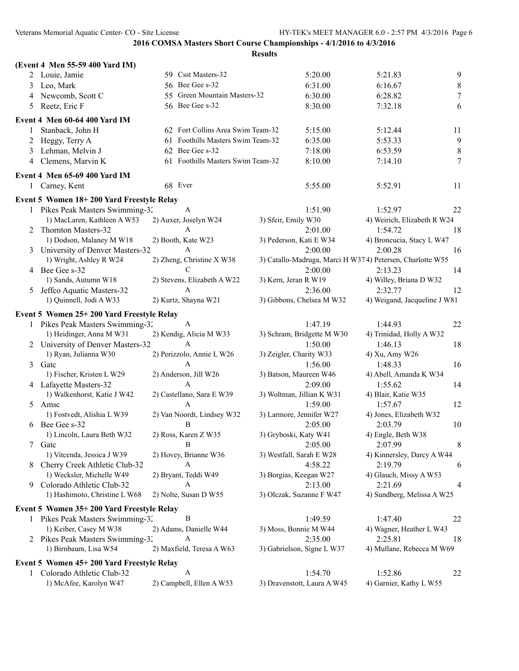|   | (Event 4 Men 55-59 400 Yard IM)           |                                   |                           |                             |                                                           |                  |
|---|-------------------------------------------|-----------------------------------|---------------------------|-----------------------------|-----------------------------------------------------------|------------------|
|   | 2 Louie, Jamie                            | 59 Csst Masters-32                |                           | 5:20.00                     | 5:21.83                                                   | 9                |
| 3 | Leo, Mark                                 | 56 Bee Gee s-32                   |                           | 6:31.00                     | 6:16.67                                                   | $\,$ $\,$        |
| 4 | Newcomb, Scott C                          | 55 Green Mountain Masters-32      |                           | 6:30.00                     | 6:28.82                                                   | $\boldsymbol{7}$ |
| 5 | Reetz, Eric F                             | 56 Bee Gee s-32                   |                           | 8:30.00                     | 7:32.18                                                   | 6                |
|   | Event 4 Men 60-64 400 Yard IM             |                                   |                           |                             |                                                           |                  |
| 1 | Stanback, John H                          | 62 Fort Collins Area Swim Team-32 |                           | 5:15.00                     | 5:12.44                                                   | 11               |
| 2 | Heggy, Terry A                            | 61 Foothills Masters Swim Team-32 |                           | 6:35.00                     | 5:53.33                                                   | 9                |
| 3 | Lehman, Melvin J                          | 62 Bee Gee s-32                   |                           | 7:18.00                     | 6:53.59                                                   | $\,$ $\,$        |
| 4 | Clemens, Marvin K                         | 61 Foothills Masters Swim Team-32 |                           | 8:10.00                     | 7:14.10                                                   | 7                |
|   | Event 4 Men 65-69 400 Yard IM             |                                   |                           |                             |                                                           |                  |
| 1 | Carney, Kent                              | 68 Ever                           |                           | 5:55.00                     | 5:52.91                                                   | 11               |
|   | Event 5 Women 18+200 Yard Freestyle Relay |                                   |                           |                             |                                                           |                  |
|   | 1 Pikes Peak Masters Swimming-32          | A                                 |                           | 1:51.90                     | 1:52.97                                                   | 22               |
|   | 1) MacLaren, Kathleen A W53               | 2) Auxer, Joselyn W24             | 3) Sfeir, Emily W30       |                             | 4) Weirich, Elizabeth R W24                               |                  |
|   | 2 Thornton Masters-32                     | A                                 |                           | 2:01.00                     | 1:54.72                                                   | 18               |
|   | 1) Dodson, Malaney M W18                  | 2) Booth, Kate W23                | 3) Pederson, Kati E W34   |                             | 4) Broncucia, Stacy L W47                                 |                  |
|   | 3 University of Denver Masters-32         | A                                 |                           | 2:00.00                     | 2:00.28                                                   | 16               |
|   | 1) Wright, Ashley R W24                   | 2) Zheng, Christine X W38         |                           |                             | 3) Catallo-Madruga, Marci H W374) Petersen, Charlotte W55 |                  |
|   | 4 Bee Gee s-32                            | $\mathcal{C}$                     |                           | 2:00.00                     | 2:13.23                                                   | 14               |
|   | 1) Sands, Autumn W18                      | 2) Stevens, Elizabeth A W22       | 3) Kern, Jeran R W19      |                             | 4) Willey, Briana D W32                                   |                  |
| 5 | Jeffco Aquatic Masters-32                 | A                                 |                           | 2:36.00                     | 2:32.77                                                   | 12               |
|   | 1) Quinnell, Jodi A W33                   | 2) Kurtz, Shayna W21              |                           | 3) Gibbons, Chelsea M W32   | 4) Weigand, Jacqueline J W81                              |                  |
|   | Event 5 Women 25+200 Yard Freestyle Relay |                                   |                           |                             |                                                           |                  |
|   | 1 Pikes Peak Masters Swimming-32          | A                                 |                           | 1:47.19                     | 1:44.93                                                   | 22               |
|   | 1) Heidinger, Anna M W31                  | 2) Kendig, Alicia M W33           |                           | 3) Schram, Bridgette M W30  | 4) Trinidad, Holly A W32                                  |                  |
|   | 2 University of Denver Masters-32         | A                                 |                           | 1:50.00                     | 1:46.13                                                   | 18               |
|   | 1) Ryan, Julianna W30                     | 2) Perizzolo, Annie L W26         | 3) Zeigler, Charity W33   |                             | 4) Xu, Amy W26                                            |                  |
| 3 | Gatc                                      | A                                 |                           | 1:56.00                     | 1:48.33                                                   | 16               |
|   | 1) Fischer, Kristen L W29                 | 2) Anderson, Jill W26             | 3) Batson, Maureen W46    |                             | 4) Abell, Amanda K W34                                    |                  |
|   | 4 Lafayette Masters-32                    | A                                 |                           | 2:09.00                     | 1:55.62                                                   | 14               |
|   | 1) Walkenhorst, Katie J W42               | 2) Castellano, Sara E W39         | 3) Woltman, Jillian K W31 |                             | 4) Blair, Katie W35                                       |                  |
|   | 5 Amsc                                    | A                                 |                           | 1:59.00                     | 1:57.67                                                   | 12               |
|   | 1) Fostvedt, Alishia L W39                | 2) Van Noordt, Lindsey W32        | 3) Larmore, Jennifer W27  |                             | 4) Jones, Elizabeth W32                                   |                  |
|   | 6 Bee Gee s-32                            | B                                 |                           | 2:05.00                     | 2:03.79                                                   | 10               |
|   | 1) Lincoln, Laura Beth W32                | 2) Ross, Karen Z W35              | 3) Gryboski, Katy W41     |                             | 4) Engle, Beth W38                                        |                  |
| 7 | Gatc                                      | $\, {\bf B}$                      |                           | 2:05.00                     | 2:07.99                                                   | 8                |
|   | 1) Vitcenda, Jessica J W39                | 2) Hovey, Brianne W36             | 3) Westfall, Sarah E W28  |                             | 4) Kinnersley, Darcy A W44                                |                  |
| 8 | Cherry Creek Athletic Club-32             | A                                 |                           | 4:58.22                     | 2:19.79                                                   | 6                |
|   | 1) Wecksler, Michelle W49                 | 2) Bryant, Teddi W49              | 3) Borgias, Keegan W27    |                             | 4) Glauch, Missy A W53                                    |                  |
| 9 | Colorado Athletic Club-32                 | A                                 |                           | 2:13.00                     | 2:21.69                                                   | 4                |
|   | 1) Hashimoto, Christine L W68             | 2) Nolte, Susan D W55             | 3) Olczak, Suzanne F W47  |                             | 4) Sundberg, Melissa A W25                                |                  |
|   | Event 5 Women 35+200 Yard Freestyle Relay |                                   |                           |                             |                                                           |                  |
|   | 1 Pikes Peak Masters Swimming-32          | B                                 |                           | 1:49.59                     | 1:47.40                                                   | 22               |
|   | 1) Keiber, Casey M W38                    | 2) Adams, Danielle W44            | 3) Moss, Bonnie M W44     |                             | 4) Wagner, Heather L W43                                  |                  |
|   | 2 Pikes Peak Masters Swimming-32          | $\boldsymbol{A}$                  |                           | 2:35.00                     | 2:25.81                                                   | 18               |
|   | 1) Birnbaum, Lisa W54                     | 2) Maxfield, Teresa A W63         |                           | 3) Gabrielson, Signe L W37  | 4) Mullane, Rebecca M W69                                 |                  |
|   |                                           |                                   |                           |                             |                                                           |                  |
|   | Event 5 Women 45+200 Yard Freestyle Relay |                                   |                           |                             |                                                           |                  |
| 1 | Colorado Athletic Club-32                 | A                                 |                           | 1:54.70                     | 1:52.86                                                   | 22               |
|   | 1) McAfee, Karolyn W47                    | 2) Campbell, Ellen A W53          |                           | 3) Dravenstott, Laura A W45 | 4) Garnier, Kathy L W55                                   |                  |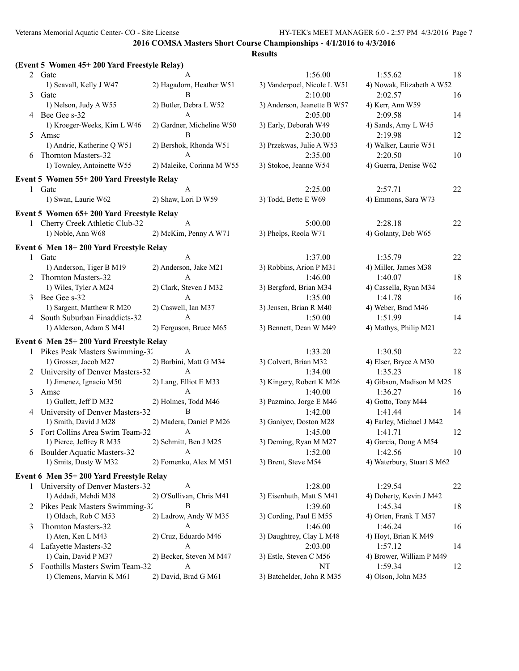|              | (Event 5 Women 45+200 Yard Freestyle Relay) |                           |                             |                            |    |
|--------------|---------------------------------------------|---------------------------|-----------------------------|----------------------------|----|
|              | 2 Gate                                      |                           | 1:56.00                     | 1:55.62                    | 18 |
|              | 1) Seavall, Kelly J W47                     | 2) Hagadorn, Heather W51  | 3) Vanderpoel, Nicole L W51 | 4) Nowak, Elizabeth A W52  |    |
| 3            | Gatc                                        | B                         | 2:10.00                     | 2:02.57                    | 16 |
|              | 1) Nelson, Judy A W55                       | 2) Butler, Debra L W52    | 3) Anderson, Jeanette B W57 | 4) Kerr, Ann W59           |    |
|              | 4 Bee Gee s-32                              | A                         | 2:05.00                     | 2:09.58                    | 14 |
|              | 1) Kroeger-Weeks, Kim L W46                 | 2) Gardner, Micheline W50 | 3) Early, Deborah W49       | 4) Sands, Amy L W45        |    |
| 5            | Amsc                                        | B                         | 2:30.00                     | 2:19.98                    | 12 |
|              | 1) Andrie, Katherine Q W51                  | 2) Bershok, Rhonda W51    | 3) Przekwas, Julie A W53    | 4) Walker, Laurie W51      |    |
| 6            | Thornton Masters-32                         | A                         | 2:35.00                     | 2:20.50                    | 10 |
|              | 1) Townley, Antoinette W55                  | 2) Maleike, Corinna M W55 | 3) Stokoe, Jeanne W54       | 4) Guerra, Denise W62      |    |
|              | Event 5 Women 55+200 Yard Freestyle Relay   |                           |                             |                            |    |
| $\mathbf{1}$ | Gatc                                        | A                         | 2:25.00                     | 2:57.71                    | 22 |
|              | 1) Swan, Laurie W62                         | 2) Shaw, Lori D W59       | 3) Todd, Bette E W69        | 4) Emmons, Sara W73        |    |
|              | Event 5 Women 65+200 Yard Freestyle Relay   |                           |                             |                            |    |
|              | 1 Cherry Creek Athletic Club-32             | A                         | 5:00.00                     | 2:28.18                    | 22 |
|              | 1) Noble, Ann W68                           | 2) McKim, Penny A W71     | 3) Phelps, Reola W71        | 4) Golanty, Deb W65        |    |
|              | Event 6 Men 18+200 Yard Freestyle Relay     |                           |                             |                            |    |
| 1            | Gatc                                        | A                         | 1:37.00                     | 1:35.79                    | 22 |
|              | 1) Anderson, Tiger B M19                    | 2) Anderson, Jake M21     | 3) Robbins, Arion P M31     | 4) Miller, James M38       |    |
|              | Thornton Masters-32                         | A                         | 1:46.00                     | 1:40.07                    | 18 |
|              | 1) Wiles, Tyler A M24                       | 2) Clark, Steven J M32    | 3) Bergford, Brian M34      | 4) Cassella, Ryan M34      |    |
| 3            | Bee Gee s-32                                | A                         | 1:35.00                     | 1:41.78                    | 16 |
|              | 1) Sargent, Matthew R M20                   | 2) Caswell, Ian M37       | 3) Jensen, Brian R M40      | 4) Weber, Brad M46         |    |
|              | 4 South Suburban Finaddicts-32              | $\mathsf{A}$              | 1:50.00                     | 1:51.99                    | 14 |
|              | 1) Alderson, Adam S M41                     | 2) Ferguson, Bruce M65    | 3) Bennett, Dean W M49      | 4) Mathys, Philip M21      |    |
|              | Event 6 Men 25+200 Yard Freestyle Relay     |                           |                             |                            |    |
|              | Pikes Peak Masters Swimming-32              | A                         | 1:33.20                     | 1:30.50                    | 22 |
|              | 1) Grosser, Jacob M27                       | 2) Barbini, Matt G M34    | 3) Colvert, Brian M32       | 4) Elser, Bryce A M30      |    |
|              | 2 University of Denver Masters-32           | A                         | 1:34.00                     | 1:35.23                    | 18 |
|              | 1) Jimenez, Ignacio M50                     | 2) Lang, Elliot E M33     | 3) Kingery, Robert K M26    | 4) Gibson, Madison M M25   |    |
| 3            | Amsc                                        | A                         | 1:40.00                     | 1:36.27                    | 16 |
|              | 1) Gullett, Jeff D M32                      | 2) Holmes, Todd M46       | 3) Pazmino, Jorge E M46     | 4) Gotto, Tony M44         |    |
|              | 4 University of Denver Masters-32           | $\bf{B}$                  | 1:42.00                     | 1:41.44                    | 14 |
|              | 1) Smith, David J M28                       | 2) Madera, Daniel P M26   | 3) Ganiyev, Doston M28      | 4) Farley, Michael J M42   |    |
|              | 5 Fort Collins Area Swim Team-32            | A                         | 1:45.00                     | 1:41.71                    | 12 |
|              | 1) Pierce, Jeffrey R M35                    | 2) Schmitt, Ben J M25     | 3) Deming, Ryan M M27       | 4) Garcia, Doug A M54      |    |
| 6            | <b>Boulder Aquatic Masters-32</b>           | A                         | 1:52.00                     | 1:42.56                    | 10 |
|              | 1) Smits, Dusty W M32                       | 2) Fomenko, Alex M M51    | 3) Brent, Steve M54         | 4) Waterbury, Stuart S M62 |    |
|              | Event 6 Men 35+200 Yard Freestyle Relay     |                           |                             |                            |    |
| $\mathbf{1}$ | University of Denver Masters-32             | A                         | 1:28.00                     | 1:29.54                    | 22 |
|              | 1) Addadi, Mehdi M38                        | 2) O'Sullivan, Chris M41  | 3) Eisenhuth, Matt S M41    | 4) Doherty, Kevin J M42    |    |
|              | 2 Pikes Peak Masters Swimming-32            | В                         | 1:39.60                     | 1:45.34                    | 18 |
|              | 1) Oldach, Rob C M53                        | 2) Ladrow, Andy W M35     | 3) Cording, Paul E M55      | 4) Orten, Frank T M57      |    |
| 3            | Thornton Masters-32                         | A                         | 1:46.00                     | 1:46.24                    | 16 |
|              | 1) Aten, Ken L M43                          | 2) Cruz, Eduardo M46      | 3) Daughtrey, Clay L M48    | 4) Hoyt, Brian K M49       |    |
|              | 4 Lafayette Masters-32                      | A                         | 2:03.00                     | 1:57.12                    | 14 |
|              | 1) Cain, David P M37                        | 2) Becker, Steven M M47   | 3) Estle, Steven C M56      | 4) Brower, William P M49   |    |
| 5            | Foothills Masters Swim Team-32              | A                         | NT                          | 1:59.34                    | 12 |
|              | 1) Clemens, Marvin K M61                    | 2) David, Brad G M61      | 3) Batchelder, John R M35   | 4) Olson, John M35         |    |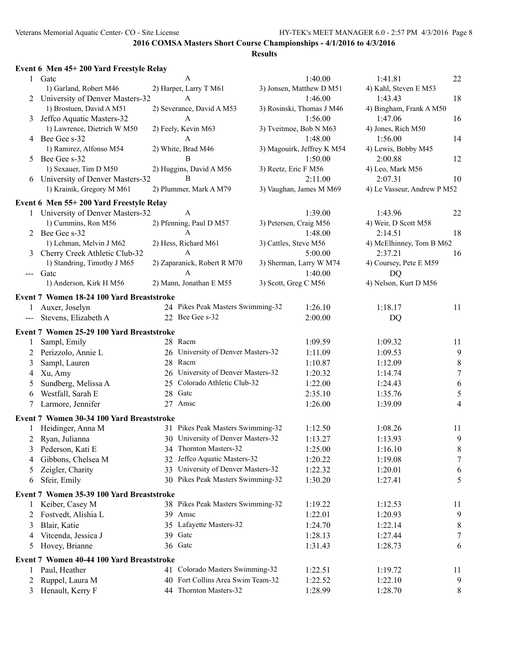|                                                                                                                                                                                                                                                                                                                                                                                              | Event 6 Men 45+200 Yard Freestyle Relay   |                                    |                            |                             |                |
|----------------------------------------------------------------------------------------------------------------------------------------------------------------------------------------------------------------------------------------------------------------------------------------------------------------------------------------------------------------------------------------------|-------------------------------------------|------------------------------------|----------------------------|-----------------------------|----------------|
|                                                                                                                                                                                                                                                                                                                                                                                              | 1 Gate                                    | A                                  | 1:40.00                    | 1:41.81                     | 22             |
|                                                                                                                                                                                                                                                                                                                                                                                              | 1) Garland, Robert M46                    | 2) Harper, Larry T M61             | 3) Jonsen, Matthew D M51   | 4) Kahl, Steven E M53       |                |
|                                                                                                                                                                                                                                                                                                                                                                                              | 2 University of Denver Masters-32         | A                                  | 1:46.00                    | 1:43.43                     | 18             |
|                                                                                                                                                                                                                                                                                                                                                                                              | 1) Brostuen, David A M51                  | 2) Severance, David A M53          | 3) Rosinski, Thomas J M46  | 4) Bingham, Frank A M50     |                |
| 3                                                                                                                                                                                                                                                                                                                                                                                            | Jeffco Aquatic Masters-32                 | A                                  | 1:56.00                    | 1:47.06                     | 16             |
|                                                                                                                                                                                                                                                                                                                                                                                              | 1) Lawrence, Dietrich W M50               | 2) Feely, Kevin M63                | 3) Tveitmoe, Bob N M63     | 4) Jones, Rich M50          |                |
|                                                                                                                                                                                                                                                                                                                                                                                              | 4 Bee Gee s-32                            | A                                  | 1:48.00                    | 1:56.00                     | 14             |
|                                                                                                                                                                                                                                                                                                                                                                                              | 1) Ramirez, Alfonso M54                   | 2) White, Brad M46                 | 3) Magouirk, Jeffrey K M54 | 4) Lewis, Bobby M45         |                |
| 5                                                                                                                                                                                                                                                                                                                                                                                            | Bee Gee s-32                              | B                                  | 1:50.00                    | 2:00.88                     | 12             |
|                                                                                                                                                                                                                                                                                                                                                                                              | 1) Sexauer, Tim D M50                     | 2) Huggins, David A M56            | 3) Reetz, Eric F M56       | 4) Leo, Mark M56            |                |
|                                                                                                                                                                                                                                                                                                                                                                                              | 6 University of Denver Masters-32         | B                                  | 2:11.00                    | 2:07.31                     | 10             |
|                                                                                                                                                                                                                                                                                                                                                                                              | 1) Krainik, Gregory M M61                 | 2) Plummer, Mark A M79             | 3) Vaughan, James M M69    | 4) Le Vasseur, Andrew P M52 |                |
|                                                                                                                                                                                                                                                                                                                                                                                              | Event 6 Men 55+200 Yard Freestyle Relay   |                                    |                            |                             |                |
|                                                                                                                                                                                                                                                                                                                                                                                              | 1 University of Denver Masters-32         | A                                  | 1:39.00                    | 1:43.96                     | 22             |
|                                                                                                                                                                                                                                                                                                                                                                                              | 1) Cummins, Ron M56                       | 2) Pfenning, Paul D M57            | 3) Petersen, Craig M56     | 4) Weir, D Scott M58        |                |
| 2                                                                                                                                                                                                                                                                                                                                                                                            | Bee Gee s-32                              | A                                  | 1:48.00                    | 2:14.51                     | 18             |
|                                                                                                                                                                                                                                                                                                                                                                                              | 1) Lehman, Melvin J M62                   | 2) Hess, Richard M61               | 3) Cattles, Steve M56      | 4) McElhinney, Tom B M62    |                |
| 3                                                                                                                                                                                                                                                                                                                                                                                            | Cherry Creek Athletic Club-32             | A                                  | 5:00.00                    | 2:37.21                     | 16             |
|                                                                                                                                                                                                                                                                                                                                                                                              | 1) Standring, Timothy J M65               | 2) Zaparanick, Robert R M70        | 3) Sherman, Larry W M74    | 4) Coursey, Pete E M59      |                |
| $\frac{1}{2} \frac{1}{2} \frac{1}{2} \frac{1}{2} \frac{1}{2} \frac{1}{2} \frac{1}{2} \frac{1}{2} \frac{1}{2} \frac{1}{2} \frac{1}{2} \frac{1}{2} \frac{1}{2} \frac{1}{2} \frac{1}{2} \frac{1}{2} \frac{1}{2} \frac{1}{2} \frac{1}{2} \frac{1}{2} \frac{1}{2} \frac{1}{2} \frac{1}{2} \frac{1}{2} \frac{1}{2} \frac{1}{2} \frac{1}{2} \frac{1}{2} \frac{1}{2} \frac{1}{2} \frac{1}{2} \frac{$ | Gatc                                      | A                                  | 1:40.00                    | <b>DQ</b>                   |                |
|                                                                                                                                                                                                                                                                                                                                                                                              | 1) Anderson, Kirk H M56                   | 2) Mann, Jonathan E M55            | 3) Scott, Greg C M56       | 4) Nelson, Kurt D M56       |                |
|                                                                                                                                                                                                                                                                                                                                                                                              | Event 7 Women 18-24 100 Yard Breaststroke |                                    |                            |                             |                |
| $\mathbf{1}$                                                                                                                                                                                                                                                                                                                                                                                 | Auxer, Joselyn                            | 24 Pikes Peak Masters Swimming-32  | 1:26.10                    | 1:18.17                     | 11             |
| $---$                                                                                                                                                                                                                                                                                                                                                                                        | Stevens, Elizabeth A                      | 22 Bee Gee s-32                    | 2:00.00                    | DQ                          |                |
|                                                                                                                                                                                                                                                                                                                                                                                              |                                           |                                    |                            |                             |                |
|                                                                                                                                                                                                                                                                                                                                                                                              | Event 7 Women 25-29 100 Yard Breaststroke |                                    |                            |                             |                |
| 1                                                                                                                                                                                                                                                                                                                                                                                            | Sampl, Emily                              | 28 Racm                            | 1:09.59                    | 1:09.32                     | 11             |
| 2                                                                                                                                                                                                                                                                                                                                                                                            | Perizzolo, Annie L                        | 26 University of Denver Masters-32 | 1:11.09                    | 1:09.53                     | 9              |
| 3                                                                                                                                                                                                                                                                                                                                                                                            | Sampl, Lauren                             | 28 Racm                            | 1:10.87                    | 1:12.09                     | $\,8\,$        |
| 4                                                                                                                                                                                                                                                                                                                                                                                            | Xu, Amy                                   | 26 University of Denver Masters-32 | 1:20.32                    | 1:14.74                     | $\tau$         |
| 5                                                                                                                                                                                                                                                                                                                                                                                            | Sundberg, Melissa A                       | 25 Colorado Athletic Club-32       | 1:22.00                    | 1:24.43                     | 6              |
| 6                                                                                                                                                                                                                                                                                                                                                                                            | Westfall, Sarah E                         | 28 Gatc                            | 2:35.10                    | 1:35.76                     | 5              |
| 7                                                                                                                                                                                                                                                                                                                                                                                            | Larmore, Jennifer                         | 27 Amsc                            | 1:26.00                    | 1:39.09                     | $\overline{4}$ |
|                                                                                                                                                                                                                                                                                                                                                                                              | Event 7 Women 30-34 100 Yard Breaststroke |                                    |                            |                             |                |
| 1                                                                                                                                                                                                                                                                                                                                                                                            | Heidinger, Anna M                         | 31 Pikes Peak Masters Swimming-32  | 1:12.50                    | 1:08.26                     | 11             |
| 2                                                                                                                                                                                                                                                                                                                                                                                            | Ryan, Julianna                            | 30 University of Denver Masters-32 | 1:13.27                    | 1:13.93                     | 9              |
| 3                                                                                                                                                                                                                                                                                                                                                                                            | Pederson, Kati E                          | 34 Thornton Masters-32             | 1:25.00                    | 1:16.10                     | 8              |
| 4                                                                                                                                                                                                                                                                                                                                                                                            | Gibbons, Chelsea M                        | 32 Jeffco Aquatic Masters-32       | 1:20.22                    | 1:19.08                     | $\tau$         |
| 5                                                                                                                                                                                                                                                                                                                                                                                            | Zeigler, Charity                          | 33 University of Denver Masters-32 | 1:22.32                    | 1:20.01                     | 6              |
| 6                                                                                                                                                                                                                                                                                                                                                                                            | Sfeir, Emily                              | 30 Pikes Peak Masters Swimming-32  | 1:30.20                    | 1:27.41                     | 5              |
|                                                                                                                                                                                                                                                                                                                                                                                              | Event 7 Women 35-39 100 Yard Breaststroke |                                    |                            |                             |                |
| 1                                                                                                                                                                                                                                                                                                                                                                                            | Keiber, Casey M                           | 38 Pikes Peak Masters Swimming-32  | 1:19.22                    | 1:12.53                     | 11             |
| 2                                                                                                                                                                                                                                                                                                                                                                                            | Fostvedt, Alishia L                       | 39 Amsc                            | 1:22.01                    | 1:20.93                     | 9              |
| 3                                                                                                                                                                                                                                                                                                                                                                                            | Blair, Katie                              | 35 Lafayette Masters-32            | 1:24.70                    | 1:22.14                     | 8              |
| 4                                                                                                                                                                                                                                                                                                                                                                                            | Vitcenda, Jessica J                       | 39 Gate                            | 1:28.13                    | 1:27.44                     | $\tau$         |
| 5                                                                                                                                                                                                                                                                                                                                                                                            | Hovey, Brianne                            | 36 Gate                            | 1:31.43                    | 1:28.73                     | 6              |
|                                                                                                                                                                                                                                                                                                                                                                                              |                                           |                                    |                            |                             |                |
|                                                                                                                                                                                                                                                                                                                                                                                              | Event 7 Women 40-44 100 Yard Breaststroke |                                    |                            |                             |                |
| $\mathbf{1}$                                                                                                                                                                                                                                                                                                                                                                                 | Paul, Heather                             | 41 Colorado Masters Swimming-32    | 1:22.51                    | 1:19.72                     | 11             |
| 2                                                                                                                                                                                                                                                                                                                                                                                            | Ruppel, Laura M                           | 40 Fort Collins Area Swim Team-32  | 1:22.52                    | 1:22.10                     | 9              |
| 3                                                                                                                                                                                                                                                                                                                                                                                            | Henault, Kerry F                          | 44 Thornton Masters-32             | 1:28.99                    | 1:28.70                     | 8              |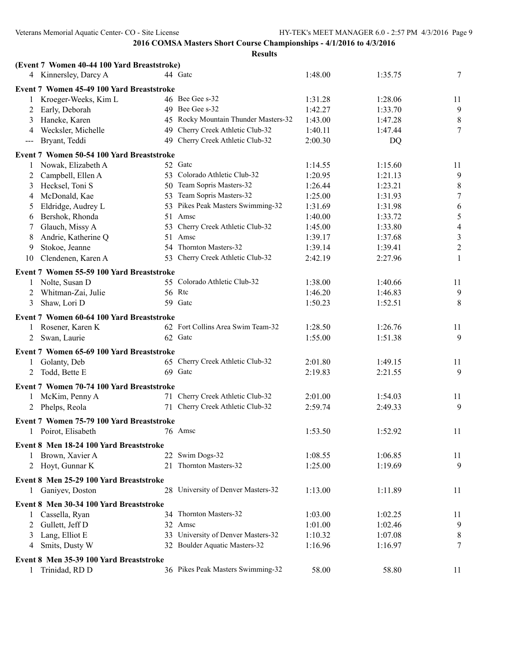|                                        | (Event 7 Women 40-44 100 Yard Breaststroke) |                                      |         |         |                  |
|----------------------------------------|---------------------------------------------|--------------------------------------|---------|---------|------------------|
|                                        | 4 Kinnersley, Darcy A                       | 44 Gatc                              | 1:48.00 | 1:35.75 | 7                |
|                                        | Event 7 Women 45-49 100 Yard Breaststroke   |                                      |         |         |                  |
|                                        | Kroeger-Weeks, Kim L                        | 46 Bee Gee s-32                      | 1:31.28 | 1:28.06 | 11               |
| 2                                      | Early, Deborah                              | 49 Bee Gee s-32                      | 1:42.27 | 1:33.70 | $\overline{9}$   |
| 3                                      | Haneke, Karen                               | 45 Rocky Mountain Thunder Masters-32 | 1:43.00 | 1:47.28 | $\,8\,$          |
| 4                                      | Wecksler, Michelle                          | 49 Cherry Creek Athletic Club-32     | 1:40.11 | 1:47.44 | $\tau$           |
| $\scriptstyle\cdots\scriptstyle\cdots$ | Bryant, Teddi                               | 49 Cherry Creek Athletic Club-32     | 2:00.30 | DQ      |                  |
|                                        | Event 7 Women 50-54 100 Yard Breaststroke   |                                      |         |         |                  |
| 1                                      | Nowak, Elizabeth A                          | 52 Gate                              | 1:14.55 | 1:15.60 | 11               |
| 2                                      | Campbell, Ellen A                           | 53 Colorado Athletic Club-32         | 1:20.95 | 1:21.13 | 9                |
| 3                                      | Hecksel, Toni S                             | 50 Team Sopris Masters-32            | 1:26.44 | 1:23.21 | $\,8\,$          |
| 4                                      | McDonald, Kae                               | 53 Team Sopris Masters-32            | 1:25.00 | 1:31.93 | $\tau$           |
| 5                                      | Eldridge, Audrey L                          | 53 Pikes Peak Masters Swimming-32    | 1:31.69 | 1:31.98 | 6                |
| 6                                      | Bershok, Rhonda                             | 51 Amsc                              | 1:40.00 | 1:33.72 | $\sqrt{5}$       |
| 7                                      | Glauch, Missy A                             | 53 Cherry Creek Athletic Club-32     | 1:45.00 | 1:33.80 | $\overline{4}$   |
| 8                                      | Andrie, Katherine Q<br>51                   | Amsc                                 | 1:39.17 | 1:37.68 | $\mathfrak{Z}$   |
| 9                                      | Stokoe, Jeanne                              | 54 Thornton Masters-32               | 1:39.14 | 1:39.41 | $\boldsymbol{2}$ |
| 10                                     | Clendenen, Karen A                          | 53 Cherry Creek Athletic Club-32     | 2:42.19 | 2:27.96 | $\mathbf{1}$     |
|                                        | Event 7 Women 55-59 100 Yard Breaststroke   |                                      |         |         |                  |
|                                        | 1 Nolte, Susan D                            | 55 Colorado Athletic Club-32         | 1:38.00 | 1:40.66 | 11               |
| 2                                      | Whitman-Zai, Julie                          | 56 Rtc                               | 1:46.20 | 1:46.83 | 9                |
| 3                                      | Shaw, Lori D                                | 59 Gate                              | 1:50.23 | 1:52.51 | 8                |
|                                        |                                             |                                      |         |         |                  |
|                                        | Event 7 Women 60-64 100 Yard Breaststroke   |                                      |         |         |                  |
|                                        | 1 Rosener, Karen K                          | 62 Fort Collins Area Swim Team-32    | 1:28.50 | 1:26.76 | 11               |
| 2                                      | Swan, Laurie                                | 62 Gatc                              | 1:55.00 | 1:51.38 | 9                |
|                                        | Event 7 Women 65-69 100 Yard Breaststroke   |                                      |         |         |                  |
|                                        | Golanty, Deb                                | 65 Cherry Creek Athletic Club-32     | 2:01.80 | 1:49.15 | 11               |
| 2                                      | Todd, Bette E                               | 69 Gatc                              | 2:19.83 | 2:21.55 | 9                |
|                                        | Event 7 Women 70-74 100 Yard Breaststroke   |                                      |         |         |                  |
| 1                                      | McKim, Penny A                              | 71 Cherry Creek Athletic Club-32     | 2:01.00 | 1:54.03 | 11               |
| 2                                      | Phelps, Reola                               | 71 Cherry Creek Athletic Club-32     | 2:59.74 | 2:49.33 | 9                |
|                                        | Event 7 Women 75-79 100 Yard Breaststroke   |                                      |         |         |                  |
|                                        | 1 Poirot, Elisabeth                         | 76 Amsc                              | 1:53.50 | 1:52.92 | 11               |
|                                        | Event 8 Men 18-24 100 Yard Breaststroke     |                                      |         |         |                  |
| 1                                      | Brown, Xavier A                             | 22 Swim Dogs-32                      | 1:08.55 | 1:06.85 |                  |
|                                        | 2 Hoyt, Gunnar K                            | 21 Thornton Masters-32               | 1:25.00 | 1:19.69 | 11<br>9          |
|                                        |                                             |                                      |         |         |                  |
|                                        | Event 8 Men 25-29 100 Yard Breaststroke     |                                      |         |         |                  |
|                                        | Ganiyev, Doston                             | 28 University of Denver Masters-32   | 1:13.00 | 1:11.89 | 11               |
|                                        | Event 8 Men 30-34 100 Yard Breaststroke     |                                      |         |         |                  |
|                                        | Cassella, Ryan                              | 34 Thornton Masters-32               | 1:03.00 | 1:02.25 | 11               |
| 2                                      | Gullett, Jeff D                             | 32 Amsc                              | 1:01.00 | 1:02.46 | 9                |
| 3                                      | Lang, Elliot E                              | 33 University of Denver Masters-32   | 1:10.32 | 1:07.08 | 8                |
| 4                                      | Smits, Dusty W                              | 32 Boulder Aquatic Masters-32        | 1:16.96 | 1:16.97 | 7                |
|                                        | Event 8 Men 35-39 100 Yard Breaststroke     |                                      |         |         |                  |
|                                        | Trinidad, RD D                              | 36 Pikes Peak Masters Swimming-32    | 58.00   | 58.80   | 11               |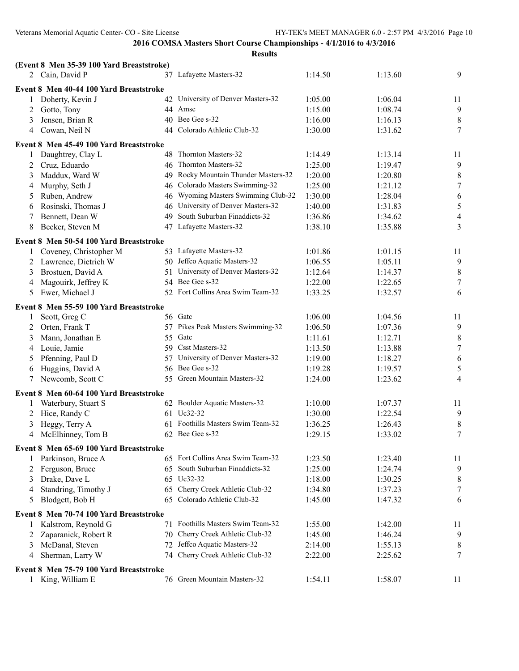|        | (Event 8 Men 35-39 100 Yard Breaststroke) |     |                                      |         |         |                          |
|--------|-------------------------------------------|-----|--------------------------------------|---------|---------|--------------------------|
|        | 2 Cain, David P                           |     | 37 Lafayette Masters-32              | 1:14.50 | 1:13.60 | 9                        |
|        | Event 8 Men 40-44 100 Yard Breaststroke   |     |                                      |         |         |                          |
|        | Doherty, Kevin J                          |     | 42 University of Denver Masters-32   | 1:05.00 | 1:06.04 | 11                       |
| 2      | Gotto, Tony                               |     | 44 Amsc                              | 1:15.00 | 1:08.74 | $\overline{9}$           |
| 3      | Jensen, Brian R                           |     | 40 Bee Gee s-32                      | 1:16.00 | 1:16.13 | $\,8\,$                  |
| 4      | Cowan, Neil N                             |     | 44 Colorado Athletic Club-32         | 1:30.00 | 1:31.62 | $\tau$                   |
|        | Event 8 Men 45-49 100 Yard Breaststroke   |     |                                      |         |         |                          |
|        | Daughtrey, Clay L                         |     | 48 Thornton Masters-32               | 1:14.49 | 1:13.14 | 11                       |
| 2      | Cruz, Eduardo                             |     | 46 Thornton Masters-32               | 1:25.00 | 1:19.47 | 9                        |
|        | Maddux, Ward W                            |     | 49 Rocky Mountain Thunder Masters-32 | 1:20.00 | 1:20.80 | $\,8\,$                  |
| 3      |                                           |     | 46 Colorado Masters Swimming-32      | 1:25.00 | 1:21.12 | $\tau$                   |
| 4      | Murphy, Seth J<br>Ruben, Andrew           |     | 46 Wyoming Masters Swimming Club-32  | 1:30.00 | 1:28.04 | $\sqrt{6}$               |
| 5      | Rosinski, Thomas J                        |     | 46 University of Denver Masters-32   | 1:40.00 | 1:31.83 | $\sqrt{5}$               |
| 6<br>7 | Bennett, Dean W                           | 49. | South Suburban Finaddicts-32         | 1:36.86 | 1:34.62 | $\overline{\mathcal{A}}$ |
| 8      | Becker, Steven M                          |     | 47 Lafayette Masters-32              | 1:38.10 | 1:35.88 | 3                        |
|        |                                           |     |                                      |         |         |                          |
|        | Event 8 Men 50-54 100 Yard Breaststroke   |     |                                      |         |         |                          |
|        | Coveney, Christopher M                    |     | 53 Lafayette Masters-32              | 1:01.86 | 1:01.15 | 11                       |
| 2      | Lawrence, Dietrich W                      |     | 50 Jeffco Aquatic Masters-32         | 1:06.55 | 1:05.11 | 9                        |
| 3      | Brostuen, David A                         |     | 51 University of Denver Masters-32   | 1:12.64 | 1:14.37 | $\,8\,$                  |
| 4      | Magouirk, Jeffrey K                       |     | 54 Bee Gee s-32                      | 1:22.00 | 1:22.65 | $\tau$                   |
| 5      | Ewer, Michael J                           |     | 52 Fort Collins Area Swim Team-32    | 1:33.25 | 1:32.57 | 6                        |
|        | Event 8 Men 55-59 100 Yard Breaststroke   |     |                                      |         |         |                          |
| 1      | Scott, Greg C                             |     | 56 Gatc                              | 1:06.00 | 1:04.56 | 11                       |
| 2      | Orten, Frank T                            |     | 57 Pikes Peak Masters Swimming-32    | 1:06.50 | 1:07.36 | $\overline{9}$           |
| 3      | Mann, Jonathan E                          |     | 55 Gate                              | 1:11.61 | 1:12.71 | $\,8\,$                  |
| 4      | Louie, Jamie                              |     | 59 Csst Masters-32                   | 1:13.50 | 1:13.88 | $\boldsymbol{7}$         |
| 5      | Pfenning, Paul D                          | 57  | University of Denver Masters-32      | 1:19.00 | 1:18.27 | 6                        |
| 6      | Huggins, David A                          |     | 56 Bee Gee s-32                      | 1:19.28 | 1:19.57 | $\mathfrak s$            |
| 7      | Newcomb, Scott C                          |     | 55 Green Mountain Masters-32         | 1:24.00 | 1:23.62 | $\overline{4}$           |
|        |                                           |     |                                      |         |         |                          |
|        | Event 8 Men 60-64 100 Yard Breaststroke   |     | 62 Boulder Aquatic Masters-32        | 1:10.00 | 1:07.37 | 11                       |
|        | Waterbury, Stuart S                       |     | 61 Uc32-32                           |         |         |                          |
| 2      | Hice, Randy C                             |     | Foothills Masters Swim Team-32       | 1:30.00 | 1:22.54 | 9<br>$\,8\,$             |
| 3      | Heggy, Terry A                            |     | 62 Bee Gee s-32                      | 1:36.25 | 1:26.43 | $\boldsymbol{7}$         |
| 4      | McElhinney, Tom B                         |     |                                      | 1:29.15 | 1:33.02 |                          |
|        | Event 8 Men 65-69 100 Yard Breaststroke   |     |                                      |         |         |                          |
|        | Parkinson, Bruce A                        |     | 65 Fort Collins Area Swim Team-32    | 1:23.50 | 1:23.40 | 11                       |
| 2      | Ferguson, Bruce                           |     | 65 South Suburban Finaddicts-32      | 1:25.00 | 1:24.74 | 9                        |
| 3      | Drake, Dave L                             |     | 65 Uc32-32                           | 1:18.00 | 1:30.25 | $\,8\,$                  |
| 4      | Standring, Timothy J                      |     | 65 Cherry Creek Athletic Club-32     | 1:34.80 | 1:37.23 | $\tau$                   |
| 5      | Blodgett, Bob H                           |     | 65 Colorado Athletic Club-32         | 1:45.00 | 1:47.32 | 6                        |
|        | Event 8 Men 70-74 100 Yard Breaststroke   |     |                                      |         |         |                          |
|        | Kalstrom, Reynold G                       |     | 71 Foothills Masters Swim Team-32    | 1:55.00 | 1:42.00 | 11                       |
| 2      | Zaparanick, Robert R                      |     | 70 Cherry Creek Athletic Club-32     | 1:45.00 | 1:46.24 | 9                        |
| 3      | McDanal, Steven                           |     | 72 Jeffco Aquatic Masters-32         | 2:14.00 | 1:55.13 | $\,8\,$                  |
| 4      | Sherman, Larry W                          |     | 74 Cherry Creek Athletic Club-32     | 2:22.00 | 2:25.62 | $\tau$                   |
|        | Event 8 Men 75-79 100 Yard Breaststroke   |     |                                      |         |         |                          |
|        |                                           |     | 76 Green Mountain Masters-32         |         |         |                          |
| 1      | King, William E                           |     |                                      | 1:54.11 | 1:58.07 | 11                       |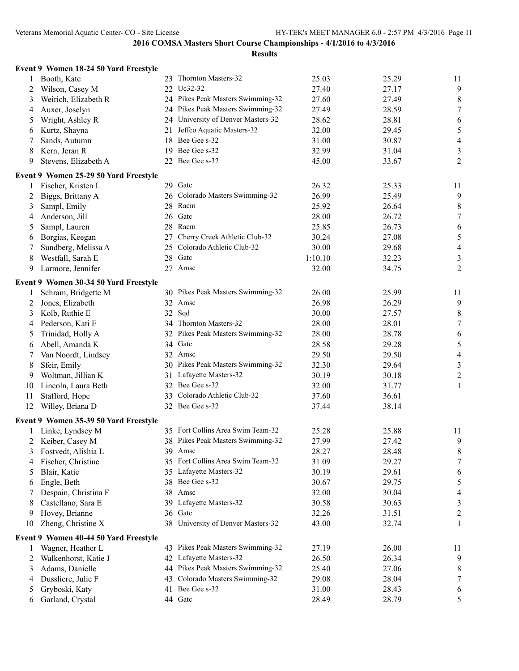|    | Event 9 Women 18-24 50 Yard Freestyle |    |                                    |         |       |                  |
|----|---------------------------------------|----|------------------------------------|---------|-------|------------------|
| 1  | Booth, Kate                           |    | 23 Thornton Masters-32             | 25.03   | 25.29 | 11               |
| 2  | Wilson, Casey M                       |    | 22 Uc32-32                         | 27.40   | 27.17 | 9                |
| 3  | Weirich, Elizabeth R                  |    | 24 Pikes Peak Masters Swimming-32  | 27.60   | 27.49 | $\,8\,$          |
| 4  | Auxer, Joselyn                        |    | 24 Pikes Peak Masters Swimming-32  | 27.49   | 28.59 | $\tau$           |
| 5  | Wright, Ashley R                      |    | 24 University of Denver Masters-32 | 28.62   | 28.81 | 6                |
| 6  | Kurtz, Shayna                         |    | 21 Jeffco Aquatic Masters-32       | 32.00   | 29.45 | $\sqrt{5}$       |
| 7  | Sands, Autumn                         | 18 | Bee Gee s-32                       | 31.00   | 30.87 | $\overline{4}$   |
| 8  | Kern, Jeran R                         | 19 | Bee Gee s-32                       | 32.99   | 31.04 | $\mathfrak{Z}$   |
| 9  | Stevens, Elizabeth A                  |    | 22 Bee Gee s-32                    | 45.00   | 33.67 | $\overline{2}$   |
|    | Event 9 Women 25-29 50 Yard Freestyle |    |                                    |         |       |                  |
| 1  | Fischer, Kristen L                    |    | 29 Gatc                            | 26.32   | 25.33 | 11               |
| 2  | Biggs, Brittany A                     |    | 26 Colorado Masters Swimming-32    | 26.99   | 25.49 | 9                |
| 3  | Sampl, Emily                          | 28 | Racm                               | 25.92   | 26.64 | $\,8\,$          |
| 4  | Anderson, Jill                        | 26 | Gatc                               | 28.00   | 26.72 | $\tau$           |
| 5  | Sampl, Lauren                         |    | 28 Racm                            | 25.85   | 26.73 | $\sqrt{6}$       |
| 6  | Borgias, Keegan                       | 27 | Cherry Creek Athletic Club-32      | 30.24   | 27.08 | $\sqrt{5}$       |
| 7  | Sundberg, Melissa A                   | 25 | Colorado Athletic Club-32          | 30.00   | 29.68 | $\overline{4}$   |
| 8  | Westfall, Sarah E                     | 28 | Gatc                               | 1:10.10 | 32.23 | $\mathfrak{Z}$   |
| 9  | Larmore, Jennifer                     |    | 27 Amsc                            | 32.00   | 34.75 | $\overline{2}$   |
|    | Event 9 Women 30-34 50 Yard Freestyle |    |                                    |         |       |                  |
| 1  | Schram, Bridgette M                   |    | 30 Pikes Peak Masters Swimming-32  | 26.00   | 25.99 | 11               |
| 2  | Jones, Elizabeth                      | 32 | Amsc                               | 26.98   | 26.29 | 9                |
| 3  | Kolb, Ruthie E                        |    | 32 Sqd                             | 30.00   | 27.57 | $\,8\,$          |
| 4  | Pederson, Kati E                      |    | 34 Thornton Masters-32             | 28.00   | 28.01 | $\tau$           |
| 5  | Trinidad, Holly A                     |    | 32 Pikes Peak Masters Swimming-32  | 28.00   | 28.78 | $\sqrt{6}$       |
| 6  | Abell, Amanda K                       |    | 34 Gatc                            | 28.58   | 29.28 | $\sqrt{5}$       |
| 7  | Van Noordt, Lindsey                   |    | 32 Amsc                            | 29.50   | 29.50 | $\overline{4}$   |
| 8  | Sfeir, Emily                          | 30 | Pikes Peak Masters Swimming-32     | 32.30   | 29.64 | $\mathfrak{Z}$   |
| 9  | Woltman, Jillian K                    | 31 | Lafayette Masters-32               | 30.19   | 30.18 | $\sqrt{2}$       |
| 10 | Lincoln, Laura Beth                   | 32 | Bee Gee s-32                       | 32.00   | 31.77 | $\mathbf{1}$     |
| 11 | Stafford, Hope                        | 33 | Colorado Athletic Club-32          | 37.60   | 36.61 |                  |
| 12 | Willey, Briana D                      |    | 32 Bee Gee s-32                    | 37.44   | 38.14 |                  |
|    | Event 9 Women 35-39 50 Yard Freestyle |    |                                    |         |       |                  |
|    | Linke, Lyndsey M                      |    | 35 Fort Collins Area Swim Team-32  | 25.28   | 25.88 | 11               |
|    | 2 Keiber, Casey M                     |    | 38 Pikes Peak Masters Swimming-32  | 27.99   | 27.42 | 9                |
| 3  | Fostvedt, Alishia L                   |    | 39 Amsc                            | 28.27   | 28.48 | 8                |
| 4  | Fischer, Christine                    | 35 | Fort Collins Area Swim Team-32     | 31.09   | 29.27 | $\tau$           |
| 5  | Blair, Katie                          | 35 | Lafayette Masters-32               | 30.19   | 29.61 | 6                |
| 6  | Engle, Beth                           | 38 | Bee Gee s-32                       | 30.67   | 29.75 | $\mathfrak s$    |
|    | Despain, Christina F                  | 38 | Amsc                               | 32.00   | 30.04 | $\overline{4}$   |
| 8  | Castellano, Sara E                    | 39 | Lafayette Masters-32               | 30.58   | 30.63 | $\mathfrak{Z}$   |
| 9  | Hovey, Brianne                        | 36 | Gatc                               | 32.26   | 31.51 | $\boldsymbol{2}$ |
| 10 | Zheng, Christine X                    |    | 38 University of Denver Masters-32 | 43.00   | 32.74 | 1                |
|    | Event 9 Women 40-44 50 Yard Freestyle |    |                                    |         |       |                  |
| 1  | Wagner, Heather L                     |    | 43 Pikes Peak Masters Swimming-32  | 27.19   | 26.00 | 11               |
| 2  | Walkenhorst, Katie J                  |    | 42 Lafayette Masters-32            | 26.50   | 26.34 | 9                |
| 3  | Adams, Danielle                       |    | 44 Pikes Peak Masters Swimming-32  | 25.40   | 27.06 | $\,8\,$          |
| 4  | Dussliere, Julie F                    | 43 | Colorado Masters Swimming-32       | 29.08   | 28.04 | $\tau$           |
| 5  | Gryboski, Katy                        | 41 | Bee Gee s-32                       | 31.00   | 28.43 | 6                |
| 6  | Garland, Crystal                      |    | 44 Gatc                            | 28.49   | 28.79 | 5                |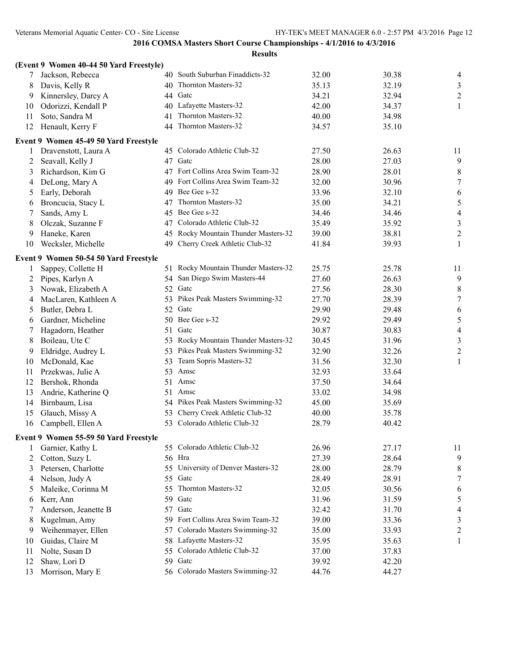|    | (Event 9 Women 40-44 50 Yard Freestyle) |    |                                      |       |       |                         |
|----|-----------------------------------------|----|--------------------------------------|-------|-------|-------------------------|
| 7  | Jackson, Rebecca                        |    | 40 South Suburban Finaddicts-32      | 32.00 | 30.38 | 4                       |
| 8  | Davis, Kelly R                          | 40 | Thornton Masters-32                  | 35.13 | 32.19 | 3                       |
| 9  | Kinnersley, Darcy A                     | 44 | Gatc                                 | 34.21 | 32.94 | $\overline{c}$          |
| 10 | Odorizzi, Kendall P                     | 40 | Lafayette Masters-32                 | 42.00 | 34.37 | 1                       |
| 11 | Soto, Sandra M                          | 41 | Thornton Masters-32                  | 40.00 | 34.98 |                         |
| 12 | Henault, Kerry F                        | 44 | Thornton Masters-32                  | 34.57 | 35.10 |                         |
|    | Event 9 Women 45-49 50 Yard Freestyle   |    |                                      |       |       |                         |
| 1  | Dravenstott, Laura A                    |    | 45 Colorado Athletic Club-32         | 27.50 | 26.63 | 11                      |
| 2  | Seavall, Kelly J                        | 47 | Gatc                                 | 28.00 | 27.03 | 9                       |
| 3  | Richardson, Kim G                       |    | 47 Fort Collins Area Swim Team-32    | 28.90 | 28.01 | $\,$ $\,$               |
| 4  | DeLong, Mary A                          | 49 | Fort Collins Area Swim Team-32       | 32.00 | 30.96 | $\boldsymbol{7}$        |
| 5  | Early, Deborah                          | 49 | Bee Gee s-32                         | 33.96 | 32.10 | 6                       |
| 6  | Broncucia, Stacy L                      | 47 | Thornton Masters-32                  | 35.00 | 34.21 | 5                       |
| 7  | Sands, Amy L                            | 45 | Bee Gee s-32                         | 34.46 | 34.46 | 4                       |
| 8  | Olczak, Suzanne F                       |    | 47 Colorado Athletic Club-32         | 35.49 | 35.92 | 3                       |
| 9  | Haneke, Karen                           |    | 45 Rocky Mountain Thunder Masters-32 | 39.00 | 38.81 | $\overline{c}$          |
| 10 | Wecksler, Michelle                      | 49 | Cherry Creek Athletic Club-32        | 41.84 | 39.93 | 1                       |
|    | Event 9 Women 50-54 50 Yard Freestyle   |    |                                      |       |       |                         |
| 1  | Sappey, Collette H                      |    | 51 Rocky Mountain Thunder Masters-32 | 25.75 | 25.78 | 11                      |
| 2  | Pipes, Karlyn A                         |    | 54 San Diego Swim Masters-44         | 27.60 | 26.63 | 9                       |
| 3  | Nowak, Elizabeth A                      |    | 52 Gate                              | 27.56 | 28.30 | 8                       |
| 4  | MacLaren, Kathleen A                    | 53 | Pikes Peak Masters Swimming-32       | 27.70 | 28.39 | 7                       |
| 5  | Butler, Debra L                         |    | 52 Gate                              | 29.90 | 29.48 | 6                       |
| 6  | Gardner, Micheline                      | 50 | Bee Gee s-32                         | 29.92 | 29.49 | $\sqrt{5}$              |
| 7  | Hagadorn, Heather                       | 51 | Gatc                                 | 30.87 | 30.83 | 4                       |
| 8  | Boileau, Ute C                          | 53 | Rocky Mountain Thunder Masters-32    | 30.45 | 31.96 | 3                       |
| 9  | Eldridge, Audrey L                      | 53 | Pikes Peak Masters Swimming-32       | 32.90 | 32.26 | $\overline{c}$          |
| 10 | McDonald, Kae                           | 53 | Team Sopris Masters-32               | 31.56 | 32.30 | $\mathbf{1}$            |
| 11 | Przekwas, Julie A                       | 53 | Amsc                                 | 32.93 | 33.64 |                         |
| 12 | Bershok, Rhonda                         | 51 | Amsc                                 | 37.50 | 34.64 |                         |
| 13 | Andrie, Katherine Q                     | 51 | Amsc                                 | 33.02 | 34.98 |                         |
| 14 | Birnbaum, Lisa                          |    | 54 Pikes Peak Masters Swimming-32    | 45.00 | 35.69 |                         |
| 15 | Glauch, Missy A                         | 53 | Cherry Creek Athletic Club-32        | 40.00 | 35.78 |                         |
| 16 | Campbell, Ellen A                       |    | 53 Colorado Athletic Club-32         | 28.79 | 40.42 |                         |
|    | Event 9 Women 55-59 50 Yard Freestyle   |    |                                      |       |       |                         |
| 1  | Garnier, Kathy L                        |    | 55 Colorado Athletic Club-32         | 26.96 | 27.17 | 11                      |
| 2  | Cotton, Suzy L                          | 56 | Hra                                  | 27.39 | 28.64 | 9                       |
| 3  | Petersen, Charlotte                     | 55 | University of Denver Masters-32      | 28.00 | 28.79 | 8                       |
| 4  | Nelson, Judy A                          | 55 | Gatc                                 | 28.49 | 28.91 | 7                       |
| 5  | Maleike, Corinna M                      | 55 | Thornton Masters-32                  | 32.05 | 30.56 | 6                       |
| 6  | Kerr, Ann                               | 59 | Gatc                                 | 31.96 | 31.59 | 5                       |
| 7  | Anderson, Jeanette B                    | 57 | Gatc                                 | 32.42 | 31.70 | 4                       |
| 8  | Kugelman, Amy                           | 59 | Fort Collins Area Swim Team-32       | 39.00 | 33.36 | $\mathfrak{Z}$          |
| 9  | Weihenmayer, Ellen                      | 57 | Colorado Masters Swimming-32         | 35.00 | 33.93 | $\overline{\mathbf{c}}$ |
| 10 | Guidas, Claire M                        | 58 | Lafayette Masters-32                 | 35.95 | 35.63 | 1                       |
| 11 | Nolte, Susan D                          | 55 | Colorado Athletic Club-32            | 37.00 | 37.83 |                         |
| 12 | Shaw, Lori D                            |    | 59 Gatc                              | 39.92 | 42.20 |                         |
| 13 | Morrison, Mary E                        |    | 56 Colorado Masters Swimming-32      | 44.76 | 44.27 |                         |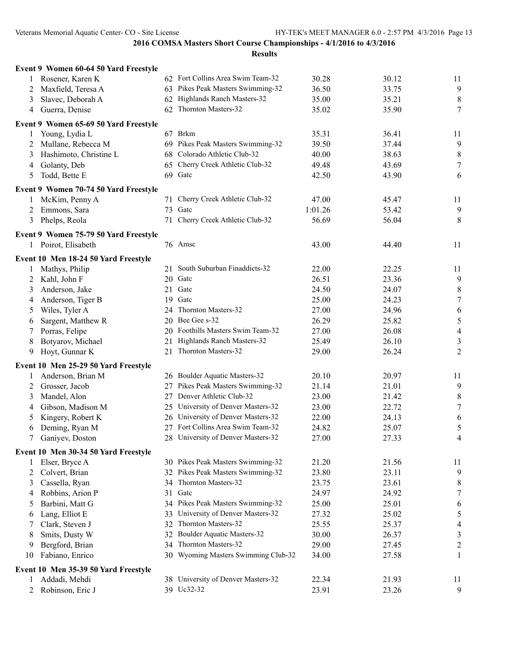|    | Event 9 Women 60-64 50 Yard Freestyle |     |                                     |         |       |                  |
|----|---------------------------------------|-----|-------------------------------------|---------|-------|------------------|
| 1  | Rosener, Karen K                      |     | 62 Fort Collins Area Swim Team-32   | 30.28   | 30.12 | 11               |
| 2  | Maxfield, Teresa A                    |     | 63 Pikes Peak Masters Swimming-32   | 36.50   | 33.75 | 9                |
| 3  | Slavec, Deborah A                     |     | 62 Highlands Ranch Masters-32       | 35.00   | 35.21 | $\,8\,$          |
| 4  | Guerra, Denise                        |     | 62 Thornton Masters-32              | 35.02   | 35.90 | $\tau$           |
|    | Event 9 Women 65-69 50 Yard Freestyle |     |                                     |         |       |                  |
| 1  | Young, Lydia L                        |     | 67 Brkm                             | 35.31   | 36.41 | 11               |
| 2  | Mullane, Rebecca M                    |     | 69 Pikes Peak Masters Swimming-32   | 39.50   | 37.44 | $\overline{9}$   |
|    |                                       | 68  | Colorado Athletic Club-32           |         |       |                  |
| 3  | Hashimoto, Christine L                |     |                                     | 40.00   | 38.63 | 8                |
| 4  | Golanty, Deb                          |     | 65 Cherry Creek Athletic Club-32    | 49.48   | 43.69 | $\tau$           |
| 5  | Todd, Bette E                         |     | 69 Gatc                             | 42.50   | 43.90 | 6                |
|    | Event 9 Women 70-74 50 Yard Freestyle |     |                                     |         |       |                  |
| 1  | McKim, Penny A                        |     | 71 Cherry Creek Athletic Club-32    | 47.00   | 45.47 | 11               |
| 2  | Emmons, Sara                          | 73  | Gatc                                | 1:01.26 | 53.42 | 9                |
| 3  | Phelps, Reola                         | 71  | Cherry Creek Athletic Club-32       | 56.69   | 56.04 | 8                |
|    | Event 9 Women 75-79 50 Yard Freestyle |     |                                     |         |       |                  |
|    | 1 Poirot, Elisabeth                   |     | 76 Amsc                             | 43.00   | 44.40 | 11               |
|    |                                       |     |                                     |         |       |                  |
|    | Event 10 Men 18-24 50 Yard Freestyle  |     |                                     |         |       |                  |
| 1  | Mathys, Philip                        | 21  | South Suburban Finaddicts-32        | 22.00   | 22.25 | 11               |
| 2  | Kahl, John F                          |     | 20 Gate                             | 26.51   | 23.36 | 9                |
| 3  | Anderson, Jake                        | 21  | Gatc                                | 24.50   | 24.07 | 8                |
| 4  | Anderson, Tiger B                     | 19  | Gatc                                | 25.00   | 24.23 | $\tau$           |
| 5  | Wiles, Tyler A                        | 24  | Thornton Masters-32                 | 27.00   | 24.96 | 6                |
| 6  | Sargent, Matthew R                    |     | 20 Bee Gee s-32                     | 26.29   | 25.82 | $\sqrt{5}$       |
| 7  | Porras, Felipe                        |     | 20 Foothills Masters Swim Team-32   | 27.00   | 26.08 | $\overline{4}$   |
| 8  | Botyarov, Michael                     | 21  | Highlands Ranch Masters-32          | 25.49   | 26.10 | 3                |
| 9  | Hoyt, Gunnar K                        | 21  | Thornton Masters-32                 | 29.00   | 26.24 | 2                |
|    | Event 10 Men 25-29 50 Yard Freestyle  |     |                                     |         |       |                  |
| 1  | Anderson, Brian M                     |     | 26 Boulder Aquatic Masters-32       | 20.10   | 20.97 | 11               |
| 2  | Grosser, Jacob                        |     | 27 Pikes Peak Masters Swimming-32   | 21.14   | 21.01 | 9                |
| 3  | Mandel, Alon                          |     | 27 Denver Athletic Club-32          | 23.00   | 21.42 | $8\,$            |
| 4  | Gibson, Madison M                     | 25  | University of Denver Masters-32     | 23.00   | 22.72 | $\tau$           |
| 5  | Kingery, Robert K                     |     | 26 University of Denver Masters-32  | 22.00   | 24.13 | 6                |
| 6  | Deming, Ryan M                        |     | Fort Collins Area Swim Team-32      | 24.82   | 25.07 | 5                |
| 7  | Ganiyev, Doston                       |     | 28 University of Denver Masters-32  | 27.00   | 27.33 | 4                |
|    |                                       |     |                                     |         |       |                  |
|    | Event 10 Men 30-34 50 Yard Freestyle  |     |                                     |         |       |                  |
|    | Elser, Bryce A                        |     | 30 Pikes Peak Masters Swimming-32   | 21.20   | 21.56 | 11               |
| 2  | Colvert, Brian                        | 32. | Pikes Peak Masters Swimming-32      | 23.80   | 23.11 | 9                |
| 3  | Cassella, Ryan                        | 34  | Thornton Masters-32                 | 23.75   | 23.61 | 8                |
| 4  | Robbins, Arion P                      | 31  | Gatc                                | 24.97   | 24.92 | 7                |
| 5  | Barbini, Matt G                       |     | 34 Pikes Peak Masters Swimming-32   | 25.00   | 25.01 | 6                |
| 6  | Lang, Elliot E                        | 33  | University of Denver Masters-32     | 27.32   | 25.02 | 5                |
| 7  | Clark, Steven J                       | 32. | Thornton Masters-32                 | 25.55   | 25.37 | 4                |
| 8  | Smits, Dusty W                        |     | 32 Boulder Aquatic Masters-32       | 30.00   | 26.37 | 3                |
| 9  | Bergford, Brian                       |     | 34 Thornton Masters-32              | 29.00   | 27.45 | $\boldsymbol{2}$ |
| 10 | Fabiano, Enrico                       |     | 30 Wyoming Masters Swimming Club-32 | 34.00   | 27.58 | 1                |
|    | Event 10 Men 35-39 50 Yard Freestyle  |     |                                     |         |       |                  |
| 1  | Addadi, Mehdi                         |     | 38 University of Denver Masters-32  | 22.34   | 21.93 | 11               |
| 2  | Robinson, Eric J                      |     | 39 Uc32-32                          | 23.91   | 23.26 | 9                |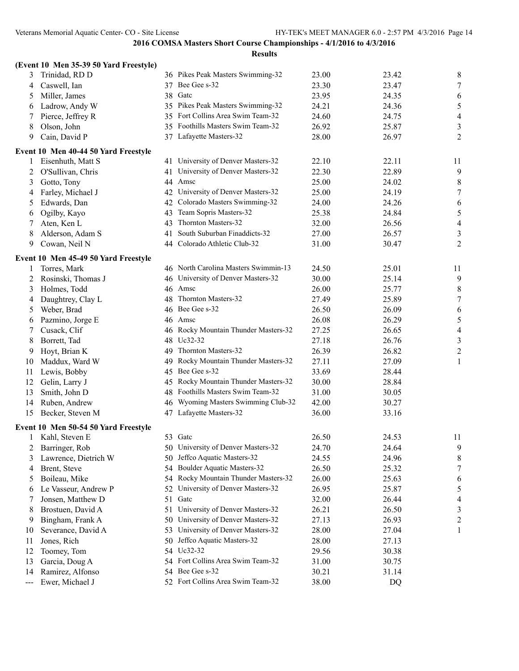|     | (Event 10 Men 35-39 50 Yard Freestyle) |    |                                      |       |       |                |
|-----|----------------------------------------|----|--------------------------------------|-------|-------|----------------|
| 3   | Trinidad, RD D                         |    | 36 Pikes Peak Masters Swimming-32    | 23.00 | 23.42 | 8              |
| 4   | Caswell, Ian                           |    | 37 Bee Gee s-32                      | 23.30 | 23.47 | 7              |
| 5   | Miller, James                          | 38 | Gatc                                 | 23.95 | 24.35 | 6              |
| 6   | Ladrow, Andy W                         | 35 | Pikes Peak Masters Swimming-32       | 24.21 | 24.36 | $\sqrt{5}$     |
| 7   | Pierce, Jeffrey R                      | 35 | Fort Collins Area Swim Team-32       | 24.60 | 24.75 | $\overline{4}$ |
| 8   | Olson, John                            | 35 | Foothills Masters Swim Team-32       | 26.92 | 25.87 | $\mathfrak{Z}$ |
| 9   | Cain, David P                          |    | 37 Lafayette Masters-32              | 28.00 | 26.97 | 2              |
|     | Event 10 Men 40-44 50 Yard Freestyle   |    |                                      |       |       |                |
| 1   | Eisenhuth, Matt S                      |    | 41 University of Denver Masters-32   | 22.10 | 22.11 | 11             |
| 2   | O'Sullivan, Chris                      | 41 | University of Denver Masters-32      | 22.30 | 22.89 | 9              |
| 3   | Gotto, Tony                            |    | 44 Amsc                              | 25.00 | 24.02 | 8              |
| 4   | Farley, Michael J                      |    | 42 University of Denver Masters-32   | 25.00 | 24.19 | 7              |
| 5   | Edwards, Dan                           |    | 42 Colorado Masters Swimming-32      | 24.00 | 24.26 | 6              |
| 6   | Ogilby, Kayo                           | 43 | Team Sopris Masters-32               | 25.38 | 24.84 | $\mathfrak s$  |
| 7   | Aten, Ken L                            | 43 | Thornton Masters-32                  | 32.00 | 26.56 | $\overline{4}$ |
| 8   | Alderson, Adam S                       | 41 | South Suburban Finaddicts-32         | 27.00 | 26.57 | $\mathfrak{Z}$ |
| 9   | Cowan, Neil N                          |    | 44 Colorado Athletic Club-32         | 31.00 | 30.47 | $\overline{2}$ |
|     | Event 10 Men 45-49 50 Yard Freestyle   |    |                                      |       |       |                |
| 1   | Torres, Mark                           |    | 46 North Carolina Masters Swimmin-13 | 24.50 | 25.01 | 11             |
| 2   | Rosinski, Thomas J                     |    | 46 University of Denver Masters-32   | 30.00 | 25.14 | 9              |
| 3   | Holmes, Todd                           |    | 46 Amsc                              | 26.00 | 25.77 | 8              |
| 4   | Daughtrey, Clay L                      | 48 | Thornton Masters-32                  | 27.49 | 25.89 | 7              |
| 5   | Weber, Brad                            | 46 | Bee Gee s-32                         | 26.50 | 26.09 | 6              |
| 6   | Pazmino, Jorge E                       |    | 46 Amsc                              | 26.08 | 26.29 | $\sqrt{5}$     |
| 7   | Cusack, Clif                           |    | 46 Rocky Mountain Thunder Masters-32 | 27.25 | 26.65 | $\overline{4}$ |
| 8   | Borrett, Tad                           | 48 | Uc32-32                              | 27.18 | 26.76 | 3              |
| 9   | Hoyt, Brian K                          |    | 49 Thornton Masters-32               | 26.39 | 26.82 | $\sqrt{2}$     |
| 10  | Maddux, Ward W                         |    | 49 Rocky Mountain Thunder Masters-32 | 27.11 | 27.09 | 1              |
| 11  | Lewis, Bobby                           |    | 45 Bee Gee s-32                      | 33.69 | 28.44 |                |
| 12  | Gelin, Larry J                         | 45 | Rocky Mountain Thunder Masters-32    | 30.00 | 28.84 |                |
| 13  | Smith, John D                          |    | 48 Foothills Masters Swim Team-32    | 31.00 | 30.05 |                |
| 14  | Ruben, Andrew                          |    | 46 Wyoming Masters Swimming Club-32  | 42.00 | 30.27 |                |
| 15  | Becker, Steven M                       |    | 47 Lafayette Masters-32              | 36.00 | 33.16 |                |
|     | Event 10 Men 50-54 50 Yard Freestyle   |    |                                      |       |       |                |
| 1   | Kahl, Steven E                         |    | 53 Gate                              | 26.50 | 24.53 | 11             |
| 2   | Barringer, Rob                         |    | 50 University of Denver Masters-32   | 24.70 | 24.64 | 9              |
| 3   | Lawrence, Dietrich W                   |    | 50 Jeffco Aquatic Masters-32         | 24.55 | 24.96 | 8              |
| 4   | Brent, Steve                           |    | 54 Boulder Aquatic Masters-32        | 26.50 | 25.32 | 7              |
| 5   | Boileau, Mike                          |    | 54 Rocky Mountain Thunder Masters-32 | 26.00 | 25.63 | 6              |
| 6   | Le Vasseur, Andrew P                   |    | 52 University of Denver Masters-32   | 26.95 | 25.87 | 5              |
| 7   | Jonsen, Matthew D                      | 51 | Gatc                                 | 32.00 | 26.44 | 4              |
| 8   | Brostuen, David A                      | 51 | University of Denver Masters-32      | 26.21 | 26.50 | 3              |
| 9   | Bingham, Frank A                       | 50 | University of Denver Masters-32      | 27.13 | 26.93 | $\overline{c}$ |
| 10  | Severance, David A                     | 53 | University of Denver Masters-32      | 28.00 | 27.04 | 1              |
| 11  | Jones, Rich                            | 50 | Jeffco Aquatic Masters-32            | 28.00 | 27.13 |                |
| 12  | Toomey, Tom                            | 54 | Uc32-32                              | 29.56 | 30.38 |                |
| 13  | Garcia, Doug A                         |    | 54 Fort Collins Area Swim Team-32    | 31.00 | 30.75 |                |
| 14  | Ramirez, Alfonso                       |    | 54 Bee Gee s-32                      | 30.21 | 31.14 |                |
| --- | Ewer, Michael J                        |    | 52 Fort Collins Area Swim Team-32    | 38.00 | DQ    |                |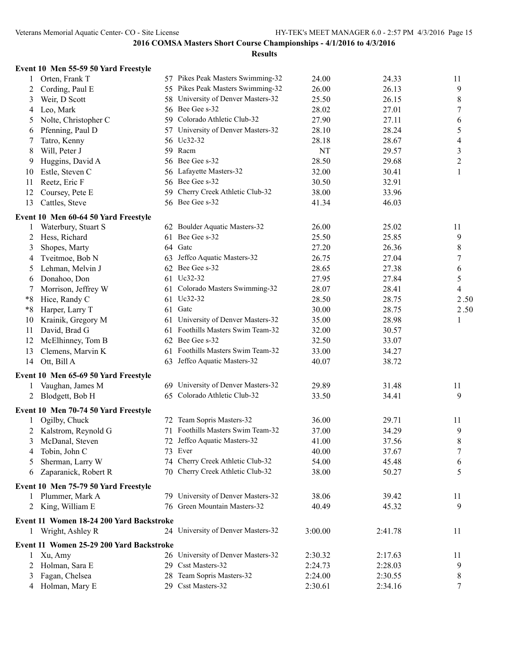|                | Event 10 Men 55-59 50 Yard Freestyle     |     |                                    |         |         |                  |
|----------------|------------------------------------------|-----|------------------------------------|---------|---------|------------------|
| 1              | Orten, Frank T                           |     | 57 Pikes Peak Masters Swimming-32  | 24.00   | 24.33   | 11               |
| $\overline{2}$ | Cording, Paul E                          |     | 55 Pikes Peak Masters Swimming-32  | 26.00   | 26.13   | 9                |
| 3              | Weir, D Scott                            |     | 58 University of Denver Masters-32 | 25.50   | 26.15   | 8                |
| 4              | Leo, Mark                                |     | 56 Bee Gee s-32                    | 28.02   | 27.01   | 7                |
| 5              | Nolte, Christopher C                     |     | 59 Colorado Athletic Club-32       | 27.90   | 27.11   | 6                |
| 6              | Pfenning, Paul D                         |     | 57 University of Denver Masters-32 | 28.10   | 28.24   | 5                |
| 7              | Tatro, Kenny                             |     | 56 Uc32-32                         | 28.18   | 28.67   | 4                |
| 8              | Will, Peter J                            |     | 59 Racm                            | NT      | 29.57   | 3                |
| 9              | Huggins, David A                         |     | 56 Bee Gee s-32                    | 28.50   | 29.68   | $\overline{c}$   |
| 10             | Estle, Steven C                          |     | 56 Lafayette Masters-32            | 32.00   | 30.41   | $\mathbf{1}$     |
| 11             | Reetz, Eric F                            |     | 56 Bee Gee s-32                    | 30.50   | 32.91   |                  |
| 12             | Coursey, Pete E                          |     | 59 Cherry Creek Athletic Club-32   | 38.00   | 33.96   |                  |
| 13             | Cattles, Steve                           |     | 56 Bee Gee s-32                    | 41.34   | 46.03   |                  |
|                | Event 10 Men 60-64 50 Yard Freestyle     |     |                                    |         |         |                  |
| 1              | Waterbury, Stuart S                      |     | 62 Boulder Aquatic Masters-32      | 26.00   | 25.02   | 11               |
| 2              | Hess, Richard                            | 61  | Bee Gee s-32                       | 25.50   | 25.85   | 9                |
| 3              | Shopes, Marty                            |     | 64 Gatc                            | 27.20   | 26.36   | 8                |
| 4              | Tveitmoe, Bob N                          | 63  | Jeffco Aquatic Masters-32          | 26.75   | 27.04   | $\overline{7}$   |
| 5              | Lehman, Melvin J                         |     | 62 Bee Gee s-32                    | 28.65   | 27.38   | 6                |
|                | Donahoo, Don                             |     | 61 Uc32-32                         | 27.95   | 27.84   | 5                |
| 6              | Morrison, Jeffrey W                      |     | 61 Colorado Masters Swimming-32    | 28.07   | 28.41   | 4                |
| 7<br>$*8$      |                                          |     | 61 Uc32-32                         | 28.50   | 28.75   | 2.50             |
|                | Hice, Randy C                            |     | 61 Gate                            | 30.00   |         |                  |
| $*8$           | Harper, Larry T                          |     | 61 University of Denver Masters-32 |         | 28.75   | 2.50             |
| 10             | Krainik, Gregory M                       |     | Foothills Masters Swim Team-32     | 35.00   | 28.98   | 1                |
| 11             | David, Brad G                            | 61  | 62 Bee Gee s-32                    | 32.00   | 30.57   |                  |
| 12             | McElhinney, Tom B                        |     | 61 Foothills Masters Swim Team-32  | 32.50   | 33.07   |                  |
| 13             | Clemens, Marvin K                        |     | 63 Jeffco Aquatic Masters-32       | 33.00   | 34.27   |                  |
| 14             | Ott, Bill A                              |     |                                    | 40.07   | 38.72   |                  |
|                | Event 10 Men 65-69 50 Yard Freestyle     |     |                                    |         |         |                  |
| 1              | Vaughan, James M                         |     | 69 University of Denver Masters-32 | 29.89   | 31.48   | 11               |
|                | 2 Blodgett, Bob H                        |     | 65 Colorado Athletic Club-32       | 33.50   | 34.41   | 9                |
|                | Event 10 Men 70-74 50 Yard Freestyle     |     |                                    |         |         |                  |
| $\mathbf{1}$   | Ogilby, Chuck                            |     | 72 Team Sopris Masters-32          | 36.00   | 29.71   | 11               |
|                | 2 Kalstrom, Reynold G                    |     | 71 Foothills Masters Swim Team-32  | 37.00   | 34.29   | 9                |
|                | 3 McDanal, Steven                        |     | 72 Jeffco Aquatic Masters-32       | 41.00   | 37.56   | $\,8\,$          |
| 4              | Tobin, John C                            |     | 73 Ever                            | 40.00   | 37.67   | $\boldsymbol{7}$ |
| 5              | Sherman, Larry W                         |     | 74 Cherry Creek Athletic Club-32   | 54.00   | 45.48   | 6                |
| 6              | Zaparanick, Robert R                     |     | 70 Cherry Creek Athletic Club-32   | 38.00   | 50.27   | 5                |
|                | Event 10 Men 75-79 50 Yard Freestyle     |     |                                    |         |         |                  |
| 1              | Plummer, Mark A                          |     | 79 University of Denver Masters-32 | 38.06   | 39.42   | 11               |
|                | 2 King, William E                        |     | 76 Green Mountain Masters-32       | 40.49   | 45.32   | 9                |
|                | Event 11 Women 18-24 200 Yard Backstroke |     |                                    |         |         |                  |
|                | 1 Wright, Ashley R                       |     | 24 University of Denver Masters-32 | 3:00.00 | 2:41.78 | 11               |
|                | Event 11 Women 25-29 200 Yard Backstroke |     |                                    |         |         |                  |
| 1              | Xu, Amy                                  |     | 26 University of Denver Masters-32 | 2:30.32 | 2:17.63 | 11               |
| 2              | Holman, Sara E                           | 29. | Csst Masters-32                    | 2:24.73 | 2:28.03 | 9                |
| 3              | Fagan, Chelsea                           | 28  | Team Sopris Masters-32             | 2:24.00 | 2:30.55 | 8                |
|                | 4 Holman, Mary E                         |     | 29 Csst Masters-32                 | 2:30.61 | 2:34.16 | 7                |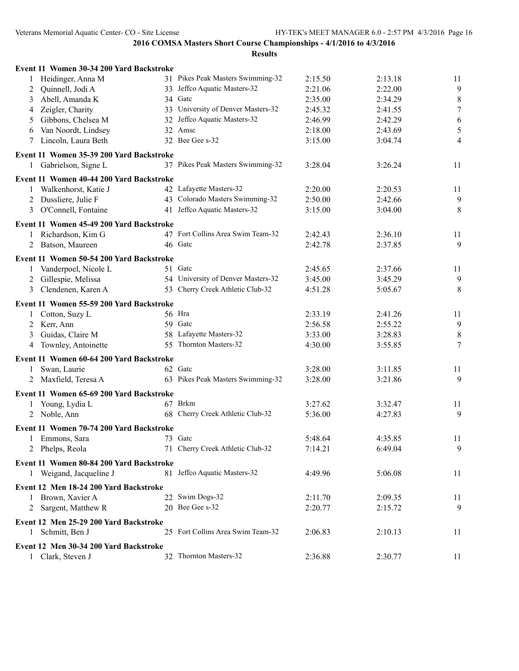|   | Event 11 Women 30-34 200 Yard Backstroke |                                    |         |         |                  |
|---|------------------------------------------|------------------------------------|---------|---------|------------------|
|   | 1 Heidinger, Anna M                      | 31 Pikes Peak Masters Swimming-32  | 2:15.50 | 2:13.18 | 11               |
| 2 | Quinnell, Jodi A                         | 33 Jeffco Aquatic Masters-32       | 2:21.06 | 2:22.00 | 9                |
| 3 | Abell, Amanda K                          | 34 Gate                            | 2:35.00 | 2:34.29 | $\,8\,$          |
| 4 | Zeigler, Charity                         | 33 University of Denver Masters-32 | 2:45.32 | 2:41.55 | $\boldsymbol{7}$ |
| 5 | Gibbons, Chelsea M                       | 32 Jeffco Aquatic Masters-32       | 2:46.99 | 2:42.29 | $\sqrt{6}$       |
| 6 | Van Noordt, Lindsey                      | 32 Amsc                            | 2:18.00 | 2:43.69 | $\sqrt{5}$       |
| 7 | Lincoln, Laura Beth                      | 32 Bee Gee s-32                    | 3:15.00 | 3:04.74 | $\overline{4}$   |
|   | Event 11 Women 35-39 200 Yard Backstroke |                                    |         |         |                  |
|   | 1 Gabrielson, Signe L                    | 37 Pikes Peak Masters Swimming-32  | 3:28.04 | 3:26.24 | 11               |
|   | Event 11 Women 40-44 200 Yard Backstroke |                                    |         |         |                  |
|   | 1 Walkenhorst, Katie J                   | 42 Lafayette Masters-32            | 2:20.00 | 2:20.53 | 11               |
|   | 2 Dussliere, Julie F                     | 43 Colorado Masters Swimming-32    | 2:50.00 | 2:42.66 | 9                |
| 3 | O'Connell, Fontaine                      | 41 Jeffco Aquatic Masters-32       | 3:15.00 | 3:04.00 | 8                |
|   | Event 11 Women 45-49 200 Yard Backstroke |                                    |         |         |                  |
|   | 1 Richardson, Kim G                      | 47 Fort Collins Area Swim Team-32  | 2:42.43 | 2:36.10 | 11               |
|   | 2 Batson, Maureen                        | 46 Gatc                            | 2:42.78 | 2:37.85 | 9                |
|   | Event 11 Women 50-54 200 Yard Backstroke |                                    |         |         |                  |
| 1 | Vanderpoel, Nicole L                     | 51 Gatc                            | 2:45.65 | 2:37.66 | 11               |
|   | 2 Gillespie, Melissa                     | 54 University of Denver Masters-32 | 3:45.00 | 3:45.29 | 9                |
| 3 | Clendenen, Karen A                       | 53 Cherry Creek Athletic Club-32   | 4:51.28 | 5:05.67 | 8                |
|   |                                          |                                    |         |         |                  |
|   | Event 11 Women 55-59 200 Yard Backstroke |                                    |         |         |                  |
| 1 | Cotton, Suzy L                           | 56 Hra                             | 2:33.19 | 2:41.26 | 11               |
|   | 2 Kerr, Ann                              | 59 Gate                            | 2:56.58 | 2:55.22 | 9                |
| 3 | Guidas, Claire M                         | 58 Lafayette Masters-32            | 3:33.00 | 3:28.83 | $\,8\,$          |
|   | 4 Townley, Antoinette                    | 55 Thornton Masters-32             | 4:30.00 | 3:55.85 | $\tau$           |
|   | Event 11 Women 60-64 200 Yard Backstroke |                                    |         |         |                  |
| 1 | Swan, Laurie                             | 62 Gatc                            | 3:28.00 | 3:11.85 | 11               |
|   | 2 Maxfield, Teresa A                     | 63 Pikes Peak Masters Swimming-32  | 3:28.00 | 3:21.86 | 9                |
|   | Event 11 Women 65-69 200 Yard Backstroke |                                    |         |         |                  |
|   | 1 Young, Lydia L                         | 67 Brkm                            | 3:27.62 | 3:32.47 | 11               |
|   | 2 Noble, Ann                             | 68 Cherry Creek Athletic Club-32   | 5:36.00 | 4:27.83 | 9                |
|   | Event 11 Women 70-74 200 Yard Backstroke |                                    |         |         |                  |
|   | 1 Emmons, Sara                           | 73 Gatc                            | 5:48.64 | 4:35.85 | 11               |
|   | 2 Phelps, Reola                          | 71 Cherry Creek Athletic Club-32   | 7:14.21 | 6:49.04 | 9                |
|   | Event 11 Women 80-84 200 Yard Backstroke |                                    |         |         |                  |
|   | 1 Weigand, Jacqueline J                  | 81 Jeffco Aquatic Masters-32       | 4:49.96 | 5:06.08 | 11               |
|   | Event 12 Men 18-24 200 Yard Backstroke   |                                    |         |         |                  |
|   | 1 Brown, Xavier A                        | 22 Swim Dogs-32                    | 2:11.70 | 2:09.35 | 11               |
|   | 2 Sargent, Matthew R                     | 20 Bee Gee s-32                    | 2:20.77 | 2:15.72 | 9                |
|   | Event 12 Men 25-29 200 Yard Backstroke   |                                    |         |         |                  |
| 1 | Schmitt, Ben J                           | 25 Fort Collins Area Swim Team-32  | 2:06.83 | 2:10.13 | 11               |
|   |                                          |                                    |         |         |                  |
|   | Event 12 Men 30-34 200 Yard Backstroke   |                                    |         |         |                  |
|   | 1 Clark, Steven J                        | 32 Thornton Masters-32             | 2:36.88 | 2:30.77 | 11               |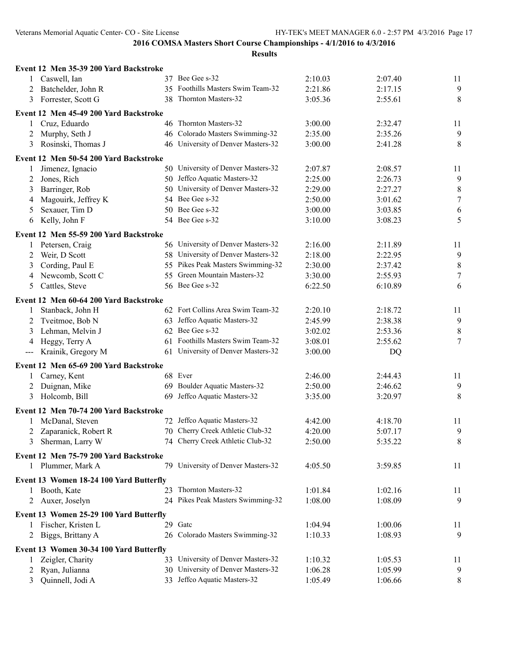|                   | Event 12 Men 35-39 200 Yard Backstroke                    |    |                                    |         |         |                  |
|-------------------|-----------------------------------------------------------|----|------------------------------------|---------|---------|------------------|
|                   | 1 Caswell, Ian                                            |    | 37 Bee Gee s-32                    | 2:10.03 | 2:07.40 | 11               |
| 2                 | Batchelder, John R                                        |    | 35 Foothills Masters Swim Team-32  | 2:21.86 | 2:17.15 | 9                |
| 3                 | Forrester, Scott G                                        |    | 38 Thornton Masters-32             | 3:05.36 | 2:55.61 | 8                |
|                   | Event 12 Men 45-49 200 Yard Backstroke                    |    |                                    |         |         |                  |
| 1                 | 46 Thornton Masters-32<br>Cruz, Eduardo                   |    |                                    | 3:00.00 | 2:32.47 | 11               |
| 2                 | Murphy, Seth J                                            |    | 46 Colorado Masters Swimming-32    | 2:35.00 | 2:35.26 | 9                |
| 3                 | Rosinski, Thomas J                                        |    | 46 University of Denver Masters-32 | 3:00.00 | 2:41.28 | 8                |
|                   | Event 12 Men 50-54 200 Yard Backstroke                    |    |                                    |         |         |                  |
| 1                 | Jimenez, Ignacio                                          |    | 50 University of Denver Masters-32 | 2:07.87 | 2:08.57 | 11               |
| 2                 | Jones, Rich                                               |    | 50 Jeffco Aquatic Masters-32       | 2:25.00 | 2:26.73 | 9                |
| 3                 | Barringer, Rob                                            |    | 50 University of Denver Masters-32 | 2:29.00 | 2:27.27 | $\,8\,$          |
| 4                 | Magouirk, Jeffrey K                                       |    | 54 Bee Gee s-32                    | 2:50.00 | 3:01.62 | $\boldsymbol{7}$ |
| 5                 | Sexauer, Tim D                                            |    | 50 Bee Gee s-32                    | 3:00.00 | 3:03.85 | 6                |
| 6                 | Kelly, John F                                             |    | 54 Bee Gee s-32                    | 3:10.00 | 3:08.23 | 5                |
|                   |                                                           |    |                                    |         |         |                  |
|                   | Event 12 Men 55-59 200 Yard Backstroke                    |    |                                    |         |         |                  |
| 1                 | Petersen, Craig                                           |    | 56 University of Denver Masters-32 | 2:16.00 | 2:11.89 | 11               |
| 2                 | Weir, D Scott                                             |    | 58 University of Denver Masters-32 | 2:18.00 | 2:22.95 | $\overline{9}$   |
| 3                 | Cording, Paul E                                           |    | 55 Pikes Peak Masters Swimming-32  | 2:30.00 | 2:37.42 | $\,8\,$          |
| 4                 | Newcomb, Scott C                                          |    | 55 Green Mountain Masters-32       | 3:30.00 | 2:55.93 | $\boldsymbol{7}$ |
| 5                 | Cattles, Steve                                            |    | 56 Bee Gee s-32                    | 6:22.50 | 6:10.89 | 6                |
|                   | Event 12 Men 60-64 200 Yard Backstroke                    |    |                                    |         |         |                  |
| 1                 | Stanback, John H                                          |    | 62 Fort Collins Area Swim Team-32  | 2:20.10 | 2:18.72 | 11               |
| 2                 | Tveitmoe, Bob N                                           |    | 63 Jeffco Aquatic Masters-32       | 2:45.99 | 2:38.38 | 9                |
| 3                 | Lehman, Melvin J                                          |    | 62 Bee Gee s-32                    | 3:02.02 | 2:53.36 | $\,8\,$          |
| 4                 | Heggy, Terry A                                            |    | 61 Foothills Masters Swim Team-32  | 3:08.01 | 2:55.62 | $\overline{7}$   |
| $\qquad \qquad -$ | Krainik, Gregory M                                        |    | 61 University of Denver Masters-32 | 3:00.00 | DQ      |                  |
|                   | Event 12 Men 65-69 200 Yard Backstroke                    |    |                                    |         |         |                  |
| $\mathbf{1}$      | Carney, Kent                                              |    | 68 Ever                            | 2:46.00 | 2:44.43 | 11               |
| 2                 | Duignan, Mike                                             |    | 69 Boulder Aquatic Masters-32      | 2:50.00 | 2:46.62 | 9                |
| 3                 | Holcomb, Bill                                             | 69 | Jeffco Aquatic Masters-32          | 3:35.00 | 3:20.97 | 8                |
|                   |                                                           |    |                                    |         |         |                  |
|                   | Event 12 Men 70-74 200 Yard Backstroke<br>McDanal, Steven |    | 72 Jeffco Aquatic Masters-32       | 4:42.00 | 4:18.70 |                  |
|                   | Zaparanick, Robert R                                      |    | 70 Cherry Creek Athletic Club-32   | 4:20.00 | 5:07.17 | 11<br>9          |
| 2                 |                                                           |    | 74 Cherry Creek Athletic Club-32   | 2:50.00 | 5:35.22 | 8                |
| 3                 | Sherman, Larry W                                          |    |                                    |         |         |                  |
|                   | Event 12 Men 75-79 200 Yard Backstroke                    |    |                                    |         |         |                  |
|                   | 1 Plummer, Mark A                                         |    | 79 University of Denver Masters-32 | 4:05.50 | 3:59.85 | 11               |
|                   | Event 13 Women 18-24 100 Yard Butterfly                   |    |                                    |         |         |                  |
| 1                 | Booth, Kate                                               |    | 23 Thornton Masters-32             | 1:01.84 | 1:02.16 | 11               |
| 2                 | Auxer, Joselyn                                            |    | 24 Pikes Peak Masters Swimming-32  | 1:08.00 | 1:08.09 | 9                |
|                   | Event 13 Women 25-29 100 Yard Butterfly                   |    |                                    |         |         |                  |
| 1                 | Fischer, Kristen L                                        |    | 29 Gatc                            | 1:04.94 | 1:00.06 | 11               |
| 2                 | Biggs, Brittany A                                         |    | 26 Colorado Masters Swimming-32    | 1:10.33 | 1:08.93 | 9                |
|                   | Event 13 Women 30-34 100 Yard Butterfly                   |    |                                    |         |         |                  |
| 1                 | Zeigler, Charity                                          |    | 33 University of Denver Masters-32 | 1:10.32 | 1:05.53 | 11               |
|                   | Ryan, Julianna                                            |    | 30 University of Denver Masters-32 | 1:06.28 | 1:05.99 | 9                |
| 2<br>3            | Quinnell, Jodi A                                          |    | 33 Jeffco Aquatic Masters-32       | 1:05.49 | 1:06.66 | 8                |
|                   |                                                           |    |                                    |         |         |                  |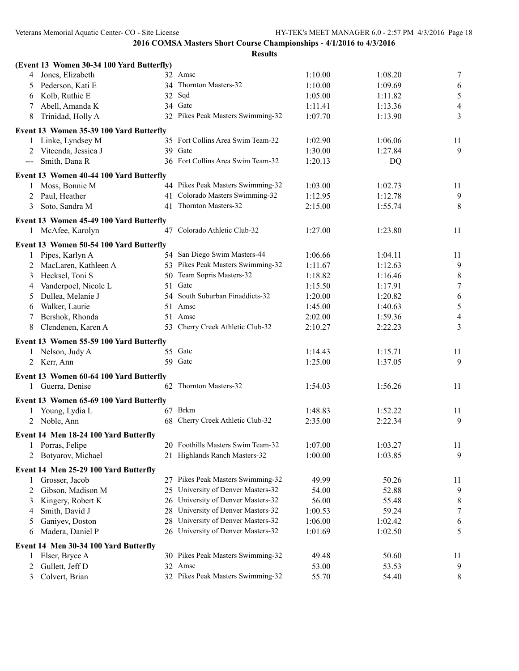| (Event 13 Women 30-34 100 Yard Butterfly)    |    |                                    |                    |                    |                  |
|----------------------------------------------|----|------------------------------------|--------------------|--------------------|------------------|
| Jones, Elizabeth<br>4                        |    | 32 Amsc                            | 1:10.00            | 1:08.20            | 7                |
| Pederson, Kati E<br>5                        |    | 34 Thornton Masters-32             | 1:10.00            | 1:09.69            | 6                |
| Kolb, Ruthie E<br>6                          |    | $32$ Sqd                           | 1:05.00            | 1:11.82            | 5                |
| Abell, Amanda K<br>7                         |    | 34 Gate                            | 1:11.41            | 1:13.36            | $\overline{4}$   |
| 8<br>Trinidad, Holly A                       |    | 32 Pikes Peak Masters Swimming-32  | 1:07.70            | 1:13.90            | 3                |
| Event 13 Women 35-39 100 Yard Butterfly      |    |                                    |                    |                    |                  |
| Linke, Lyndsey M<br>1                        |    | 35 Fort Collins Area Swim Team-32  | 1:02.90            | 1:06.06            | 11               |
| Vitcenda, Jessica J<br>2                     |    | 39 Gate                            | 1:30.00            | 1:27.84            | 9                |
| Smith, Dana R<br>$\qquad \qquad -$           |    | 36 Fort Collins Area Swim Team-32  | 1:20.13            | DQ                 |                  |
| Event 13 Women 40-44 100 Yard Butterfly      |    |                                    |                    |                    |                  |
| Moss, Bonnie M<br>1                          |    | 44 Pikes Peak Masters Swimming-32  | 1:03.00            | 1:02.73            | 11               |
| Paul, Heather<br>2                           |    | 41 Colorado Masters Swimming-32    | 1:12.95            | 1:12.78            | 9                |
| Soto, Sandra M<br>3                          |    | 41 Thornton Masters-32             | 2:15.00            | 1:55.74            | 8                |
| Event 13 Women 45-49 100 Yard Butterfly      |    |                                    |                    |                    |                  |
| 1 McAfee, Karolyn                            |    | 47 Colorado Athletic Club-32       | 1:27.00            | 1:23.80            | 11               |
|                                              |    |                                    |                    |                    |                  |
| Event 13 Women 50-54 100 Yard Butterfly      |    | 54 San Diego Swim Masters-44       |                    |                    |                  |
| Pipes, Karlyn A                              |    | 53 Pikes Peak Masters Swimming-32  | 1:06.66<br>1:11.67 | 1:04.11<br>1:12.63 | 11               |
| MacLaren, Kathleen A<br>2                    |    | 50 Team Sopris Masters-32          | 1:18.82            | 1:16.46            | 9<br>$\,$ $\,$   |
| Hecksel, Toni S<br>3<br>Vanderpoel, Nicole L | 51 | Gatc                               | 1:15.50            | 1:17.91            | $\boldsymbol{7}$ |
| 4<br>Dullea, Melanie J                       |    | 54 South Suburban Finaddicts-32    | 1:20.00            | 1:20.82            | 6                |
| 5<br>Walker, Laurie                          |    | 51 Amsc                            | 1:45.00            | 1:40.63            | $\sqrt{5}$       |
| 6<br>Bershok, Rhonda                         |    | 51 Amsc                            | 2:02.00            | 1:59.36            | $\overline{4}$   |
| Clendenen, Karen A<br>8                      |    | 53 Cherry Creek Athletic Club-32   | 2:10.27            | 2:22.23            | 3                |
|                                              |    |                                    |                    |                    |                  |
| Event 13 Women 55-59 100 Yard Butterfly      |    |                                    |                    |                    |                  |
| Nelson, Judy A                               |    | 55 Gate                            | 1:14.43            | 1:15.71            | 11               |
| 2 Kerr, Ann                                  |    | 59 Gatc                            | 1:25.00            | 1:37.05            | 9                |
| Event 13 Women 60-64 100 Yard Butterfly      |    |                                    |                    |                    |                  |
| Guerra, Denise<br>1                          |    | 62 Thornton Masters-32             | 1:54.03            | 1:56.26            | 11               |
| Event 13 Women 65-69 100 Yard Butterfly      |    |                                    |                    |                    |                  |
| Young, Lydia L<br>1                          |    | 67 Brkm                            | 1:48.83            | 1:52.22            | 11               |
| 2 Noble, Ann                                 |    | 68 Cherry Creek Athletic Club-32   | 2:35.00            | 2:22.34            | 9                |
| Event 14 Men 18-24 100 Yard Butterfly        |    |                                    |                    |                    |                  |
| Porras, Felipe<br>$\perp$                    |    | 20 Foothills Masters Swim Team-32  | 1:07.00            | 1:03.27            | 11               |
| Botyarov, Michael<br>2                       |    | 21 Highlands Ranch Masters-32      | 1:00.00            | 1:03.85            | 9                |
|                                              |    |                                    |                    |                    |                  |
| Event 14 Men 25-29 100 Yard Butterfly        |    |                                    |                    |                    |                  |
| Grosser, Jacob<br>1                          |    | 27 Pikes Peak Masters Swimming-32  | 49.99              | 50.26              | 11               |
| Gibson, Madison M<br>2                       |    | 25 University of Denver Masters-32 | 54.00              | 52.88              | 9                |
| Kingery, Robert K<br>3                       |    | 26 University of Denver Masters-32 | 56.00              | 55.48              | 8                |
| Smith, David J<br>4                          |    | 28 University of Denver Masters-32 | 1:00.53            | 59.24              | 7                |
| Ganiyev, Doston<br>5                         |    | 28 University of Denver Masters-32 | 1:06.00            | 1:02.42            | 6                |
| Madera, Daniel P<br>6                        |    | 26 University of Denver Masters-32 | 1:01.69            | 1:02.50            | 5                |
| Event 14 Men 30-34 100 Yard Butterfly        |    |                                    |                    |                    |                  |
| Elser, Bryce A                               |    | 30 Pikes Peak Masters Swimming-32  | 49.48              | 50.60              | 11               |
| Gullett, Jeff D<br>2                         |    | 32 Amsc                            | 53.00              | 53.53              | 9                |
| Colvert, Brian<br>3                          |    | 32 Pikes Peak Masters Swimming-32  | 55.70              | 54.40              | 8                |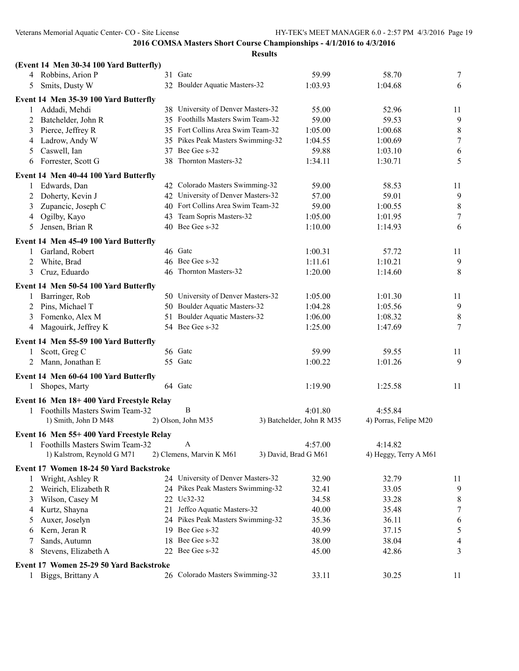|                | (Event 14 Men 30-34 100 Yard Butterfly)  |    |                                    |                           |         |                       |                  |
|----------------|------------------------------------------|----|------------------------------------|---------------------------|---------|-----------------------|------------------|
|                | 4 Robbins, Arion P                       |    | 31 Gate                            |                           | 59.99   | 58.70                 | 7                |
| 5              | Smits, Dusty W                           |    | 32 Boulder Aquatic Masters-32      |                           | 1:03.93 | 1:04.68               | 6                |
|                | Event 14 Men 35-39 100 Yard Butterfly    |    |                                    |                           |         |                       |                  |
| 1              | Addadi, Mehdi                            |    | 38 University of Denver Masters-32 |                           | 55.00   | 52.96                 | 11               |
| $\overline{2}$ | Batchelder, John R                       |    | 35 Foothills Masters Swim Team-32  |                           | 59.00   | 59.53                 | 9                |
| 3              | Pierce, Jeffrey R                        |    | 35 Fort Collins Area Swim Team-32  |                           | 1:05.00 | 1:00.68               | 8                |
| 4              | Ladrow, Andy W                           |    | 35 Pikes Peak Masters Swimming-32  |                           | 1:04.55 | 1:00.69               | $\boldsymbol{7}$ |
| 5              | Caswell, Ian                             |    | 37 Bee Gee s-32                    |                           | 59.88   | 1:03.10               | 6                |
| 6              | Forrester, Scott G                       | 38 | Thornton Masters-32                | 1:34.11                   |         |                       | 5                |
|                | Event 14 Men 40-44 100 Yard Butterfly    |    |                                    |                           |         |                       |                  |
| 1              | Edwards, Dan                             |    | 42 Colorado Masters Swimming-32    |                           | 59.00   | 58.53                 | 11               |
| 2              | Doherty, Kevin J                         |    | 42 University of Denver Masters-32 |                           | 57.00   | 59.01                 | 9                |
| 3              | Zupancic, Joseph C                       |    | 40 Fort Collins Area Swim Team-32  |                           | 59.00   | 1:00.55               | 8                |
| 4              | Ogilby, Kayo                             | 43 | Team Sopris Masters-32             |                           | 1:05.00 | 1:01.95               | $\tau$           |
| 5              | Jensen, Brian R                          |    | 40 Bee Gee s-32                    |                           | 1:10.00 | 1:14.93               | 6                |
|                |                                          |    |                                    |                           |         |                       |                  |
|                | Event 14 Men 45-49 100 Yard Butterfly    |    |                                    |                           |         |                       |                  |
|                | Garland, Robert                          |    | 46 Gatc                            |                           | 1:00.31 | 57.72                 | 11               |
| 2              | White, Brad                              |    | 46 Bee Gee s-32                    | 1:11.61                   |         | 1:10.21               | 9                |
| 3              | Cruz, Eduardo                            |    | 46 Thornton Masters-32<br>1:20.00  |                           |         | 1:14.60               | 8                |
|                | Event 14 Men 50-54 100 Yard Butterfly    |    |                                    |                           |         |                       |                  |
| 1              | Barringer, Rob                           |    | 50 University of Denver Masters-32 |                           | 1:05.00 | 1:01.30               | 11               |
| 2              | Pins, Michael T                          |    | 50 Boulder Aquatic Masters-32      |                           | 1:04.28 | 1:05.56               | $\overline{9}$   |
| 3              | Fomenko, Alex M                          | 51 | Boulder Aquatic Masters-32         |                           |         | 1:08.32               | 8                |
| 4              | Magouirk, Jeffrey K                      |    | 54 Bee Gee s-32                    |                           |         | 1:47.69               | 7                |
|                | Event 14 Men 55-59 100 Yard Butterfly    |    |                                    |                           |         |                       |                  |
|                | Scott, Greg C                            |    | 56 Gatc                            |                           | 59.99   | 59.55                 | 11               |
|                | 2 Mann, Jonathan E                       |    | 55 Gate                            |                           | 1:00.22 | 1:01.26               | 9                |
|                |                                          |    |                                    |                           |         |                       |                  |
|                | Event 14 Men 60-64 100 Yard Butterfly    |    |                                    |                           |         |                       |                  |
| 1              | Shopes, Marty                            |    | 64 Gatc                            |                           | 1:19.90 | 1:25.58               | 11               |
|                | Event 16 Men 18+400 Yard Freestyle Relay |    |                                    |                           |         |                       |                  |
|                | 1 Foothills Masters Swim Team-32         |    | $\boldsymbol{B}$                   |                           | 4:01.80 | 4:55.84               |                  |
|                | 1) Smith, John D M48                     |    | 2) Olson, John M35                 | 3) Batchelder, John R M35 |         | 4) Porras, Felipe M20 |                  |
|                | Event 16 Men 55+400 Yard Freestyle Relay |    |                                    |                           |         |                       |                  |
|                | Foothills Masters Swim Team-32           |    | A                                  |                           | 4:57.00 | 4:14.82               |                  |
|                | 1) Kalstrom, Reynold G M71               |    | 2) Clemens, Marvin K M61           | 3) David, Brad G M61      |         | 4) Heggy, Terry A M61 |                  |
|                | Event 17 Women 18-24 50 Yard Backstroke  |    |                                    |                           |         |                       |                  |
|                | Wright, Ashley R                         |    | 24 University of Denver Masters-32 |                           | 32.90   | 32.79                 | 11               |
| 2              | Weirich, Elizabeth R                     |    | 24 Pikes Peak Masters Swimming-32  |                           | 32.41   | 33.05                 | 9                |
| 3              | Wilson, Casey M                          |    | 22 Uc32-32                         |                           | 34.58   | 33.28                 | 8                |
| 4              | Kurtz, Shayna                            | 21 | Jeffco Aquatic Masters-32          |                           | 40.00   | 35.48                 | $\boldsymbol{7}$ |
| 5              | Auxer, Joselyn                           |    | 24 Pikes Peak Masters Swimming-32  |                           | 35.36   | 36.11                 | 6                |
| 6              | Kern, Jeran R                            |    | 19 Bee Gee s-32                    |                           | 40.99   | 37.15                 | 5                |
|                | Sands, Autumn                            |    | 18 Bee Gee s-32                    |                           | 38.00   | 38.04                 | 4                |
| 8              | Stevens, Elizabeth A                     |    | 22 Bee Gee s-32                    |                           | 45.00   | 42.86                 | 3                |
|                |                                          |    |                                    |                           |         |                       |                  |
|                | Event 17 Women 25-29 50 Yard Backstroke  |    |                                    |                           |         |                       |                  |
| 1              | Biggs, Brittany A                        |    | 26 Colorado Masters Swimming-32    |                           | 33.11   | 30.25                 | 11               |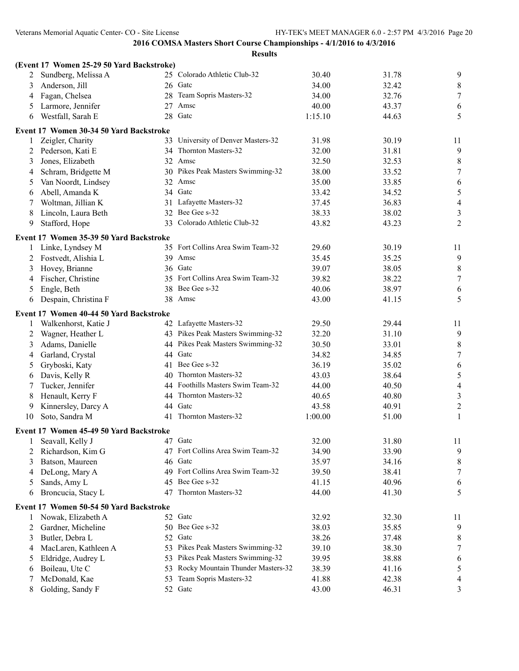|    | (Event 17 Women 25-29 50 Yard Backstroke) |    |                                    |         |       |                  |
|----|-------------------------------------------|----|------------------------------------|---------|-------|------------------|
|    | Sundberg, Melissa A                       |    | 25 Colorado Athletic Club-32       | 30.40   | 31.78 | 9                |
| 3  | Anderson, Jill                            |    | 26 Gate                            | 34.00   | 32.42 | 8                |
| 4  | Fagan, Chelsea                            |    | 28 Team Sopris Masters-32          | 34.00   | 32.76 | $\boldsymbol{7}$ |
| 5  | Larmore, Jennifer                         | 27 | Amsc                               | 40.00   | 43.37 | 6                |
| 6  | Westfall, Sarah E                         |    | 28 Gatc                            | 1:15.10 | 44.63 | 5                |
|    | Event 17 Women 30-34 50 Yard Backstroke   |    |                                    |         |       |                  |
|    | Zeigler, Charity                          |    | 33 University of Denver Masters-32 | 31.98   | 30.19 | 11               |
| 2  | Pederson, Kati E                          |    | 34 Thornton Masters-32             | 32.00   | 31.81 | $\overline{9}$   |
| 3  | Jones, Elizabeth                          |    | 32 Amsc                            | 32.50   | 32.53 | $\,8\,$          |
| 4  | Schram, Bridgette M                       |    | 30 Pikes Peak Masters Swimming-32  | 38.00   | 33.52 | $\boldsymbol{7}$ |
| 5  | Van Noordt, Lindsey                       |    | 32 Amsc                            | 35.00   | 33.85 | 6                |
| 6  | Abell, Amanda K                           |    | 34 Gatc                            | 33.42   | 34.52 | 5                |
| 7  | Woltman, Jillian K                        |    | 31 Lafayette Masters-32            | 37.45   | 36.83 | $\overline{4}$   |
| 8  | Lincoln, Laura Beth                       |    | 32 Bee Gee s-32                    | 38.33   | 38.02 | 3                |
| 9  | Stafford, Hope                            |    | 33 Colorado Athletic Club-32       | 43.82   | 43.23 | $\overline{2}$   |
|    | Event 17 Women 35-39 50 Yard Backstroke   |    |                                    |         |       |                  |
| 1  | Linke, Lyndsey M                          |    | 35 Fort Collins Area Swim Team-32  | 29.60   | 30.19 | 11               |
| 2  | Fostvedt, Alishia L                       |    | 39 Amsc                            | 35.45   | 35.25 | 9                |
| 3  | Hovey, Brianne                            |    | 36 Gate                            | 39.07   | 38.05 | $\,8\,$          |
| 4  | Fischer, Christine                        |    | 35 Fort Collins Area Swim Team-32  | 39.82   | 38.22 | $\boldsymbol{7}$ |
| 5  | Engle, Beth                               | 38 | Bee Gee s-32                       | 40.06   | 38.97 | 6                |
| 6  | Despain, Christina F                      |    | 38 Amsc                            | 43.00   | 41.15 | 5                |
|    | Event 17 Women 40-44 50 Yard Backstroke   |    |                                    |         |       |                  |
| 1  | Walkenhorst, Katie J                      |    | 42 Lafayette Masters-32            | 29.50   | 29.44 | 11               |
| 2  | Wagner, Heather L                         |    | 43 Pikes Peak Masters Swimming-32  | 32.20   | 31.10 | 9                |
| 3  | Adams, Danielle                           |    | 44 Pikes Peak Masters Swimming-32  | 30.50   | 33.01 | $\,8\,$          |
| 4  | Garland, Crystal                          |    | 44 Gatc                            | 34.82   | 34.85 | $\boldsymbol{7}$ |
| 5  | Gryboski, Katy                            |    | 41 Bee Gee s-32                    | 36.19   | 35.02 | 6                |
| 6  | Davis, Kelly R                            |    | 40 Thornton Masters-32             | 43.03   | 38.64 | 5                |
| 7  | Tucker, Jennifer                          |    | 44 Foothills Masters Swim Team-32  | 44.00   | 40.50 | $\overline{4}$   |
| 8  | Henault, Kerry F                          |    | 44 Thornton Masters-32             | 40.65   | 40.80 | 3                |
| 9  | Kinnersley, Darcy A                       |    | 44 Gatc                            | 43.58   | 40.91 | $\overline{c}$   |
| 10 | Soto, Sandra M                            | 41 | Thornton Masters-32                | 1:00.00 | 51.00 | $\mathbf{1}$     |
|    | Event 17 Women 45-49 50 Yard Backstroke   |    |                                    |         |       |                  |
|    | Seavall, Kelly J                          |    | 47 Gatc                            | 32.00   | 31.80 | 11               |
| 2  | Richardson, Kim G                         |    | 47 Fort Collins Area Swim Team-32  | 34.90   | 33.90 | 9                |
| 3  | Batson, Maureen                           |    | 46 Gatc                            | 35.97   | 34.16 | 8                |
| 4  | DeLong, Mary A                            |    | 49 Fort Collins Area Swim Team-32  | 39.50   | 38.41 | 7                |
| 5  | Sands, Amy L                              | 45 | Bee Gee s-32                       | 41.15   | 40.96 | 6                |
| 6  | Broncucia, Stacy L                        | 47 | Thornton Masters-32                | 44.00   | 41.30 | 5                |
|    | Event 17 Women 50-54 50 Yard Backstroke   |    |                                    |         |       |                  |
| 1  | Nowak, Elizabeth A                        |    | 52 Gatc                            | 32.92   | 32.30 | 11               |
| 2  | Gardner, Micheline                        |    | 50 Bee Gee s-32                    | 38.03   | 35.85 | 9                |
| 3  | Butler, Debra L                           |    | 52 Gate                            | 38.26   | 37.48 | 8                |
| 4  | MacLaren, Kathleen A                      | 53 | Pikes Peak Masters Swimming-32     | 39.10   | 38.30 | 7                |
| 5  | Eldridge, Audrey L                        | 53 | Pikes Peak Masters Swimming-32     | 39.95   | 38.88 | 6                |
| 6  | Boileau, Ute C                            | 53 | Rocky Mountain Thunder Masters-32  | 38.39   | 41.16 | 5                |
| 7  | McDonald, Kae                             | 53 | Team Sopris Masters-32             | 41.88   | 42.38 | 4                |
| 8  | Golding, Sandy F                          |    | 52 Gate                            | 43.00   | 46.31 | 3                |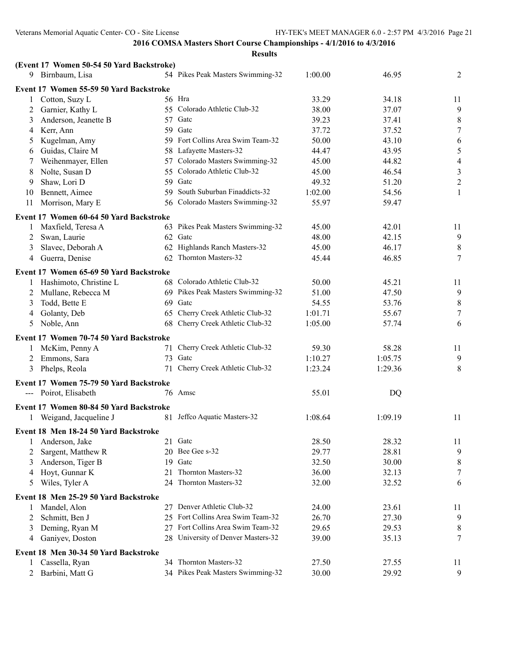|               | (Event 17 Women 50-54 50 Yard Backstroke) |    |                                    |         |           |                |
|---------------|-------------------------------------------|----|------------------------------------|---------|-----------|----------------|
|               | 9 Birnbaum, Lisa                          |    | 54 Pikes Peak Masters Swimming-32  | 1:00.00 | 46.95     | 2              |
|               | Event 17 Women 55-59 50 Yard Backstroke   |    |                                    |         |           |                |
| 1             | Cotton, Suzy L                            |    | 56 Hra                             | 33.29   | 34.18     | 11             |
| 2             | Garnier, Kathy L                          |    | 55 Colorado Athletic Club-32       | 38.00   | 37.07     | 9              |
| 3             | Anderson, Jeanette B                      |    | 57 Gate                            | 39.23   | 37.41     | 8              |
| 4             | Kerr, Ann                                 |    | 59 Gate                            | 37.72   | 37.52     | $\tau$         |
| $\mathcal{L}$ | Kugelman, Amy                             |    | 59 Fort Collins Area Swim Team-32  | 50.00   | 43.10     | 6              |
| 6             | Guidas, Claire M                          |    | 58 Lafayette Masters-32            | 44.47   | 43.95     | $\sqrt{5}$     |
| 7             | Weihenmayer, Ellen                        |    | 57 Colorado Masters Swimming-32    | 45.00   | 44.82     | $\overline{4}$ |
| 8             | Nolte, Susan D                            |    | 55 Colorado Athletic Club-32       | 45.00   | 46.54     | $\mathfrak{Z}$ |
| 9             | Shaw, Lori D                              |    | 59 Gate                            | 49.32   | 51.20     | $\sqrt{2}$     |
| 10            | Bennett, Aimee                            |    | 59 South Suburban Finaddicts-32    | 1:02.00 | 54.56     | $\mathbf{1}$   |
| 11            | Morrison, Mary E                          |    | 56 Colorado Masters Swimming-32    | 55.97   | 59.47     |                |
|               | Event 17 Women 60-64 50 Yard Backstroke   |    |                                    |         |           |                |
|               | Maxfield, Teresa A                        |    | 63 Pikes Peak Masters Swimming-32  | 45.00   | 42.01     | 11             |
| 2             | Swan, Laurie                              |    | 62 Gate                            | 48.00   | 42.15     | $\overline{9}$ |
| 3             | Slavec, Deborah A                         |    | 62 Highlands Ranch Masters-32      | 45.00   | 46.17     | 8              |
| 4             | Guerra, Denise                            |    | 62 Thornton Masters-32             | 45.44   | 46.85     | 7              |
|               |                                           |    |                                    |         |           |                |
|               | Event 17 Women 65-69 50 Yard Backstroke   |    |                                    |         |           |                |
|               | Hashimoto, Christine L                    |    | 68 Colorado Athletic Club-32       | 50.00   | 45.21     | 11             |
| 2             | Mullane, Rebecca M                        |    | 69 Pikes Peak Masters Swimming-32  | 51.00   | 47.50     | 9              |
| 3             | Todd, Bette E                             |    | 69 Gatc                            | 54.55   | 53.76     | $\,8\,$        |
| 4             | Golanty, Deb                              | 65 | Cherry Creek Athletic Club-32      | 1:01.71 | 55.67     | 7              |
| 5             | Noble, Ann                                | 68 | Cherry Creek Athletic Club-32      | 1:05.00 | 57.74     | 6              |
|               | Event 17 Women 70-74 50 Yard Backstroke   |    |                                    |         |           |                |
|               | McKim, Penny A                            | 71 | Cherry Creek Athletic Club-32      | 59.30   | 58.28     | 11             |
| 2             | Emmons, Sara                              | 73 | Gatc                               | 1:10.27 | 1:05.75   | 9              |
| 3             | Phelps, Reola                             |    | 71 Cherry Creek Athletic Club-32   | 1:23.24 | 1:29.36   | $\,8\,$        |
|               | Event 17 Women 75-79 50 Yard Backstroke   |    |                                    |         |           |                |
|               | Poirot, Elisabeth                         |    | 76 Amsc                            | 55.01   | <b>DQ</b> |                |
|               |                                           |    |                                    |         |           |                |
|               | Event 17 Women 80-84 50 Yard Backstroke   |    |                                    |         |           |                |
|               | 1 Weigand, Jacqueline J                   |    | 81 Jeffco Aquatic Masters-32       | 1:08.64 | 1:09.19   | 11             |
|               | Event 18 Men 18-24 50 Yard Backstroke     |    |                                    |         |           |                |
| 1             | Anderson, Jake                            |    | 21 Gate                            | 28.50   | 28.32     | 11             |
| 2             | Sargent, Matthew R                        |    | 20 Bee Gee s-32                    | 29.77   | 28.81     | 9              |
| 3             | Anderson, Tiger B                         |    | 19 Gate                            | 32.50   | 30.00     | 8              |
| 4             | Hoyt, Gunnar K                            | 21 | Thornton Masters-32                | 36.00   | 32.13     | $\tau$         |
| 5             | Wiles, Tyler A                            |    | 24 Thornton Masters-32             | 32.00   | 32.52     | 6              |
|               | Event 18 Men 25-29 50 Yard Backstroke     |    |                                    |         |           |                |
|               | Mandel, Alon                              |    | 27 Denver Athletic Club-32         | 24.00   | 23.61     | 11             |
| 2             | Schmitt, Ben J                            |    | 25 Fort Collins Area Swim Team-32  | 26.70   | 27.30     | 9              |
| 3             | Deming, Ryan M                            |    | 27 Fort Collins Area Swim Team-32  | 29.65   | 29.53     | 8              |
| 4             | Ganiyev, Doston                           |    | 28 University of Denver Masters-32 | 39.00   | 35.13     | 7              |
|               |                                           |    |                                    |         |           |                |
|               | Event 18 Men 30-34 50 Yard Backstroke     |    |                                    |         |           |                |
|               | Cassella, Ryan                            |    | 34 Thornton Masters-32             | 27.50   | 27.55     | 11             |
| 2             | Barbini, Matt G                           |    | 34 Pikes Peak Masters Swimming-32  | 30.00   | 29.92     | 9              |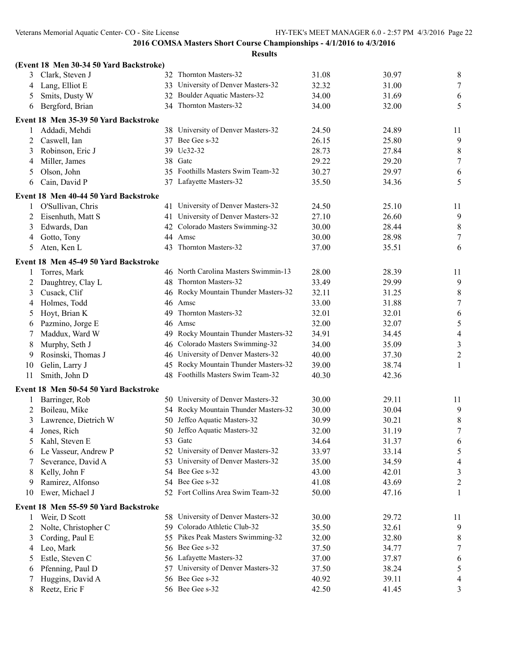|    | (Event 18 Men 30-34 50 Yard Backstroke) |    |                                      |       |       |                  |
|----|-----------------------------------------|----|--------------------------------------|-------|-------|------------------|
| 3  | Clark, Steven J                         |    | 32 Thornton Masters-32               | 31.08 | 30.97 | 8                |
| 4  | Lang, Elliot E                          |    | 33 University of Denver Masters-32   | 32.32 | 31.00 | $\boldsymbol{7}$ |
| 5  | Smits, Dusty W                          |    | 32 Boulder Aquatic Masters-32        | 34.00 | 31.69 | 6                |
| 6  | Bergford, Brian                         |    | 34 Thornton Masters-32               | 34.00 | 32.00 | 5                |
|    | Event 18 Men 35-39 50 Yard Backstroke   |    |                                      |       |       |                  |
|    | Addadi, Mehdi                           |    | 38 University of Denver Masters-32   | 24.50 | 24.89 | 11               |
| 2  | Caswell, Ian                            |    | 37 Bee Gee s-32                      | 26.15 | 25.80 | 9                |
| 3  | Robinson, Eric J                        |    | 39 Uc32-32                           | 28.73 | 27.84 | 8                |
| 4  | Miller, James                           |    | 38 Gate                              | 29.22 | 29.20 | $\boldsymbol{7}$ |
| 5  | Olson, John                             |    | 35 Foothills Masters Swim Team-32    | 30.27 | 29.97 | 6                |
| 6  | Cain, David P                           |    | 37 Lafayette Masters-32              | 35.50 | 34.36 | 5                |
|    | Event 18 Men 40-44 50 Yard Backstroke   |    |                                      |       |       |                  |
| 1  | O'Sullivan, Chris                       |    | 41 University of Denver Masters-32   | 24.50 | 25.10 | 11               |
| 2  | Eisenhuth, Matt S                       |    | 41 University of Denver Masters-32   | 27.10 | 26.60 | 9                |
| 3  | Edwards, Dan                            |    | 42 Colorado Masters Swimming-32      | 30.00 | 28.44 | 8                |
| 4  | Gotto, Tony                             |    | 44 Amsc                              | 30.00 | 28.98 | $\tau$           |
| 5  | Aten, Ken L                             | 43 | Thornton Masters-32                  | 37.00 | 35.51 | 6                |
|    | Event 18 Men 45-49 50 Yard Backstroke   |    |                                      |       |       |                  |
| 1  | Torres, Mark                            |    | 46 North Carolina Masters Swimmin-13 | 28.00 | 28.39 | 11               |
| 2  | Daughtrey, Clay L                       |    | 48 Thornton Masters-32               | 33.49 | 29.99 | 9                |
| 3  | Cusack, Clif                            |    | 46 Rocky Mountain Thunder Masters-32 | 32.11 | 31.25 | 8                |
| 4  | Holmes, Todd                            |    | 46 Amsc                              | 33.00 | 31.88 | $\tau$           |
| 5  | Hoyt, Brian K                           | 49 | Thornton Masters-32                  | 32.01 | 32.01 | 6                |
| 6  | Pazmino, Jorge E                        |    | 46 Amsc                              | 32.00 | 32.07 | 5                |
| 7  | Maddux, Ward W                          |    | 49 Rocky Mountain Thunder Masters-32 | 34.91 | 34.45 | 4                |
| 8  | Murphy, Seth J                          | 46 | Colorado Masters Swimming-32         | 34.00 | 35.09 | $\mathfrak{Z}$   |
| 9  | Rosinski, Thomas J                      |    | 46 University of Denver Masters-32   | 40.00 | 37.30 | $\overline{c}$   |
| 10 | Gelin, Larry J                          |    | 45 Rocky Mountain Thunder Masters-32 | 39.00 | 38.74 | 1                |
| 11 | Smith, John D                           |    | 48 Foothills Masters Swim Team-32    | 40.30 | 42.36 |                  |
|    | Event 18 Men 50-54 50 Yard Backstroke   |    |                                      |       |       |                  |
| 1  | Barringer, Rob                          |    | 50 University of Denver Masters-32   | 30.00 | 29.11 | 11               |
| 2  | Boileau, Mike                           |    | 54 Rocky Mountain Thunder Masters-32 | 30.00 | 30.04 | 9                |
| 3  | Lawrence, Dietrich W                    |    | 50 Jeffco Aquatic Masters-32         | 30.99 | 30.21 | 8                |
| 4  | Jones, Rich                             |    | 50 Jeffco Aquatic Masters-32         | 32.00 | 31.19 | $\boldsymbol{7}$ |
|    | 5 Kahl, Steven E                        |    | 53 Gate                              | 34.64 | 31.37 | 6                |
| 6  | Le Vasseur, Andrew P                    |    | 52 University of Denver Masters-32   | 33.97 | 33.14 | 5                |
|    | Severance, David A                      |    | 53 University of Denver Masters-32   | 35.00 | 34.59 | 4                |
| 8  | Kelly, John F                           |    | 54 Bee Gee s-32                      | 43.00 | 42.01 | 3                |
| 9. | Ramirez, Alfonso                        |    | 54 Bee Gee s-32                      | 41.08 | 43.69 | $\overline{c}$   |
| 10 | Ewer, Michael J                         |    | 52 Fort Collins Area Swim Team-32    | 50.00 | 47.16 | 1                |
|    | Event 18 Men 55-59 50 Yard Backstroke   |    |                                      |       |       |                  |
| 1  | Weir, D Scott                           |    | 58 University of Denver Masters-32   | 30.00 | 29.72 | 11               |
| 2  | Nolte, Christopher C                    |    | 59 Colorado Athletic Club-32         | 35.50 | 32.61 | 9                |
| 3  | Cording, Paul E                         |    | 55 Pikes Peak Masters Swimming-32    | 32.00 | 32.80 | 8                |
| 4  | Leo, Mark                               |    | 56 Bee Gee s-32                      | 37.50 | 34.77 | 7                |
| 5  | Estle, Steven C                         |    | 56 Lafayette Masters-32              | 37.00 | 37.87 | 6                |
| 6  | Pfenning, Paul D                        |    | 57 University of Denver Masters-32   | 37.50 | 38.24 | 5                |
|    | Huggins, David A                        |    | 56 Bee Gee s-32                      | 40.92 | 39.11 | 4                |
| 8  | Reetz, Eric F                           |    | 56 Bee Gee s-32                      | 42.50 | 41.45 | 3                |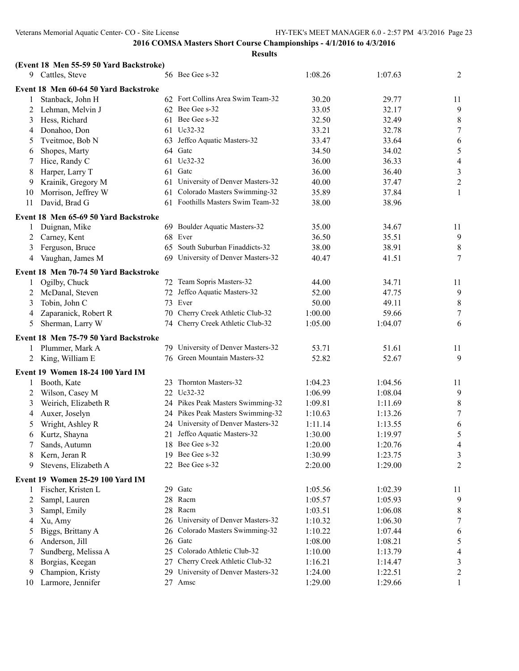|        | (Event 18 Men 55-59 50 Yard Backstroke)                       |          |                                    |                    |                    |                     |
|--------|---------------------------------------------------------------|----------|------------------------------------|--------------------|--------------------|---------------------|
|        | 9 Cattles, Steve                                              |          | 56 Bee Gee s-32                    | 1:08.26            | 1:07.63            | 2                   |
|        | Event 18 Men 60-64 50 Yard Backstroke                         |          |                                    |                    |                    |                     |
| 1      | Stanback, John H                                              |          | 62 Fort Collins Area Swim Team-32  | 30.20              | 29.77              | 11                  |
| 2      | Lehman, Melvin J                                              |          | 62 Bee Gee s-32                    | 33.05              | 32.17              | 9                   |
| 3      | Hess, Richard                                                 |          | 61 Bee Gee s-32                    | 32.50              | 32.49              | 8                   |
| 4      | Donahoo, Don                                                  |          | 61 Uc32-32                         | 33.21              | 32.78              | $\tau$              |
| 5      | Tveitmoe, Bob N                                               | 63       | Jeffco Aquatic Masters-32          | 33.47              | 33.64              | 6                   |
| 6      | Shopes, Marty                                                 |          | 64 Gatc                            | 34.50              | 34.02              | $\mathfrak s$       |
| 7      | Hice, Randy C                                                 |          | 61 Uc32-32                         | 36.00              | 36.33              | $\overline{4}$      |
| 8      | Harper, Larry T                                               |          | 61 Gate                            | 36.00              | 36.40              | $\mathfrak{Z}$      |
| 9      | Krainik, Gregory M                                            | 61       | University of Denver Masters-32    | 40.00              | 37.47              | $\boldsymbol{2}$    |
| 10     | Morrison, Jeffrey W                                           | 61       | Colorado Masters Swimming-32       | 35.89              | 37.84              | $\mathbf{1}$        |
| 11     | David, Brad G                                                 |          | 61 Foothills Masters Swim Team-32  | 38.00              | 38.96              |                     |
|        | Event 18 Men 65-69 50 Yard Backstroke                         |          |                                    |                    |                    |                     |
| 1      | Duignan, Mike                                                 |          | 69 Boulder Aquatic Masters-32      | 35.00              | 34.67              | 11                  |
| 2      | Carney, Kent                                                  | 68       | Ever                               | 36.50              | 35.51              | $\overline{9}$      |
| 3      | Ferguson, Bruce                                               | 65       | South Suburban Finaddicts-32       | 38.00              | 38.91              | 8                   |
| 4      | Vaughan, James M                                              | 69       | University of Denver Masters-32    | 40.47              | 41.51              | 7                   |
|        | Event 18 Men 70-74 50 Yard Backstroke                         |          |                                    |                    |                    |                     |
| 1      | Ogilby, Chuck                                                 |          | 72 Team Sopris Masters-32          | 44.00              | 34.71              | 11                  |
| 2      | McDanal, Steven                                               |          | 72 Jeffco Aquatic Masters-32       | 52.00              | 47.75              | 9                   |
| 3      | Tobin, John C                                                 |          | 73 Ever                            | 50.00              | 49.11              | 8                   |
| 4      | Zaparanick, Robert R                                          | 70       | Cherry Creek Athletic Club-32      | 1:00.00            | 59.66              | $\overline{7}$      |
| 5      | Sherman, Larry W                                              |          | 74 Cherry Creek Athletic Club-32   | 1:05.00            | 1:04.07            | 6                   |
|        | Event 18 Men 75-79 50 Yard Backstroke                         |          |                                    |                    |                    |                     |
| 1      | Plummer, Mark A                                               |          | 79 University of Denver Masters-32 | 53.71              | 51.61              | 11                  |
|        | 2 King, William E                                             |          | 76 Green Mountain Masters-32       | 52.82              | 52.67              | 9                   |
|        | Event 19 Women 18-24 100 Yard IM                              |          |                                    |                    |                    |                     |
|        | Booth, Kate                                                   |          | 23 Thornton Masters-32             | 1:04.23            | 1:04.56            | 11                  |
| 2      | Wilson, Casey M                                               |          | 22 Uc32-32                         | 1:06.99            | 1:08.04            | 9                   |
| 3      | Weirich, Elizabeth R                                          |          | 24 Pikes Peak Masters Swimming-32  | 1:09.81            | 1:11.69            | 8                   |
| 4      | Auxer, Joselyn                                                |          | 24 Pikes Peak Masters Swimming-32  | 1:10.63            | 1:13.26            | 7                   |
| 5      | Wright, Ashley R                                              |          | 24 University of Denver Masters-32 | 1:11.14            | 1:13.55            | 6                   |
| 6      | Kurtz, Shayna                                                 |          | 21 Jeffco Aquatic Masters-32       | 1:30.00            | 1:19.97            | 5                   |
|        | Sands, Autumn                                                 |          | 18 Bee Gee s-32                    | 1:20.00            | 1:20.76            | $\overline{4}$      |
| 8      | Kern, Jeran R                                                 |          | 19 Bee Gee s-32                    | 1:30.99            | 1:23.75            | 3                   |
| 9      | Stevens, Elizabeth A                                          |          | 22 Bee Gee s-32                    | 2:20.00            | 1:29.00            | $\overline{2}$      |
|        |                                                               |          |                                    |                    |                    |                     |
|        | <b>Event 19 Women 25-29 100 Yard IM</b><br>Fischer, Kristen L | 29       | Gatc                               | 1:05.56            | 1:02.39            | 11                  |
| 1      |                                                               | 28       | Racm                               |                    |                    | 9                   |
| 2      | Sampl, Lauren                                                 | 28       | Racm                               | 1:05.57            | 1:05.93            |                     |
| 3      | Sampl, Emily<br>Xu, Amy                                       | 26       | University of Denver Masters-32    | 1:03.51<br>1:10.32 | 1:06.08<br>1:06.30 | 8                   |
| 4      |                                                               |          | Colorado Masters Swimming-32       |                    |                    | 7                   |
| 5      | Biggs, Brittany A                                             | 26<br>26 | Gatc                               | 1:10.22            | 1:07.44<br>1:08.21 | 6<br>5              |
| 6      | Anderson, Jill                                                |          | Colorado Athletic Club-32          | 1:08.00            |                    |                     |
| 7      | Sundberg, Melissa A<br>Borgias, Keegan                        | 25<br>27 | Cherry Creek Athletic Club-32      | 1:10.00<br>1:16.21 | 1:13.79<br>1:14.47 | $\overline{4}$      |
| 8<br>9 | Champion, Kristy                                              | 29       | University of Denver Masters-32    | 1:24.00            | 1:22.51            | 3<br>$\overline{c}$ |
| 10     | Larmore, Jennifer                                             | 27       | Amsc                               | 1:29.00            | 1:29.66            | 1                   |
|        |                                                               |          |                                    |                    |                    |                     |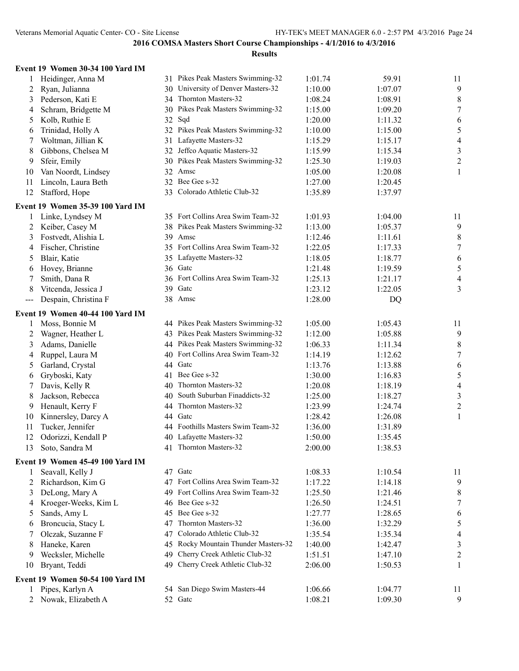| Event 19 Women 30-34 100 Yard IM |  |  |  |  |  |
|----------------------------------|--|--|--|--|--|
|----------------------------------|--|--|--|--|--|

| 1       | Heidinger, Anna M                                    |          | 31 Pikes Peak Masters Swimming-32  | 1:01.74            | 59.91              | 11                       |
|---------|------------------------------------------------------|----------|------------------------------------|--------------------|--------------------|--------------------------|
| 2       | Ryan, Julianna                                       |          | 30 University of Denver Masters-32 | 1:10.00            | 1:07.07            | $\overline{9}$           |
| 3       | Pederson, Kati E                                     |          | 34 Thornton Masters-32             | 1:08.24            | 1:08.91            | $\,$ $\,$                |
| 4       | Schram, Bridgette M                                  |          | 30 Pikes Peak Masters Swimming-32  | 1:15.00            | 1:09.20            | $\boldsymbol{7}$         |
| 5       | Kolb, Ruthie E                                       |          | 32 Sqd                             | 1:20.00            | 1:11.32            | 6                        |
| 6       | Trinidad, Holly A                                    |          | 32 Pikes Peak Masters Swimming-32  | 1:10.00            | 1:15.00            | $\sqrt{5}$               |
| 7       | Woltman, Jillian K                                   |          | 31 Lafayette Masters-32            | 1:15.29            | 1:15.17            | $\overline{\mathcal{A}}$ |
| 8       | Gibbons, Chelsea M                                   |          | 32 Jeffco Aquatic Masters-32       | 1:15.99            | 1:15.34            | $\mathfrak{Z}$           |
| 9       | Sfeir, Emily                                         |          | 30 Pikes Peak Masters Swimming-32  | 1:25.30            | 1:19.03            | $\boldsymbol{2}$         |
| 10      | Van Noordt, Lindsey                                  |          | 32 Amsc                            | 1:05.00            | 1:20.08            | $\mathbf{1}$             |
| 11      | Lincoln, Laura Beth                                  |          | 32 Bee Gee s-32                    | 1:27.00            | 1:20.45            |                          |
| 12      | Stafford, Hope                                       |          | 33 Colorado Athletic Club-32       | 1:35.89            | 1:37.97            |                          |
|         | Event 19 Women 35-39 100 Yard IM                     |          |                                    |                    |                    |                          |
| 1       | Linke, Lyndsey M                                     |          | 35 Fort Collins Area Swim Team-32  | 1:01.93            | 1:04.00            | 11                       |
| 2       | Keiber, Casey M                                      |          | 38 Pikes Peak Masters Swimming-32  | 1:13.00            | 1:05.37            | 9                        |
| 3       | Fostvedt, Alishia L                                  |          | 39 Amsc                            | 1:12.46            | 1:11.61            | 8                        |
| 4       | Fischer, Christine                                   |          | 35 Fort Collins Area Swim Team-32  | 1:22.05            | 1:17.33            | $\tau$                   |
| 5       | Blair, Katie                                         |          | 35 Lafayette Masters-32            | 1:18.05            | 1:18.77            | 6                        |
| 6       | Hovey, Brianne                                       |          | 36 Gatc                            | 1:21.48            | 1:19.59            | $\mathfrak s$            |
| 7       | Smith, Dana R                                        |          | 36 Fort Collins Area Swim Team-32  | 1:25.13            | 1:21.17            | $\overline{\mathcal{A}}$ |
| 8       | Vitcenda, Jessica J                                  |          | 39 Gate                            | 1:23.12            | 1:22.05            | 3                        |
| $---$   | Despain, Christina F                                 |          | 38 Amsc                            | 1:28.00            | DQ                 |                          |
|         | Event 19 Women 40-44 100 Yard IM                     |          |                                    |                    |                    |                          |
| 1       | Moss, Bonnie M                                       |          | 44 Pikes Peak Masters Swimming-32  | 1:05.00            | 1:05.43            | 11                       |
| 2       | Wagner, Heather L                                    |          | 43 Pikes Peak Masters Swimming-32  | 1:12.00            | 1:05.88            | $\overline{9}$           |
| 3       | Adams, Danielle                                      |          | 44 Pikes Peak Masters Swimming-32  | 1:06.33            | 1:11.34            | 8                        |
| 4       | Ruppel, Laura M                                      |          | 40 Fort Collins Area Swim Team-32  | 1:14.19            | 1:12.62            | $\boldsymbol{7}$         |
| 5       | Garland, Crystal                                     |          | 44 Gatc                            | 1:13.76            | 1:13.88            | 6                        |
| 6       | Gryboski, Katy                                       |          | 41 Bee Gee s-32                    | 1:30.00            | 1:16.83            | 5                        |
| 7       | Davis, Kelly R                                       | 40       | Thornton Masters-32                | 1:20.08            | 1:18.19            | $\overline{\mathcal{A}}$ |
| 8       | Jackson, Rebecca                                     | 40       | South Suburban Finaddicts-32       | 1:25.00            | 1:18.27            | $\mathfrak{Z}$           |
| 9       | Henault, Kerry F                                     | 44       | Thornton Masters-32                | 1:23.99            | 1:24.74            | $\overline{c}$           |
| 10      | Kinnersley, Darcy A                                  |          | 44 Gatc                            | 1:28.42            | 1:26.08            | 1                        |
| 11      | Tucker, Jennifer                                     |          | 44 Foothills Masters Swim Team-32  | 1:36.00            | 1:31.89            |                          |
| 12      | Odorizzi, Kendall P                                  | 40       | Lafayette Masters-32               | 1:50.00            | 1:35.45            |                          |
| 13      | Soto, Sandra M                                       |          | 41 Thornton Masters-32             | 2:00.00            | 1:38.53            |                          |
|         |                                                      |          |                                    |                    |                    |                          |
| 1       | Event 19 Women 45-49 100 Yard IM<br>Seavall, Kelly J |          | 47 Gatc                            | 1:08.33            | 1:10.54            | 11                       |
| 2       | Richardson, Kim G                                    |          | 47 Fort Collins Area Swim Team-32  | 1:17.22            | 1:14.18            | 9                        |
| 3       | DeLong, Mary A                                       | 49       | Fort Collins Area Swim Team-32     | 1:25.50            | 1:21.46            | 8                        |
| 4       | Kroeger-Weeks, Kim L                                 | 46       | Bee Gee s-32                       | 1:26.50            | 1:24.51            | 7                        |
| 5       | Sands, Amy L                                         | 45       | Bee Gee s-32                       | 1:27.77            | 1:28.65            |                          |
| 6       | Broncucia, Stacy L                                   | 47       | Thornton Masters-32                | 1:36.00            | 1:32.29            | 6<br>5                   |
| 7       | Olczak, Suzanne F                                    | 47       | Colorado Athletic Club-32          | 1:35.54            | 1:35.34            | $\overline{4}$           |
| 8       | Haneke, Karen                                        | 45       | Rocky Mountain Thunder Masters-32  | 1:40.00            | 1:42.47            | $\mathfrak{Z}$           |
|         |                                                      |          | Cherry Creek Athletic Club-32      |                    |                    |                          |
| 9<br>10 | Wecksler, Michelle<br>Bryant, Teddi                  | 49<br>49 | Cherry Creek Athletic Club-32      | 1:51.51<br>2:06.00 | 1:47.10<br>1:50.53 | $\overline{c}$<br>1      |
|         |                                                      |          |                                    |                    |                    |                          |
|         | Event 19 Women 50-54 100 Yard IM                     |          |                                    |                    |                    |                          |
| 1       | Pipes, Karlyn A                                      |          | 54 San Diego Swim Masters-44       | 1:06.66            | 1:04.77            | 11                       |
| 2       | Nowak, Elizabeth A                                   |          | 52 Gate                            | 1:08.21            | 1:09.30            | 9                        |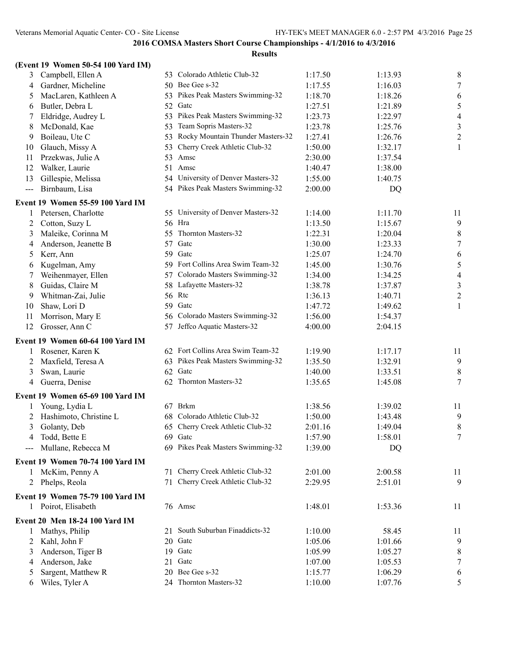|                   | (Event 19 Women 50-54 100 Yard IM) |    |                                      |         |         |                          |
|-------------------|------------------------------------|----|--------------------------------------|---------|---------|--------------------------|
| 3                 | Campbell, Ellen A                  |    | 53 Colorado Athletic Club-32         | 1:17.50 | 1:13.93 | 8                        |
| 4                 | Gardner, Micheline                 |    | 50 Bee Gee s-32                      | 1:17.55 | 1:16.03 | 7                        |
| 5                 | MacLaren, Kathleen A               |    | 53 Pikes Peak Masters Swimming-32    | 1:18.70 | 1:18.26 | 6                        |
| 6                 | Butler, Debra L                    |    | 52 Gate                              | 1:27.51 | 1:21.89 | 5                        |
| 7                 | Eldridge, Audrey L                 |    | 53 Pikes Peak Masters Swimming-32    | 1:23.73 | 1:22.97 | $\overline{\mathcal{A}}$ |
| 8                 | McDonald, Kae                      |    | 53 Team Sopris Masters-32            | 1:23.78 | 1:25.76 | $\mathfrak{Z}$           |
| 9                 | Boileau, Ute C                     |    | 53 Rocky Mountain Thunder Masters-32 | 1:27.41 | 1:26.76 | $\boldsymbol{2}$         |
| 10                | Glauch, Missy A                    | 53 | Cherry Creek Athletic Club-32        | 1:50.00 | 1:32.17 | 1                        |
| 11                | Przekwas, Julie A                  |    | 53 Amsc                              | 2:30.00 | 1:37.54 |                          |
| 12                | Walker, Laurie                     |    | 51 Amsc                              | 1:40.47 | 1:38.00 |                          |
| 13                | Gillespie, Melissa                 |    | 54 University of Denver Masters-32   | 1:55.00 | 1:40.75 |                          |
| $\qquad \qquad -$ | Birnbaum, Lisa                     |    | 54 Pikes Peak Masters Swimming-32    | 2:00.00 | DQ      |                          |
|                   | Event 19 Women 55-59 100 Yard IM   |    |                                      |         |         |                          |
| 1                 | Petersen, Charlotte                |    | 55 University of Denver Masters-32   | 1:14.00 | 1:11.70 | 11                       |
| 2                 | Cotton, Suzy L                     |    | 56 Hra                               | 1:13.50 | 1:15.67 | 9                        |
| 3                 | Maleike, Corinna M                 | 55 | Thornton Masters-32                  | 1:22.31 | 1:20.04 | 8                        |
| 4                 | Anderson, Jeanette B               | 57 | Gatc                                 | 1:30.00 | 1:23.33 | $\boldsymbol{7}$         |
| 5                 | Kerr, Ann                          |    | 59 Gate                              | 1:25.07 | 1:24.70 | 6                        |
| 6                 | Kugelman, Amy                      |    | 59 Fort Collins Area Swim Team-32    | 1:45.00 | 1:30.76 | 5                        |
| 7                 | Weihenmayer, Ellen                 |    | 57 Colorado Masters Swimming-32      | 1:34.00 | 1:34.25 | $\overline{4}$           |
| 8                 | Guidas, Claire M                   | 58 | Lafayette Masters-32                 | 1:38.78 | 1:37.87 | $\mathfrak{Z}$           |
| 9                 | Whitman-Zai, Julie                 |    | 56 Rtc                               | 1:36.13 | 1:40.71 | $\overline{c}$           |
| 10                | Shaw, Lori D                       |    | 59 Gate                              | 1:47.72 | 1:49.62 | 1                        |
| 11                | Morrison, Mary E                   |    | 56 Colorado Masters Swimming-32      | 1:56.00 | 1:54.37 |                          |
| 12                | Grosser, Ann C                     |    | 57 Jeffco Aquatic Masters-32         | 4:00.00 | 2:04.15 |                          |
|                   | Event 19 Women 60-64 100 Yard IM   |    |                                      |         |         |                          |
| 1                 | Rosener, Karen K                   |    | 62 Fort Collins Area Swim Team-32    | 1:19.90 | 1:17.17 | 11                       |
| 2                 | Maxfield, Teresa A                 |    | 63 Pikes Peak Masters Swimming-32    | 1:35.50 | 1:32.91 | $\overline{9}$           |
| 3                 | Swan, Laurie                       |    | 62 Gate                              | 1:40.00 | 1:33.51 | 8                        |
| 4                 | Guerra, Denise                     |    | 62 Thornton Masters-32               | 1:35.65 | 1:45.08 | 7                        |
|                   | Event 19 Women 65-69 100 Yard IM   |    |                                      |         |         |                          |
| 1                 | Young, Lydia L                     |    | 67 Brkm                              | 1:38.56 | 1:39.02 | 11                       |
| 2                 | Hashimoto, Christine L             | 68 | Colorado Athletic Club-32            | 1:50.00 | 1:43.48 | 9                        |
| 3                 | Golanty, Deb                       |    | 65 Cherry Creek Athletic Club-32     | 2:01.16 | 1:49.04 | 8                        |
| $\Delta$          | Todd, Bette E                      |    | 69 Gatc                              | 1:57.90 | 1:58.01 | $\boldsymbol{7}$         |
| $---$             | Mullane, Rebecca M                 |    | 69 Pikes Peak Masters Swimming-32    | 1:39.00 | DQ      |                          |
|                   | Event 19 Women 70-74 100 Yard IM   |    |                                      |         |         |                          |
| 1                 | McKim, Penny A                     |    | 71 Cherry Creek Athletic Club-32     | 2:01.00 | 2:00.58 | 11                       |
| 2                 | Phelps, Reola                      |    | 71 Cherry Creek Athletic Club-32     | 2:29.95 | 2:51.01 | 9                        |
|                   |                                    |    |                                      |         |         |                          |
|                   | Event 19 Women 75-79 100 Yard IM   |    |                                      |         |         |                          |
|                   | 1 Poirot, Elisabeth                |    | 76 Amsc                              | 1:48.01 | 1:53.36 | 11                       |
|                   | Event 20 Men 18-24 100 Yard IM     |    |                                      |         |         |                          |
| 1                 | Mathys, Philip                     |    | 21 South Suburban Finaddicts-32      | 1:10.00 | 58.45   | 11                       |
| 2                 | Kahl, John F                       |    | 20 Gate                              | 1:05.06 | 1:01.66 | 9                        |
| 3                 | Anderson, Tiger B                  |    | 19 Gate                              | 1:05.99 | 1:05.27 | 8                        |
| 4                 | Anderson, Jake                     |    | 21 Gate                              | 1:07.00 | 1:05.53 | 7                        |
|                   | Sargent, Matthew R                 |    | 20 Bee Gee s-32                      | 1:15.77 | 1:06.29 | 6                        |
| 6                 | Wiles, Tyler A                     |    | 24 Thornton Masters-32               | 1:10.00 | 1:07.76 | 5                        |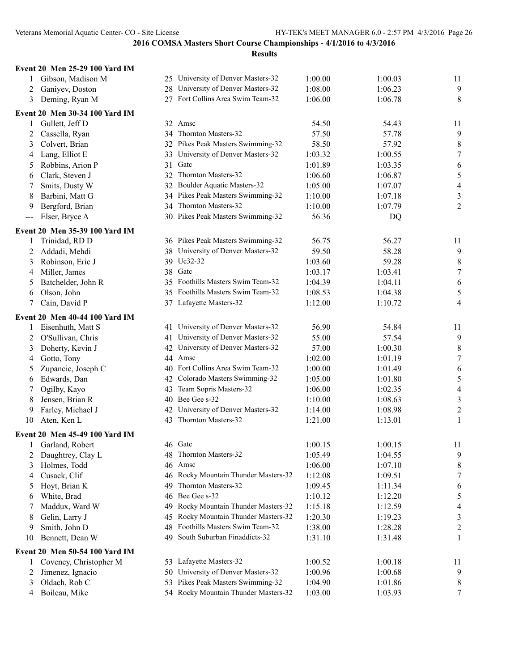#### **Event 20 Men 25-29 100 Yard IM**

| 1      | Gibson, Madison M              |    | 25 University of Denver Masters-32   | 1:00.00 | 1:00.03 | 11                       |
|--------|--------------------------------|----|--------------------------------------|---------|---------|--------------------------|
| 2      | Ganiyev, Doston                |    | 28 University of Denver Masters-32   | 1:08.00 | 1:06.23 | 9                        |
| 3      | Deming, Ryan M                 |    | 27 Fort Collins Area Swim Team-32    | 1:06.00 | 1:06.78 | 8                        |
|        | Event 20 Men 30-34 100 Yard IM |    |                                      |         |         |                          |
| 1      | Gullett, Jeff D                |    | 32 Amsc                              | 54.50   | 54.43   | 11                       |
| 2      | Cassella, Ryan                 |    | 34 Thornton Masters-32               | 57.50   | 57.78   | 9                        |
| 3      | Colvert, Brian                 |    | 32 Pikes Peak Masters Swimming-32    | 58.50   | 57.92   | 8                        |
| 4      | Lang, Elliot E                 |    | 33 University of Denver Masters-32   | 1:03.32 | 1:00.55 | $\boldsymbol{7}$         |
| 5      | Robbins, Arion P               |    | 31 Gate                              | 1:01.89 | 1:03.35 | 6                        |
| 6      | Clark, Steven J                | 32 | Thornton Masters-32                  | 1:06.60 | 1:06.87 | $\mathfrak s$            |
| 7      | Smits, Dusty W                 |    | 32 Boulder Aquatic Masters-32        | 1:05.00 | 1:07.07 | $\overline{\mathcal{A}}$ |
| 8      | Barbini, Matt G                | 34 | Pikes Peak Masters Swimming-32       | 1:10.00 | 1:07.18 | $\mathfrak{Z}$           |
| 9      | Bergford, Brian                |    | 34 Thornton Masters-32               | 1:10.00 | 1:07.79 | $\overline{c}$           |
| $---$  | Elser, Bryce A                 |    | 30 Pikes Peak Masters Swimming-32    | 56.36   | DQ      |                          |
|        | Event 20 Men 35-39 100 Yard IM |    |                                      |         |         |                          |
| 1      | Trinidad, RD D                 |    | 36 Pikes Peak Masters Swimming-32    | 56.75   | 56.27   | 11                       |
| 2      | Addadi, Mehdi                  |    | 38 University of Denver Masters-32   | 59.50   | 58.28   | 9                        |
| 3      | Robinson, Eric J               |    | 39 Uc32-32                           | 1:03.60 | 59.28   | 8                        |
| 4      | Miller, James                  |    | 38 Gatc                              | 1:03.17 | 1:03.41 | $\boldsymbol{7}$         |
| 5      | Batchelder, John R             |    | 35 Foothills Masters Swim Team-32    | 1:04.39 | 1:04.11 | 6                        |
| 6      | Olson, John                    | 35 | Foothills Masters Swim Team-32       | 1:08.53 | 1:04.38 | $\sqrt{5}$               |
| 7      | Cain, David P                  |    | 37 Lafayette Masters-32              | 1:12.00 | 1:10.72 | 4                        |
|        | Event 20 Men 40-44 100 Yard IM |    |                                      |         |         |                          |
|        | Eisenhuth, Matt S              |    | 41 University of Denver Masters-32   | 56.90   | 54.84   | 11                       |
| 1<br>2 | O'Sullivan, Chris              |    | 41 University of Denver Masters-32   | 55.00   | 57.54   | 9                        |
| 3      | Doherty, Kevin J               |    | 42 University of Denver Masters-32   | 57.00   | 1:00.30 | 8                        |
| 4      | Gotto, Tony                    |    | 44 Amsc                              | 1:02.00 | 1:01.19 | $\tau$                   |
| 5      | Zupancic, Joseph C             |    | 40 Fort Collins Area Swim Team-32    | 1:00.00 | 1:01.49 | 6                        |
| 6      | Edwards, Dan                   | 42 | Colorado Masters Swimming-32         | 1:05.00 | 1:01.80 | $\mathfrak s$            |
| 7      | Ogilby, Kayo                   | 43 | Team Sopris Masters-32               | 1:06.00 | 1:02.35 | $\overline{\mathcal{A}}$ |
| 8      | Jensen, Brian R                | 40 | Bee Gee s-32                         | 1:10.00 | 1:08.63 | $\mathfrak{Z}$           |
| 9      | Farley, Michael J              | 42 | University of Denver Masters-32      | 1:14.00 | 1:08.98 | $\overline{c}$           |
| 10     | Aten, Ken L                    | 43 | Thornton Masters-32                  | 1:21.00 | 1:13.01 | 1                        |
|        |                                |    |                                      |         |         |                          |
|        | Event 20 Men 45-49 100 Yard IM |    |                                      |         |         |                          |
| 1      | Garland, Robert                |    | 46 Gatc                              | 1:00.15 | 1:00.15 | 11                       |
| 2      | Daughtrey, Clay L              | 48 | Thornton Masters-32                  | 1:05.49 | 1:04.55 | 9                        |
| 3      | Holmes, Todd                   | 46 | Amsc                                 | 1:06.00 | 1:07.10 | 8                        |
| 4      | Cusack, Clif                   | 46 | Rocky Mountain Thunder Masters-32    | 1:12.08 | 1:09.51 | $\tau$                   |
| 5      | Hoyt, Brian K                  | 49 | Thornton Masters-32                  | 1:09.45 | 1:11.34 | 6                        |
| 6      | White, Brad                    | 46 | Bee Gee s-32                         | 1:10.12 | 1:12.20 | 5                        |
| 7      | Maddux, Ward W                 | 49 | Rocky Mountain Thunder Masters-32    | 1:15.18 | 1:12.59 | 4                        |
| 8      | Gelin, Larry J                 | 45 | Rocky Mountain Thunder Masters-32    | 1:20.30 | 1:19.23 | 3                        |
| 9      | Smith, John D                  | 48 | Foothills Masters Swim Team-32       | 1:38.00 | 1:28.28 | $\overline{c}$           |
| 10     | Bennett, Dean W                | 49 | South Suburban Finaddicts-32         | 1:31.10 | 1:31.48 | 1                        |
|        | Event 20 Men 50-54 100 Yard IM |    |                                      |         |         |                          |
| 1      | Coveney, Christopher M         |    | 53 Lafayette Masters-32              | 1:00.52 | 1:00.18 | 11                       |
| 2      | Jimenez, Ignacio               | 50 | University of Denver Masters-32      | 1:00.96 | 1:00.68 | 9                        |
| 3      | Oldach, Rob C                  | 53 | Pikes Peak Masters Swimming-32       | 1:04.90 | 1:01.86 | 8                        |
| 4      | Boileau, Mike                  |    | 54 Rocky Mountain Thunder Masters-32 | 1:03.00 | 1:03.93 | 7                        |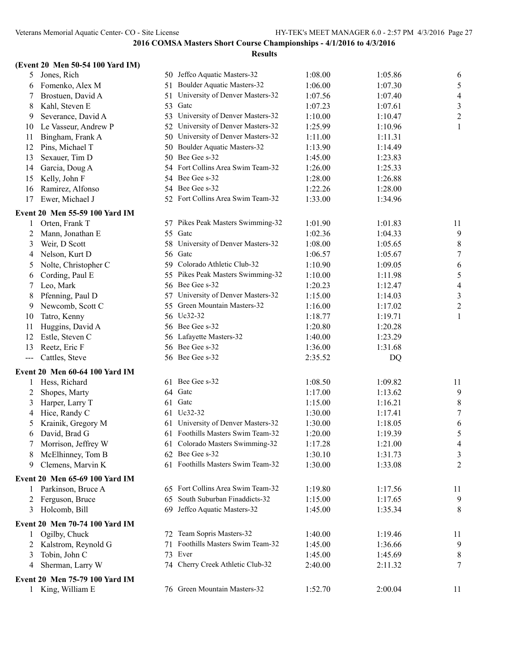|              | (Event 20 Men 50-54 100 Yard IM) |    |                                    |         |         |                          |
|--------------|----------------------------------|----|------------------------------------|---------|---------|--------------------------|
| 5            | Jones, Rich                      |    | 50 Jeffco Aquatic Masters-32       | 1:08.00 | 1:05.86 | 6                        |
| 6            | Fomenko, Alex M                  |    | 51 Boulder Aquatic Masters-32      | 1:06.00 | 1:07.30 | 5                        |
| 7            | Brostuen, David A                | 51 | University of Denver Masters-32    | 1:07.56 | 1:07.40 | $\overline{\mathcal{A}}$ |
| 8            | Kahl, Steven E                   |    | 53 Gate                            | 1:07.23 | 1:07.61 | $\mathfrak{Z}$           |
| 9            | Severance, David A               |    | 53 University of Denver Masters-32 | 1:10.00 | 1:10.47 | $\overline{c}$           |
| 10           | Le Vasseur, Andrew P             | 52 | University of Denver Masters-32    | 1:25.99 | 1:10.96 | 1                        |
| 11           | Bingham, Frank A                 |    | 50 University of Denver Masters-32 | 1:11.00 | 1:11.31 |                          |
| 12           | Pins, Michael T                  |    | 50 Boulder Aquatic Masters-32      | 1:13.90 | 1:14.49 |                          |
| 13           | Sexauer, Tim D                   |    | 50 Bee Gee s-32                    | 1:45.00 | 1:23.83 |                          |
| 14           | Garcia, Doug A                   |    | 54 Fort Collins Area Swim Team-32  | 1:26.00 | 1:25.33 |                          |
| 15           | Kelly, John F                    |    | 54 Bee Gee s-32                    | 1:28.00 | 1:26.88 |                          |
| 16           | Ramirez, Alfonso                 |    | 54 Bee Gee s-32                    | 1:22.26 | 1:28.00 |                          |
| 17           | Ewer, Michael J                  |    | 52 Fort Collins Area Swim Team-32  | 1:33.00 | 1:34.96 |                          |
|              | Event 20 Men 55-59 100 Yard IM   |    |                                    |         |         |                          |
| 1            | Orten, Frank T                   |    | 57 Pikes Peak Masters Swimming-32  | 1:01.90 | 1:01.83 | 11                       |
| 2            | Mann, Jonathan E                 |    | 55 Gate                            | 1:02.36 | 1:04.33 | 9                        |
| 3            | Weir, D Scott                    |    | 58 University of Denver Masters-32 | 1:08.00 | 1:05.65 | 8                        |
| 4            | Nelson, Kurt D                   |    | 56 Gate                            | 1:06.57 | 1:05.67 | $\boldsymbol{7}$         |
| 5            | Nolte, Christopher C             |    | 59 Colorado Athletic Club-32       | 1:10.90 | 1:09.05 | 6                        |
| 6            | Cording, Paul E                  |    | 55 Pikes Peak Masters Swimming-32  | 1:10.00 | 1:11.98 | 5                        |
| 7            | Leo, Mark                        |    | 56 Bee Gee s-32                    | 1:20.23 | 1:12.47 | 4                        |
| 8            | Pfenning, Paul D                 |    | 57 University of Denver Masters-32 | 1:15.00 | 1:14.03 | $\mathfrak{Z}$           |
| 9            | Newcomb, Scott C                 |    | 55 Green Mountain Masters-32       | 1:16.00 | 1:17.02 | $\boldsymbol{2}$         |
| 10           | Tatro, Kenny                     |    | 56 Uc32-32                         | 1:18.77 | 1:19.71 | 1                        |
| 11           | Huggins, David A                 |    | 56 Bee Gee s-32                    | 1:20.80 | 1:20.28 |                          |
| 12           | Estle, Steven C                  |    | 56 Lafayette Masters-32            | 1:40.00 | 1:23.29 |                          |
| 13           | Reetz, Eric F                    |    | 56 Bee Gee s-32                    | 1:36.00 | 1:31.68 |                          |
| $---$        | Cattles, Steve                   |    | 56 Bee Gee s-32                    | 2:35.52 | DQ      |                          |
|              | Event 20 Men 60-64 100 Yard IM   |    |                                    |         |         |                          |
| 1            | Hess, Richard                    |    | 61 Bee Gee s-32                    | 1:08.50 | 1:09.82 | 11                       |
| 2            | Shopes, Marty                    |    | 64 Gatc                            | 1:17.00 | 1:13.62 | 9                        |
| 3            | Harper, Larry T                  |    | 61 Gate                            | 1:15.00 | 1:16.21 | $\,$ $\,$                |
| 4            | Hice, Randy C                    |    | 61 Uc32-32                         | 1:30.00 | 1:17.41 | $\boldsymbol{7}$         |
| 5            | Krainik, Gregory M               | 61 | University of Denver Masters-32    | 1:30.00 | 1:18.05 | 6                        |
| 6            | David, Brad G                    |    | 61 Foothills Masters Swim Team-32  | 1:20.00 | 1:19.39 | 5                        |
| 7            | Morrison, Jeffrey W              |    | 61 Colorado Masters Swimming-32    | 1:17.28 | 1:21.00 | 4                        |
| 8            | McElhinney, Tom B                |    | 62 Bee Gee s-32                    | 1:30.10 | 1:31.73 | 3                        |
| 9            | Clemens, Marvin K                |    | 61 Foothills Masters Swim Team-32  | 1:30.00 | 1:33.08 | 2                        |
|              | Event 20 Men 65-69 100 Yard IM   |    |                                    |         |         |                          |
| 1            | Parkinson, Bruce A               |    | 65 Fort Collins Area Swim Team-32  | 1:19.80 | 1:17.56 | 11                       |
| 2            | Ferguson, Bruce                  |    | 65 South Suburban Finaddicts-32    | 1:15.00 | 1:17.65 | 9                        |
| 3            | Holcomb, Bill                    |    | 69 Jeffco Aquatic Masters-32       | 1:45.00 | 1:35.34 | 8                        |
|              | Event 20 Men 70-74 100 Yard IM   |    |                                    |         |         |                          |
| 1            | Ogilby, Chuck                    |    | 72 Team Sopris Masters-32          | 1:40.00 | 1:19.46 | 11                       |
| 2            | Kalstrom, Reynold G              | 71 | Foothills Masters Swim Team-32     | 1:45.00 | 1:36.66 | 9                        |
| 3            | Tobin, John C                    |    | 73 Ever                            | 1:45.00 | 1:45.69 | 8                        |
| 4            | Sherman, Larry W                 |    | 74 Cherry Creek Athletic Club-32   | 2:40.00 | 2:11.32 | 7                        |
|              | Event 20 Men 75-79 100 Yard IM   |    |                                    |         |         |                          |
| $\mathbf{1}$ | King, William E                  |    | 76 Green Mountain Masters-32       | 1:52.70 | 2:00.04 | 11                       |
|              |                                  |    |                                    |         |         |                          |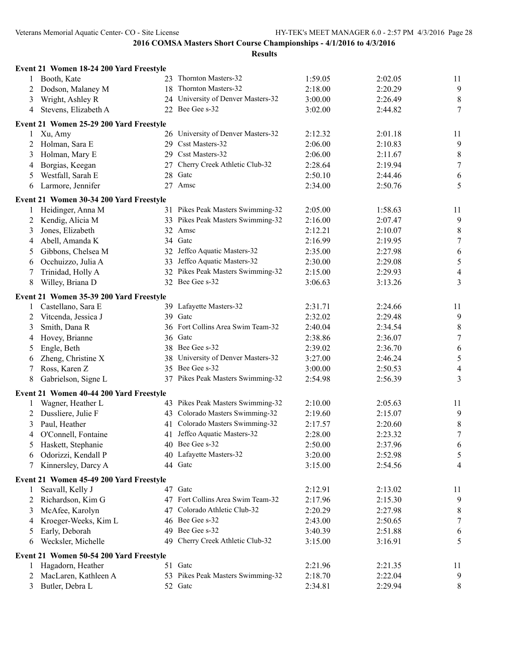|   | Event 21 Women 18-24 200 Yard Freestyle |                                    |         |         |                  |
|---|-----------------------------------------|------------------------------------|---------|---------|------------------|
| 1 | Booth, Kate                             | 23 Thornton Masters-32             | 1:59.05 | 2:02.05 | 11               |
| 2 | Dodson, Malaney M                       | 18 Thornton Masters-32             | 2:18.00 | 2:20.29 | 9                |
| 3 | Wright, Ashley R                        | 24 University of Denver Masters-32 | 3:00.00 | 2:26.49 | $\,8\,$          |
| 4 | Stevens, Elizabeth A                    | 22 Bee Gee s-32                    | 3:02.00 | 2:44.82 | 7                |
|   | Event 21 Women 25-29 200 Yard Freestyle |                                    |         |         |                  |
| 1 | Xu, Amy                                 | 26 University of Denver Masters-32 | 2:12.32 | 2:01.18 | 11               |
| 2 | Holman, Sara E                          | 29 Csst Masters-32                 | 2:06.00 | 2:10.83 | $\overline{9}$   |
| 3 | Holman, Mary E                          | 29 Csst Masters-32                 | 2:06.00 | 2:11.67 | $8\,$            |
| 4 | Borgias, Keegan                         | 27 Cherry Creek Athletic Club-32   | 2:28.64 | 2:19.94 | $\tau$           |
| 5 | Westfall, Sarah E                       | 28 Gatc                            | 2:50.10 | 2:44.46 | 6                |
| 6 | Larmore, Jennifer                       | 27 Amsc                            | 2:34.00 | 2:50.76 | 5                |
|   | Event 21 Women 30-34 200 Yard Freestyle |                                    |         |         |                  |
| 1 | Heidinger, Anna M                       | 31 Pikes Peak Masters Swimming-32  | 2:05.00 | 1:58.63 | 11               |
| 2 | Kendig, Alicia M                        | 33 Pikes Peak Masters Swimming-32  | 2:16.00 | 2:07.47 | 9                |
| 3 | Jones, Elizabeth                        | 32 Amsc                            | 2:12.21 | 2:10.07 | $\,8\,$          |
| 4 | Abell, Amanda K                         | 34 Gatc                            | 2:16.99 | 2:19.95 | $\boldsymbol{7}$ |
| 5 | Gibbons, Chelsea M                      | 32 Jeffco Aquatic Masters-32       | 2:35.00 | 2:27.98 | 6                |
| 6 | Occhuizzo, Julia A                      | 33 Jeffco Aquatic Masters-32       | 2:30.00 | 2:29.08 | $\sqrt{5}$       |
| 7 | Trinidad, Holly A                       | 32 Pikes Peak Masters Swimming-32  | 2:15.00 | 2:29.93 | $\overline{4}$   |
| 8 | Willey, Briana D                        | 32 Bee Gee s-32                    | 3:06.63 | 3:13.26 | 3                |
|   | Event 21 Women 35-39 200 Yard Freestyle |                                    |         |         |                  |
| 1 | Castellano, Sara E                      | 39 Lafayette Masters-32            | 2:31.71 | 2:24.66 | 11               |
| 2 | Vitcenda, Jessica J                     | 39 Gate                            | 2:32.02 | 2:29.48 | $\overline{9}$   |
| 3 | Smith, Dana R                           | 36 Fort Collins Area Swim Team-32  | 2:40.04 | 2:34.54 | 8                |
| 4 | Hovey, Brianne                          | 36 Gatc                            | 2:38.86 | 2:36.07 | $\tau$           |
| 5 | Engle, Beth                             | 38 Bee Gee s-32                    | 2:39.02 | 2:36.70 | 6                |
| 6 | Zheng, Christine X                      | 38 University of Denver Masters-32 | 3:27.00 | 2:46.24 | 5                |
| 7 | Ross, Karen Z                           | 35 Bee Gee s-32                    | 3:00.00 | 2:50.53 | $\overline{4}$   |
| 8 | Gabrielson, Signe L                     | 37 Pikes Peak Masters Swimming-32  | 2:54.98 | 2:56.39 | 3                |
|   | Event 21 Women 40-44 200 Yard Freestyle |                                    |         |         |                  |
| 1 | Wagner, Heather L                       | 43 Pikes Peak Masters Swimming-32  | 2:10.00 | 2:05.63 | 11               |
| 2 | Dussliere, Julie F                      | 43 Colorado Masters Swimming-32    | 2:19.60 | 2:15.07 | 9                |
| 3 | Paul, Heather                           | 41 Colorado Masters Swimming-32    | 2:17.57 | 2:20.60 | $\,8\,$          |
| 4 | O'Connell, Fontaine                     | 41 Jeffco Aquatic Masters-32       | 2:28.00 | 2:23.32 | $\boldsymbol{7}$ |
|   | 5 Haskett, Stephanie                    | 40 Bee Gee s-32                    | 2:50.00 | 2:37.96 | 6                |
|   | 6 Odorizzi, Kendall P                   | 40 Lafayette Masters-32            | 3:20.00 | 2:52.98 | 5                |
| 7 | Kinnersley, Darcy A                     | 44 Gatc                            | 3:15.00 | 2:54.56 | 4                |
|   | Event 21 Women 45-49 200 Yard Freestyle |                                    |         |         |                  |
| 1 | Seavall, Kelly J                        | 47 Gatc                            | 2:12.91 | 2:13.02 | 11               |
| 2 | Richardson, Kim G                       | 47 Fort Collins Area Swim Team-32  | 2:17.96 | 2:15.30 | 9                |
| 3 | McAfee, Karolyn                         | 47 Colorado Athletic Club-32       | 2:20.29 | 2:27.98 | 8                |
| 4 | Kroeger-Weeks, Kim L                    | 46 Bee Gee s-32                    | 2:43.00 | 2:50.65 | $\tau$           |
| 5 | Early, Deborah                          | 49 Bee Gee s-32                    | 3:40.39 | 2:51.88 | 6                |
| 6 | Wecksler, Michelle                      | 49 Cherry Creek Athletic Club-32   | 3:15.00 | 3:16.91 | 5                |
|   | Event 21 Women 50-54 200 Yard Freestyle |                                    |         |         |                  |
| 1 | Hagadorn, Heather                       | 51 Gate                            | 2:21.96 | 2:21.35 | 11               |
| 2 | MacLaren, Kathleen A                    | 53 Pikes Peak Masters Swimming-32  | 2:18.70 | 2:22.04 | 9                |
| 3 | Butler, Debra L                         | 52 Gate                            | 2:34.81 | 2:29.94 | 8                |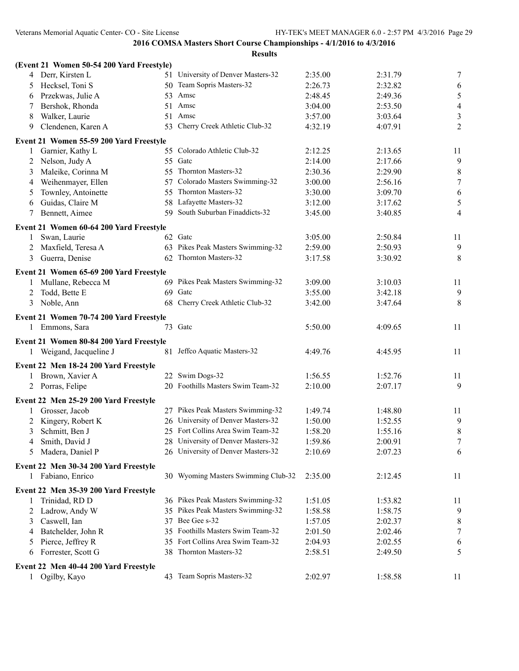|   | (Event 21 Women 50-54 200 Yard Freestyle) |     |                                     |         |         |                          |
|---|-------------------------------------------|-----|-------------------------------------|---------|---------|--------------------------|
| 4 | Derr, Kirsten L                           |     | 51 University of Denver Masters-32  | 2:35.00 | 2:31.79 | 7                        |
| 5 | Hecksel, Toni S                           |     | 50 Team Sopris Masters-32           | 2:26.73 | 2:32.82 | 6                        |
| 6 | Przekwas, Julie A                         | 53  | Amsc                                | 2:48.45 | 2:49.36 | $\mathfrak{S}$           |
| 7 | Bershok, Rhonda                           |     | 51 Amsc                             | 3:04.00 | 2:53.50 | $\overline{\mathcal{L}}$ |
| 8 | Walker, Laurie                            |     | 51 Amsc                             | 3:57.00 | 3:03.64 | 3                        |
| 9 | Clendenen, Karen A                        | 53  | Cherry Creek Athletic Club-32       | 4:32.19 | 4:07.91 | $\overline{2}$           |
|   | Event 21 Women 55-59 200 Yard Freestyle   |     |                                     |         |         |                          |
| 1 | Garnier, Kathy L                          |     | 55 Colorado Athletic Club-32        | 2:12.25 | 2:13.65 | 11                       |
| 2 | Nelson, Judy A                            | 55  | Gatc                                | 2:14.00 | 2:17.66 | 9                        |
| 3 | Maleike, Corinna M                        |     | 55 Thornton Masters-32              | 2:30.36 | 2:29.90 | $\,8\,$                  |
| 4 | Weihenmayer, Ellen                        | 57  | Colorado Masters Swimming-32        | 3:00.00 | 2:56.16 | $\boldsymbol{7}$         |
| 5 | Townley, Antoinette                       | 55  | Thornton Masters-32                 | 3:30.00 | 3:09.70 | $\sqrt{6}$               |
| 6 | Guidas, Claire M                          |     | 58 Lafayette Masters-32             | 3:12.00 | 3:17.62 | 5                        |
| 7 | Bennett, Aimee                            | 59. | South Suburban Finaddicts-32        | 3:45.00 | 3:40.85 | $\overline{4}$           |
|   | Event 21 Women 60-64 200 Yard Freestyle   |     |                                     |         |         |                          |
| 1 | Swan, Laurie                              |     | 62 Gate                             | 3:05.00 | 2:50.84 | 11                       |
| 2 | Maxfield, Teresa A                        |     | 63 Pikes Peak Masters Swimming-32   | 2:59.00 | 2:50.93 | 9                        |
| 3 | Guerra, Denise                            |     | 62 Thornton Masters-32              | 3:17.58 | 3:30.92 | 8                        |
|   |                                           |     |                                     |         |         |                          |
|   | Event 21 Women 65-69 200 Yard Freestyle   |     |                                     |         |         |                          |
| 1 | Mullane, Rebecca M                        |     | 69 Pikes Peak Masters Swimming-32   | 3:09.00 | 3:10.03 | 11                       |
| 2 | Todd, Bette E                             | 69  | Gatc                                | 3:55.00 | 3:42.18 | 9                        |
| 3 | Noble, Ann                                | 68  | Cherry Creek Athletic Club-32       | 3:42.00 | 3:47.64 | 8                        |
|   | Event 21 Women 70-74 200 Yard Freestyle   |     |                                     |         |         |                          |
| 1 | Emmons, Sara                              |     | 73 Gate                             | 5:50.00 | 4:09.65 | 11                       |
|   | Event 21 Women 80-84 200 Yard Freestyle   |     |                                     |         |         |                          |
| 1 | Weigand, Jacqueline J                     |     | 81 Jeffco Aquatic Masters-32        | 4:49.76 | 4:45.95 | 11                       |
|   | Event 22 Men 18-24 200 Yard Freestyle     |     |                                     |         |         |                          |
| 1 | Brown, Xavier A                           |     | 22 Swim Dogs-32                     | 1:56.55 | 1:52.76 | 11                       |
|   | 2 Porras, Felipe                          |     | 20 Foothills Masters Swim Team-32   | 2:10.00 | 2:07.17 | 9                        |
|   | Event 22 Men 25-29 200 Yard Freestyle     |     |                                     |         |         |                          |
|   | Grosser, Jacob                            |     | 27 Pikes Peak Masters Swimming-32   | 1:49.74 | 1:48.80 | 11                       |
| 2 | Kingery, Robert K                         |     | 26 University of Denver Masters-32  | 1:50.00 | 1:52.55 | 9                        |
| 3 | Schmitt, Ben J                            |     | 25 Fort Collins Area Swim Team-32   | 1:58.20 | 1:55.16 | $\,$ 8 $\,$              |
| 4 | Smith, David J                            |     | 28 University of Denver Masters-32  | 1:59.86 | 2:00.91 | 7                        |
| 5 | Madera, Daniel P                          |     | 26 University of Denver Masters-32  | 2:10.69 | 2:07.23 | 6                        |
|   | Event 22 Men 30-34 200 Yard Freestyle     |     |                                     |         |         |                          |
|   | 1 Fabiano, Enrico                         |     | 30 Wyoming Masters Swimming Club-32 | 2:35.00 | 2:12.45 | 11                       |
|   | Event 22 Men 35-39 200 Yard Freestyle     |     |                                     |         |         |                          |
| 1 | Trinidad, RD D                            |     | 36 Pikes Peak Masters Swimming-32   | 1:51.05 | 1:53.82 | 11                       |
| 2 | Ladrow, Andy W                            |     | 35 Pikes Peak Masters Swimming-32   | 1:58.58 | 1:58.75 | 9                        |
| 3 | Caswell, Ian                              |     | 37 Bee Gee s-32                     | 1:57.05 | 2:02.37 | 8                        |
| 4 | Batchelder, John R                        |     | 35 Foothills Masters Swim Team-32   | 2:01.50 | 2:02.46 | 7                        |
| 5 | Pierce, Jeffrey R                         | 35  | Fort Collins Area Swim Team-32      | 2:04.93 | 2:02.55 | 6                        |
| 6 | Forrester, Scott G                        |     | 38 Thornton Masters-32              | 2:58.51 | 2:49.50 | 5                        |
|   |                                           |     |                                     |         |         |                          |
|   | Event 22 Men 40-44 200 Yard Freestyle     |     |                                     |         |         |                          |
|   | Ogilby, Kayo                              |     | 43 Team Sopris Masters-32           | 2:02.97 | 1:58.58 | 11                       |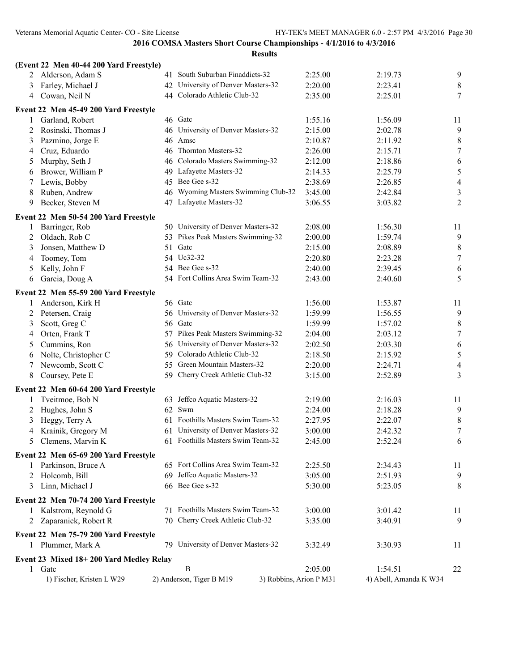|        | (Event 22 Men 40-44 200 Yard Freestyle) |    |                                                     |                    |                        |                               |
|--------|-----------------------------------------|----|-----------------------------------------------------|--------------------|------------------------|-------------------------------|
| 2      | Alderson, Adam S                        |    | 41 South Suburban Finaddicts-32                     | 2:25.00            | 2:19.73                | 9                             |
| 3      | Farley, Michael J                       |    | 42 University of Denver Masters-32                  | 2:20.00            | 2:23.41                | $\,8\,$                       |
| 4      | Cowan, Neil N                           |    | 44 Colorado Athletic Club-32                        | 2:35.00            | 2:25.01                | 7                             |
|        | Event 22 Men 45-49 200 Yard Freestyle   |    |                                                     |                    |                        |                               |
| 1      | Garland, Robert                         |    | 46 Gatc                                             | 1:55.16            | 1:56.09                | 11                            |
| 2      | Rosinski, Thomas J                      |    | 46 University of Denver Masters-32                  | 2:15.00            | 2:02.78                | 9                             |
| 3      | Pazmino, Jorge E                        |    | 46 Amsc                                             | 2:10.87            | 2:11.92                | 8                             |
| 4      | Cruz, Eduardo                           |    | 46 Thornton Masters-32                              | 2:26.00            | 2:15.71                | $\tau$                        |
| 5      | Murphy, Seth J                          |    | 46 Colorado Masters Swimming-32                     | 2:12.00            | 2:18.86                | 6                             |
| 6      | Brower, William P                       |    | 49 Lafayette Masters-32                             | 2:14.33            | 2:25.79                | $\mathfrak s$                 |
| 7      | Lewis, Bobby                            |    | 45 Bee Gee s-32                                     | 2:38.69            | 2:26.85                | $\overline{\mathcal{A}}$      |
| 8      | Ruben, Andrew                           |    | 46 Wyoming Masters Swimming Club-32                 | 3:45.00            | 2:42.84                | 3                             |
| 9      | Becker, Steven M                        |    | 47 Lafayette Masters-32                             | 3:06.55            | 3:03.82                | $\overline{2}$                |
|        | Event 22 Men 50-54 200 Yard Freestyle   |    |                                                     |                    |                        |                               |
| 1      | Barringer, Rob                          |    | 50 University of Denver Masters-32                  | 2:08.00            | 1:56.30                | 11                            |
| 2      | Oldach, Rob C                           |    | 53 Pikes Peak Masters Swimming-32                   | 2:00.00            | 1:59.74                | 9                             |
| 3      | Jonsen, Matthew D                       | 51 | Gatc                                                | 2:15.00            | 2:08.89                | 8                             |
| 4      | Toomey, Tom                             |    | 54 Uc32-32                                          | 2:20.80            | 2:23.28                | $\tau$                        |
| 5      | Kelly, John F                           |    | 54 Bee Gee s-32                                     | 2:40.00            | 2:39.45                | 6                             |
| 6      | Garcia, Doug A                          |    | 54 Fort Collins Area Swim Team-32                   | 2:43.00            | 2:40.60                | 5                             |
|        | Event 22 Men 55-59 200 Yard Freestyle   |    |                                                     |                    |                        |                               |
|        |                                         |    | 56 Gatc                                             | 1:56.00            | 1:53.87                |                               |
| 1      | Anderson, Kirk H                        |    | 56 University of Denver Masters-32                  | 1:59.99            | 1:56.55                | 11                            |
| 2      | Petersen, Craig                         |    | 56 Gatc                                             |                    |                        | 9                             |
| 3      | Scott, Greg C                           |    | 57 Pikes Peak Masters Swimming-32                   | 1:59.99<br>2:04.00 | 1:57.02<br>2:03.12     | $\,8\,$<br>$\boldsymbol{7}$   |
| 4      | Orten, Frank T<br>Cummins, Ron          |    | 56 University of Denver Masters-32                  | 2:02.50            |                        |                               |
| 5      | Nolte, Christopher C                    |    | 59 Colorado Athletic Club-32                        | 2:18.50            | 2:03.30<br>2:15.92     | 6                             |
| 6      | Newcomb, Scott C                        |    | 55 Green Mountain Masters-32                        | 2:20.00            | 2:24.71                | $\mathfrak s$                 |
| 7<br>8 | Coursey, Pete E                         |    | 59 Cherry Creek Athletic Club-32                    | 3:15.00            | 2:52.89                | $\overline{\mathcal{A}}$<br>3 |
|        |                                         |    |                                                     |                    |                        |                               |
|        | Event 22 Men 60-64 200 Yard Freestyle   |    |                                                     |                    |                        |                               |
| 1      | Tveitmoe, Bob N                         |    | 63 Jeffco Aquatic Masters-32                        | 2:19.00            | 2:16.03                | 11                            |
| 2      | Hughes, John S                          |    | 62 Swm                                              | 2:24.00            | 2:18.28                | 9                             |
| 3      | Heggy, Terry A                          |    | 61 Foothills Masters Swim Team-32                   | 2:27.95            | 2:22.07                | 8                             |
| 4      | Krainik, Gregory M                      |    | 61 University of Denver Masters-32                  | 3:00.00            | 2:42.32                | $\boldsymbol{7}$              |
|        | 5 Clemens, Marvin K                     |    | 61 Foothills Masters Swim Team-32                   | 2:45.00            | 2:52.24                | 6                             |
|        | Event 22 Men 65-69 200 Yard Freestyle   |    |                                                     |                    |                        |                               |
|        | 1 Parkinson, Bruce A                    |    | 65 Fort Collins Area Swim Team-32                   | 2:25.50            | 2:34.43                | 11                            |
|        | 2 Holcomb, Bill                         |    | 69 Jeffco Aquatic Masters-32                        | 3:05.00            | 2:51.93                | 9                             |
| 3      | Linn, Michael J                         |    | 66 Bee Gee s-32                                     | 5:30.00            | 5:23.05                | 8                             |
|        | Event 22 Men 70-74 200 Yard Freestyle   |    |                                                     |                    |                        |                               |
|        | 1 Kalstrom, Reynold G                   |    | 71 Foothills Masters Swim Team-32                   | 3:00.00            | 3:01.42                | 11                            |
|        | 2 Zaparanick, Robert R                  |    | 70 Cherry Creek Athletic Club-32                    | 3:35.00            | 3:40.91                | 9                             |
|        | Event 22 Men 75-79 200 Yard Freestyle   |    |                                                     |                    |                        |                               |
|        | 1 Plummer, Mark A                       |    | 79 University of Denver Masters-32                  | 3:32.49            | 3:30.93                | 11                            |
|        |                                         |    |                                                     |                    |                        |                               |
|        | Event 23 Mixed 18+200 Yard Medley Relay |    |                                                     |                    |                        |                               |
|        | 1 Gate                                  |    | B                                                   | 2:05.00            | 1:54.51                | 22                            |
|        | 1) Fischer, Kristen L W29               |    | 3) Robbins, Arion P M31<br>2) Anderson, Tiger B M19 |                    | 4) Abell, Amanda K W34 |                               |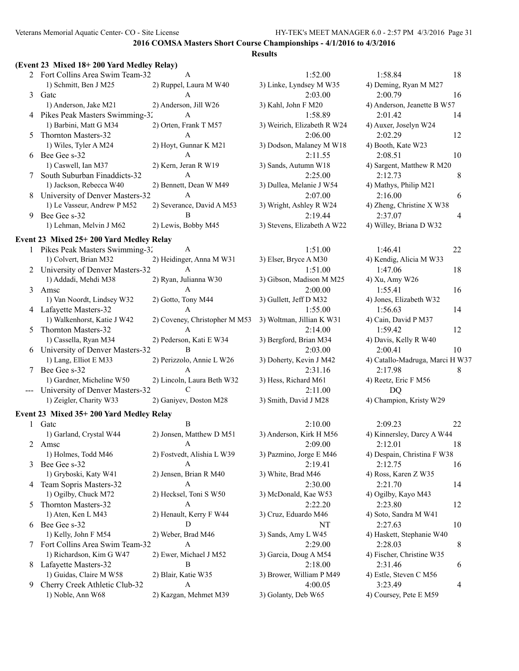#### **Results**

|   | 2 Fort Collins Area Swim Team-32 | $\mathsf{A}$              | 1:52.00                     | 1:58.84                     | 18 |
|---|----------------------------------|---------------------------|-----------------------------|-----------------------------|----|
|   | 1) Schmitt, Ben J M25            | 2) Ruppel, Laura M W40    | 3) Linke, Lyndsey M W35     | 4) Deming, Ryan M M27       |    |
|   | 3 Gatc                           | A                         | 2:03.00                     | 2:00.79                     | 16 |
|   | 1) Anderson, Jake M21            | 2) Anderson, Jill W26     | 3) Kahl, John F M20         | 4) Anderson, Jeanette B W57 |    |
|   | 4 Pikes Peak Masters Swimming-32 | $\mathsf{A}$              | 1:58.89                     | 2:01.42                     | 14 |
|   | 1) Barbini, Matt G M34           | 2) Orten, Frank T M57     | 3) Weirich, Elizabeth R W24 | 4) Auxer, Joselyn W24       |    |
|   | 5 Thornton Masters-32            | A                         | 2:06.00                     | 2:02.29                     | 12 |
|   | 1) Wiles, Tyler A M24            | 2) Hoyt, Gunnar K M21     | 3) Dodson, Malaney M W18    | 4) Booth, Kate W23          |    |
|   | 6 Bee Gee s-32                   | A                         | 2:11.55                     | 2:08.51                     | 10 |
|   | 1) Caswell, Ian M37              | 2) Kern, Jeran R W19      | 3) Sands, Autumn W18        | 4) Sargent, Matthew R M20   |    |
|   | South Suburban Finaddicts-32     | A                         | 2:25.00                     | 2:12.73                     | 8  |
|   | 1) Jackson, Rebecca W40          | 2) Bennett, Dean W M49    | 3) Dullea, Melanie J W54    | 4) Mathys, Philip M21       |    |
| 8 | University of Denver Masters-32  | A                         | 2:07.00                     | 2:16.00                     | 6  |
|   | 1) Le Vasseur, Andrew P M52      | 2) Severance, David A M53 | 3) Wright, Ashley R W24     | 4) Zheng, Christine X W38   |    |
| 9 | Bee Gee s-32                     | B                         | 2:19.44                     | 2:37.07                     |    |
|   | 1) Lehman, Melvin J M62          | 2) Lewis, Bobby M45       | 3) Stevens, Elizabeth A W22 | 4) Willey, Briana D W32     |    |
|   |                                  |                           |                             |                             |    |

#### **Event 23 Mixed 25+ 200 Yard Medley Relay**

|   | Pikes Peak Masters Swimming-32    | A                             | 1:51.00                   | 1:46.41                       | 22 |
|---|-----------------------------------|-------------------------------|---------------------------|-------------------------------|----|
|   | 1) Colvert, Brian M32             | 2) Heidinger, Anna M W31      | 3) Elser, Bryce A M30     | 4) Kendig, Alicia M W33       |    |
|   | 2 University of Denver Masters-32 | A                             | 1:51.00                   | 1:47.06                       | 18 |
|   | 1) Addadi, Mehdi M38              | 2) Ryan, Julianna W30         | 3) Gibson, Madison M M25  | 4) Xu, Amy W26                |    |
|   | 3 Amsc                            |                               | 2:00.00                   | 1:55.41                       | 16 |
|   | 1) Van Noordt, Lindsey W32        | 2) Gotto, Tony M44            | 3) Gullett, Jeff D M32    | 4) Jones, Elizabeth W32       |    |
|   | 4 Lafayette Masters-32            | A                             | 1:55.00                   | 1:56.63                       | 14 |
|   | 1) Walkenhorst, Katie J W42       | 2) Coveney, Christopher M M53 | 3) Woltman, Jillian K W31 | 4) Cain, David P M37          |    |
|   | 5 Thornton Masters-32             |                               | 2:14.00                   | 1:59.42                       | 12 |
|   | 1) Cassella, Ryan M34             | 2) Pederson, Kati E W34       | 3) Bergford, Brian M34    | 4) Davis, Kelly R W40         |    |
| 6 | University of Denver Masters-32   | B                             | 2:03.00                   | 2:00.41                       | 10 |
|   | 1) Lang, Elliot E M33             | 2) Perizzolo, Annie L W26     | 3) Doherty, Kevin J M42   | 4) Catallo-Madruga, Marci H V |    |
|   | Bee Gee s-32                      | A                             | 2:31.16                   | 2:17.98                       | 8  |
|   | 1) Gardner, Micheline W50         | 2) Lincoln, Laura Beth W32    | 3) Hess, Richard M61      | 4) Reetz, Eric F M56          |    |
|   | University of Denver Masters-32   |                               | 2:11.00                   | DO                            |    |
|   | 1) Zeigler, Charity W33           | 2) Ganiyev, Doston M28        | 3) Smith, David J M28     | 4) Champion, Kristy W29       |    |
|   |                                   |                               |                           |                               |    |

#### **Event 23 Mixed 35+ 200 Yard Medley Relay**

|    | Gatc                           |                            | 2:10.00                  | 2:09.23                     | 22 |
|----|--------------------------------|----------------------------|--------------------------|-----------------------------|----|
|    | 1) Garland, Crystal W44        | 2) Jonsen, Matthew D M51   | 3) Anderson, Kirk H M56  | 4) Kinnersley, Darcy A W44  |    |
| 2  | Amsc                           |                            | 2:09.00                  | 2:12.01                     | 18 |
|    | 1) Holmes, Todd M46            | 2) Fostvedt, Alishia L W39 | 3) Pazmino, Jorge E M46  | 4) Despain, Christina F W38 |    |
| 3  | Bee Gee s-32                   |                            | 2:19.41                  | 2:12.75                     | 16 |
|    | 1) Gryboski, Katy W41          | 2) Jensen, Brian R M40     | 3) White, Brad M46       | 4) Ross, Karen Z W35        |    |
|    | 4 Team Sopris Masters-32       |                            | 2:30.00                  | 2:21.70                     | 14 |
|    | 1) Ogilby, Chuck M72           | 2) Hecksel, Toni S W50     | 3) McDonald, Kae W53     | 4) Ogilby, Kayo M43         |    |
| 5. | <b>Thornton Masters-32</b>     | $\mathsf{A}$               | 2:22.20                  | 2:23.80                     | 12 |
|    | 1) Aten, Ken L M43             | 2) Henault, Kerry F W44    | 3) Cruz, Eduardo M46     | 4) Soto, Sandra M W41       |    |
| 6  | Bee Gee s-32                   |                            | NT                       | 2:27.63                     | 10 |
|    | 1) Kelly, John F M54           | 2) Weber, Brad M46         | 3) Sands, Amy L W45      | 4) Haskett, Stephanie W40   |    |
|    | Fort Collins Area Swim Team-32 | A                          | 2:29.00                  | 2:28.03                     | 8  |
|    | 1) Richardson, Kim G W47       | 2) Ewer, Michael J M52     | 3) Garcia, Doug A M54    | 4) Fischer, Christine W35   |    |
| 8  | Lafayette Masters-32           | B.                         | 2:18.00                  | 2:31.46                     | 6  |
|    | 1) Guidas, Claire M W58        | 2) Blair, Katie W35        | 3) Brower, William P M49 | 4) Estle, Steven C M56      |    |
| 9. | Cherry Creek Athletic Club-32  |                            | 4:00.05                  | 3:23.49                     | 4  |
|    | 1) Noble, Ann W68              | 2) Kazgan, Mehmet M39      | 3) Golanty, Deb W65      | 4) Coursey, Pete E M59      |    |

| 3) Linke, Lyndsey M W35     |
|-----------------------------|
| 2:03.00                     |
| 3) Kahl, John F M20         |
| 1:58.89                     |
| 3) Weirich, Elizabeth R W24 |
| 2:06.00                     |
| 3) Dodson, Malaney M W18    |
| 2:11.55                     |
| 3) Sands, Autumn W18        |
| 2:25.00                     |
| 3) Dullea, Melanie J W54    |
| 2:07.00                     |
| 3) Wright, Ashley R W24     |
| 2:19.44                     |
| 3) Stevens, Elizabeth A W22 |
|                             |
| 1:51.00                     |
| 3) Elser, Bryce A M30       |
| 1:51.00                     |
| 3) Gibson, Madison M M25    |
| 2:00.00                     |
| 3) Gullett, Jeff D M32      |
|                             |

3) Anderson, Kirk H M56 3) Pazmino, Jorge E M46 3) White, Brad M46 3) McDonald, Kae W53 3) Cruz, Eduardo M46 3) Sands, Amy L W45 3) Garcia, Doug A M54 3) Brower, William P M49

| 1:52.00                     | 1:58.84<br>18                   |   |
|-----------------------------|---------------------------------|---|
| 3) Linke, Lyndsey M W35     | 4) Deming, Ryan M M27           |   |
| 2:03.00                     | 2:00.79<br>16                   |   |
| 3) Kahl, John F M20         | 4) Anderson, Jeanette B W57     |   |
| 1:58.89                     | 2:01.42<br>14                   |   |
| 3) Weirich, Elizabeth R W24 | 4) Auxer, Joselyn W24           |   |
| 2:06.00                     | 2:02.29<br>12                   |   |
| 3) Dodson, Malaney M W18    | 4) Booth, Kate W23              |   |
| 2:11.55                     | 2:08.51<br>10                   |   |
| 3) Sands, Autumn W18        | 4) Sargent, Matthew R M20       |   |
| 2:25.00                     | 2:12.73                         | 8 |
| 3) Dullea, Melanie J W54    | 4) Mathys, Philip M21           |   |
| 2:07.00                     | 2:16.00                         | 6 |
| 3) Wright, Ashley R W24     | 4) Zheng, Christine X W38       |   |
| 2:19.44                     | 2:37.07                         | 4 |
| 3) Stevens, Elizabeth A W22 | 4) Willey, Briana D W32         |   |
|                             |                                 |   |
| 1:51.00                     | 1:46.41<br>22                   |   |
| 3) Elser, Bryce A M30       | 4) Kendig, Alicia M W33         |   |
| 1:51.00                     | 1:47.06                         |   |
|                             | 18                              |   |
| 3) Gibson, Madison M M25    | 4) Xu, Amy W26                  |   |
| 2:00.00                     | 1:55.41<br>16                   |   |
| 3) Gullett, Jeff D M32      | 4) Jones, Elizabeth W32         |   |
| 1:55.00                     | 1:56.63<br>14                   |   |
| 3) Woltman, Jillian K W31   | 4) Cain, David P M37            |   |
| 2:14.00                     | 1:59.42<br>12                   |   |
| 3) Bergford, Brian M34      | 4) Davis, Kelly R W40           |   |
| 2:03.00                     | 2:00.41<br>10                   |   |
| 3) Doherty, Kevin J M42     | 4) Catallo-Madruga, Marci H W37 |   |
| 2:31.16                     | 2:17.98                         | 8 |
| 3) Hess, Richard M61        | 4) Reetz, Eric F M56            |   |
| 2:11.00                     | DO                              |   |
| 3) Smith, David J M28       | 4) Champion, Kristy W29         |   |
|                             |                                 |   |
| 2:10.00                     | 2:09.23<br>22                   |   |
| 3) Anderson, Kirk H M56     | 4) Kinnersley, Darcy A W44      |   |
| 2:09.00                     | 2:12.01<br>18                   |   |
| 3) Pazmino, Jorge E M46     | 4) Despain, Christina F W38     |   |
| 2:19.41                     | 2:12.75<br>16                   |   |
| 3) White, Brad M46          | 4) Ross, Karen Z W35            |   |
| 2:30.00                     | 2:21.70<br>14                   |   |
| 3) McDonald, Kae W53        | 4) Ogilby, Kayo M43             |   |
| 2:22.20                     | 2:23.80<br>12                   |   |
| 3) Cruz, Eduardo M46        | 4) Soto, Sandra M W41           |   |
| NΤ                          | 2:27.63<br>10                   |   |
| 3) Sands, Amy L W45         | 4) Haskett, Stephanie W40       |   |
| 2:29.00                     | 2:28.03                         | 8 |
| 3) Garcia, Doug A M54       | 4) Fischer, Christine W35       |   |
| 2:18.00                     | 2:31.46                         | 6 |
| 3) Brower, William P M49    | 4) Estle, Steven C M56          |   |
| 4:00.05                     | 3.2340                          |   |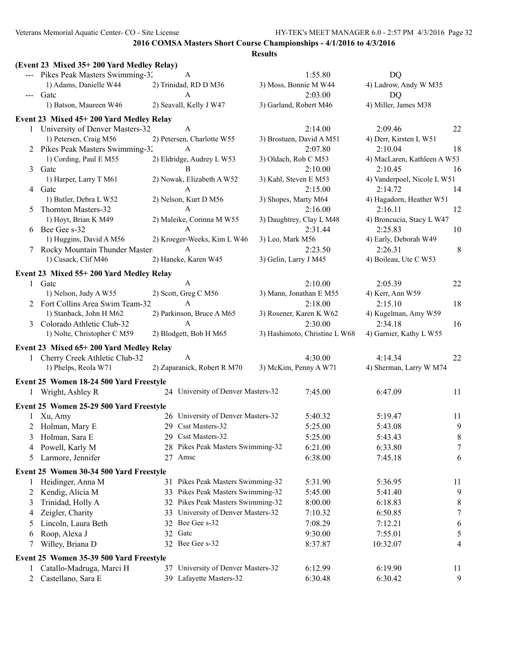|   | (Event 23 Mixed 35+200 Yard Medley Relay) |                                    |                  |                               |                             |        |
|---|-------------------------------------------|------------------------------------|------------------|-------------------------------|-----------------------------|--------|
|   | --- Pikes Peak Masters Swimming-32        | A                                  |                  | 1:55.80                       | DQ                          |        |
|   | 1) Adams, Danielle W44                    | 2) Trinidad, RD D M36              |                  | 3) Moss, Bonnie M W44         | 4) Ladrow, Andy W M35       |        |
|   | --- Gatc                                  | $\mathbf{A}$                       |                  | 2:03.00                       | DQ                          |        |
|   | 1) Batson, Maureen W46                    | 2) Seavall, Kelly J W47            |                  | 3) Garland, Robert M46        | 4) Miller, James M38        |        |
|   | Event 23 Mixed 45+200 Yard Medley Relay   |                                    |                  |                               |                             |        |
|   | 1 University of Denver Masters-32         | A                                  |                  | 2:14.00                       | 2:09.46                     | 22     |
|   | 1) Petersen, Craig M56                    | 2) Petersen, Charlotte W55         |                  | 3) Brostuen, David A M51      | 4) Derr, Kirsten L W51      |        |
|   | 2 Pikes Peak Masters Swimming-32          | A                                  |                  | 2:07.80                       | 2:10.04                     | 18     |
|   | 1) Cording, Paul E M55                    | 2) Eldridge, Audrey L W53          |                  | 3) Oldach, Rob C M53          | 4) MacLaren, Kathleen A W53 |        |
|   | 3 Gate                                    | B                                  |                  | 2:10.00                       | 2:10.45                     | 16     |
|   | 1) Harper, Larry T M61                    | 2) Nowak, Elizabeth A W52          |                  | 3) Kahl, Steven E M53         | 4) Vanderpoel, Nicole L W51 |        |
|   | 4 Gatc                                    | A                                  |                  | 2:15.00                       | 2:14.72                     | 14     |
|   | 1) Butler, Debra L W52                    | 2) Nelson, Kurt D M56              |                  | 3) Shopes, Marty M64          | 4) Hagadorn, Heather W51    |        |
| 5 | Thornton Masters-32                       | $\mathbf{A}$                       |                  | 2:16.00                       | 2:16.11                     | 12     |
|   | 1) Hoyt, Brian K M49                      | 2) Maleike, Corinna M W55          |                  | 3) Daughtrey, Clay L M48      | 4) Broncucia, Stacy L W47   |        |
|   | 6 Bee Gee s-32                            | $\mathbf{A}$                       |                  | 2:31.44                       | 2:25.83                     | 10     |
|   | 1) Huggins, David A M56                   | 2) Kroeger-Weeks, Kim L W46        | 3) Leo, Mark M56 |                               | 4) Early, Deborah W49       |        |
|   | 7 Rocky Mountain Thunder Master           | A                                  |                  | 2:23.50                       | 2:26.31                     | 8      |
|   | 1) Cusack, Clif M46                       | 2) Haneke, Karen W45               |                  | 3) Gelin, Larry J M45         | 4) Boileau, Ute C W53       |        |
|   | Event 23 Mixed 55+200 Yard Medley Relay   |                                    |                  |                               |                             |        |
|   | 1 Gatc                                    | A                                  |                  | 2:10.00                       | 2:05.39                     | 22     |
|   | 1) Nelson, Judy A W55                     | 2) Scott, Greg C M56               |                  | 3) Mann, Jonathan E M55       | 4) Kerr, Ann W59            |        |
|   | 2 Fort Collins Area Swim Team-32          | $\mathbf{A}$                       |                  | 2:18.00                       | 2:15.10                     | 18     |
|   | 1) Stanback, John H M62                   | 2) Parkinson, Bruce A M65          |                  | 3) Rosener, Karen K W62       | 4) Kugelman, Amy W59        |        |
| 3 | Colorado Athletic Club-32                 | A                                  |                  | 2:30.00                       | 2:34.18                     | 16     |
|   | 1) Nolte, Christopher C M59               | 2) Blodgett, Bob H M65             |                  | 3) Hashimoto, Christine L W68 | 4) Garnier, Kathy L W55     |        |
|   | Event 23 Mixed 65+200 Yard Medley Relay   |                                    |                  |                               |                             |        |
|   | 1 Cherry Creek Athletic Club-32           | A                                  |                  | 4:30.00                       | 4:14.34                     | 22     |
|   | 1) Phelps, Reola W71                      | 2) Zaparanick, Robert R M70        |                  | 3) McKim, Penny A W71         | 4) Sherman, Larry W M74     |        |
|   | Event 25 Women 18-24 500 Yard Freestyle   |                                    |                  |                               |                             |        |
|   | 1 Wright, Ashley R                        | 24 University of Denver Masters-32 |                  | 7:45.00                       | 6:47.09                     | 11     |
|   |                                           |                                    |                  |                               |                             |        |
|   | Event 25 Women 25-29 500 Yard Freestyle   | 26 University of Denver Masters-32 |                  | 5:40.32                       | 5:19.47                     | 11     |
|   | 1 Xu, Amy<br>2 Holman, Mary E             | 29 Csst Masters-32                 |                  | 5:25.00                       | 5:43.08                     | 9      |
|   | 3 Holman, Sara E                          | 29 Csst Masters-32                 |                  | 5:25.00                       | 5:43.43                     | $8\,$  |
|   |                                           | 28 Pikes Peak Masters Swimming-32  |                  |                               | 6:33.80                     |        |
| 4 | Powell, Karly M<br>Larmore, Jennifer      | 27 Amsc                            |                  | 6:21.00<br>6:38.00            | 7:45.18                     | 7<br>6 |
| 5 |                                           |                                    |                  |                               |                             |        |
|   | Event 25 Women 30-34 500 Yard Freestyle   |                                    |                  |                               |                             |        |
| 1 | Heidinger, Anna M                         | 31 Pikes Peak Masters Swimming-32  |                  | 5:31.90                       | 5:36.95                     | 11     |
| 2 | Kendig, Alicia M                          | 33 Pikes Peak Masters Swimming-32  |                  | 5:45.00                       | 5:41.40                     | 9      |
| 3 | Trinidad, Holly A                         | 32 Pikes Peak Masters Swimming-32  |                  | 8:00.00                       | 6:18.83                     | 8      |
| 4 | Zeigler, Charity                          | 33 University of Denver Masters-32 |                  | 7:10.32                       | 6:50.85                     | $\tau$ |
| 5 | Lincoln, Laura Beth                       | 32 Bee Gee s-32                    |                  | 7:08.29                       | 7:12.21                     | 6      |
| 6 | Roop, Alexa J                             | 32 Gate                            |                  | 9:30.00                       | 7:55.01                     | 5      |
| 7 | Willey, Briana D                          | 32 Bee Gee s-32                    |                  | 8:37.87                       | 10:32.07                    | 4      |
|   | Event 25 Women 35-39 500 Yard Freestyle   |                                    |                  |                               |                             |        |
| 1 | Catallo-Madruga, Marci H                  | 37 University of Denver Masters-32 |                  | 6:12.99                       | 6:19.90                     | 11     |
|   | 2 Castellano, Sara E                      | 39 Lafayette Masters-32            |                  | 6:30.48                       | 6:30.42                     | 9      |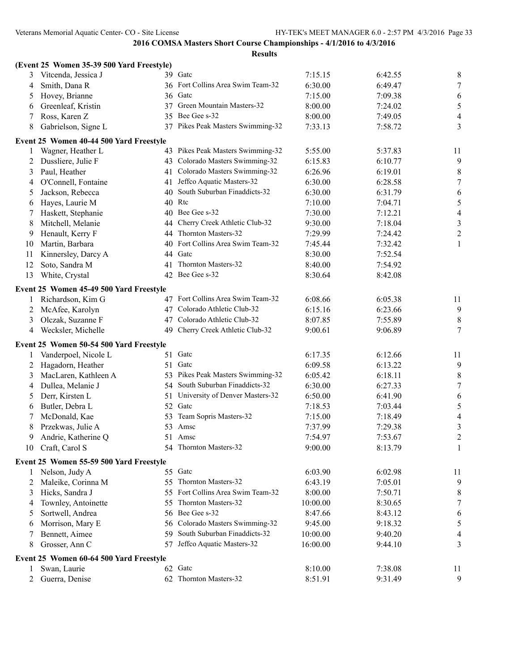|    | (Event 25 Women 35-39 500 Yard Freestyle) |                                   |          |         |                  |
|----|-------------------------------------------|-----------------------------------|----------|---------|------------------|
| 3  | Vitcenda, Jessica J                       | 39 Gate                           | 7:15.15  | 6:42.55 | 8                |
| 4  | Smith, Dana R                             | 36 Fort Collins Area Swim Team-32 | 6:30.00  | 6:49.47 | $\tau$           |
| 5  | Hovey, Brianne<br>36                      | Gatc                              | 7:15.00  | 7:09.38 | 6                |
| 6  | Greenleaf, Kristin<br>37                  | Green Mountain Masters-32         | 8:00.00  | 7:24.02 | 5                |
| 7  | Ross, Karen Z<br>35                       | Bee Gee s-32                      | 8:00.00  | 7:49.05 | $\overline{4}$   |
| 8  | Gabrielson, Signe L<br>37                 | Pikes Peak Masters Swimming-32    | 7:33.13  | 7:58.72 | 3                |
|    | Event 25 Women 40-44 500 Yard Freestyle   |                                   |          |         |                  |
| 1  | Wagner, Heather L                         | 43 Pikes Peak Masters Swimming-32 | 5:55.00  | 5:37.83 | 11               |
| 2  | Dussliere, Julie F<br>43                  | Colorado Masters Swimming-32      | 6:15.83  | 6:10.77 | 9                |
| 3  | Paul, Heather<br>41                       | Colorado Masters Swimming-32      | 6:26.96  | 6:19.01 | $8\,$            |
| 4  | O'Connell, Fontaine<br>41                 | Jeffco Aquatic Masters-32         | 6:30.00  | 6:28.58 | $\boldsymbol{7}$ |
| 5  | Jackson, Rebecca<br>40                    | South Suburban Finaddicts-32      | 6:30.00  | 6:31.79 | 6                |
| 6  | Hayes, Laurie M                           | 40 Rtc                            | 7:10.00  | 7:04.71 | $\sqrt{5}$       |
| 7  | Haskett, Stephanie<br>40                  | Bee Gee s-32                      | 7:30.00  | 7:12.21 | $\overline{4}$   |
| 8  | Mitchell, Melanie<br>44                   | Cherry Creek Athletic Club-32     | 9:30.00  | 7:18.04 | $\mathfrak{Z}$   |
| 9  | Henault, Kerry F<br>44                    | Thornton Masters-32               | 7:29.99  | 7:24.42 | $\overline{2}$   |
| 10 | Martin, Barbara<br>40                     | Fort Collins Area Swim Team-32    | 7:45.44  | 7:32.42 | $\mathbf{1}$     |
| 11 | Kinnersley, Darcy A<br>44                 | Gatc                              | 8:30.00  | 7:52.54 |                  |
| 12 | Soto, Sandra M<br>41                      | Thornton Masters-32               | 8:40.00  | 7:54.92 |                  |
| 13 | White, Crystal                            | 42 Bee Gee s-32                   | 8:30.64  | 8:42.08 |                  |
|    | Event 25 Women 45-49 500 Yard Freestyle   |                                   |          |         |                  |
| 1  | Richardson, Kim G                         | 47 Fort Collins Area Swim Team-32 | 6:08.66  | 6:05.38 | 11               |
| 2  | McAfee, Karolyn<br>47                     | Colorado Athletic Club-32         | 6:15.16  | 6:23.66 | $\overline{9}$   |
| 3  | Olczak, Suzanne F<br>47                   | Colorado Athletic Club-32         | 8:07.85  | 7:55.89 | $\,8\,$          |
| 4  | Wecksler, Michelle                        | 49 Cherry Creek Athletic Club-32  | 9:00.61  | 9:06.89 | $\tau$           |
|    | Event 25 Women 50-54 500 Yard Freestyle   |                                   |          |         |                  |
| 1  | Vanderpoel, Nicole L                      | 51 Gate                           | 6:17.35  | 6:12.66 | 11               |
| 2  | Hagadorn, Heather<br>51                   | Gatc                              | 6:09.58  | 6:13.22 | 9                |
| 3  | MacLaren, Kathleen A<br>53                | Pikes Peak Masters Swimming-32    | 6:05.42  | 6:18.11 | $\,8\,$          |
| 4  | Dullea, Melanie J<br>54                   | South Suburban Finaddicts-32      | 6:30.00  | 6:27.33 | $\boldsymbol{7}$ |
| 5  | Derr, Kirsten L<br>51                     | University of Denver Masters-32   | 6:50.00  | 6:41.90 | $\sqrt{6}$       |
| 6  | Butler, Debra L<br>52                     | Gatc                              | 7:18.53  | 7:03.44 | 5                |
| 7  | McDonald, Kae<br>53                       | Team Sopris Masters-32            | 7:15.00  | 7:18.49 | $\overline{4}$   |
| 8  | Przekwas, Julie A<br>53                   | Amsc                              | 7:37.99  | 7:29.38 | 3                |
| 9  | Andrie, Katherine O                       | 51 Amsc                           | 7:54.97  | 7:53.67 | $\overline{2}$   |
|    | 10 Craft, Carol S                         | 54 Thornton Masters-32            | 9:00.00  | 8:13.79 | 1                |
|    | Event 25 Women 55-59 500 Yard Freestyle   |                                   |          |         |                  |
| 1  | Nelson, Judy A                            | 55 Gate                           | 6:03.90  | 6:02.98 | 11               |
| 2  | Maleike, Corinna M<br>55                  | Thornton Masters-32               | 6:43.19  | 7:05.01 | 9                |
| 3  | Hicks, Sandra J<br>55                     | Fort Collins Area Swim Team-32    | 8:00.00  | 7:50.71 | 8                |
| 4  | Townley, Antoinette<br>55                 | Thornton Masters-32               | 10:00.00 | 8:30.65 | $\tau$           |
| 5  | Sortwell, Andrea<br>56                    | Bee Gee s-32                      | 8:47.66  | 8:43.12 | 6                |
| 6  | Morrison, Mary E<br>56                    | Colorado Masters Swimming-32      | 9:45.00  | 9:18.32 | 5                |
| 7  | Bennett, Aimee<br>59                      | South Suburban Finaddicts-32      | 10:00.00 | 9:40.20 | 4                |
| 8  | Grosser, Ann C                            | 57 Jeffco Aquatic Masters-32      | 16:00.00 | 9:44.10 | 3                |
|    | Event 25 Women 60-64 500 Yard Freestyle   |                                   |          |         |                  |
|    | Swan, Laurie                              | 62 Gatc                           | 8:10.00  | 7:38.08 | 11               |
| 2  | Guerra, Denise                            | 62 Thornton Masters-32            | 8:51.91  | 9:31.49 | 9                |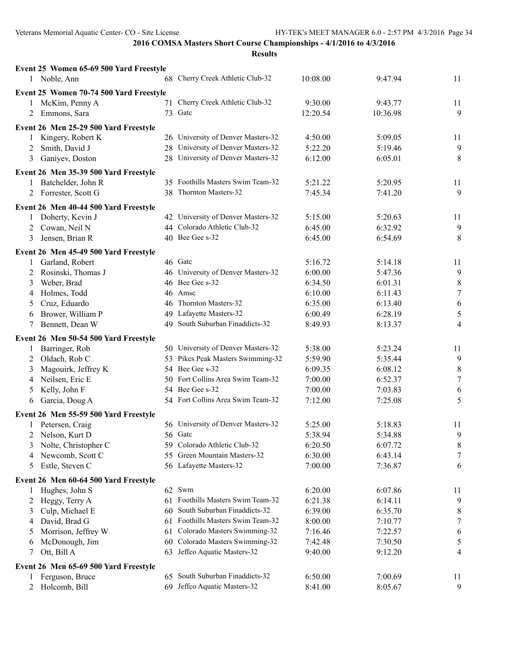| Event 25 Women 65-69 500 Yard Freestyle                      |     |                                                       |                    |          |                              |
|--------------------------------------------------------------|-----|-------------------------------------------------------|--------------------|----------|------------------------------|
| 1 Noble, Ann                                                 |     | 68 Cherry Creek Athletic Club-32                      | 10:08.00           | 9:47.94  | 11                           |
| Event 25 Women 70-74 500 Yard Freestyle                      |     |                                                       |                    |          |                              |
| 1 McKim, Penny A                                             |     | 71 Cherry Creek Athletic Club-32                      | 9:30.00            | 9:43.77  | 11                           |
| 2 Emmons, Sara                                               |     | 73 Gate                                               | 12:20.54           | 10:36.98 | 9                            |
|                                                              |     |                                                       |                    |          |                              |
| Event 26 Men 25-29 500 Yard Freestyle                        |     |                                                       |                    |          |                              |
| Kingery, Robert K<br>$\mathbf{1}$                            |     | 26 University of Denver Masters-32                    | 4:50.00            | 5:09.05  | 11                           |
| Smith, David J<br>2                                          |     | 28 University of Denver Masters-32                    | 5:22.20            | 5:19.46  | 9                            |
| Ganiyev, Doston<br>3                                         |     | 28 University of Denver Masters-32                    | 6:12.00            | 6:05.01  | $\,8\,$                      |
| Event 26 Men 35-39 500 Yard Freestyle                        |     |                                                       |                    |          |                              |
| 1 Batchelder, John R                                         |     | 35 Foothills Masters Swim Team-32                     | 5:21.22            | 5:20.95  | 11                           |
| 2 Forrester, Scott G                                         |     | 38 Thornton Masters-32                                | 7:45.34            | 7:41.20  | 9                            |
| Event 26 Men 40-44 500 Yard Freestyle                        |     |                                                       |                    |          |                              |
| Doherty, Kevin J<br>1                                        |     | 42 University of Denver Masters-32                    | 5:15.00            | 5:20.63  | 11                           |
| Cowan, Neil N<br>$\overline{2}$                              |     | 44 Colorado Athletic Club-32                          | 6:45.00            | 6:32.92  | $\overline{9}$               |
| Jensen, Brian R<br>3                                         |     | 40 Bee Gee s-32                                       | 6:45.00            | 6:54.69  | $\,8\,$                      |
|                                                              |     |                                                       |                    |          |                              |
| Event 26 Men 45-49 500 Yard Freestyle                        |     | 46 Gatc                                               |                    | 5:14.18  |                              |
| 1 Garland, Robert                                            |     |                                                       | 5:16.72            |          | 11                           |
| Rosinski, Thomas J<br>2                                      |     | 46 University of Denver Masters-32<br>46 Bee Gee s-32 | 6:00.00            | 5:47.36  | 9                            |
| Weber, Brad<br>3                                             |     | 46 Amsc                                               | 6:34.50            | 6:01.31  | $\,8\,$<br>$\boldsymbol{7}$  |
| Holmes, Todd<br>4                                            |     | 46 Thornton Masters-32                                | 6:10.00<br>6:35.00 | 6:11.43  |                              |
| Cruz, Eduardo<br>5                                           |     | 49 Lafayette Masters-32                               |                    | 6:13.40  | $\sqrt{6}$                   |
| Brower, William P<br>6                                       |     | 49 South Suburban Finaddicts-32                       | 6:00.49            | 6:28.19  | $\sqrt{5}$<br>$\overline{4}$ |
| Bennett, Dean W<br>7                                         |     |                                                       | 8:49.93            | 8:13.37  |                              |
| Event 26 Men 50-54 500 Yard Freestyle                        |     |                                                       |                    |          |                              |
| 1 Barringer, Rob                                             |     | 50 University of Denver Masters-32                    | 5:38.00            | 5:23.24  | 11                           |
| 2 Oldach, Rob C                                              |     | 53 Pikes Peak Masters Swimming-32                     | 5:59.90            | 5:35.44  | 9                            |
| Magouirk, Jeffrey K<br>3                                     |     | 54 Bee Gee s-32                                       | 6:09.35            | 6:08.12  | $\,8\,$                      |
| Neilsen, Eric E<br>4                                         |     | 50 Fort Collins Area Swim Team-32                     | 7:00.00            | 6:52.37  | $\boldsymbol{7}$             |
| Kelly, John F<br>5                                           |     | 54 Bee Gee s-32                                       | 7:00.00            | 7:03.83  | 6                            |
| Garcia, Doug A<br>6                                          |     | 54 Fort Collins Area Swim Team-32                     | 7:12.00            | 7:25.08  | 5                            |
| Event 26 Men 55-59 500 Yard Freestyle                        |     |                                                       |                    |          |                              |
| 1 Petersen, Craig                                            |     | 56 University of Denver Masters-32                    | 5:25.00            | 5:18.83  | 11                           |
| 2 Nelson, Kurt D                                             |     | 56 Gatc                                               | 5:38.94            | 5:34.88  | 9                            |
| 3 Nolte, Christopher C                                       |     | 59 Colorado Athletic Club-32                          | 6:20.50            | 6:07.72  | $\,8\,$                      |
| Newcomb, Scott C<br>4                                        |     | 55 Green Mountain Masters-32                          | 6:30.00            | 6:43.14  | 7                            |
| Estle, Steven C<br>5                                         |     | 56 Lafayette Masters-32                               | 7:00.00            | 7:36.87  | 6                            |
|                                                              |     |                                                       |                    |          |                              |
| Event 26 Men 60-64 500 Yard Freestyle<br>Hughes, John S<br>1 |     | 62 Swm                                                | 6:20.00            | 6:07.86  |                              |
|                                                              |     | 61 Foothills Masters Swim Team-32                     | 6:21.38            | 6:14.11  | 11                           |
| Heggy, Terry A<br>2<br>Culp, Michael E                       | 60  | South Suburban Finaddicts-32                          | 6:39.00            | 6:35.70  | 9                            |
| 3<br>David, Brad G                                           | 61. | Foothills Masters Swim Team-32                        | 8:00.00            |          | 8                            |
| 4                                                            |     | 61 Colorado Masters Swimming-32                       |                    | 7:10.77  | 7                            |
| Morrison, Jeffrey W<br>$\mathcal{L}$                         |     | 60 Colorado Masters Swimming-32                       | 7:16.46            | 7:22.57  | 6                            |
| McDonough, Jim<br>6<br>Ott, Bill A                           |     | Jeffco Aquatic Masters-32                             | 7:42.48            | 7:30.50  | 5                            |
| 7                                                            | 63  |                                                       | 9:40.00            | 9:12.20  | 4                            |
| Event 26 Men 65-69 500 Yard Freestyle                        |     |                                                       |                    |          |                              |
| Ferguson, Bruce<br>1                                         |     | 65 South Suburban Finaddicts-32                       | 6:50.00            | 7:00.69  | 11                           |
| Holcomb, Bill<br>$\overline{2}$                              |     | 69 Jeffco Aquatic Masters-32                          | 8:41.00            | 8:05.67  | 9                            |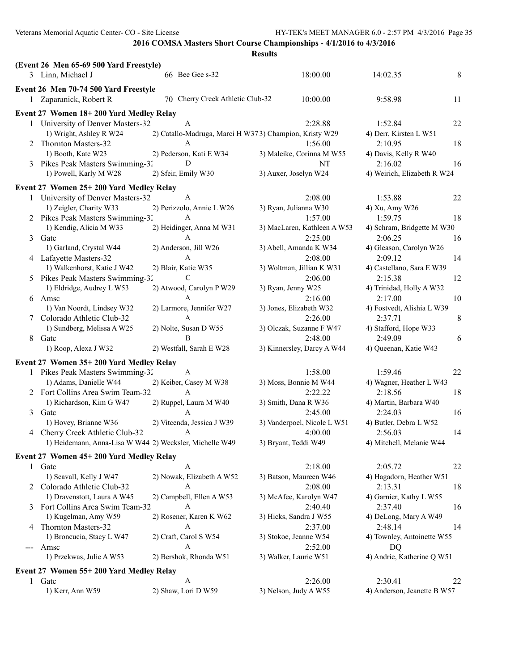|               | (Event 26 Men 65-69 500 Yard Freestyle)                    |                                                        |                             |                             |    |
|---------------|------------------------------------------------------------|--------------------------------------------------------|-----------------------------|-----------------------------|----|
|               | 3 Linn, Michael J                                          | 66 Bee Gee s-32                                        | 18:00.00                    | 14:02.35                    | 8  |
|               | Event 26 Men 70-74 500 Yard Freestyle                      |                                                        |                             |                             |    |
|               | 1 Zaparanick, Robert R                                     | 70 Cherry Creek Athletic Club-32                       | 10:00.00                    | 9:58.98                     | 11 |
|               |                                                            |                                                        |                             |                             |    |
|               | Event 27 Women 18+200 Yard Medley Relay                    |                                                        |                             |                             |    |
|               | 1 University of Denver Masters-32                          | A                                                      | 2:28.88                     | 1:52.84                     | 22 |
|               | 1) Wright, Ashley R W24                                    | 2) Catallo-Madruga, Marci H W373) Champion, Kristy W29 |                             | 4) Derr, Kirsten L W51      |    |
|               | 2 Thornton Masters-32                                      | A                                                      | 1:56.00                     | 2:10.95                     | 18 |
|               | 1) Booth, Kate W23                                         | 2) Pederson, Kati E W34<br>D                           | 3) Maleike, Corinna M W55   | 4) Davis, Kelly R W40       |    |
|               | 3 Pikes Peak Masters Swimming-32<br>1) Powell, Karly M W28 |                                                        | <b>NT</b>                   | 2:16.02                     | 16 |
|               |                                                            | 2) Sfeir, Emily W30                                    | 3) Auxer, Joselyn W24       | 4) Weirich, Elizabeth R W24 |    |
|               | Event 27 Women 25+200 Yard Medley Relay                    |                                                        |                             |                             |    |
|               | 1 University of Denver Masters-32                          | A                                                      | 2:08.00                     | 1:53.88                     | 22 |
|               | 1) Zeigler, Charity W33                                    | 2) Perizzolo, Annie L W26                              | 3) Ryan, Julianna W30       | 4) Xu, Amy W26              |    |
|               | 2 Pikes Peak Masters Swimming-32                           | A                                                      | 1:57.00                     | 1:59.75                     | 18 |
|               | 1) Kendig, Alicia M W33                                    | 2) Heidinger, Anna M W31                               | 3) MacLaren, Kathleen A W53 | 4) Schram, Bridgette M W30  |    |
|               | 3 Gate                                                     | A                                                      | 2:25.00                     | 2:06.25                     | 16 |
|               | 1) Garland, Crystal W44                                    | 2) Anderson, Jill W26                                  | 3) Abell, Amanda K W34      | 4) Gleason, Carolyn W26     |    |
|               | 4 Lafayette Masters-32                                     | A                                                      | 2:08.00                     | 2:09.12                     | 14 |
|               | 1) Walkenhorst, Katie J W42                                | 2) Blair, Katie W35                                    | 3) Woltman, Jillian K W31   | 4) Castellano, Sara E W39   |    |
|               | 5 Pikes Peak Masters Swimming-32                           | C                                                      | 2:06.00                     | 2:15.38                     | 12 |
|               | 1) Eldridge, Audrey L W53                                  | 2) Atwood, Carolyn P W29                               | 3) Ryan, Jenny W25          | 4) Trinidad, Holly A W32    |    |
|               | 6 Amsc                                                     | A                                                      | 2:16.00                     | 2:17.00                     | 10 |
|               | 1) Van Noordt, Lindsey W32                                 | 2) Larmore, Jennifer W27                               | 3) Jones, Elizabeth W32     | 4) Fostvedt, Alishia L W39  |    |
|               | Colorado Athletic Club-32                                  | A                                                      | 2:26.00                     | 2:37.71                     | 8  |
|               | 1) Sundberg, Melissa A W25                                 | 2) Nolte, Susan D W55                                  | 3) Olczak, Suzanne F W47    | 4) Stafford, Hope W33       |    |
| 8             | Gatc                                                       | B                                                      | 2:48.00                     | 2:49.09                     | 6  |
|               | 1) Roop, Alexa J W32                                       | 2) Westfall, Sarah E W28                               | 3) Kinnersley, Darcy A W44  | 4) Queenan, Katie W43       |    |
|               | Event 27 Women 35+ 200 Yard Medley Relay                   |                                                        |                             |                             |    |
|               | 1 Pikes Peak Masters Swimming-32                           | A                                                      | 1:58.00                     | 1:59.46                     | 22 |
|               | 1) Adams, Danielle W44                                     | 2) Keiber, Casey M W38                                 | 3) Moss, Bonnie M W44       | 4) Wagner, Heather L W43    |    |
|               | 2 Fort Collins Area Swim Team-32                           | A                                                      | 2:22.22                     | 2:18.56                     | 18 |
|               | 1) Richardson, Kim G W47                                   | 2) Ruppel, Laura M W40                                 | 3) Smith, Dana R W36        | 4) Martin, Barbara W40      |    |
|               | 3 Gate                                                     | A                                                      | 2:45.00                     | 2:24.03                     | 16 |
|               | 1) Hovey, Brianne W36                                      | 2) Vitcenda, Jessica J W39                             | 3) Vanderpoel, Nicole L W51 | 4) Butler, Debra L W52      |    |
|               | 4 Cherry Creek Athletic Club-32                            | A                                                      | 4:00.00                     | 2:56.03                     | 14 |
|               | 1) Heidemann, Anna-Lisa W W44 2) Wecksler, Michelle W49    |                                                        | 3) Bryant, Teddi W49        | 4) Mitchell, Melanie W44    |    |
|               | Event 27 Women 45+200 Yard Medley Relay                    |                                                        |                             |                             |    |
|               | 1 Gate                                                     | A                                                      | 2:18.00                     | 2:05.72                     | 22 |
|               | 1) Seavall, Kelly J W47                                    | 2) Nowak, Elizabeth A W52                              | 3) Batson, Maureen W46      | 4) Hagadorn, Heather W51    |    |
|               | 2 Colorado Athletic Club-32                                | A                                                      | 2:08.00                     | 2:13.31                     | 18 |
|               | 1) Dravenstott, Laura A W45                                | 2) Campbell, Ellen A W53                               | 3) McAfee, Karolyn W47      | 4) Garnier, Kathy L W55     |    |
|               | Fort Collins Area Swim Team-32                             | A                                                      | 2:40.40                     | 2:37.40                     | 16 |
|               | 1) Kugelman, Amy W59                                       | 2) Rosener, Karen K W62                                | 3) Hicks, Sandra J W55      | 4) DeLong, Mary A W49       |    |
| 4             | Thornton Masters-32                                        | А                                                      | 2:37.00                     | 2:48.14                     | 14 |
|               | 1) Broncucia, Stacy L W47                                  | 2) Craft, Carol S W54                                  | 3) Stokoe, Jeanne W54       | 4) Townley, Antoinette W55  |    |
| $\frac{1}{2}$ | Amsc                                                       | A                                                      | 2:52.00                     | DQ                          |    |
|               | 1) Przekwas, Julie A W53                                   | 2) Bershok, Rhonda W51                                 | 3) Walker, Laurie W51       | 4) Andrie, Katherine Q W51  |    |
|               | Event 27 Women 55+200 Yard Medley Relay                    |                                                        |                             |                             |    |
|               | 1 Gatc                                                     | A                                                      | 2:26.00                     | 2:30.41                     | 22 |
|               | 1) Kerr, Ann W59                                           | 2) Shaw, Lori D W59                                    | 3) Nelson, Judy A W55       | 4) Anderson, Jeanette B W57 |    |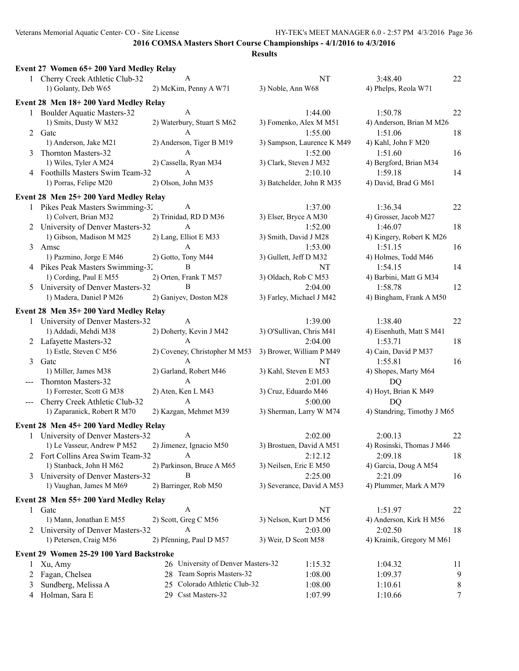|                                                                                                                                                                                                                                                                                                                                                                                                                                                                            | Event 27 Women 65+200 Yard Medley Relay  |                                    |                            |                             |           |
|----------------------------------------------------------------------------------------------------------------------------------------------------------------------------------------------------------------------------------------------------------------------------------------------------------------------------------------------------------------------------------------------------------------------------------------------------------------------------|------------------------------------------|------------------------------------|----------------------------|-----------------------------|-----------|
|                                                                                                                                                                                                                                                                                                                                                                                                                                                                            | 1 Cherry Creek Athletic Club-32          | A                                  | NT                         | 3:48.40                     | 22        |
|                                                                                                                                                                                                                                                                                                                                                                                                                                                                            | 1) Golanty, Deb W65                      | 2) McKim, Penny A W71              | 3) Noble, Ann W68          | 4) Phelps, Reola W71        |           |
|                                                                                                                                                                                                                                                                                                                                                                                                                                                                            | Event 28 Men 18+200 Yard Medley Relay    |                                    |                            |                             |           |
|                                                                                                                                                                                                                                                                                                                                                                                                                                                                            | 1 Boulder Aquatic Masters-32             | A                                  | 1:44.00                    | 1:50.78                     | 22        |
|                                                                                                                                                                                                                                                                                                                                                                                                                                                                            | 1) Smits, Dusty W M32                    | 2) Waterbury, Stuart S M62         | 3) Fomenko, Alex M M51     | 4) Anderson, Brian M M26    |           |
|                                                                                                                                                                                                                                                                                                                                                                                                                                                                            | 2 Gate                                   | A                                  | 1:55.00                    | 1:51.06                     | 18        |
|                                                                                                                                                                                                                                                                                                                                                                                                                                                                            | 1) Anderson, Jake M21                    | 2) Anderson, Tiger B M19           | 3) Sampson, Laurence K M49 | 4) Kahl, John F M20         |           |
|                                                                                                                                                                                                                                                                                                                                                                                                                                                                            | Thornton Masters-32                      | A                                  | 1:52.00                    | 1:51.60                     | 16        |
|                                                                                                                                                                                                                                                                                                                                                                                                                                                                            | 1) Wiles, Tyler A M24                    | 2) Cassella, Ryan M34              | 3) Clark, Steven J M32     | 4) Bergford, Brian M34      |           |
|                                                                                                                                                                                                                                                                                                                                                                                                                                                                            | 4 Foothills Masters Swim Team-32         | $\mathsf{A}$                       | 2:10.10                    | 1:59.18                     | 14        |
|                                                                                                                                                                                                                                                                                                                                                                                                                                                                            | 1) Porras, Felipe M20                    | 2) Olson, John M35                 | 3) Batchelder, John R M35  | 4) David, Brad G M61        |           |
|                                                                                                                                                                                                                                                                                                                                                                                                                                                                            | Event 28 Men 25+200 Yard Medley Relay    |                                    |                            |                             |           |
|                                                                                                                                                                                                                                                                                                                                                                                                                                                                            | 1 Pikes Peak Masters Swimming-32         | A                                  | 1:37.00                    | 1:36.34                     | 22        |
|                                                                                                                                                                                                                                                                                                                                                                                                                                                                            | 1) Colvert, Brian M32                    | 2) Trinidad, RD D M36              | 3) Elser, Bryce A M30      | 4) Grosser, Jacob M27       |           |
|                                                                                                                                                                                                                                                                                                                                                                                                                                                                            | 2 University of Denver Masters-32        | $\mathbf{A}$                       | 1:52.00                    | 1:46.07                     | 18        |
|                                                                                                                                                                                                                                                                                                                                                                                                                                                                            | 1) Gibson, Madison M M25                 | 2) Lang, Elliot E M33              | 3) Smith, David J M28      | 4) Kingery, Robert K M26    |           |
|                                                                                                                                                                                                                                                                                                                                                                                                                                                                            | 3 Amsc                                   | A                                  | 1:53.00                    | 1:51.15                     | 16        |
|                                                                                                                                                                                                                                                                                                                                                                                                                                                                            | 1) Pazmino, Jorge E M46                  | 2) Gotto, Tony M44                 | 3) Gullett, Jeff D M32     | 4) Holmes, Todd M46         |           |
|                                                                                                                                                                                                                                                                                                                                                                                                                                                                            | 4 Pikes Peak Masters Swimming-32         | B                                  | NT                         | 1:54.15                     | 14        |
|                                                                                                                                                                                                                                                                                                                                                                                                                                                                            | 1) Cording, Paul E M55                   | 2) Orten, Frank T M57              | 3) Oldach, Rob C M53       | 4) Barbini, Matt G M34      |           |
|                                                                                                                                                                                                                                                                                                                                                                                                                                                                            | 5 University of Denver Masters-32        | B                                  | 2:04.00                    | 1:58.78                     | 12        |
|                                                                                                                                                                                                                                                                                                                                                                                                                                                                            | 1) Madera, Daniel P M26                  | 2) Ganiyev, Doston M28             | 3) Farley, Michael J M42   | 4) Bingham, Frank A M50     |           |
|                                                                                                                                                                                                                                                                                                                                                                                                                                                                            |                                          |                                    |                            |                             |           |
|                                                                                                                                                                                                                                                                                                                                                                                                                                                                            | Event 28 Men 35+200 Yard Medley Relay    |                                    |                            |                             |           |
|                                                                                                                                                                                                                                                                                                                                                                                                                                                                            | 1 University of Denver Masters-32        | A                                  | 1:39.00                    | 1:38.40                     | 22        |
|                                                                                                                                                                                                                                                                                                                                                                                                                                                                            | 1) Addadi, Mehdi M38                     | 2) Doherty, Kevin J M42            | 3) O'Sullivan, Chris M41   | 4) Eisenhuth, Matt S M41    |           |
|                                                                                                                                                                                                                                                                                                                                                                                                                                                                            | 2 Lafayette Masters-32                   | A                                  | 2:04.00                    | 1:53.71                     | 18        |
|                                                                                                                                                                                                                                                                                                                                                                                                                                                                            | 1) Estle, Steven C M56                   | 2) Coveney, Christopher M M53      | 3) Brower, William P M49   | 4) Cain, David P M37        |           |
|                                                                                                                                                                                                                                                                                                                                                                                                                                                                            | 3 Gate                                   | A                                  | NT                         | 1:55.81                     | 16        |
|                                                                                                                                                                                                                                                                                                                                                                                                                                                                            | 1) Miller, James M38                     | 2) Garland, Robert M46             | 3) Kahl, Steven E M53      | 4) Shopes, Marty M64        |           |
|                                                                                                                                                                                                                                                                                                                                                                                                                                                                            | Thornton Masters-32                      | A                                  | 2:01.00                    | <b>DQ</b>                   |           |
|                                                                                                                                                                                                                                                                                                                                                                                                                                                                            | 1) Forrester, Scott G M38                | 2) Aten, Ken L M43                 | 3) Cruz, Eduardo M46       | 4) Hoyt, Brian K M49        |           |
| $\frac{1}{2} \left( \frac{1}{2} \right) \left( \frac{1}{2} \right) \left( \frac{1}{2} \right) \left( \frac{1}{2} \right) \left( \frac{1}{2} \right) \left( \frac{1}{2} \right) \left( \frac{1}{2} \right) \left( \frac{1}{2} \right) \left( \frac{1}{2} \right) \left( \frac{1}{2} \right) \left( \frac{1}{2} \right) \left( \frac{1}{2} \right) \left( \frac{1}{2} \right) \left( \frac{1}{2} \right) \left( \frac{1}{2} \right) \left( \frac{1}{2} \right) \left( \frac$ | Cherry Creek Athletic Club-32            | A                                  | 5:00.00                    | DQ                          |           |
|                                                                                                                                                                                                                                                                                                                                                                                                                                                                            | 1) Zaparanick, Robert R M70              | 2) Kazgan, Mehmet M39              | 3) Sherman, Larry W M74    | 4) Standring, Timothy J M65 |           |
|                                                                                                                                                                                                                                                                                                                                                                                                                                                                            | Event 28 Men 45+200 Yard Medley Relay    |                                    |                            |                             |           |
|                                                                                                                                                                                                                                                                                                                                                                                                                                                                            | 1 University of Denver Masters-32        | A                                  | 2:02.00                    | 2:00.13                     | 22        |
|                                                                                                                                                                                                                                                                                                                                                                                                                                                                            | 1) Le Vasseur, Andrew P M52              | 2) Jimenez, Ignacio M50            | 3) Brostuen, David A M51   | 4) Rosinski, Thomas J M46   |           |
|                                                                                                                                                                                                                                                                                                                                                                                                                                                                            | 2 Fort Collins Area Swim Team-32         | A                                  | 2:12.12                    | 2:09.18                     | 18        |
|                                                                                                                                                                                                                                                                                                                                                                                                                                                                            | 1) Stanback, John H M62                  | 2) Parkinson, Bruce A M65          | 3) Neilsen, Eric E M50     | 4) Garcia, Doug A M54       |           |
|                                                                                                                                                                                                                                                                                                                                                                                                                                                                            | 3 University of Denver Masters-32        | B                                  | 2:25.00                    | 2:21.09                     | 16        |
|                                                                                                                                                                                                                                                                                                                                                                                                                                                                            | 1) Vaughan, James M M69                  | 2) Barringer, Rob M50              | 3) Severance, David A M53  | 4) Plummer, Mark A M79      |           |
|                                                                                                                                                                                                                                                                                                                                                                                                                                                                            | Event 28 Men 55+200 Yard Medley Relay    |                                    |                            |                             |           |
|                                                                                                                                                                                                                                                                                                                                                                                                                                                                            | 1 Gate                                   | A                                  | NT                         | 1:51.97                     | 22        |
|                                                                                                                                                                                                                                                                                                                                                                                                                                                                            | 1) Mann, Jonathan E M55                  | 2) Scott, Greg C M56               | 3) Nelson, Kurt D M56      | 4) Anderson, Kirk H M56     |           |
|                                                                                                                                                                                                                                                                                                                                                                                                                                                                            | 2 University of Denver Masters-32        | A                                  | 2:03.00                    | 2:02.50                     | 18        |
|                                                                                                                                                                                                                                                                                                                                                                                                                                                                            | 1) Petersen, Craig M56                   | 2) Pfenning, Paul D M57            | 3) Weir, D Scott M58       | 4) Krainik, Gregory M M61   |           |
|                                                                                                                                                                                                                                                                                                                                                                                                                                                                            |                                          |                                    |                            |                             |           |
|                                                                                                                                                                                                                                                                                                                                                                                                                                                                            | Event 29 Women 25-29 100 Yard Backstroke |                                    |                            |                             |           |
| 1                                                                                                                                                                                                                                                                                                                                                                                                                                                                          | Xu, Amy                                  | 26 University of Denver Masters-32 | 1:15.32                    | 1:04.32                     | 11        |
| 2                                                                                                                                                                                                                                                                                                                                                                                                                                                                          | Fagan, Chelsea                           | 28 Team Sopris Masters-32          | 1:08.00                    | 1:09.37                     | 9         |
| 3                                                                                                                                                                                                                                                                                                                                                                                                                                                                          | Sundberg, Melissa A                      | 25 Colorado Athletic Club-32       | 1:08.00                    | 1:10.61                     | $\,$ $\,$ |
| 4                                                                                                                                                                                                                                                                                                                                                                                                                                                                          | Holman, Sara E                           | 29 Csst Masters-32                 | 1:07.99                    | 1:10.66                     | 7         |
|                                                                                                                                                                                                                                                                                                                                                                                                                                                                            |                                          |                                    |                            |                             |           |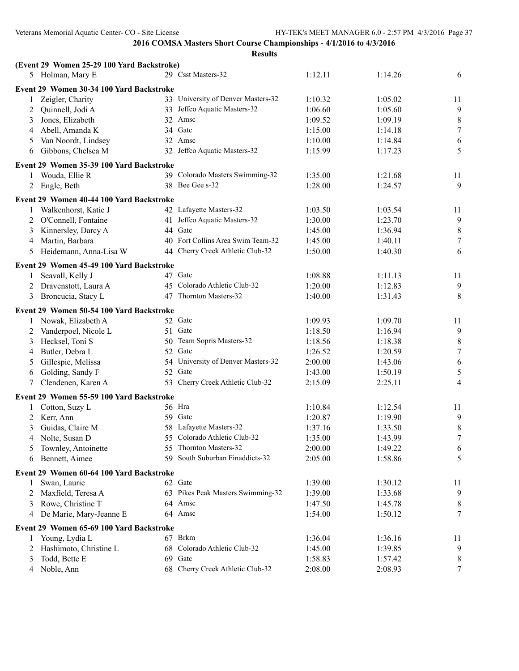|                | (Event 29 Women 25-29 100 Yard Backstroke) |     |                                    |         |         |                  |
|----------------|--------------------------------------------|-----|------------------------------------|---------|---------|------------------|
|                | 5 Holman, Mary E                           |     | 29 Csst Masters-32                 | 1:12.11 | 1:14.26 | 6                |
|                | Event 29 Women 30-34 100 Yard Backstroke   |     |                                    |         |         |                  |
| 1              | Zeigler, Charity                           |     | 33 University of Denver Masters-32 | 1:10.32 | 1:05.02 | 11               |
| 2              | Quinnell, Jodi A                           |     | 33 Jeffco Aquatic Masters-32       | 1:06.60 | 1:05.60 | $\overline{9}$   |
| 3              | Jones, Elizabeth                           |     | 32 Amsc                            | 1:09.52 | 1:09.19 | $\,8\,$          |
| 4              | Abell, Amanda K                            |     | 34 Gate                            | 1:15.00 | 1:14.18 | $\boldsymbol{7}$ |
| 5              | Van Noordt, Lindsey                        |     | 32 Amsc                            | 1:10.00 | 1:14.84 | 6                |
| 6              | Gibbons, Chelsea M                         |     | 32 Jeffco Aquatic Masters-32       | 1:15.99 | 1:17.23 | 5                |
|                | Event 29 Women 35-39 100 Yard Backstroke   |     |                                    |         |         |                  |
| $\mathbf{1}$   | Wouda, Ellie R                             |     | 39 Colorado Masters Swimming-32    | 1:35.00 | 1:21.68 | 11               |
| 2              | Engle, Beth                                |     | 38 Bee Gee s-32                    | 1:28.00 | 1:24.57 | 9                |
|                | Event 29 Women 40-44 100 Yard Backstroke   |     |                                    |         |         |                  |
|                | 1 Walkenhorst, Katie J                     |     | 42 Lafayette Masters-32            | 1:03.50 | 1:03.54 | 11               |
| 2              | O'Connell, Fontaine                        |     | 41 Jeffco Aquatic Masters-32       | 1:30.00 | 1:23.70 | $\overline{9}$   |
| 3              | Kinnersley, Darcy A                        |     | 44 Gatc                            | 1:45.00 | 1:36.94 | $\,8\,$          |
| 4              | Martin, Barbara                            |     | 40 Fort Collins Area Swim Team-32  | 1:45.00 | 1:40.11 | $\boldsymbol{7}$ |
| 5              | Heidemann, Anna-Lisa W                     |     | 44 Cherry Creek Athletic Club-32   | 1:50.00 | 1:40.30 | 6                |
|                |                                            |     |                                    |         |         |                  |
|                | Event 29 Women 45-49 100 Yard Backstroke   |     |                                    |         |         |                  |
| 1              | Seavall, Kelly J                           |     | 47 Gatc                            | 1:08.88 | 1:11.13 | 11               |
| 2              | Dravenstott, Laura A                       |     | 45 Colorado Athletic Club-32       | 1:20.00 | 1:12.83 | $\overline{9}$   |
| 3              | Broncucia, Stacy L                         |     | 47 Thornton Masters-32             | 1:40.00 | 1:31.43 | $\,8\,$          |
|                | Event 29 Women 50-54 100 Yard Backstroke   |     |                                    |         |         |                  |
|                | 1 Nowak, Elizabeth A                       |     | 52 Gate                            | 1:09.93 | 1:09.70 | 11               |
| 2              | Vanderpoel, Nicole L                       |     | 51 Gate                            | 1:18.50 | 1:16.94 | 9                |
| 3              | Hecksel, Toni S                            |     | 50 Team Sopris Masters-32          | 1:18.56 | 1:18.38 | $\,8\,$          |
| 4              | Butler, Debra L                            |     | 52 Gatc                            | 1:26.52 | 1:20.59 | $\boldsymbol{7}$ |
| 5              | Gillespie, Melissa                         |     | 54 University of Denver Masters-32 | 2:00.00 | 1:43.06 | $\sqrt{6}$       |
| 6              | Golding, Sandy F                           | 52  | Gatc                               | 1:43.00 | 1:50.19 | $\sqrt{5}$       |
| $\tau$         | Clendenen, Karen A                         |     | 53 Cherry Creek Athletic Club-32   | 2:15.09 | 2:25.11 | $\overline{4}$   |
|                | Event 29 Women 55-59 100 Yard Backstroke   |     |                                    |         |         |                  |
|                | Cotton, Suzy L                             |     | 56 Hra                             | 1:10.84 | 1:12.54 | 11               |
|                | 2 Kerr, Ann                                |     | 59 Gate                            | 1:20.87 | 1:19.90 | 9                |
| 3              | Guidas, Claire M                           |     | 58 Lafayette Masters-32            | 1:37.16 | 1:33.50 | $\,8\,$          |
| $\overline{4}$ | Nolte, Susan D                             |     | 55 Colorado Athletic Club-32       | 1:35.00 | 1:43.99 | $\tau$           |
| 5              | Townley, Antoinette                        |     | 55 Thornton Masters-32             | 2:00.00 | 1:49.22 | 6                |
| 6              | Bennett, Aimee                             | 59. | South Suburban Finaddicts-32       | 2:05.00 | 1:58.86 | 5                |
|                | Event 29 Women 60-64 100 Yard Backstroke   |     |                                    |         |         |                  |
| 1              | Swan, Laurie                               |     | 62 Gate                            | 1:39.00 | 1:30.12 | 11               |
| 2              | Maxfield, Teresa A                         |     | 63 Pikes Peak Masters Swimming-32  | 1:39.00 | 1:33.68 | 9                |
| 3              | Rowe, Christine T                          |     | 64 Amsc                            | 1:47.50 | 1:45.78 | 8                |
| 4              | De Marie, Mary-Jeanne E                    |     | 64 Amsc                            | 1:54.00 | 1:50.12 | 7                |
|                | Event 29 Women 65-69 100 Yard Backstroke   |     |                                    |         |         |                  |
| 1              | Young, Lydia L                             |     | 67 Brkm                            | 1:36.04 | 1:36.16 | 11               |
| 2              | Hashimoto, Christine L                     |     | 68 Colorado Athletic Club-32       | 1:45.00 | 1:39.85 | 9                |
| 3              | Todd, Bette E                              |     | 69 Gatc                            | 1:58.83 | 1:57.42 | 8                |
| $\overline{4}$ | Noble, Ann                                 |     | 68 Cherry Creek Athletic Club-32   | 2:08.00 | 2:08.93 | $\tau$           |
|                |                                            |     |                                    |         |         |                  |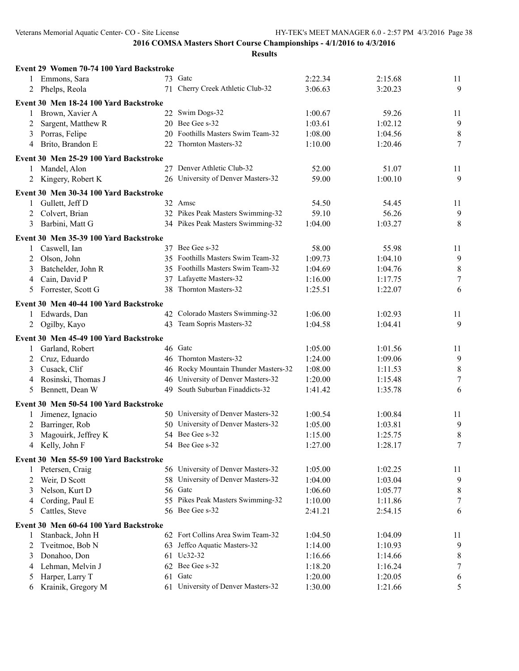|   | Event 29 Women 70-74 100 Yard Backstroke |    |                                      |         |         |                  |
|---|------------------------------------------|----|--------------------------------------|---------|---------|------------------|
|   | 1 Emmons, Sara                           |    | 73 Gate                              | 2:22.34 | 2:15.68 | 11               |
| 2 | Phelps, Reola                            |    | 71 Cherry Creek Athletic Club-32     | 3:06.63 | 3:20.23 | 9                |
|   | Event 30 Men 18-24 100 Yard Backstroke   |    |                                      |         |         |                  |
| 1 | Brown, Xavier A                          |    | 22 Swim Dogs-32                      | 1:00.67 | 59.26   | 11               |
| 2 | Sargent, Matthew R                       |    | 20 Bee Gee s-32                      | 1:03.61 | 1:02.12 | $\overline{9}$   |
| 3 | Porras, Felipe                           |    | 20 Foothills Masters Swim Team-32    | 1:08.00 | 1:04.56 | $\,8\,$          |
|   | Brito, Brandon E                         |    | 22 Thornton Masters-32               | 1:10.00 | 1:20.46 | $\tau$           |
| 4 |                                          |    |                                      |         |         |                  |
|   | Event 30 Men 25-29 100 Yard Backstroke   |    |                                      |         |         |                  |
| 1 | Mandel, Alon                             |    | 27 Denver Athletic Club-32           | 52.00   | 51.07   | 11               |
| 2 | Kingery, Robert K                        |    | 26 University of Denver Masters-32   | 59.00   | 1:00.10 | 9                |
|   | Event 30 Men 30-34 100 Yard Backstroke   |    |                                      |         |         |                  |
|   | 1 Gullett, Jeff D                        |    | 32 Amsc                              | 54.50   | 54.45   | 11               |
| 2 | Colvert, Brian                           |    | 32 Pikes Peak Masters Swimming-32    | 59.10   | 56.26   | 9                |
| 3 | Barbini, Matt G                          |    | 34 Pikes Peak Masters Swimming-32    | 1:04.00 | 1:03.27 | 8                |
|   | Event 30 Men 35-39 100 Yard Backstroke   |    |                                      |         |         |                  |
| 1 | Caswell, Ian                             |    | 37 Bee Gee s-32                      | 58.00   | 55.98   | 11               |
| 2 | Olson, John                              |    | 35 Foothills Masters Swim Team-32    | 1:09.73 | 1:04.10 | $\overline{9}$   |
| 3 | Batchelder, John R                       |    | 35 Foothills Masters Swim Team-32    | 1:04.69 | 1:04.76 | $\,8\,$          |
| 4 | Cain, David P                            |    | 37 Lafayette Masters-32              | 1:16.00 | 1:17.75 | $\boldsymbol{7}$ |
| 5 | Forrester, Scott G                       |    | 38 Thornton Masters-32               | 1:25.51 | 1:22.07 | 6                |
|   |                                          |    |                                      |         |         |                  |
|   | Event 30 Men 40-44 100 Yard Backstroke   |    |                                      |         |         |                  |
| 1 | Edwards, Dan                             |    | 42 Colorado Masters Swimming-32      | 1:06.00 | 1:02.93 | 11               |
| 2 | Ogilby, Kayo                             |    | 43 Team Sopris Masters-32            | 1:04.58 | 1:04.41 | 9                |
|   | Event 30 Men 45-49 100 Yard Backstroke   |    |                                      |         |         |                  |
| 1 | Garland, Robert                          |    | 46 Gatc                              | 1:05.00 | 1:01.56 | 11               |
| 2 | Cruz, Eduardo                            |    | 46 Thornton Masters-32               | 1:24.00 | 1:09.06 | 9                |
| 3 | Cusack, Clif                             |    | 46 Rocky Mountain Thunder Masters-32 | 1:08.00 | 1:11.53 | $\,8\,$          |
| 4 | Rosinski, Thomas J                       |    | 46 University of Denver Masters-32   | 1:20.00 | 1:15.48 | $\tau$           |
| 5 | Bennett, Dean W                          |    | 49 South Suburban Finaddicts-32      | 1:41.42 | 1:35.78 | 6                |
|   |                                          |    |                                      |         |         |                  |
|   | Event 30 Men 50-54 100 Yard Backstroke   |    |                                      |         |         |                  |
| 1 | Jimenez, Ignacio                         |    | 50 University of Denver Masters-32   | 1:00.54 | 1:00.84 | 11               |
| 2 | Barringer, Rob                           |    | 50 University of Denver Masters-32   | 1:05.00 | 1:03.81 | 9                |
| 3 | Magouirk, Jeffrey K                      |    | 54 Bee Gee s-32                      | 1:15.00 | 1:25.75 | 8                |
|   | 4 Kelly, John F                          |    | 54 Bee Gee s-32                      | 1:27.00 | 1:28.17 | 7 <sup>7</sup>   |
|   | Event 30 Men 55-59 100 Yard Backstroke   |    |                                      |         |         |                  |
|   | 1 Petersen, Craig                        |    | 56 University of Denver Masters-32   | 1:05.00 | 1:02.25 | 11               |
| 2 | Weir, D Scott                            |    | 58 University of Denver Masters-32   | 1:04.00 | 1:03.04 | 9                |
| 3 | Nelson, Kurt D                           |    | 56 Gatc                              | 1:06.60 | 1:05.77 | $\,8\,$          |
| 4 | Cording, Paul E                          |    | 55 Pikes Peak Masters Swimming-32    | 1:10.00 | 1:11.86 | $\overline{7}$   |
| 5 | Cattles, Steve                           |    | 56 Bee Gee s-32                      | 2:41.21 | 2:54.15 | 6                |
|   | Event 30 Men 60-64 100 Yard Backstroke   |    |                                      |         |         |                  |
| 1 | Stanback, John H                         |    | 62 Fort Collins Area Swim Team-32    | 1:04.50 | 1:04.09 | 11               |
| 2 | Tveitmoe, Bob N                          |    | 63 Jeffco Aquatic Masters-32         | 1:14.00 | 1:10.93 | $\overline{9}$   |
| 3 | Donahoo, Don                             |    | 61 Uc32-32                           | 1:16.66 | 1:14.66 | 8                |
| 4 | Lehman, Melvin J                         |    | 62 Bee Gee s-32                      | 1:18.20 | 1:16.24 | $\tau$           |
| 5 | Harper, Larry T                          | 61 | Gatc                                 | 1:20.00 | 1:20.05 | 6                |
| 6 | Krainik, Gregory M                       |    | 61 University of Denver Masters-32   | 1:30.00 | 1:21.66 | 5                |
|   |                                          |    |                                      |         |         |                  |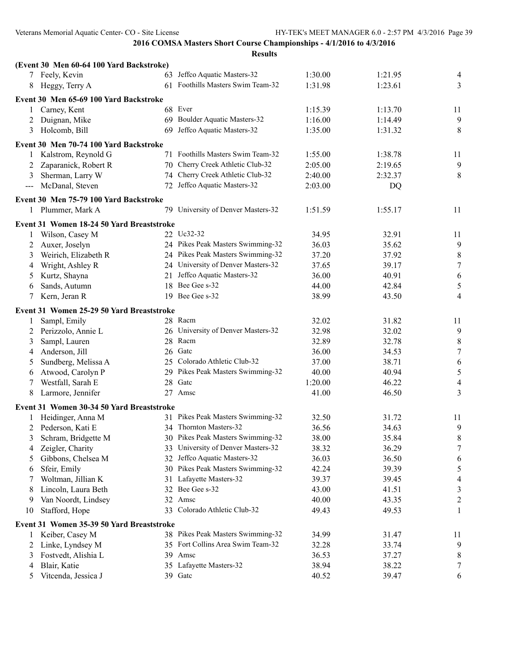|                     | (Event 30 Men 60-64 100 Yard Backstroke)  |    |                                    |         |         |                  |
|---------------------|-------------------------------------------|----|------------------------------------|---------|---------|------------------|
|                     | 7 Feely, Kevin                            |    | 63 Jeffco Aquatic Masters-32       | 1:30.00 | 1:21.95 | 4                |
| 8                   | Heggy, Terry A                            |    | 61 Foothills Masters Swim Team-32  | 1:31.98 | 1:23.61 | $\overline{3}$   |
|                     | Event 30 Men 65-69 100 Yard Backstroke    |    |                                    |         |         |                  |
| 1                   | Carney, Kent                              |    | 68 Ever                            | 1:15.39 | 1:13.70 | 11               |
| 2                   | Duignan, Mike                             |    | 69 Boulder Aquatic Masters-32      | 1:16.00 | 1:14.49 | $\overline{9}$   |
| 3                   | Holcomb, Bill                             | 69 | Jeffco Aquatic Masters-32          | 1:35.00 | 1:31.32 | $8\,$            |
|                     | Event 30 Men 70-74 100 Yard Backstroke    |    |                                    |         |         |                  |
| $\mathbf{1}$        | Kalstrom, Reynold G                       |    | 71 Foothills Masters Swim Team-32  | 1:55.00 | 1:38.78 | 11               |
| 2                   | Zaparanick, Robert R                      |    | 70 Cherry Creek Athletic Club-32   | 2:05.00 | 2:19.65 | 9                |
| 3                   | Sherman, Larry W                          |    | 74 Cherry Creek Athletic Club-32   | 2:40.00 | 2:32.37 | $\,8\,$          |
| $\qquad \qquad - -$ | McDanal, Steven                           |    | 72 Jeffco Aquatic Masters-32       | 2:03.00 | DQ      |                  |
|                     | Event 30 Men 75-79 100 Yard Backstroke    |    |                                    |         |         |                  |
|                     | 1 Plummer, Mark A                         |    | 79 University of Denver Masters-32 | 1:51.59 | 1:55.17 | 11               |
|                     | Event 31 Women 18-24 50 Yard Breaststroke |    |                                    |         |         |                  |
| 1                   | Wilson, Casey M                           |    | 22 Uc32-32                         | 34.95   | 32.91   | 11               |
| 2                   | Auxer, Joselyn                            |    | 24 Pikes Peak Masters Swimming-32  | 36.03   | 35.62   | $\overline{9}$   |
| 3                   | Weirich, Elizabeth R                      |    | 24 Pikes Peak Masters Swimming-32  | 37.20   | 37.92   | $\,8\,$          |
| 4                   | Wright, Ashley R                          |    | 24 University of Denver Masters-32 | 37.65   | 39.17   | $\boldsymbol{7}$ |
| 5                   | Kurtz, Shayna                             |    | 21 Jeffco Aquatic Masters-32       | 36.00   | 40.91   | $\sqrt{6}$       |
| 6                   | Sands, Autumn                             |    | 18 Bee Gee s-32                    | 44.00   | 42.84   | $\sqrt{5}$       |
| 7                   | Kern, Jeran R                             |    | 19 Bee Gee s-32                    | 38.99   | 43.50   | $\overline{4}$   |
|                     | Event 31 Women 25-29 50 Yard Breaststroke |    |                                    |         |         |                  |
| 1                   | Sampl, Emily                              |    | 28 Racm                            | 32.02   | 31.82   | 11               |
| 2                   | Perizzolo, Annie L                        |    | 26 University of Denver Masters-32 | 32.98   | 32.02   | 9                |
| 3                   | Sampl, Lauren                             |    | 28 Racm                            | 32.89   | 32.78   | $\,8\,$          |
| 4                   | Anderson, Jill                            |    | 26 Gatc                            | 36.00   | 34.53   | $\boldsymbol{7}$ |
| 5                   | Sundberg, Melissa A                       |    | 25 Colorado Athletic Club-32       | 37.00   | 38.71   | $\sqrt{6}$       |
| 6                   | Atwood, Carolyn P                         |    | 29 Pikes Peak Masters Swimming-32  | 40.00   | 40.94   | $\sqrt{5}$       |
| 7                   | Westfall, Sarah E                         |    | 28 Gatc                            | 1:20.00 | 46.22   | $\overline{4}$   |
| 8                   | Larmore, Jennifer                         |    | 27 Amsc                            | 41.00   | 46.50   | 3                |
|                     | Event 31 Women 30-34 50 Yard Breaststroke |    |                                    |         |         |                  |
|                     | Heidinger, Anna M                         |    | 31 Pikes Peak Masters Swimming-32  | 32.50   | 31.72   | 11               |
| 2                   | Pederson, Kati E                          |    | 34 Thornton Masters-32             | 36.56   | 34.63   | 9                |
| 3                   | Schram, Bridgette M                       |    | 30 Pikes Peak Masters Swimming-32  | 38.00   | 35.84   | 8                |
| 4                   | Zeigler, Charity                          |    | 33 University of Denver Masters-32 | 38.32   | 36.29   | 7                |
| 5                   | Gibbons, Chelsea M                        |    | 32 Jeffco Aquatic Masters-32       | 36.03   | 36.50   | 6                |
| 6                   | Sfeir, Emily                              |    | 30 Pikes Peak Masters Swimming-32  | 42.24   | 39.39   | 5                |
| 7                   | Woltman, Jillian K                        |    | 31 Lafayette Masters-32            | 39.37   | 39.45   | $\overline{4}$   |
| 8                   | Lincoln, Laura Beth                       |    | 32 Bee Gee s-32                    | 43.00   | 41.51   | $\mathfrak{Z}$   |
| 9                   | Van Noordt, Lindsey                       | 32 | Amsc                               | 40.00   | 43.35   | $\overline{c}$   |
| 10                  | Stafford, Hope                            |    | 33 Colorado Athletic Club-32       | 49.43   | 49.53   | 1                |
|                     |                                           |    |                                    |         |         |                  |
|                     | Event 31 Women 35-39 50 Yard Breaststroke |    |                                    |         |         |                  |
| 1                   | Keiber, Casey M                           |    | 38 Pikes Peak Masters Swimming-32  | 34.99   | 31.47   | 11               |
| 2                   | Linke, Lyndsey M                          |    | 35 Fort Collins Area Swim Team-32  | 32.28   | 33.74   | 9                |
| 3                   | Fostvedt, Alishia L                       |    | 39 Amsc                            | 36.53   | 37.27   | 8                |
| 4                   | Blair, Katie                              |    | 35 Lafayette Masters-32            | 38.94   | 38.22   | 7                |
| 5                   | Vitcenda, Jessica J                       |    | 39 Gate                            | 40.52   | 39.47   | 6                |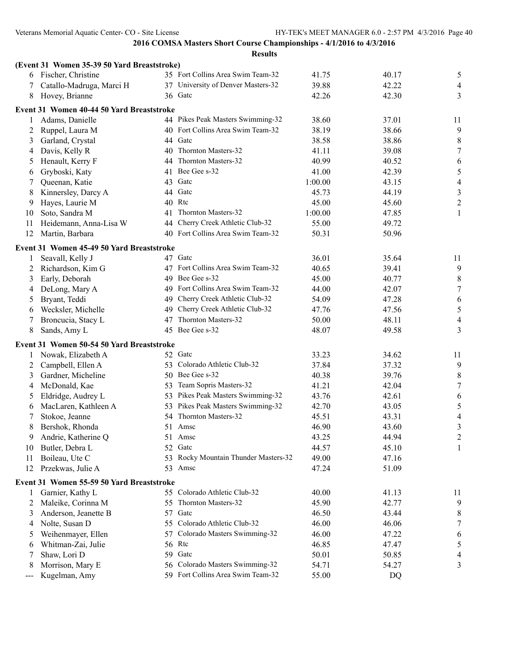|     | (Event 31 Women 35-39 50 Yard Breaststroke) |          |                                                           |                |                |                  |
|-----|---------------------------------------------|----------|-----------------------------------------------------------|----------------|----------------|------------------|
|     | 6 Fischer, Christine                        |          | 35 Fort Collins Area Swim Team-32                         | 41.75          | 40.17          | 5                |
| 7   | Catallo-Madruga, Marci H                    |          | 37 University of Denver Masters-32                        | 39.88          | 42.22          | $\overline{4}$   |
| 8   | Hovey, Brianne                              |          | 36 Gate                                                   | 42.26          | 42.30          | 3                |
|     | Event 31 Women 40-44 50 Yard Breaststroke   |          |                                                           |                |                |                  |
| 1   | Adams, Danielle                             |          | 44 Pikes Peak Masters Swimming-32                         | 38.60          | 37.01          | 11               |
| 2   | Ruppel, Laura M                             | 40       | Fort Collins Area Swim Team-32                            | 38.19          | 38.66          | 9                |
| 3   | Garland, Crystal                            | 44       | Gatc                                                      | 38.58          | 38.86          | 8                |
| 4   | Davis, Kelly R                              | 40       | Thornton Masters-32                                       | 41.11          | 39.08          | $\boldsymbol{7}$ |
| 5   | Henault, Kerry F                            | 44       | Thornton Masters-32                                       | 40.99          | 40.52          | 6                |
| 6   | Gryboski, Katy                              | 41       | Bee Gee s-32                                              | 41.00          | 42.39          | 5                |
| 7   | Queenan, Katie                              | 43       | Gatc                                                      | 1:00.00        | 43.15          | $\overline{4}$   |
| 8   | Kinnersley, Darcy A                         | 44       | Gatc                                                      | 45.73          | 44.19          | $\mathfrak{Z}$   |
| 9   | Hayes, Laurie M                             | 40       | Rtc                                                       | 45.00          | 45.60          | $\overline{c}$   |
| 10  | Soto, Sandra M                              | 41       | Thornton Masters-32                                       | 1:00.00        | 47.85          | 1                |
| 11  | Heidemann, Anna-Lisa W                      | 44       | Cherry Creek Athletic Club-32                             | 55.00          | 49.72          |                  |
| 12  | Martin, Barbara                             |          | 40 Fort Collins Area Swim Team-32                         | 50.31          | 50.96          |                  |
|     | Event 31 Women 45-49 50 Yard Breaststroke   |          |                                                           |                |                |                  |
| 1   | Seavall, Kelly J                            |          | 47 Gatc                                                   | 36.01          | 35.64          | 11               |
| 2   | Richardson, Kim G                           |          | 47 Fort Collins Area Swim Team-32                         | 40.65          | 39.41          | 9                |
| 3   | Early, Deborah                              | 49       | Bee Gee s-32                                              | 45.00          | 40.77          | 8                |
| 4   | DeLong, Mary A                              | 49       | Fort Collins Area Swim Team-32                            | 44.00          | 42.07          | $\sqrt{ }$       |
| 5   | Bryant, Teddi                               | 49       | Cherry Creek Athletic Club-32                             | 54.09          | 47.28          | 6                |
| 6   | Wecksler, Michelle                          | 49       | Cherry Creek Athletic Club-32                             | 47.76          | 47.56          | 5                |
| 7   | Broncucia, Stacy L                          | 47       | Thornton Masters-32                                       | 50.00          | 48.11          | 4                |
| 8   | Sands, Amy L                                | 45       | Bee Gee s-32                                              | 48.07          | 49.58          | 3                |
|     | Event 31 Women 50-54 50 Yard Breaststroke   |          |                                                           |                |                |                  |
| 1   | Nowak, Elizabeth A                          |          | 52 Gatc                                                   | 33.23          | 34.62          | 11               |
| 2   | Campbell, Ellen A                           | 53.      | Colorado Athletic Club-32                                 | 37.84          | 37.32          | $\overline{9}$   |
| 3   | Gardner, Micheline                          |          | 50 Bee Gee s-32                                           | 40.38          | 39.76          | 8                |
| 4   | McDonald, Kae                               | 53.      | Team Sopris Masters-32                                    | 41.21          | 42.04          | $\boldsymbol{7}$ |
| 5   | Eldridge, Audrey L                          |          | 53 Pikes Peak Masters Swimming-32                         | 43.76          | 42.61          | 6                |
| 6   | MacLaren, Kathleen A                        |          | 53 Pikes Peak Masters Swimming-32                         | 42.70          | 43.05          | 5                |
| 7   | Stokoe, Jeanne                              |          | 54 Thornton Masters-32                                    | 45.51          | 43.31          | 4                |
| 8   | Bershok, Rhonda                             |          | 51 Amsc                                                   | 46.90          | 43.60          | $\mathfrak{Z}$   |
| 9   | Andrie, Katherine Q                         |          | 51 Amsc                                                   | 43.25          | 44.94          | $\overline{2}$   |
| 10  | Butler, Debra L                             |          | 52 Gatc                                                   | 44.57          | 45.10          | 1                |
| 11  | Boileau, Ute C                              | 53       | Rocky Mountain Thunder Masters-32                         | 49.00          | 47.16          |                  |
| 12  | Przekwas, Julie A                           | 53       | Amsc                                                      | 47.24          | 51.09          |                  |
|     |                                             |          |                                                           |                |                |                  |
|     | Event 31 Women 55-59 50 Yard Breaststroke   |          |                                                           |                |                |                  |
| 1   | Garnier, Kathy L                            |          | 55 Colorado Athletic Club-32                              | 40.00          | 41.13          | 11               |
| 2   | Maleike, Corinna M                          | 55       | Thornton Masters-32                                       | 45.90          | 42.77          | 9                |
| 3   | Anderson, Jeanette B                        | 57       | Gatc                                                      | 46.50          | 43.44          | 8                |
| 4   | Nolte, Susan D                              | 55       | Colorado Athletic Club-32<br>Colorado Masters Swimming-32 | 46.00          | 46.06          | 7                |
| 5   | Weihenmayer, Ellen                          | 57       | Rtc                                                       | 46.00          | 47.22          | 6                |
| 6   | Whitman-Zai, Julie                          | 56       | Gatc                                                      | 46.85          | 47.47          | 5                |
| 7   | Shaw, Lori D<br>Morrison, Mary E            | 59<br>56 | Colorado Masters Swimming-32                              | 50.01<br>54.71 | 50.85<br>54.27 | 4<br>3           |
| 8   | Kugelman, Amy                               |          | 59 Fort Collins Area Swim Team-32                         | 55.00          | DQ             |                  |
| --- |                                             |          |                                                           |                |                |                  |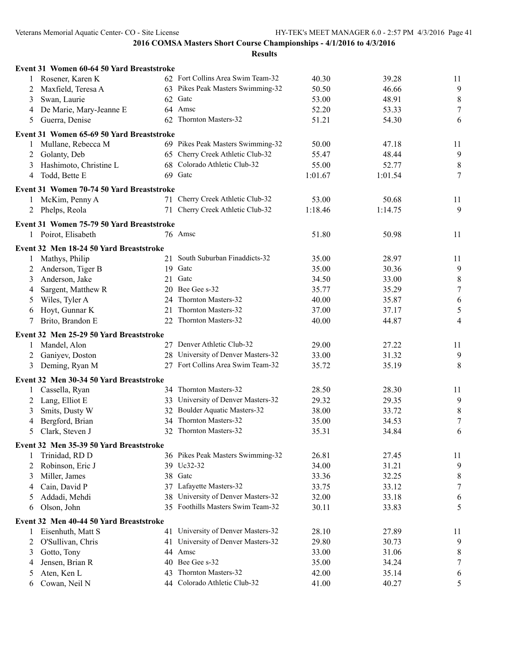|   | Event 31 Women 60-64 50 Yard Breaststroke |     |                                    |         |         |                  |
|---|-------------------------------------------|-----|------------------------------------|---------|---------|------------------|
|   | 1 Rosener, Karen K                        |     | 62 Fort Collins Area Swim Team-32  | 40.30   | 39.28   | 11               |
| 2 | Maxfield, Teresa A                        |     | 63 Pikes Peak Masters Swimming-32  | 50.50   | 46.66   | 9                |
| 3 | Swan, Laurie                              |     | 62 Gatc                            | 53.00   | 48.91   | $\,8\,$          |
| 4 | De Marie, Mary-Jeanne E                   |     | 64 Amsc                            | 52.20   | 53.33   | $\boldsymbol{7}$ |
| 5 | Guerra, Denise                            |     | 62 Thornton Masters-32             | 51.21   | 54.30   | 6                |
|   | Event 31 Women 65-69 50 Yard Breaststroke |     |                                    |         |         |                  |
| 1 | Mullane, Rebecca M                        |     | 69 Pikes Peak Masters Swimming-32  | 50.00   | 47.18   | 11               |
| 2 | Golanty, Deb                              |     | 65 Cherry Creek Athletic Club-32   | 55.47   | 48.44   | 9                |
| 3 | Hashimoto, Christine L                    |     | 68 Colorado Athletic Club-32       | 55.00   | 52.77   | $\,8\,$          |
| 4 | Todd, Bette E                             |     | 69 Gate                            | 1:01.67 | 1:01.54 | 7                |
|   | Event 31 Women 70-74 50 Yard Breaststroke |     |                                    |         |         |                  |
| 1 | McKim, Penny A                            | 71  | Cherry Creek Athletic Club-32      | 53.00   | 50.68   | 11               |
| 2 | Phelps, Reola                             | 71  | Cherry Creek Athletic Club-32      | 1:18.46 | 1:14.75 | 9                |
|   |                                           |     |                                    |         |         |                  |
|   | Event 31 Women 75-79 50 Yard Breaststroke |     | 76 Amsc                            |         |         |                  |
|   | 1 Poirot, Elisabeth                       |     |                                    | 51.80   | 50.98   | 11               |
|   | Event 32 Men 18-24 50 Yard Breaststroke   |     |                                    |         |         |                  |
| 1 | Mathys, Philip                            |     | 21 South Suburban Finaddicts-32    | 35.00   | 28.97   | 11               |
| 2 | Anderson, Tiger B                         |     | 19 Gate                            | 35.00   | 30.36   | 9                |
| 3 | Anderson, Jake                            |     | 21 Gate                            | 34.50   | 33.00   | 8                |
| 4 | Sargent, Matthew R                        |     | 20 Bee Gee s-32                    | 35.77   | 35.29   | $\boldsymbol{7}$ |
| 5 | Wiles, Tyler A                            |     | 24 Thornton Masters-32             | 40.00   | 35.87   | 6                |
| 6 | Hoyt, Gunnar K                            |     | 21 Thornton Masters-32             | 37.00   | 37.17   | $\mathfrak s$    |
| 7 | Brito, Brandon E                          |     | 22 Thornton Masters-32             | 40.00   | 44.87   | $\overline{4}$   |
|   | Event 32 Men 25-29 50 Yard Breaststroke   |     |                                    |         |         |                  |
| 1 | Mandel, Alon                              |     | 27 Denver Athletic Club-32         | 29.00   | 27.22   | 11               |
| 2 | Ganiyev, Doston                           |     | 28 University of Denver Masters-32 | 33.00   | 31.32   | 9                |
| 3 | Deming, Ryan M                            |     | 27 Fort Collins Area Swim Team-32  | 35.72   | 35.19   | 8                |
|   | Event 32 Men 30-34 50 Yard Breaststroke   |     |                                    |         |         |                  |
| 1 | Cassella, Ryan                            |     | 34 Thornton Masters-32             | 28.50   | 28.30   | 11               |
| 2 | Lang, Elliot E                            |     | 33 University of Denver Masters-32 | 29.32   | 29.35   | 9                |
| 3 | Smits, Dusty W                            |     | 32 Boulder Aquatic Masters-32      | 38.00   | 33.72   | $\,8\,$          |
| 4 | Bergford, Brian                           |     | 34 Thornton Masters-32             | 35.00   | 34.53   | $\boldsymbol{7}$ |
| 5 | Clark, Steven J                           |     | 32 Thornton Masters-32             | 35.31   | 34.84   | 6                |
|   | Event 32 Men 35-39 50 Yard Breaststroke   |     |                                    |         |         |                  |
| 1 | Trinidad, RD D                            |     | 36 Pikes Peak Masters Swimming-32  | 26.81   | 27.45   | 11               |
| 2 | Robinson, Eric J                          |     | 39 Uc32-32                         | 34.00   | 31.21   | 9                |
| 3 | Miller, James                             |     | 38 Gatc                            | 33.36   | 32.25   | $\,8\,$          |
| 4 | Cain, David P                             |     | 37 Lafayette Masters-32            | 33.75   | 33.12   | $\boldsymbol{7}$ |
| 5 | Addadi, Mehdi                             | 38  | University of Denver Masters-32    | 32.00   | 33.18   | 6                |
| 6 | Olson, John                               |     | 35 Foothills Masters Swim Team-32  | 30.11   | 33.83   | 5                |
|   |                                           |     |                                    |         |         |                  |
|   | Event 32 Men 40-44 50 Yard Breaststroke   |     |                                    |         |         |                  |
| 1 | Eisenhuth, Matt S                         |     | 41 University of Denver Masters-32 | 28.10   | 27.89   | 11               |
| 2 | O'Sullivan, Chris                         |     | 41 University of Denver Masters-32 | 29.80   | 30.73   | 9                |
| 3 | Gotto, Tony                               |     | 44 Amsc                            | 33.00   | 31.06   | $\,8\,$          |
| 4 | Jensen, Brian R                           |     | 40 Bee Gee s-32                    | 35.00   | 34.24   | $\tau$           |
| 5 | Aten, Ken L                               | 43. | Thornton Masters-32                | 42.00   | 35.14   | 6                |
| 6 | Cowan, Neil N                             |     | 44 Colorado Athletic Club-32       | 41.00   | 40.27   | 5                |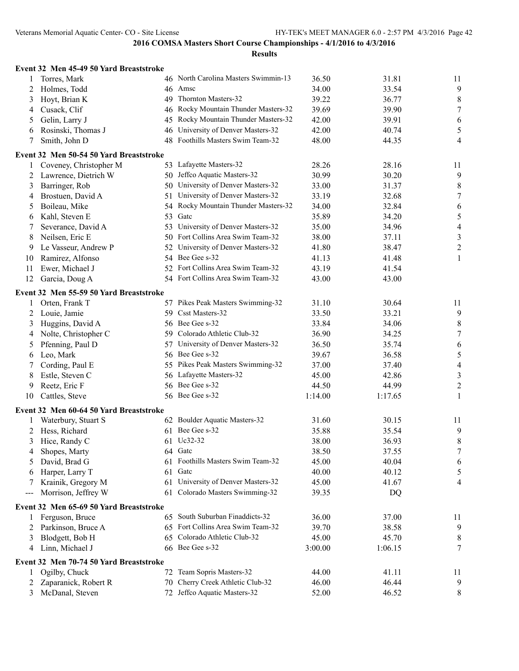|     | Event 32 Men 45-49 50 Yard Breaststroke |     |                                      |         |         |                  |
|-----|-----------------------------------------|-----|--------------------------------------|---------|---------|------------------|
|     | Torres, Mark                            |     | 46 North Carolina Masters Swimmin-13 | 36.50   | 31.81   | 11               |
| 2   | Holmes, Todd                            |     | 46 Amsc                              | 34.00   | 33.54   | 9                |
| 3   | Hoyt, Brian K                           | 49  | Thornton Masters-32                  | 39.22   | 36.77   | $\,8\,$          |
| 4   | Cusack, Clif                            | 46  | Rocky Mountain Thunder Masters-32    | 39.69   | 39.90   | $\boldsymbol{7}$ |
| 5   | Gelin, Larry J                          | 45  | Rocky Mountain Thunder Masters-32    | 42.00   | 39.91   | 6                |
| 6   | Rosinski, Thomas J                      | 46  | University of Denver Masters-32      | 42.00   | 40.74   | 5                |
| 7   | Smith, John D                           | 48  | Foothills Masters Swim Team-32       | 48.00   | 44.35   | 4                |
|     | Event 32 Men 50-54 50 Yard Breaststroke |     |                                      |         |         |                  |
|     | Coveney, Christopher M                  |     | 53 Lafayette Masters-32              | 28.26   | 28.16   | 11               |
| 2   | Lawrence, Dietrich W                    |     | 50 Jeffco Aquatic Masters-32         | 30.99   | 30.20   | 9                |
| 3   | Barringer, Rob                          | 50  | University of Denver Masters-32      | 33.00   | 31.37   | $8\,$            |
| 4   | Brostuen, David A                       | 51  | University of Denver Masters-32      | 33.19   | 32.68   | $\tau$           |
| 5   | Boileau, Mike                           | 54  | Rocky Mountain Thunder Masters-32    | 34.00   | 32.84   | 6                |
| 6   | Kahl, Steven E                          | 53  | Gatc                                 | 35.89   | 34.20   | 5                |
| 7   | Severance, David A                      | 53  | University of Denver Masters-32      | 35.00   | 34.96   | $\overline{4}$   |
| 8   | Neilsen, Eric E                         |     | 50 Fort Collins Area Swim Team-32    | 38.00   | 37.11   | $\mathfrak{Z}$   |
| 9   | Le Vasseur, Andrew P                    | 52  | University of Denver Masters-32      | 41.80   | 38.47   | $\overline{c}$   |
| 10  | Ramirez, Alfonso                        |     | 54 Bee Gee s-32                      | 41.13   | 41.48   | 1                |
| 11  | Ewer, Michael J                         |     | 52 Fort Collins Area Swim Team-32    | 43.19   | 41.54   |                  |
| 12  | Garcia, Doug A                          |     | 54 Fort Collins Area Swim Team-32    | 43.00   | 43.00   |                  |
|     | Event 32 Men 55-59 50 Yard Breaststroke |     |                                      |         |         |                  |
| 1   | Orten, Frank T                          |     | 57 Pikes Peak Masters Swimming-32    | 31.10   | 30.64   | 11               |
| 2   | Louie, Jamie                            | 59  | Csst Masters-32                      | 33.50   | 33.21   | 9                |
| 3   | Huggins, David A                        |     | 56 Bee Gee s-32                      | 33.84   | 34.06   | $\,8\,$          |
| 4   | Nolte, Christopher C                    | 59  | Colorado Athletic Club-32            | 36.90   | 34.25   | $\boldsymbol{7}$ |
| 5   | Pfenning, Paul D                        | 57  | University of Denver Masters-32      | 36.50   | 35.74   | 6                |
| 6   | Leo, Mark                               |     | 56 Bee Gee s-32                      | 39.67   | 36.58   | 5                |
| 7   | Cording, Paul E                         |     | 55 Pikes Peak Masters Swimming-32    | 37.00   | 37.40   | 4                |
| 8   | Estle, Steven C                         |     | 56 Lafayette Masters-32              | 45.00   | 42.86   | 3                |
| 9   | Reetz, Eric F                           | 56. | Bee Gee s-32                         | 44.50   | 44.99   | $\overline{c}$   |
| 10  | Cattles, Steve                          |     | 56 Bee Gee s-32                      | 1:14.00 | 1:17.65 | 1                |
|     | Event 32 Men 60-64 50 Yard Breaststroke |     |                                      |         |         |                  |
| 1   | Waterbury, Stuart S                     |     | 62 Boulder Aquatic Masters-32        | 31.60   | 30.15   | 11               |
| 2   | Hess, Richard                           |     | 61 Bee Gee s-32                      | 35.88   | 35.54   | 9                |
|     | Hice, Randy C                           |     | 61 Uc32-32                           | 38.00   | 36.93   | 8                |
|     | Shopes, Marty                           |     | 64 Gatc                              | 38.50   | 37.55   | 7                |
| 5   | David, Brad G                           |     | 61 Foothills Masters Swim Team-32    | 45.00   | 40.04   | 6                |
| 6   | Harper, Larry T                         | 61  | Gatc                                 | 40.00   | 40.12   | 5                |
|     | Krainik, Gregory M                      |     | 61 University of Denver Masters-32   | 45.00   | 41.67   | 4                |
| --- | Morrison, Jeffrey W                     |     | 61 Colorado Masters Swimming-32      | 39.35   | DQ      |                  |
|     |                                         |     |                                      |         |         |                  |
|     | Event 32 Men 65-69 50 Yard Breaststroke |     | 65 South Suburban Finaddicts-32      |         |         |                  |
|     | Ferguson, Bruce                         |     | 65 Fort Collins Area Swim Team-32    | 36.00   | 37.00   | 11               |
|     | Parkinson, Bruce A                      |     |                                      | 39.70   | 38.58   | 9                |
|     | Blodgett, Bob H                         | 65  | Colorado Athletic Club-32            | 45.00   | 45.70   | 8                |
| 4   | Linn, Michael J                         |     | 66 Bee Gee s-32                      | 3:00.00 | 1:06.15 | 7                |
|     | Event 32 Men 70-74 50 Yard Breaststroke |     |                                      |         |         |                  |
|     | Ogilby, Chuck                           | 72  | Team Sopris Masters-32               | 44.00   | 41.11   | 11               |
| 2   | Zaparanick, Robert R                    | 70  | Cherry Creek Athletic Club-32        | 46.00   | 46.44   | 9                |
| 3   | McDanal, Steven                         |     | 72 Jeffco Aquatic Masters-32         | 52.00   | 46.52   | 8                |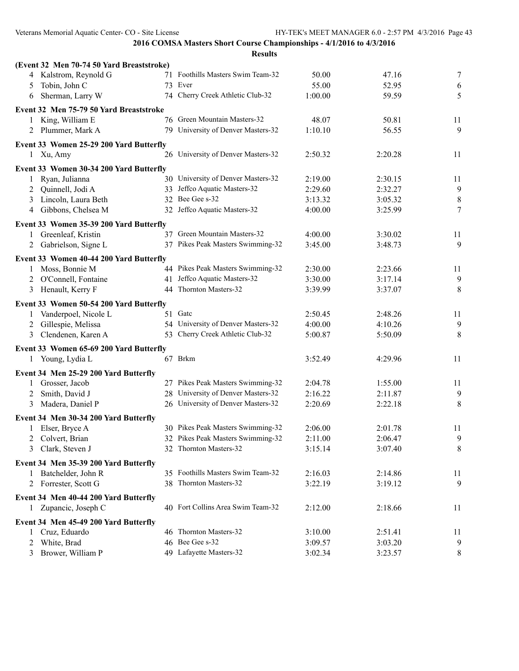|   | (Event 32 Men 70-74 50 Yard Breaststroke) |                                    |         |         |                |
|---|-------------------------------------------|------------------------------------|---------|---------|----------------|
|   | 4 Kalstrom, Reynold G                     | 71 Foothills Masters Swim Team-32  | 50.00   | 47.16   | $\tau$         |
| 5 | Tobin, John C                             | 73 Ever                            | 55.00   | 52.95   | 6              |
| 6 | Sherman, Larry W                          | 74 Cherry Creek Athletic Club-32   | 1:00.00 | 59.59   | 5              |
|   | Event 32 Men 75-79 50 Yard Breaststroke   |                                    |         |         |                |
|   | 1 King, William E                         | 76 Green Mountain Masters-32       | 48.07   | 50.81   | 11             |
| 2 | Plummer, Mark A                           | 79 University of Denver Masters-32 | 1:10.10 | 56.55   | 9              |
|   | Event 33 Women 25-29 200 Yard Butterfly   |                                    |         |         |                |
|   | 1 Xu, Amy                                 | 26 University of Denver Masters-32 | 2:50.32 | 2:20.28 | 11             |
|   | Event 33 Women 30-34 200 Yard Butterfly   |                                    |         |         |                |
| 1 | Ryan, Julianna                            | 30 University of Denver Masters-32 | 2:19.00 | 2:30.15 | 11             |
| 2 | Quinnell, Jodi A                          | 33 Jeffco Aquatic Masters-32       | 2:29.60 | 2:32.27 | 9              |
| 3 | Lincoln, Laura Beth                       | 32 Bee Gee s-32                    | 3:13.32 | 3:05.32 | $\,8\,$        |
| 4 | Gibbons, Chelsea M                        | 32 Jeffco Aquatic Masters-32       | 4:00.00 | 3:25.99 | $\tau$         |
|   | Event 33 Women 35-39 200 Yard Butterfly   |                                    |         |         |                |
|   | 1 Greenleaf, Kristin                      | 37 Green Mountain Masters-32       | 4:00.00 | 3:30.02 | 11             |
| 2 | Gabrielson, Signe L                       | 37 Pikes Peak Masters Swimming-32  | 3:45.00 | 3:48.73 | 9              |
|   | Event 33 Women 40-44 200 Yard Butterfly   |                                    |         |         |                |
|   | Moss, Bonnie M                            | 44 Pikes Peak Masters Swimming-32  | 2:30.00 | 2:23.66 | 11             |
| 2 | O'Connell, Fontaine                       | 41 Jeffco Aquatic Masters-32       | 3:30.00 | 3:17.14 | $\overline{9}$ |
| 3 | Henault, Kerry F                          | 44 Thornton Masters-32             | 3:39.99 | 3:37.07 | 8              |
|   | Event 33 Women 50-54 200 Yard Butterfly   |                                    |         |         |                |
| 1 | Vanderpoel, Nicole L                      | 51 Gate                            | 2:50.45 | 2:48.26 | 11             |
| 2 | Gillespie, Melissa                        | 54 University of Denver Masters-32 | 4:00.00 | 4:10.26 | 9              |
| 3 | Clendenen, Karen A                        | 53 Cherry Creek Athletic Club-32   | 5:00.87 | 5:50.09 | 8              |
|   | Event 33 Women 65-69 200 Yard Butterfly   |                                    |         |         |                |
|   | 1 Young, Lydia L                          | 67 Brkm                            | 3:52.49 | 4:29.96 | 11             |
|   | Event 34 Men 25-29 200 Yard Butterfly     |                                    |         |         |                |
| 1 | Grosser, Jacob                            | 27 Pikes Peak Masters Swimming-32  | 2:04.78 | 1:55.00 | 11             |
| 2 | Smith, David J                            | 28 University of Denver Masters-32 | 2:16.22 | 2:11.87 | 9              |
| 3 | Madera, Daniel P                          | 26 University of Denver Masters-32 | 2:20.69 | 2:22.18 | $\,8\,$        |
|   | Event 34 Men 30-34 200 Yard Butterfly     |                                    |         |         |                |
|   | 1 Elser, Bryce A                          | 30 Pikes Peak Masters Swimming-32  | 2:06.00 | 2:01.78 | 11             |
|   | 2 Colvert, Brian                          | 32 Pikes Peak Masters Swimming-32  | 2:11.00 | 2:06.47 | 9              |
|   | 3 Clark, Steven J                         | 32 Thornton Masters-32             | 3:15.14 | 3:07.40 | 8              |
|   | Event 34 Men 35-39 200 Yard Butterfly     |                                    |         |         |                |
|   | 1 Batchelder, John R                      | 35 Foothills Masters Swim Team-32  | 2:16.03 | 2:14.86 | 11             |
| 2 | Forrester, Scott G                        | 38 Thornton Masters-32             | 3:22.19 | 3:19.12 | 9              |
|   | Event 34 Men 40-44 200 Yard Butterfly     |                                    |         |         |                |
|   | 1 Zupancic, Joseph C                      | 40 Fort Collins Area Swim Team-32  | 2:12.00 | 2:18.66 | 11             |
|   |                                           |                                    |         |         |                |
|   | Event 34 Men 45-49 200 Yard Butterfly     | 46 Thornton Masters-32             |         |         |                |
|   | Cruz, Eduardo                             | 46 Bee Gee s-32                    | 3:10.00 | 2:51.41 | 11             |
| 2 | White, Brad                               |                                    | 3:09.57 | 3:03.20 | 9              |
| 3 | Brower, William P                         | 49 Lafayette Masters-32            | 3:02.34 | 3:23.57 | 8              |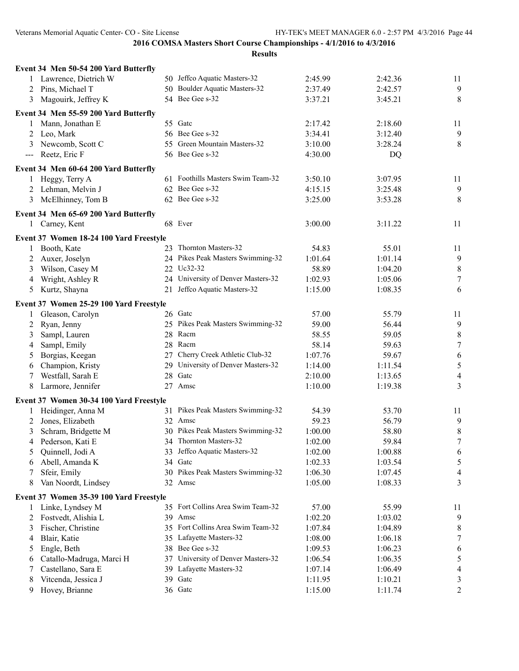|                            | Event 34 Men 50-54 200 Yard Butterfly   |                                    |         |         |                  |
|----------------------------|-----------------------------------------|------------------------------------|---------|---------|------------------|
|                            | 1 Lawrence, Dietrich W                  | 50 Jeffco Aquatic Masters-32       | 2:45.99 | 2:42.36 | 11               |
| 2                          | Pins, Michael T                         | 50 Boulder Aquatic Masters-32      | 2:37.49 | 2:42.57 | $\overline{9}$   |
| 3                          | Magouirk, Jeffrey K                     | 54 Bee Gee s-32                    | 3:37.21 | 3:45.21 | 8                |
|                            | Event 34 Men 55-59 200 Yard Butterfly   |                                    |         |         |                  |
|                            | 1 Mann, Jonathan E                      | 55 Gate                            | 2:17.42 | 2:18.60 | 11               |
|                            | 2 Leo, Mark                             | 56 Bee Gee s-32                    | 3:34.41 | 3:12.40 | 9                |
|                            | Newcomb, Scott C                        | 55 Green Mountain Masters-32       | 3:10.00 | 3:28.24 | 8                |
| $\qquad \qquad \text{---}$ | Reetz, Eric F                           | 56 Bee Gee s-32                    | 4:30.00 | DQ      |                  |
|                            | Event 34 Men 60-64 200 Yard Butterfly   |                                    |         |         |                  |
|                            | 1 Heggy, Terry A                        | 61 Foothills Masters Swim Team-32  | 3:50.10 | 3:07.95 | 11               |
| 2                          | Lehman, Melvin J                        | 62 Bee Gee s-32                    | 4:15.15 | 3:25.48 | $\overline{9}$   |
| 3                          | McElhinney, Tom B                       | 62 Bee Gee s-32                    | 3:25.00 | 3:53.28 | 8                |
|                            | Event 34 Men 65-69 200 Yard Butterfly   |                                    |         |         |                  |
|                            | 1 Carney, Kent                          | 68 Ever                            | 3:00.00 | 3:11.22 | 11               |
|                            | Event 37 Women 18-24 100 Yard Freestyle |                                    |         |         |                  |
|                            | 1 Booth, Kate                           | 23 Thornton Masters-32             | 54.83   | 55.01   | 11               |
| 2                          | Auxer, Joselyn                          | 24 Pikes Peak Masters Swimming-32  | 1:01.64 | 1:01.14 | 9                |
| 3                          | Wilson, Casey M                         | 22 Uc32-32                         | 58.89   | 1:04.20 | $\,8\,$          |
| 4                          | Wright, Ashley R                        | 24 University of Denver Masters-32 | 1:02.93 | 1:05.06 | $\tau$           |
| 5                          | Kurtz, Shayna                           | 21 Jeffco Aquatic Masters-32       | 1:15.00 | 1:08.35 | 6                |
|                            | Event 37 Women 25-29 100 Yard Freestyle |                                    |         |         |                  |
|                            | 1 Gleason, Carolyn                      | 26 Gatc                            | 57.00   | 55.79   | 11               |
|                            | 2 Ryan, Jenny                           | 25 Pikes Peak Masters Swimming-32  | 59.00   | 56.44   | 9                |
| 3                          | Sampl, Lauren                           | 28 Racm                            | 58.55   | 59.05   | $\,8\,$          |
| 4                          | Sampl, Emily                            | 28 Racm                            | 58.14   | 59.63   | $\boldsymbol{7}$ |
| 5                          | Borgias, Keegan                         | 27 Cherry Creek Athletic Club-32   | 1:07.76 | 59.67   | 6                |
| 6                          | Champion, Kristy                        | 29 University of Denver Masters-32 | 1:14.00 | 1:11.54 | 5                |
| 7                          | Westfall, Sarah E                       | 28 Gatc                            | 2:10.00 | 1:13.65 | $\overline{4}$   |
| 8                          | Larmore, Jennifer                       | 27 Amsc                            | 1:10.00 | 1:19.38 | 3                |
|                            | Event 37 Women 30-34 100 Yard Freestyle |                                    |         |         |                  |
|                            | 1 Heidinger, Anna M                     | 31 Pikes Peak Masters Swimming-32  | 54.39   | 53.70   | 11               |
| 2                          | Jones, Elizabeth                        | 32 Amsc                            | 59.23   | 56.79   | 9                |
|                            | 3 Schram, Bridgette M                   | 30 Pikes Peak Masters Swimming-32  | 1:00.00 | 58.80   | 8                |
|                            | 4 Pederson, Kati E                      | 34 Thornton Masters-32             | 1:02.00 | 59.84   | $\tau$           |
| 5                          | Quinnell, Jodi A                        | 33 Jeffco Aquatic Masters-32       | 1:02.00 | 1:00.88 | 6                |
| 6                          | Abell, Amanda K                         | 34 Gate                            | 1:02.33 | 1:03.54 | 5                |
| 7                          | Sfeir, Emily                            | 30 Pikes Peak Masters Swimming-32  | 1:06.30 | 1:07.45 | 4                |
| 8                          | Van Noordt, Lindsey                     | 32 Amsc                            | 1:05.00 | 1:08.33 | 3                |
|                            | Event 37 Women 35-39 100 Yard Freestyle |                                    |         |         |                  |
|                            | 1 Linke, Lyndsey M                      | 35 Fort Collins Area Swim Team-32  | 57.00   | 55.99   | 11               |
| 2                          | Fostvedt, Alishia L                     | 39 Amsc                            | 1:02.20 | 1:03.02 | 9                |
| 3                          | Fischer, Christine                      | 35 Fort Collins Area Swim Team-32  | 1:07.84 | 1:04.89 | 8                |
| 4                          | Blair, Katie                            | 35 Lafayette Masters-32            | 1:08.00 | 1:06.18 | 7                |
| 5                          | Engle, Beth                             | 38 Bee Gee s-32                    | 1:09.53 | 1:06.23 | 6                |
| 6                          | Catallo-Madruga, Marci H                | 37 University of Denver Masters-32 | 1:06.54 | 1:06.35 | 5                |
| 7                          | Castellano, Sara E                      | 39 Lafayette Masters-32            | 1:07.14 | 1:06.49 | 4                |
| 8                          | Vitcenda, Jessica J                     | 39 Gate                            | 1:11.95 | 1:10.21 | 3                |
| 9                          | Hovey, Brianne                          | 36 Gatc                            | 1:15.00 | 1:11.74 | 2                |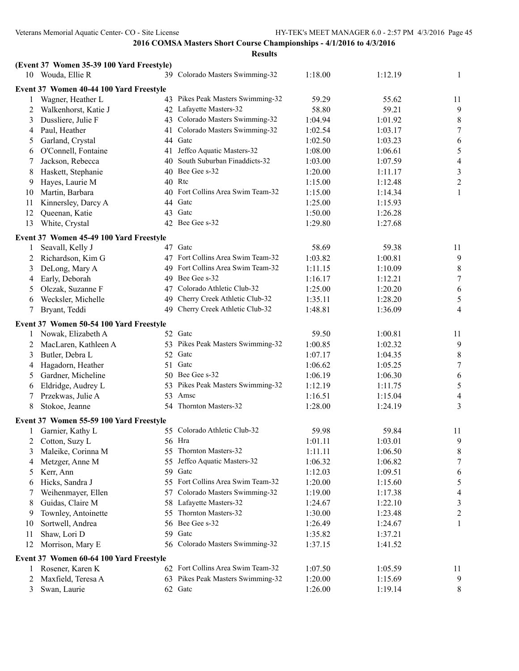| 10 Wouda, Ellie R<br>1:18.00<br>39 Colorado Masters Swimming-32<br>1:12.19<br>1<br>Event 37 Women 40-44 100 Yard Freestyle<br>43 Pikes Peak Masters Swimming-32<br>59.29<br>55.62<br>Wagner, Heather L<br>11<br>42 Lafayette Masters-32<br>59.21<br>9<br>Walkenhorst, Katie J<br>58.80<br>2<br>43 Colorado Masters Swimming-32<br>$\,8\,$<br>Dussliere, Julie F<br>1:04.94<br>1:01.92<br>3<br>Colorado Masters Swimming-32<br>$\tau$<br>Paul, Heather<br>1:02.54<br>1:03.17<br>41<br>4<br>Garland, Crystal<br>44 Gatc<br>1:02.50<br>1:03.23<br>6<br>5<br>Jeffco Aquatic Masters-32<br>5<br>O'Connell, Fontaine<br>1:08.00<br>1:06.61<br>41<br>6<br>South Suburban Finaddicts-32<br>$\overline{4}$<br>Jackson, Rebecca<br>1:07.59<br>1:03.00<br>40<br>7<br>40 Bee Gee s-32<br>$\mathfrak{Z}$<br>Haskett, Stephanie<br>1:20.00<br>1:11.17<br>8<br>$\sqrt{2}$<br>40 Rtc<br>Hayes, Laurie M<br>1:15.00<br>1:12.48<br>9<br>40 Fort Collins Area Swim Team-32<br>Martin, Barbara<br>$\mathbf{1}$<br>1:15.00<br>1:14.34<br>10<br>Kinnersley, Darcy A<br>Gatc<br>11<br>1:25.00<br>1:15.93<br>44<br>Gatc<br>12<br>Queenan, Katie<br>1:50.00<br>43<br>1:26.28<br>13<br>White, Crystal<br>42 Bee Gee s-32<br>1:29.80<br>1:27.68<br>Event 37 Women 45-49 100 Yard Freestyle<br>47 Gatc<br>58.69<br>Seavall, Kelly J<br>59.38<br>11<br>1<br>47 Fort Collins Area Swim Team-32<br>9<br>Richardson, Kim G<br>1:03.82<br>1:00.81<br>2<br>$\,8\,$<br>49 Fort Collins Area Swim Team-32<br>DeLong, Mary A<br>1:11.15<br>1:10.09<br>3<br>49 Bee Gee s-32<br>$\tau$<br>Early, Deborah<br>1:16.17<br>1:12.21<br>4<br>Colorado Athletic Club-32<br>Olczak, Suzanne F<br>1:25.00<br>1:20.20<br>6<br>47<br>5<br>Cherry Creek Athletic Club-32<br>$\sqrt{5}$<br>Wecksler, Michelle<br>1:35.11<br>1:28.20<br>49<br>6<br>Cherry Creek Athletic Club-32<br>1:48.81<br>1:36.09<br>$\overline{4}$<br>Bryant, Teddi<br>49<br>7<br>Event 37 Women 50-54 100 Yard Freestyle<br>1 Nowak, Elizabeth A<br>52 Gate<br>59.50<br>1:00.81<br>11<br>53 Pikes Peak Masters Swimming-32<br>9<br>MacLaren, Kathleen A<br>1:00.85<br>1:02.32<br>2<br>$\,8\,$<br>Butler, Debra L<br>52 Gate<br>1:07.17<br>1:04.35<br>3<br>Gatc<br>$\tau$<br>Hagadorn, Heather<br>1:05.25<br>51<br>1:06.62<br>4<br>50 Bee Gee s-32<br>Gardner, Micheline<br>6<br>1:06.19<br>1:06.30<br>5<br>$\mathfrak s$<br>Eldridge, Audrey L<br>53 Pikes Peak Masters Swimming-32<br>1:12.19<br>1:11.75<br>6<br>Amsc<br>Przekwas, Julie A<br>53<br>1:15.04<br>$\overline{4}$<br>1:16.51<br>7<br>54 Thornton Masters-32<br>1:28.00<br>3<br>8<br>Stokoe, Jeanne<br>1:24.19<br>Event 37 Women 55-59 100 Yard Freestyle<br>55 Colorado Athletic Club-32<br>Garnier, Kathy L<br>59.98<br>59.84<br>11<br>Cotton, Suzy L<br>1:01.11<br>1:03.01<br>$\mathbf{9}$<br>56 Hra<br>2<br>Maleike, Corinna M<br>55 Thornton Masters-32<br>1:11.11<br>1:06.50<br>8<br>3<br>55 Jeffco Aquatic Masters-32<br>$\tau$<br>Metzger, Anne M<br>1:06.32<br>1:06.82<br>4<br>59 Gatc<br>Kerr, Ann<br>1:12.03<br>1:09.51<br>6<br>5<br>$\sqrt{5}$<br>55 Fort Collins Area Swim Team-32<br>Hicks, Sandra J<br>1:20.00<br>1:15.60<br>6<br>Colorado Masters Swimming-32<br>Weihenmayer, Ellen<br>1:19.00<br>$\overline{4}$<br>57<br>1:17.38<br>7<br>Guidas, Claire M<br>Lafayette Masters-32<br>3<br>8<br>58<br>1:24.67<br>1:22.10<br>Thornton Masters-32<br>Townley, Antoinette<br>1:30.00<br>$\overline{c}$<br>55<br>1:23.48<br>9<br>56 Bee Gee s-32<br>Sortwell, Andrea<br>1<br>10<br>1:26.49<br>1:24.67<br>59 Gatc<br>Shaw, Lori D<br>1:35.82<br>11<br>1:37.21<br>56 Colorado Masters Swimming-32<br>12<br>Morrison, Mary E<br>1:37.15<br>1:41.52<br>Event 37 Women 60-64 100 Yard Freestyle<br>62 Fort Collins Area Swim Team-32<br>1:07.50<br>Rosener, Karen K<br>1:05.59<br>11<br>1<br>63 Pikes Peak Masters Swimming-32<br>Maxfield, Teresa A<br>1:20.00<br>9<br>2<br>1:15.69<br>62 Gate |   | (Event 37 Women 35-39 100 Yard Freestyle) |  |         |         |       |
|--------------------------------------------------------------------------------------------------------------------------------------------------------------------------------------------------------------------------------------------------------------------------------------------------------------------------------------------------------------------------------------------------------------------------------------------------------------------------------------------------------------------------------------------------------------------------------------------------------------------------------------------------------------------------------------------------------------------------------------------------------------------------------------------------------------------------------------------------------------------------------------------------------------------------------------------------------------------------------------------------------------------------------------------------------------------------------------------------------------------------------------------------------------------------------------------------------------------------------------------------------------------------------------------------------------------------------------------------------------------------------------------------------------------------------------------------------------------------------------------------------------------------------------------------------------------------------------------------------------------------------------------------------------------------------------------------------------------------------------------------------------------------------------------------------------------------------------------------------------------------------------------------------------------------------------------------------------------------------------------------------------------------------------------------------------------------------------------------------------------------------------------------------------------------------------------------------------------------------------------------------------------------------------------------------------------------------------------------------------------------------------------------------------------------------------------------------------------------------------------------------------------------------------------------------------------------------------------------------------------------------------------------------------------------------------------------------------------------------------------------------------------------------------------------------------------------------------------------------------------------------------------------------------------------------------------------------------------------------------------------------------------------------------------------------------------------------------------------------------------------------------------------------------------------------------------------------------------------------------------------------------------------------------------------------------------------------------------------------------------------------------------------------------------------------------------------------------------------------------------------------------------------------------------------------------------------------------------------------------------------------------------------------------------------------------------------------------------------------------------------------------------------------------------------------------------------------------------------------------------------------------|---|-------------------------------------------|--|---------|---------|-------|
|                                                                                                                                                                                                                                                                                                                                                                                                                                                                                                                                                                                                                                                                                                                                                                                                                                                                                                                                                                                                                                                                                                                                                                                                                                                                                                                                                                                                                                                                                                                                                                                                                                                                                                                                                                                                                                                                                                                                                                                                                                                                                                                                                                                                                                                                                                                                                                                                                                                                                                                                                                                                                                                                                                                                                                                                                                                                                                                                                                                                                                                                                                                                                                                                                                                                                                                                                                                                                                                                                                                                                                                                                                                                                                                                                                                                                                                                                      |   |                                           |  |         |         |       |
|                                                                                                                                                                                                                                                                                                                                                                                                                                                                                                                                                                                                                                                                                                                                                                                                                                                                                                                                                                                                                                                                                                                                                                                                                                                                                                                                                                                                                                                                                                                                                                                                                                                                                                                                                                                                                                                                                                                                                                                                                                                                                                                                                                                                                                                                                                                                                                                                                                                                                                                                                                                                                                                                                                                                                                                                                                                                                                                                                                                                                                                                                                                                                                                                                                                                                                                                                                                                                                                                                                                                                                                                                                                                                                                                                                                                                                                                                      |   |                                           |  |         |         |       |
|                                                                                                                                                                                                                                                                                                                                                                                                                                                                                                                                                                                                                                                                                                                                                                                                                                                                                                                                                                                                                                                                                                                                                                                                                                                                                                                                                                                                                                                                                                                                                                                                                                                                                                                                                                                                                                                                                                                                                                                                                                                                                                                                                                                                                                                                                                                                                                                                                                                                                                                                                                                                                                                                                                                                                                                                                                                                                                                                                                                                                                                                                                                                                                                                                                                                                                                                                                                                                                                                                                                                                                                                                                                                                                                                                                                                                                                                                      |   |                                           |  |         |         |       |
|                                                                                                                                                                                                                                                                                                                                                                                                                                                                                                                                                                                                                                                                                                                                                                                                                                                                                                                                                                                                                                                                                                                                                                                                                                                                                                                                                                                                                                                                                                                                                                                                                                                                                                                                                                                                                                                                                                                                                                                                                                                                                                                                                                                                                                                                                                                                                                                                                                                                                                                                                                                                                                                                                                                                                                                                                                                                                                                                                                                                                                                                                                                                                                                                                                                                                                                                                                                                                                                                                                                                                                                                                                                                                                                                                                                                                                                                                      |   |                                           |  |         |         |       |
|                                                                                                                                                                                                                                                                                                                                                                                                                                                                                                                                                                                                                                                                                                                                                                                                                                                                                                                                                                                                                                                                                                                                                                                                                                                                                                                                                                                                                                                                                                                                                                                                                                                                                                                                                                                                                                                                                                                                                                                                                                                                                                                                                                                                                                                                                                                                                                                                                                                                                                                                                                                                                                                                                                                                                                                                                                                                                                                                                                                                                                                                                                                                                                                                                                                                                                                                                                                                                                                                                                                                                                                                                                                                                                                                                                                                                                                                                      |   |                                           |  |         |         |       |
|                                                                                                                                                                                                                                                                                                                                                                                                                                                                                                                                                                                                                                                                                                                                                                                                                                                                                                                                                                                                                                                                                                                                                                                                                                                                                                                                                                                                                                                                                                                                                                                                                                                                                                                                                                                                                                                                                                                                                                                                                                                                                                                                                                                                                                                                                                                                                                                                                                                                                                                                                                                                                                                                                                                                                                                                                                                                                                                                                                                                                                                                                                                                                                                                                                                                                                                                                                                                                                                                                                                                                                                                                                                                                                                                                                                                                                                                                      |   |                                           |  |         |         |       |
|                                                                                                                                                                                                                                                                                                                                                                                                                                                                                                                                                                                                                                                                                                                                                                                                                                                                                                                                                                                                                                                                                                                                                                                                                                                                                                                                                                                                                                                                                                                                                                                                                                                                                                                                                                                                                                                                                                                                                                                                                                                                                                                                                                                                                                                                                                                                                                                                                                                                                                                                                                                                                                                                                                                                                                                                                                                                                                                                                                                                                                                                                                                                                                                                                                                                                                                                                                                                                                                                                                                                                                                                                                                                                                                                                                                                                                                                                      |   |                                           |  |         |         |       |
|                                                                                                                                                                                                                                                                                                                                                                                                                                                                                                                                                                                                                                                                                                                                                                                                                                                                                                                                                                                                                                                                                                                                                                                                                                                                                                                                                                                                                                                                                                                                                                                                                                                                                                                                                                                                                                                                                                                                                                                                                                                                                                                                                                                                                                                                                                                                                                                                                                                                                                                                                                                                                                                                                                                                                                                                                                                                                                                                                                                                                                                                                                                                                                                                                                                                                                                                                                                                                                                                                                                                                                                                                                                                                                                                                                                                                                                                                      |   |                                           |  |         |         |       |
|                                                                                                                                                                                                                                                                                                                                                                                                                                                                                                                                                                                                                                                                                                                                                                                                                                                                                                                                                                                                                                                                                                                                                                                                                                                                                                                                                                                                                                                                                                                                                                                                                                                                                                                                                                                                                                                                                                                                                                                                                                                                                                                                                                                                                                                                                                                                                                                                                                                                                                                                                                                                                                                                                                                                                                                                                                                                                                                                                                                                                                                                                                                                                                                                                                                                                                                                                                                                                                                                                                                                                                                                                                                                                                                                                                                                                                                                                      |   |                                           |  |         |         |       |
|                                                                                                                                                                                                                                                                                                                                                                                                                                                                                                                                                                                                                                                                                                                                                                                                                                                                                                                                                                                                                                                                                                                                                                                                                                                                                                                                                                                                                                                                                                                                                                                                                                                                                                                                                                                                                                                                                                                                                                                                                                                                                                                                                                                                                                                                                                                                                                                                                                                                                                                                                                                                                                                                                                                                                                                                                                                                                                                                                                                                                                                                                                                                                                                                                                                                                                                                                                                                                                                                                                                                                                                                                                                                                                                                                                                                                                                                                      |   |                                           |  |         |         |       |
|                                                                                                                                                                                                                                                                                                                                                                                                                                                                                                                                                                                                                                                                                                                                                                                                                                                                                                                                                                                                                                                                                                                                                                                                                                                                                                                                                                                                                                                                                                                                                                                                                                                                                                                                                                                                                                                                                                                                                                                                                                                                                                                                                                                                                                                                                                                                                                                                                                                                                                                                                                                                                                                                                                                                                                                                                                                                                                                                                                                                                                                                                                                                                                                                                                                                                                                                                                                                                                                                                                                                                                                                                                                                                                                                                                                                                                                                                      |   |                                           |  |         |         |       |
|                                                                                                                                                                                                                                                                                                                                                                                                                                                                                                                                                                                                                                                                                                                                                                                                                                                                                                                                                                                                                                                                                                                                                                                                                                                                                                                                                                                                                                                                                                                                                                                                                                                                                                                                                                                                                                                                                                                                                                                                                                                                                                                                                                                                                                                                                                                                                                                                                                                                                                                                                                                                                                                                                                                                                                                                                                                                                                                                                                                                                                                                                                                                                                                                                                                                                                                                                                                                                                                                                                                                                                                                                                                                                                                                                                                                                                                                                      |   |                                           |  |         |         |       |
|                                                                                                                                                                                                                                                                                                                                                                                                                                                                                                                                                                                                                                                                                                                                                                                                                                                                                                                                                                                                                                                                                                                                                                                                                                                                                                                                                                                                                                                                                                                                                                                                                                                                                                                                                                                                                                                                                                                                                                                                                                                                                                                                                                                                                                                                                                                                                                                                                                                                                                                                                                                                                                                                                                                                                                                                                                                                                                                                                                                                                                                                                                                                                                                                                                                                                                                                                                                                                                                                                                                                                                                                                                                                                                                                                                                                                                                                                      |   |                                           |  |         |         |       |
|                                                                                                                                                                                                                                                                                                                                                                                                                                                                                                                                                                                                                                                                                                                                                                                                                                                                                                                                                                                                                                                                                                                                                                                                                                                                                                                                                                                                                                                                                                                                                                                                                                                                                                                                                                                                                                                                                                                                                                                                                                                                                                                                                                                                                                                                                                                                                                                                                                                                                                                                                                                                                                                                                                                                                                                                                                                                                                                                                                                                                                                                                                                                                                                                                                                                                                                                                                                                                                                                                                                                                                                                                                                                                                                                                                                                                                                                                      |   |                                           |  |         |         |       |
|                                                                                                                                                                                                                                                                                                                                                                                                                                                                                                                                                                                                                                                                                                                                                                                                                                                                                                                                                                                                                                                                                                                                                                                                                                                                                                                                                                                                                                                                                                                                                                                                                                                                                                                                                                                                                                                                                                                                                                                                                                                                                                                                                                                                                                                                                                                                                                                                                                                                                                                                                                                                                                                                                                                                                                                                                                                                                                                                                                                                                                                                                                                                                                                                                                                                                                                                                                                                                                                                                                                                                                                                                                                                                                                                                                                                                                                                                      |   |                                           |  |         |         |       |
|                                                                                                                                                                                                                                                                                                                                                                                                                                                                                                                                                                                                                                                                                                                                                                                                                                                                                                                                                                                                                                                                                                                                                                                                                                                                                                                                                                                                                                                                                                                                                                                                                                                                                                                                                                                                                                                                                                                                                                                                                                                                                                                                                                                                                                                                                                                                                                                                                                                                                                                                                                                                                                                                                                                                                                                                                                                                                                                                                                                                                                                                                                                                                                                                                                                                                                                                                                                                                                                                                                                                                                                                                                                                                                                                                                                                                                                                                      |   |                                           |  |         |         |       |
|                                                                                                                                                                                                                                                                                                                                                                                                                                                                                                                                                                                                                                                                                                                                                                                                                                                                                                                                                                                                                                                                                                                                                                                                                                                                                                                                                                                                                                                                                                                                                                                                                                                                                                                                                                                                                                                                                                                                                                                                                                                                                                                                                                                                                                                                                                                                                                                                                                                                                                                                                                                                                                                                                                                                                                                                                                                                                                                                                                                                                                                                                                                                                                                                                                                                                                                                                                                                                                                                                                                                                                                                                                                                                                                                                                                                                                                                                      |   |                                           |  |         |         |       |
|                                                                                                                                                                                                                                                                                                                                                                                                                                                                                                                                                                                                                                                                                                                                                                                                                                                                                                                                                                                                                                                                                                                                                                                                                                                                                                                                                                                                                                                                                                                                                                                                                                                                                                                                                                                                                                                                                                                                                                                                                                                                                                                                                                                                                                                                                                                                                                                                                                                                                                                                                                                                                                                                                                                                                                                                                                                                                                                                                                                                                                                                                                                                                                                                                                                                                                                                                                                                                                                                                                                                                                                                                                                                                                                                                                                                                                                                                      |   |                                           |  |         |         |       |
|                                                                                                                                                                                                                                                                                                                                                                                                                                                                                                                                                                                                                                                                                                                                                                                                                                                                                                                                                                                                                                                                                                                                                                                                                                                                                                                                                                                                                                                                                                                                                                                                                                                                                                                                                                                                                                                                                                                                                                                                                                                                                                                                                                                                                                                                                                                                                                                                                                                                                                                                                                                                                                                                                                                                                                                                                                                                                                                                                                                                                                                                                                                                                                                                                                                                                                                                                                                                                                                                                                                                                                                                                                                                                                                                                                                                                                                                                      |   |                                           |  |         |         |       |
|                                                                                                                                                                                                                                                                                                                                                                                                                                                                                                                                                                                                                                                                                                                                                                                                                                                                                                                                                                                                                                                                                                                                                                                                                                                                                                                                                                                                                                                                                                                                                                                                                                                                                                                                                                                                                                                                                                                                                                                                                                                                                                                                                                                                                                                                                                                                                                                                                                                                                                                                                                                                                                                                                                                                                                                                                                                                                                                                                                                                                                                                                                                                                                                                                                                                                                                                                                                                                                                                                                                                                                                                                                                                                                                                                                                                                                                                                      |   |                                           |  |         |         |       |
|                                                                                                                                                                                                                                                                                                                                                                                                                                                                                                                                                                                                                                                                                                                                                                                                                                                                                                                                                                                                                                                                                                                                                                                                                                                                                                                                                                                                                                                                                                                                                                                                                                                                                                                                                                                                                                                                                                                                                                                                                                                                                                                                                                                                                                                                                                                                                                                                                                                                                                                                                                                                                                                                                                                                                                                                                                                                                                                                                                                                                                                                                                                                                                                                                                                                                                                                                                                                                                                                                                                                                                                                                                                                                                                                                                                                                                                                                      |   |                                           |  |         |         |       |
|                                                                                                                                                                                                                                                                                                                                                                                                                                                                                                                                                                                                                                                                                                                                                                                                                                                                                                                                                                                                                                                                                                                                                                                                                                                                                                                                                                                                                                                                                                                                                                                                                                                                                                                                                                                                                                                                                                                                                                                                                                                                                                                                                                                                                                                                                                                                                                                                                                                                                                                                                                                                                                                                                                                                                                                                                                                                                                                                                                                                                                                                                                                                                                                                                                                                                                                                                                                                                                                                                                                                                                                                                                                                                                                                                                                                                                                                                      |   |                                           |  |         |         |       |
|                                                                                                                                                                                                                                                                                                                                                                                                                                                                                                                                                                                                                                                                                                                                                                                                                                                                                                                                                                                                                                                                                                                                                                                                                                                                                                                                                                                                                                                                                                                                                                                                                                                                                                                                                                                                                                                                                                                                                                                                                                                                                                                                                                                                                                                                                                                                                                                                                                                                                                                                                                                                                                                                                                                                                                                                                                                                                                                                                                                                                                                                                                                                                                                                                                                                                                                                                                                                                                                                                                                                                                                                                                                                                                                                                                                                                                                                                      |   |                                           |  |         |         |       |
|                                                                                                                                                                                                                                                                                                                                                                                                                                                                                                                                                                                                                                                                                                                                                                                                                                                                                                                                                                                                                                                                                                                                                                                                                                                                                                                                                                                                                                                                                                                                                                                                                                                                                                                                                                                                                                                                                                                                                                                                                                                                                                                                                                                                                                                                                                                                                                                                                                                                                                                                                                                                                                                                                                                                                                                                                                                                                                                                                                                                                                                                                                                                                                                                                                                                                                                                                                                                                                                                                                                                                                                                                                                                                                                                                                                                                                                                                      |   |                                           |  |         |         |       |
|                                                                                                                                                                                                                                                                                                                                                                                                                                                                                                                                                                                                                                                                                                                                                                                                                                                                                                                                                                                                                                                                                                                                                                                                                                                                                                                                                                                                                                                                                                                                                                                                                                                                                                                                                                                                                                                                                                                                                                                                                                                                                                                                                                                                                                                                                                                                                                                                                                                                                                                                                                                                                                                                                                                                                                                                                                                                                                                                                                                                                                                                                                                                                                                                                                                                                                                                                                                                                                                                                                                                                                                                                                                                                                                                                                                                                                                                                      |   |                                           |  |         |         |       |
|                                                                                                                                                                                                                                                                                                                                                                                                                                                                                                                                                                                                                                                                                                                                                                                                                                                                                                                                                                                                                                                                                                                                                                                                                                                                                                                                                                                                                                                                                                                                                                                                                                                                                                                                                                                                                                                                                                                                                                                                                                                                                                                                                                                                                                                                                                                                                                                                                                                                                                                                                                                                                                                                                                                                                                                                                                                                                                                                                                                                                                                                                                                                                                                                                                                                                                                                                                                                                                                                                                                                                                                                                                                                                                                                                                                                                                                                                      |   |                                           |  |         |         |       |
|                                                                                                                                                                                                                                                                                                                                                                                                                                                                                                                                                                                                                                                                                                                                                                                                                                                                                                                                                                                                                                                                                                                                                                                                                                                                                                                                                                                                                                                                                                                                                                                                                                                                                                                                                                                                                                                                                                                                                                                                                                                                                                                                                                                                                                                                                                                                                                                                                                                                                                                                                                                                                                                                                                                                                                                                                                                                                                                                                                                                                                                                                                                                                                                                                                                                                                                                                                                                                                                                                                                                                                                                                                                                                                                                                                                                                                                                                      |   |                                           |  |         |         |       |
|                                                                                                                                                                                                                                                                                                                                                                                                                                                                                                                                                                                                                                                                                                                                                                                                                                                                                                                                                                                                                                                                                                                                                                                                                                                                                                                                                                                                                                                                                                                                                                                                                                                                                                                                                                                                                                                                                                                                                                                                                                                                                                                                                                                                                                                                                                                                                                                                                                                                                                                                                                                                                                                                                                                                                                                                                                                                                                                                                                                                                                                                                                                                                                                                                                                                                                                                                                                                                                                                                                                                                                                                                                                                                                                                                                                                                                                                                      |   |                                           |  |         |         |       |
|                                                                                                                                                                                                                                                                                                                                                                                                                                                                                                                                                                                                                                                                                                                                                                                                                                                                                                                                                                                                                                                                                                                                                                                                                                                                                                                                                                                                                                                                                                                                                                                                                                                                                                                                                                                                                                                                                                                                                                                                                                                                                                                                                                                                                                                                                                                                                                                                                                                                                                                                                                                                                                                                                                                                                                                                                                                                                                                                                                                                                                                                                                                                                                                                                                                                                                                                                                                                                                                                                                                                                                                                                                                                                                                                                                                                                                                                                      |   |                                           |  |         |         |       |
|                                                                                                                                                                                                                                                                                                                                                                                                                                                                                                                                                                                                                                                                                                                                                                                                                                                                                                                                                                                                                                                                                                                                                                                                                                                                                                                                                                                                                                                                                                                                                                                                                                                                                                                                                                                                                                                                                                                                                                                                                                                                                                                                                                                                                                                                                                                                                                                                                                                                                                                                                                                                                                                                                                                                                                                                                                                                                                                                                                                                                                                                                                                                                                                                                                                                                                                                                                                                                                                                                                                                                                                                                                                                                                                                                                                                                                                                                      |   |                                           |  |         |         |       |
|                                                                                                                                                                                                                                                                                                                                                                                                                                                                                                                                                                                                                                                                                                                                                                                                                                                                                                                                                                                                                                                                                                                                                                                                                                                                                                                                                                                                                                                                                                                                                                                                                                                                                                                                                                                                                                                                                                                                                                                                                                                                                                                                                                                                                                                                                                                                                                                                                                                                                                                                                                                                                                                                                                                                                                                                                                                                                                                                                                                                                                                                                                                                                                                                                                                                                                                                                                                                                                                                                                                                                                                                                                                                                                                                                                                                                                                                                      |   |                                           |  |         |         |       |
|                                                                                                                                                                                                                                                                                                                                                                                                                                                                                                                                                                                                                                                                                                                                                                                                                                                                                                                                                                                                                                                                                                                                                                                                                                                                                                                                                                                                                                                                                                                                                                                                                                                                                                                                                                                                                                                                                                                                                                                                                                                                                                                                                                                                                                                                                                                                                                                                                                                                                                                                                                                                                                                                                                                                                                                                                                                                                                                                                                                                                                                                                                                                                                                                                                                                                                                                                                                                                                                                                                                                                                                                                                                                                                                                                                                                                                                                                      |   |                                           |  |         |         |       |
|                                                                                                                                                                                                                                                                                                                                                                                                                                                                                                                                                                                                                                                                                                                                                                                                                                                                                                                                                                                                                                                                                                                                                                                                                                                                                                                                                                                                                                                                                                                                                                                                                                                                                                                                                                                                                                                                                                                                                                                                                                                                                                                                                                                                                                                                                                                                                                                                                                                                                                                                                                                                                                                                                                                                                                                                                                                                                                                                                                                                                                                                                                                                                                                                                                                                                                                                                                                                                                                                                                                                                                                                                                                                                                                                                                                                                                                                                      |   |                                           |  |         |         |       |
|                                                                                                                                                                                                                                                                                                                                                                                                                                                                                                                                                                                                                                                                                                                                                                                                                                                                                                                                                                                                                                                                                                                                                                                                                                                                                                                                                                                                                                                                                                                                                                                                                                                                                                                                                                                                                                                                                                                                                                                                                                                                                                                                                                                                                                                                                                                                                                                                                                                                                                                                                                                                                                                                                                                                                                                                                                                                                                                                                                                                                                                                                                                                                                                                                                                                                                                                                                                                                                                                                                                                                                                                                                                                                                                                                                                                                                                                                      |   |                                           |  |         |         |       |
|                                                                                                                                                                                                                                                                                                                                                                                                                                                                                                                                                                                                                                                                                                                                                                                                                                                                                                                                                                                                                                                                                                                                                                                                                                                                                                                                                                                                                                                                                                                                                                                                                                                                                                                                                                                                                                                                                                                                                                                                                                                                                                                                                                                                                                                                                                                                                                                                                                                                                                                                                                                                                                                                                                                                                                                                                                                                                                                                                                                                                                                                                                                                                                                                                                                                                                                                                                                                                                                                                                                                                                                                                                                                                                                                                                                                                                                                                      |   |                                           |  |         |         |       |
|                                                                                                                                                                                                                                                                                                                                                                                                                                                                                                                                                                                                                                                                                                                                                                                                                                                                                                                                                                                                                                                                                                                                                                                                                                                                                                                                                                                                                                                                                                                                                                                                                                                                                                                                                                                                                                                                                                                                                                                                                                                                                                                                                                                                                                                                                                                                                                                                                                                                                                                                                                                                                                                                                                                                                                                                                                                                                                                                                                                                                                                                                                                                                                                                                                                                                                                                                                                                                                                                                                                                                                                                                                                                                                                                                                                                                                                                                      |   |                                           |  |         |         |       |
|                                                                                                                                                                                                                                                                                                                                                                                                                                                                                                                                                                                                                                                                                                                                                                                                                                                                                                                                                                                                                                                                                                                                                                                                                                                                                                                                                                                                                                                                                                                                                                                                                                                                                                                                                                                                                                                                                                                                                                                                                                                                                                                                                                                                                                                                                                                                                                                                                                                                                                                                                                                                                                                                                                                                                                                                                                                                                                                                                                                                                                                                                                                                                                                                                                                                                                                                                                                                                                                                                                                                                                                                                                                                                                                                                                                                                                                                                      |   |                                           |  |         |         |       |
|                                                                                                                                                                                                                                                                                                                                                                                                                                                                                                                                                                                                                                                                                                                                                                                                                                                                                                                                                                                                                                                                                                                                                                                                                                                                                                                                                                                                                                                                                                                                                                                                                                                                                                                                                                                                                                                                                                                                                                                                                                                                                                                                                                                                                                                                                                                                                                                                                                                                                                                                                                                                                                                                                                                                                                                                                                                                                                                                                                                                                                                                                                                                                                                                                                                                                                                                                                                                                                                                                                                                                                                                                                                                                                                                                                                                                                                                                      |   |                                           |  |         |         |       |
|                                                                                                                                                                                                                                                                                                                                                                                                                                                                                                                                                                                                                                                                                                                                                                                                                                                                                                                                                                                                                                                                                                                                                                                                                                                                                                                                                                                                                                                                                                                                                                                                                                                                                                                                                                                                                                                                                                                                                                                                                                                                                                                                                                                                                                                                                                                                                                                                                                                                                                                                                                                                                                                                                                                                                                                                                                                                                                                                                                                                                                                                                                                                                                                                                                                                                                                                                                                                                                                                                                                                                                                                                                                                                                                                                                                                                                                                                      |   |                                           |  |         |         |       |
|                                                                                                                                                                                                                                                                                                                                                                                                                                                                                                                                                                                                                                                                                                                                                                                                                                                                                                                                                                                                                                                                                                                                                                                                                                                                                                                                                                                                                                                                                                                                                                                                                                                                                                                                                                                                                                                                                                                                                                                                                                                                                                                                                                                                                                                                                                                                                                                                                                                                                                                                                                                                                                                                                                                                                                                                                                                                                                                                                                                                                                                                                                                                                                                                                                                                                                                                                                                                                                                                                                                                                                                                                                                                                                                                                                                                                                                                                      |   |                                           |  |         |         |       |
|                                                                                                                                                                                                                                                                                                                                                                                                                                                                                                                                                                                                                                                                                                                                                                                                                                                                                                                                                                                                                                                                                                                                                                                                                                                                                                                                                                                                                                                                                                                                                                                                                                                                                                                                                                                                                                                                                                                                                                                                                                                                                                                                                                                                                                                                                                                                                                                                                                                                                                                                                                                                                                                                                                                                                                                                                                                                                                                                                                                                                                                                                                                                                                                                                                                                                                                                                                                                                                                                                                                                                                                                                                                                                                                                                                                                                                                                                      |   |                                           |  |         |         |       |
|                                                                                                                                                                                                                                                                                                                                                                                                                                                                                                                                                                                                                                                                                                                                                                                                                                                                                                                                                                                                                                                                                                                                                                                                                                                                                                                                                                                                                                                                                                                                                                                                                                                                                                                                                                                                                                                                                                                                                                                                                                                                                                                                                                                                                                                                                                                                                                                                                                                                                                                                                                                                                                                                                                                                                                                                                                                                                                                                                                                                                                                                                                                                                                                                                                                                                                                                                                                                                                                                                                                                                                                                                                                                                                                                                                                                                                                                                      |   |                                           |  |         |         |       |
|                                                                                                                                                                                                                                                                                                                                                                                                                                                                                                                                                                                                                                                                                                                                                                                                                                                                                                                                                                                                                                                                                                                                                                                                                                                                                                                                                                                                                                                                                                                                                                                                                                                                                                                                                                                                                                                                                                                                                                                                                                                                                                                                                                                                                                                                                                                                                                                                                                                                                                                                                                                                                                                                                                                                                                                                                                                                                                                                                                                                                                                                                                                                                                                                                                                                                                                                                                                                                                                                                                                                                                                                                                                                                                                                                                                                                                                                                      |   |                                           |  |         |         |       |
|                                                                                                                                                                                                                                                                                                                                                                                                                                                                                                                                                                                                                                                                                                                                                                                                                                                                                                                                                                                                                                                                                                                                                                                                                                                                                                                                                                                                                                                                                                                                                                                                                                                                                                                                                                                                                                                                                                                                                                                                                                                                                                                                                                                                                                                                                                                                                                                                                                                                                                                                                                                                                                                                                                                                                                                                                                                                                                                                                                                                                                                                                                                                                                                                                                                                                                                                                                                                                                                                                                                                                                                                                                                                                                                                                                                                                                                                                      |   |                                           |  |         |         |       |
|                                                                                                                                                                                                                                                                                                                                                                                                                                                                                                                                                                                                                                                                                                                                                                                                                                                                                                                                                                                                                                                                                                                                                                                                                                                                                                                                                                                                                                                                                                                                                                                                                                                                                                                                                                                                                                                                                                                                                                                                                                                                                                                                                                                                                                                                                                                                                                                                                                                                                                                                                                                                                                                                                                                                                                                                                                                                                                                                                                                                                                                                                                                                                                                                                                                                                                                                                                                                                                                                                                                                                                                                                                                                                                                                                                                                                                                                                      |   |                                           |  |         |         |       |
|                                                                                                                                                                                                                                                                                                                                                                                                                                                                                                                                                                                                                                                                                                                                                                                                                                                                                                                                                                                                                                                                                                                                                                                                                                                                                                                                                                                                                                                                                                                                                                                                                                                                                                                                                                                                                                                                                                                                                                                                                                                                                                                                                                                                                                                                                                                                                                                                                                                                                                                                                                                                                                                                                                                                                                                                                                                                                                                                                                                                                                                                                                                                                                                                                                                                                                                                                                                                                                                                                                                                                                                                                                                                                                                                                                                                                                                                                      |   |                                           |  |         |         |       |
|                                                                                                                                                                                                                                                                                                                                                                                                                                                                                                                                                                                                                                                                                                                                                                                                                                                                                                                                                                                                                                                                                                                                                                                                                                                                                                                                                                                                                                                                                                                                                                                                                                                                                                                                                                                                                                                                                                                                                                                                                                                                                                                                                                                                                                                                                                                                                                                                                                                                                                                                                                                                                                                                                                                                                                                                                                                                                                                                                                                                                                                                                                                                                                                                                                                                                                                                                                                                                                                                                                                                                                                                                                                                                                                                                                                                                                                                                      |   |                                           |  |         |         |       |
|                                                                                                                                                                                                                                                                                                                                                                                                                                                                                                                                                                                                                                                                                                                                                                                                                                                                                                                                                                                                                                                                                                                                                                                                                                                                                                                                                                                                                                                                                                                                                                                                                                                                                                                                                                                                                                                                                                                                                                                                                                                                                                                                                                                                                                                                                                                                                                                                                                                                                                                                                                                                                                                                                                                                                                                                                                                                                                                                                                                                                                                                                                                                                                                                                                                                                                                                                                                                                                                                                                                                                                                                                                                                                                                                                                                                                                                                                      |   |                                           |  |         |         |       |
|                                                                                                                                                                                                                                                                                                                                                                                                                                                                                                                                                                                                                                                                                                                                                                                                                                                                                                                                                                                                                                                                                                                                                                                                                                                                                                                                                                                                                                                                                                                                                                                                                                                                                                                                                                                                                                                                                                                                                                                                                                                                                                                                                                                                                                                                                                                                                                                                                                                                                                                                                                                                                                                                                                                                                                                                                                                                                                                                                                                                                                                                                                                                                                                                                                                                                                                                                                                                                                                                                                                                                                                                                                                                                                                                                                                                                                                                                      | 3 | Swan, Laurie                              |  | 1:26.00 | 1:19.14 | $8\,$ |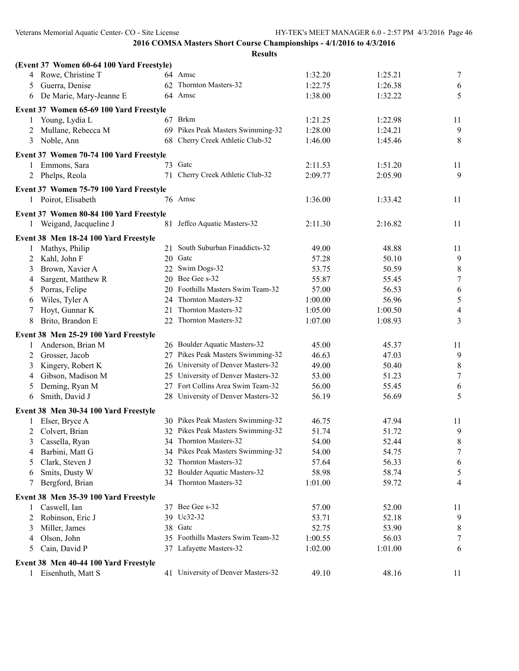| (Event 37 Women 60-64 100 Yard Freestyle) |    |                                    |         |         |                  |
|-------------------------------------------|----|------------------------------------|---------|---------|------------------|
| Rowe, Christine T<br>4                    |    | 64 Amsc                            | 1:32.20 | 1:25.21 | $\tau$           |
| Guerra, Denise<br>5                       |    | 62 Thornton Masters-32             | 1:22.75 | 1:26.38 | 6                |
| De Marie, Mary-Jeanne E<br>6              |    | 64 Amsc                            | 1:38.00 | 1:32.22 | 5                |
| Event 37 Women 65-69 100 Yard Freestyle   |    |                                    |         |         |                  |
| Young, Lydia L<br>1                       |    | 67 Brkm                            | 1:21.25 | 1:22.98 | 11               |
| Mullane, Rebecca M<br>2                   |    | 69 Pikes Peak Masters Swimming-32  | 1:28.00 | 1:24.21 | 9                |
| Noble, Ann<br>3                           | 68 | Cherry Creek Athletic Club-32      | 1:46.00 | 1:45.46 | 8                |
| Event 37 Women 70-74 100 Yard Freestyle   |    |                                    |         |         |                  |
| 1 Emmons, Sara                            |    | 73 Gatc                            | 2:11.53 | 1:51.20 | 11               |
| 2 Phelps, Reola                           | 71 | Cherry Creek Athletic Club-32      | 2:09.77 | 2:05.90 | 9                |
| Event 37 Women 75-79 100 Yard Freestyle   |    |                                    |         |         |                  |
| 1 Poirot, Elisabeth                       |    | 76 Amsc                            | 1:36.00 | 1:33.42 | 11               |
| Event 37 Women 80-84 100 Yard Freestyle   |    |                                    |         |         |                  |
| 1 Weigand, Jacqueline J                   |    | 81 Jeffco Aquatic Masters-32       | 2:11.30 | 2:16.82 | 11               |
|                                           |    |                                    |         |         |                  |
| Event 38 Men 18-24 100 Yard Freestyle     |    | 21 South Suburban Finaddicts-32    |         |         |                  |
| Mathys, Philip                            |    | 20 Gatc                            | 49.00   | 48.88   | 11               |
| Kahl, John F<br>2                         |    |                                    | 57.28   | 50.10   | 9                |
| Brown, Xavier A<br>3                      |    | 22 Swim Dogs-32                    | 53.75   | 50.59   | $\,8\,$          |
| Sargent, Matthew R<br>4                   |    | 20 Bee Gee s-32                    | 55.87   | 55.45   | $\boldsymbol{7}$ |
| Porras, Felipe<br>5                       | 20 | Foothills Masters Swim Team-32     | 57.00   | 56.53   | $\sqrt{6}$       |
| Wiles, Tyler A<br>6                       | 24 | Thornton Masters-32                | 1:00.00 | 56.96   | $\sqrt{5}$       |
| Hoyt, Gunnar K<br>7                       | 21 | Thornton Masters-32                | 1:05.00 | 1:00.50 | $\overline{4}$   |
| 8<br>Brito, Brandon E                     | 22 | Thornton Masters-32                | 1:07.00 | 1:08.93 | 3                |
| Event 38 Men 25-29 100 Yard Freestyle     |    |                                    |         |         |                  |
| Anderson, Brian M<br>1                    |    | 26 Boulder Aquatic Masters-32      | 45.00   | 45.37   | 11               |
| Grosser, Jacob<br>2                       |    | 27 Pikes Peak Masters Swimming-32  | 46.63   | 47.03   | 9                |
| Kingery, Robert K<br>3                    |    | 26 University of Denver Masters-32 | 49.00   | 50.40   | $\,8\,$          |
| Gibson, Madison M<br>4                    |    | 25 University of Denver Masters-32 | 53.00   | 51.23   | $\boldsymbol{7}$ |
| Deming, Ryan M<br>5                       |    | 27 Fort Collins Area Swim Team-32  | 56.00   | 55.45   | 6                |
| Smith, David J<br>6                       | 28 | University of Denver Masters-32    | 56.19   | 56.69   | 5                |
| Event 38 Men 30-34 100 Yard Freestyle     |    |                                    |         |         |                  |
| Elser, Bryce A                            |    | 30 Pikes Peak Masters Swimming-32  | 46.75   | 47.94   | 11               |
| Colvert, Brian<br>2                       |    | 32 Pikes Peak Masters Swimming-32  | 51.74   | 51.72   | 9                |
| 3 Cassella, Ryan                          |    | 34 Thornton Masters-32             | 54.00   | 52.44   | $\,$ $\,$        |
| Barbini, Matt G<br>4                      |    | 34 Pikes Peak Masters Swimming-32  | 54.00   | 54.75   | 7                |
| Clark, Steven J<br>5                      | 32 | Thornton Masters-32                | 57.64   | 56.33   | 6                |
| Smits, Dusty W<br>6                       |    | 32 Boulder Aquatic Masters-32      | 58.98   | 58.74   | 5                |
| Bergford, Brian<br>7                      |    | 34 Thornton Masters-32             | 1:01.00 | 59.72   | 4                |
| Event 38 Men 35-39 100 Yard Freestyle     |    |                                    |         |         |                  |
| Caswell, Ian<br>1                         | 37 | Bee Gee s-32                       | 57.00   | 52.00   | 11               |
| Robinson, Eric J<br>2                     | 39 | Uc32-32                            | 53.71   | 52.18   | 9                |
| Miller, James<br>3                        | 38 | Gatc                               | 52.75   | 53.90   | 8                |
| Olson, John<br>4                          | 35 | Foothills Masters Swim Team-32     | 1:00.55 | 56.03   | 7                |
| Cain, David P<br>5                        |    | 37 Lafayette Masters-32            | 1:02.00 | 1:01.00 | 6                |
| Event 38 Men 40-44 100 Yard Freestyle     |    |                                    |         |         |                  |
| 1 Eisenhuth, Matt S                       |    | 41 University of Denver Masters-32 | 49.10   | 48.16   | 11               |
|                                           |    |                                    |         |         |                  |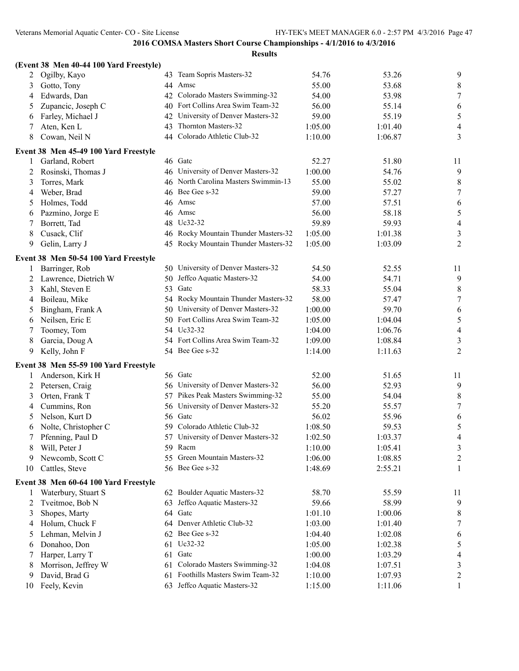|    | (Event 38 Men 40-44 100 Yard Freestyle) |    |                                      |         |         |                |
|----|-----------------------------------------|----|--------------------------------------|---------|---------|----------------|
| 2  | Ogilby, Kayo                            |    | 43 Team Sopris Masters-32            | 54.76   | 53.26   | 9              |
| 3  | Gotto, Tony                             |    | 44 Amsc                              | 55.00   | 53.68   | $\,$ $\,$      |
| 4  | Edwards, Dan                            | 42 | Colorado Masters Swimming-32         | 54.00   | 53.98   | $\tau$         |
| 5  | Zupancic, Joseph C                      | 40 | Fort Collins Area Swim Team-32       | 56.00   | 55.14   | 6              |
| 6  | Farley, Michael J                       | 42 | University of Denver Masters-32      | 59.00   | 55.19   | $\mathfrak s$  |
| 7  | Aten, Ken L                             | 43 | Thornton Masters-32                  | 1:05.00 | 1:01.40 | $\overline{4}$ |
| 8  | Cowan, Neil N                           |    | 44 Colorado Athletic Club-32         | 1:10.00 | 1:06.87 | $\mathfrak{Z}$ |
|    | Event 38 Men 45-49 100 Yard Freestyle   |    |                                      |         |         |                |
| 1  | Garland, Robert                         |    | 46 Gatc                              | 52.27   | 51.80   | 11             |
| 2  | Rosinski, Thomas J                      |    | 46 University of Denver Masters-32   | 1:00.00 | 54.76   | 9              |
| 3  | Torres, Mark                            |    | 46 North Carolina Masters Swimmin-13 | 55.00   | 55.02   | 8              |
| 4  | Weber, Brad                             |    | 46 Bee Gee s-32                      | 59.00   | 57.27   | $\tau$         |
| 5  | Holmes, Todd                            |    | 46 Amsc                              | 57.00   | 57.51   | 6              |
| 6  | Pazmino, Jorge E                        |    | 46 Amsc                              | 56.00   | 58.18   | $\mathfrak s$  |
| 7  | Borrett, Tad                            |    | 48 Uc32-32                           | 59.89   | 59.93   | $\overline{4}$ |
| 8  | Cusack, Clif                            |    | 46 Rocky Mountain Thunder Masters-32 | 1:05.00 | 1:01.38 | $\mathfrak{Z}$ |
| 9  | Gelin, Larry J                          | 45 | Rocky Mountain Thunder Masters-32    | 1:05.00 | 1:03.09 | $\overline{2}$ |
|    | Event 38 Men 50-54 100 Yard Freestyle   |    |                                      |         |         |                |
| 1  | Barringer, Rob                          |    | 50 University of Denver Masters-32   | 54.50   | 52.55   | 11             |
| 2  | Lawrence, Dietrich W                    |    | 50 Jeffco Aquatic Masters-32         | 54.00   | 54.71   | 9              |
| 3  | Kahl, Steven E                          | 53 | Gatc                                 | 58.33   | 55.04   | 8              |
| 4  | Boileau, Mike                           |    | 54 Rocky Mountain Thunder Masters-32 | 58.00   | 57.47   | $\tau$         |
| 5  | Bingham, Frank A                        | 50 | University of Denver Masters-32      | 1:00.00 | 59.70   | 6              |
| 6  | Neilsen, Eric E                         |    | 50 Fort Collins Area Swim Team-32    | 1:05.00 | 1:04.04 | $\mathfrak s$  |
| 7  | Toomey, Tom                             |    | 54 Uc32-32                           | 1:04.00 | 1:06.76 | $\overline{4}$ |
| 8  | Garcia, Doug A                          |    | 54 Fort Collins Area Swim Team-32    | 1:09.00 | 1:08.84 | 3              |
| 9  | Kelly, John F                           |    | 54 Bee Gee s-32                      | 1:14.00 | 1:11.63 | $\overline{c}$ |
|    | Event 38 Men 55-59 100 Yard Freestyle   |    |                                      |         |         |                |
| 1  | Anderson, Kirk H                        |    | 56 Gate                              | 52.00   | 51.65   | 11             |
| 2  | Petersen, Craig                         |    | 56 University of Denver Masters-32   | 56.00   | 52.93   | 9              |
| 3  | Orten, Frank T                          |    | 57 Pikes Peak Masters Swimming-32    | 55.00   | 54.04   | 8              |
| 4  | Cummins, Ron                            |    | 56 University of Denver Masters-32   | 55.20   | 55.57   | 7              |
| 5  | Nelson, Kurt D                          |    | 56 Gatc                              | 56.02   | 55.96   | 6              |
| 6  | Nolte, Christopher C                    | 59 | Colorado Athletic Club-32            | 1:08.50 | 59.53   | $\sqrt{5}$     |
| 7  | Pfenning, Paul D                        |    | 57 University of Denver Masters-32   | 1:02.50 | 1:03.37 | 4              |
| 8  | Will, Peter J                           |    | 59 Racm                              | 1:10.00 | 1:05.41 | 3              |
| 9  | Newcomb, Scott C                        | 55 | Green Mountain Masters-32            | 1:06.00 | 1:08.85 | $\overline{c}$ |
| 10 | Cattles, Steve                          |    | 56 Bee Gee s-32                      | 1:48.69 | 2:55.21 | 1              |
|    | Event 38 Men 60-64 100 Yard Freestyle   |    |                                      |         |         |                |
| 1  | Waterbury, Stuart S                     |    | 62 Boulder Aquatic Masters-32        | 58.70   | 55.59   | 11             |
| 2  | Tveitmoe, Bob N                         | 63 | Jeffco Aquatic Masters-32            | 59.66   | 58.99   | 9              |
| 3  | Shopes, Marty                           |    | 64 Gatc                              | 1:01.10 | 1:00.06 | 8              |
| 4  | Holum, Chuck F                          |    | 64 Denver Athletic Club-32           | 1:03.00 | 1:01.40 | 7              |
| 5  | Lehman, Melvin J                        |    | 62 Bee Gee s-32                      | 1:04.40 | 1:02.08 | 6              |
| 6  | Donahoo, Don                            |    | 61 Uc32-32                           | 1:05.00 | 1:02.38 | 5              |
| 7  | Harper, Larry T                         |    | 61 Gate                              | 1:00.00 | 1:03.29 | $\overline{4}$ |
| 8  | Morrison, Jeffrey W                     | 61 | Colorado Masters Swimming-32         | 1:04.08 | 1:07.51 | 3              |
| 9  | David, Brad G                           | 61 | Foothills Masters Swim Team-32       | 1:10.00 | 1:07.93 | $\overline{c}$ |
| 10 | Feely, Kevin                            |    | 63 Jeffco Aquatic Masters-32         | 1:15.00 | 1:11.06 | 1              |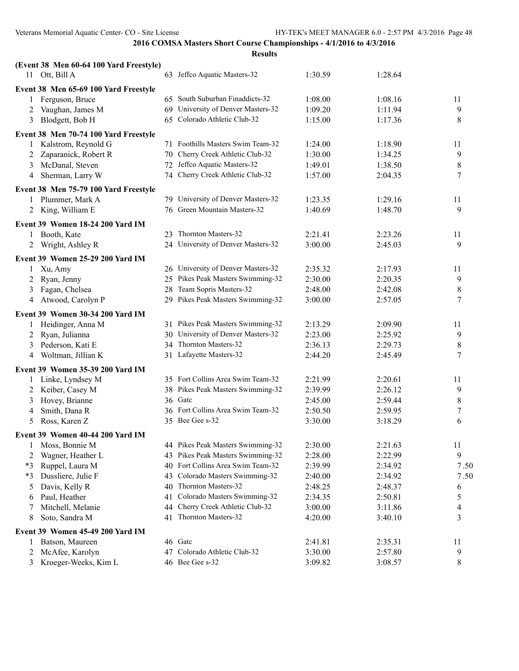| Results |  |
|---------|--|
|         |  |

|        | (Event 38 Men 60-64 100 Yard Freestyle) |    |                                    |         |         |                  |
|--------|-----------------------------------------|----|------------------------------------|---------|---------|------------------|
|        | 11 Ott, Bill A                          |    | 63 Jeffco Aquatic Masters-32       | 1:30.59 | 1:28.64 |                  |
|        | Event 38 Men 65-69 100 Yard Freestyle   |    |                                    |         |         |                  |
|        | Ferguson, Bruce                         |    | 65 South Suburban Finaddicts-32    | 1:08.00 | 1:08.16 | 11               |
| 2      | Vaughan, James M                        |    | 69 University of Denver Masters-32 | 1:09.20 | 1:11.94 | 9                |
| 3      | Blodgett, Bob H                         |    | 65 Colorado Athletic Club-32       | 1:15.00 | 1:17.36 | $\,8$            |
|        | Event 38 Men 70-74 100 Yard Freestyle   |    |                                    |         |         |                  |
| 1      | Kalstrom, Reynold G                     | 71 | Foothills Masters Swim Team-32     | 1:24.00 | 1:18.90 | 11               |
| 2      | Zaparanick, Robert R                    |    | 70 Cherry Creek Athletic Club-32   | 1:30.00 | 1:34.25 | 9                |
| 3      | McDanal, Steven                         |    | 72 Jeffco Aquatic Masters-32       | 1:49.01 | 1:38.50 | $\,8\,$          |
| 4      | Sherman, Larry W                        |    | 74 Cherry Creek Athletic Club-32   | 1:57.00 | 2:04.35 | 7                |
|        | Event 38 Men 75-79 100 Yard Freestyle   |    |                                    |         |         |                  |
| 1      | Plummer, Mark A                         |    | 79 University of Denver Masters-32 | 1:23.35 | 1:29.16 | 11               |
|        | 2 King, William E                       |    | 76 Green Mountain Masters-32       | 1:40.69 | 1:48.70 | 9                |
|        | Event 39 Women 18-24 200 Yard IM        |    |                                    |         |         |                  |
| 1      | Booth, Kate                             |    | 23 Thornton Masters-32             | 2:21.41 | 2:23.26 | 11               |
| 2      | Wright, Ashley R                        |    | 24 University of Denver Masters-32 | 3:00.00 | 2:45.03 | 9                |
|        | <b>Event 39 Women 25-29 200 Yard IM</b> |    |                                    |         |         |                  |
|        | Xu, Amy                                 |    | 26 University of Denver Masters-32 | 2:35.32 | 2:17.93 | 11               |
| 2      | Ryan, Jenny                             |    | 25 Pikes Peak Masters Swimming-32  | 2:30.00 | 2:20.35 | 9                |
| 3      | Fagan, Chelsea                          | 28 | Team Sopris Masters-32             | 2:48.00 | 2:42.08 | 8                |
| 4      | Atwood, Carolyn P                       |    | 29 Pikes Peak Masters Swimming-32  | 3:00.00 | 2:57.05 | 7                |
|        | Event 39 Women 30-34 200 Yard IM        |    |                                    |         |         |                  |
|        | Heidinger, Anna M                       |    | 31 Pikes Peak Masters Swimming-32  | 2:13.29 | 2:09.90 | 11               |
|        | Ryan, Julianna                          |    | 30 University of Denver Masters-32 | 2:23.00 | 2:25.92 | 9                |
| 2<br>3 | Pederson, Kati E                        |    | 34 Thornton Masters-32             | 2:36.13 | 2:29.73 | 8                |
| 4      | Woltman, Jillian K                      |    | 31 Lafayette Masters-32            | 2:44.20 | 2:45.49 | 7                |
|        |                                         |    |                                    |         |         |                  |
|        | Event 39 Women 35-39 200 Yard IM        |    |                                    |         |         |                  |
|        | Linke, Lyndsey M                        |    | 35 Fort Collins Area Swim Team-32  | 2:21.99 | 2:20.61 | 11               |
| 2      | Keiber, Casey M                         |    | 38 Pikes Peak Masters Swimming-32  | 2:39.99 | 2:26.12 | 9                |
| 3      | Hovey, Brianne                          |    | 36 Gate                            | 2:45.00 | 2:59.44 | 8                |
| 4      | Smith, Dana R                           |    | 36 Fort Collins Area Swim Team-32  | 2:50.50 | 2:59.95 | $\boldsymbol{7}$ |
| 5      | Ross, Karen Z                           |    | 35 Bee Gee s-32                    | 3:30.00 | 3:18.29 | 6                |
|        | Event 39 Women 40-44 200 Yard IM        |    |                                    |         |         |                  |
| 1      | Moss, Bonnie M                          |    | 44 Pikes Peak Masters Swimming-32  | 2:30.00 | 2:21.63 | 11               |
| 2      | Wagner, Heather L                       |    | 43 Pikes Peak Masters Swimming-32  | 2:28.00 | 2:22.99 | 9                |
| $*3$   | Ruppel, Laura M                         |    | 40 Fort Collins Area Swim Team-32  | 2:39.99 | 2:34.92 | 7.50             |
| $*3$   | Dussliere, Julie F                      | 43 | Colorado Masters Swimming-32       | 2:40.00 | 2:34.92 | 7.50             |
| 5      | Davis, Kelly R                          | 40 | Thornton Masters-32                | 2:48.25 | 2:48.37 | 6                |
| 6      | Paul, Heather                           | 41 | Colorado Masters Swimming-32       | 2:34.35 | 2:50.81 | 5                |
| 7      | Mitchell, Melanie                       | 44 | Cherry Creek Athletic Club-32      | 3:00.00 | 3:11.86 | 4                |
| 8      | Soto, Sandra M                          | 41 | Thornton Masters-32                | 4:20.00 | 3:40.10 | 3                |
|        | Event 39 Women 45-49 200 Yard IM        |    |                                    |         |         |                  |
|        | Batson, Maureen                         |    | 46 Gate                            | 2:41.81 | 2:35.31 | 11               |
| 2      | McAfee, Karolyn                         |    | 47 Colorado Athletic Club-32       | 3:30.00 | 2:57.80 | 9                |
| 3      | Kroeger-Weeks, Kim L                    |    | 46 Bee Gee s-32                    | 3:09.82 | 3:08.57 | 8                |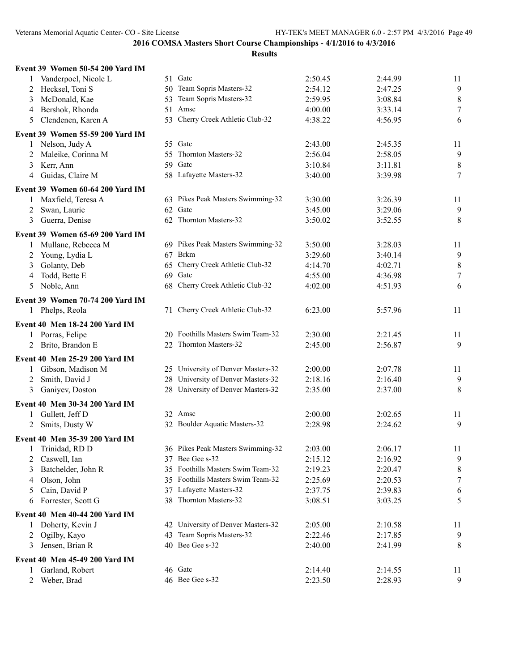| Event 39 Women 50-54 200 Yard IM      |                                                                 |         |         |                |
|---------------------------------------|-----------------------------------------------------------------|---------|---------|----------------|
| Vanderpoel, Nicole L                  | 51 Gate                                                         | 2:50.45 | 2:44.99 | 11             |
| Hecksel, Toni S<br>2                  | 50 Team Sopris Masters-32                                       | 2:54.12 | 2:47.25 | $\overline{9}$ |
| McDonald, Kae<br>3                    | 53 Team Sopris Masters-32                                       | 2:59.95 | 3:08.84 | $\,8\,$        |
| Bershok, Rhonda<br>4                  | Amsc<br>51                                                      | 4:00.00 | 3:33.14 | $\tau$         |
| Clendenen, Karen A<br>5               | 53 Cherry Creek Athletic Club-32                                | 4:38.22 | 4:56.95 | 6              |
| Event 39 Women 55-59 200 Yard IM      |                                                                 |         |         |                |
| 1 Nelson, Judy A                      | 55 Gate                                                         | 2:43.00 | 2:45.35 | 11             |
| Maleike, Corinna M<br>2               | 55 Thornton Masters-32                                          | 2:56.04 | 2:58.05 | $\overline{9}$ |
| Kerr, Ann<br>3                        | 59 Gate                                                         | 3:10.84 | 3:11.81 | $\,8\,$        |
| Guidas, Claire M<br>4                 | 58 Lafayette Masters-32                                         | 3:40.00 | 3:39.98 | $\tau$         |
| Event 39 Women 60-64 200 Yard IM      |                                                                 |         |         |                |
| Maxfield, Teresa A<br>1               | 63 Pikes Peak Masters Swimming-32                               | 3:30.00 | 3:26.39 | 11             |
| Swan, Laurie<br>2                     | 62 Gate                                                         | 3:45.00 | 3:29.06 | $\overline{9}$ |
| Guerra, Denise<br>3                   | 62 Thornton Masters-32                                          | 3:50.02 | 3:52.55 | $\,8\,$        |
| Event 39 Women 65-69 200 Yard IM      |                                                                 |         |         |                |
| Mullane, Rebecca M<br>1               | 69 Pikes Peak Masters Swimming-32                               | 3:50.00 | 3:28.03 | 11             |
| Young, Lydia L<br>2                   | 67 Brkm                                                         | 3:29.60 | 3:40.14 | 9              |
| Golanty, Deb<br>3                     | 65 Cherry Creek Athletic Club-32                                | 4:14.70 | 4:02.71 | $\,8\,$        |
| Todd, Bette E<br>4                    | 69 Gatc                                                         | 4:55.00 | 4:36.98 | $\tau$         |
| Noble, Ann<br>5                       | 68 Cherry Creek Athletic Club-32                                | 4:02.00 | 4:51.93 | 6              |
| Event 39 Women 70-74 200 Yard IM      |                                                                 |         |         |                |
| 1 Phelps, Reola                       | 71 Cherry Creek Athletic Club-32                                | 6:23.00 | 5:57.96 | 11             |
| Event 40 Men 18-24 200 Yard IM        |                                                                 |         |         |                |
| Porras, Felipe                        | 20 Foothills Masters Swim Team-32                               | 2:30.00 | 2:21.45 | 11             |
| Brito, Brandon E<br>2                 | 22 Thornton Masters-32                                          | 2:45.00 | 2:56.87 | 9              |
| Event 40 Men 25-29 200 Yard IM        |                                                                 |         |         |                |
| Gibson, Madison M<br>1                | 25 University of Denver Masters-32                              | 2:00.00 | 2:07.78 | 11             |
| Smith, David J<br>2                   | 28 University of Denver Masters-32                              | 2:18.16 | 2:16.40 | 9              |
| Ganiyev, Doston<br>3                  | 28 University of Denver Masters-32                              | 2:35.00 | 2:37.00 | 8              |
| Event 40 Men 30-34 200 Yard IM        |                                                                 |         |         |                |
| Gullett, Jeff D<br>1                  | 32 Amsc                                                         | 2:00.00 | 2:02.65 | 11             |
| Smits, Dusty W<br>2                   | 32 Boulder Aquatic Masters-32                                   | 2:28.98 | 2:24.62 | 9              |
| Event 40 Men 35-39 200 Yard IM        |                                                                 |         |         |                |
| Trinidad, RD D                        | 36 Pikes Peak Masters Swimming-32                               | 2:03.00 | 2:06.17 | 11             |
| $\perp$<br>Caswell, Ian<br>2          | 37 Bee Gee s-32                                                 | 2:15.12 | 2:16.92 | 9              |
| Batchelder, John R<br>3               | 35 Foothills Masters Swim Team-32                               | 2:19.23 | 2:20.47 | 8              |
| Olson, John                           | 35 Foothills Masters Swim Team-32                               | 2:25.69 | 2:20.53 | $\tau$         |
| 4<br>Cain, David P                    | 37 Lafayette Masters-32                                         | 2:37.75 | 2:39.83 | 6              |
| 5<br>Forrester, Scott G<br>6          | 38 Thornton Masters-32                                          | 3:08.51 | 3:03.25 | 5              |
|                                       |                                                                 |         |         |                |
| <b>Event 40 Men 40-44 200 Yard IM</b> |                                                                 |         |         |                |
| Doherty, Kevin J<br>1<br>Ogilby, Kayo | 42 University of Denver Masters-32<br>43 Team Sopris Masters-32 | 2:05.00 | 2:10.58 | 11<br>9        |
| 2                                     | 40 Bee Gee s-32                                                 | 2:22.46 | 2:17.85 |                |
| Jensen, Brian R<br>3                  |                                                                 | 2:40.00 | 2:41.99 | 8              |
| Event 40 Men 45-49 200 Yard IM        |                                                                 |         |         |                |
| Garland, Robert<br>1                  | 46 Gatc                                                         | 2:14.40 | 2:14.55 | 11             |
| Weber, Brad<br>2                      | 46 Bee Gee s-32                                                 | 2:23.50 | 2:28.93 | 9              |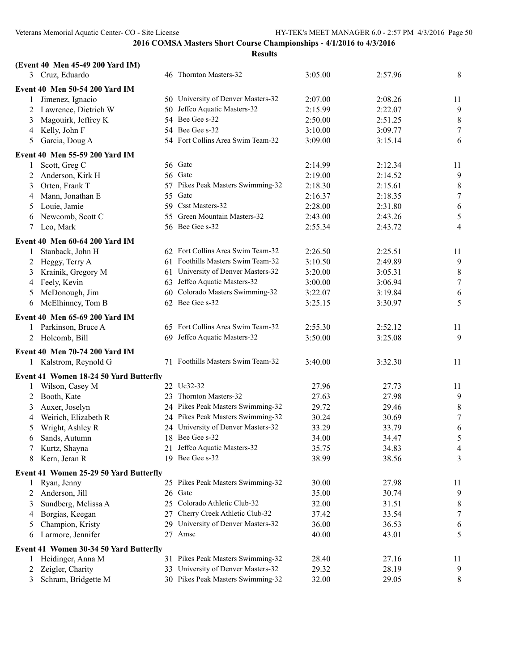| 8<br>3 Cruz, Eduardo<br>46 Thornton Masters-32<br>3:05.00<br>2:57.96<br>Event 40 Men 50-54 200 Yard IM<br>50 University of Denver Masters-32<br>Jimenez, Ignacio<br>2:07.00<br>2:08.26<br>11<br>1<br>$\overline{9}$<br>50 Jeffco Aquatic Masters-32<br>Lawrence, Dietrich W<br>2:15.99<br>2:22.07<br>2<br>54 Bee Gee s-32<br>$\,8\,$<br>Magouirk, Jeffrey K<br>2:50.00<br>2:51.25<br>3<br>$\tau$<br>54 Bee Gee s-32<br>Kelly, John F<br>3:10.00<br>3:09.77<br>4<br>54 Fort Collins Area Swim Team-32<br>6<br>Garcia, Doug A<br>3:09.00<br>3:15.14<br>5<br>Event 40 Men 55-59 200 Yard IM<br>56 Gatc<br>Scott, Greg C<br>2:12.34<br>2:14.99<br>11<br>$\mathbf{1}$<br>56 Gatc<br>Anderson, Kirk H<br>9<br>2:19.00<br>2:14.52<br>2<br>$\,8\,$<br>Orten, Frank T<br>57 Pikes Peak Masters Swimming-32<br>2:18.30<br>2:15.61<br>3<br>$\boldsymbol{7}$<br>55 Gate<br>Mann, Jonathan E<br>2:16.37<br>2:18.35<br>4<br>59 Csst Masters-32<br>6<br>Louie, Jamie<br>2:28.00<br>2:31.80<br>5<br>5<br>55 Green Mountain Masters-32<br>Newcomb, Scott C<br>2:43.00<br>2:43.26<br>6<br>56 Bee Gee s-32<br>$\overline{4}$<br>$\tau$<br>Leo, Mark<br>2:55.34<br>2:43.72<br>Event 40 Men 60-64 200 Yard IM<br>62 Fort Collins Area Swim Team-32<br>Stanback, John H<br>2:26.50<br>2:25.51<br>11<br>1<br>61 Foothills Masters Swim Team-32<br>9<br>Heggy, Terry A<br>3:10.50<br>2:49.89<br>2<br>61 University of Denver Masters-32<br>$\,8\,$<br>Krainik, Gregory M<br>3:20.00<br>3:05.31<br>3<br>$\boldsymbol{7}$<br>63 Jeffco Aquatic Masters-32<br>Feely, Kevin<br>3:00.00<br>3:06.94<br>4<br>McDonough, Jim<br>60 Colorado Masters Swimming-32<br>6<br>3:22.07<br>3:19.84<br>5<br>62 Bee Gee s-32<br>5<br>McElhinney, Tom B<br>3:25.15<br>3:30.97<br>6<br>Event 40 Men 65-69 200 Yard IM<br>Parkinson, Bruce A<br>65 Fort Collins Area Swim Team-32<br>2:55.30<br>2:52.12<br>11<br>1<br>69 Jeffco Aquatic Masters-32<br>2 Holcomb, Bill<br>3:50.00<br>3:25.08<br>9<br>Event 40 Men 70-74 200 Yard IM<br>71 Foothills Masters Swim Team-32<br>3:40.00<br>3:32.30<br>1 Kalstrom, Reynold G<br>11<br>Event 41 Women 18-24 50 Yard Butterfly<br>22 Uc32-32<br>Wilson, Casey M<br>27.96<br>27.73<br>11<br>1<br>23 Thornton Masters-32<br>9<br>Booth, Kate<br>27.63<br>27.98<br>2<br>24 Pikes Peak Masters Swimming-32<br>8<br>29.72<br>Auxer, Joselyn<br>29.46<br>3<br>$\tau$<br>24 Pikes Peak Masters Swimming-32<br>Weirich, Elizabeth R<br>30.24<br>30.69<br>4<br>24 University of Denver Masters-32<br>Wright, Ashley R<br>33.29<br>33.79<br>6<br>5<br>5<br>18 Bee Gee s-32<br>34.00<br>Sands, Autumn<br>34.47<br>6<br>21 Jeffco Aquatic Masters-32<br>Kurtz, Shayna<br>35.75<br>34.83<br>4<br>Kern, Jeran R<br>19 Bee Gee s-32<br>38.99<br>38.56<br>3<br>8<br>Event 41 Women 25-29 50 Yard Butterfly<br>25 Pikes Peak Masters Swimming-32<br>Ryan, Jenny<br>30.00<br>27.98<br>11<br>1<br>9<br>Anderson, Jill<br>26 Gate<br>35.00<br>30.74<br>2<br>25 Colorado Athletic Club-32<br>Sundberg, Melissa A<br>31.51<br>8<br>32.00<br>3<br>27 Cherry Creek Athletic Club-32<br>7<br>Borgias, Keegan<br>33.54<br>37.42<br>4<br>29 University of Denver Masters-32<br>Champion, Kristy<br>36.53<br>36.00<br>6<br>5<br>Amsc<br>Larmore, Jennifer<br>40.00<br>43.01<br>5<br>27<br>6<br>Event 41 Women 30-34 50 Yard Butterfly<br>31 Pikes Peak Masters Swimming-32<br>Heidinger, Anna M<br>28.40<br>27.16<br>11<br>33 University of Denver Masters-32<br>9<br>Zeigler, Charity<br>29.32<br>28.19<br>2 |   | (Event 40 Men 45-49 200 Yard IM) |                                   |       |       |   |
|------------------------------------------------------------------------------------------------------------------------------------------------------------------------------------------------------------------------------------------------------------------------------------------------------------------------------------------------------------------------------------------------------------------------------------------------------------------------------------------------------------------------------------------------------------------------------------------------------------------------------------------------------------------------------------------------------------------------------------------------------------------------------------------------------------------------------------------------------------------------------------------------------------------------------------------------------------------------------------------------------------------------------------------------------------------------------------------------------------------------------------------------------------------------------------------------------------------------------------------------------------------------------------------------------------------------------------------------------------------------------------------------------------------------------------------------------------------------------------------------------------------------------------------------------------------------------------------------------------------------------------------------------------------------------------------------------------------------------------------------------------------------------------------------------------------------------------------------------------------------------------------------------------------------------------------------------------------------------------------------------------------------------------------------------------------------------------------------------------------------------------------------------------------------------------------------------------------------------------------------------------------------------------------------------------------------------------------------------------------------------------------------------------------------------------------------------------------------------------------------------------------------------------------------------------------------------------------------------------------------------------------------------------------------------------------------------------------------------------------------------------------------------------------------------------------------------------------------------------------------------------------------------------------------------------------------------------------------------------------------------------------------------------------------------------------------------------------------------------------------------------------------------------------------------------------------------------------------------------------------------------------------------------------------------------------------------------------------------------------------------------------------------------------------------------------------------------------------------|---|----------------------------------|-----------------------------------|-------|-------|---|
|                                                                                                                                                                                                                                                                                                                                                                                                                                                                                                                                                                                                                                                                                                                                                                                                                                                                                                                                                                                                                                                                                                                                                                                                                                                                                                                                                                                                                                                                                                                                                                                                                                                                                                                                                                                                                                                                                                                                                                                                                                                                                                                                                                                                                                                                                                                                                                                                                                                                                                                                                                                                                                                                                                                                                                                                                                                                                                                                                                                                                                                                                                                                                                                                                                                                                                                                                                                                                                                                              |   |                                  |                                   |       |       |   |
|                                                                                                                                                                                                                                                                                                                                                                                                                                                                                                                                                                                                                                                                                                                                                                                                                                                                                                                                                                                                                                                                                                                                                                                                                                                                                                                                                                                                                                                                                                                                                                                                                                                                                                                                                                                                                                                                                                                                                                                                                                                                                                                                                                                                                                                                                                                                                                                                                                                                                                                                                                                                                                                                                                                                                                                                                                                                                                                                                                                                                                                                                                                                                                                                                                                                                                                                                                                                                                                                              |   |                                  |                                   |       |       |   |
|                                                                                                                                                                                                                                                                                                                                                                                                                                                                                                                                                                                                                                                                                                                                                                                                                                                                                                                                                                                                                                                                                                                                                                                                                                                                                                                                                                                                                                                                                                                                                                                                                                                                                                                                                                                                                                                                                                                                                                                                                                                                                                                                                                                                                                                                                                                                                                                                                                                                                                                                                                                                                                                                                                                                                                                                                                                                                                                                                                                                                                                                                                                                                                                                                                                                                                                                                                                                                                                                              |   |                                  |                                   |       |       |   |
|                                                                                                                                                                                                                                                                                                                                                                                                                                                                                                                                                                                                                                                                                                                                                                                                                                                                                                                                                                                                                                                                                                                                                                                                                                                                                                                                                                                                                                                                                                                                                                                                                                                                                                                                                                                                                                                                                                                                                                                                                                                                                                                                                                                                                                                                                                                                                                                                                                                                                                                                                                                                                                                                                                                                                                                                                                                                                                                                                                                                                                                                                                                                                                                                                                                                                                                                                                                                                                                                              |   |                                  |                                   |       |       |   |
|                                                                                                                                                                                                                                                                                                                                                                                                                                                                                                                                                                                                                                                                                                                                                                                                                                                                                                                                                                                                                                                                                                                                                                                                                                                                                                                                                                                                                                                                                                                                                                                                                                                                                                                                                                                                                                                                                                                                                                                                                                                                                                                                                                                                                                                                                                                                                                                                                                                                                                                                                                                                                                                                                                                                                                                                                                                                                                                                                                                                                                                                                                                                                                                                                                                                                                                                                                                                                                                                              |   |                                  |                                   |       |       |   |
|                                                                                                                                                                                                                                                                                                                                                                                                                                                                                                                                                                                                                                                                                                                                                                                                                                                                                                                                                                                                                                                                                                                                                                                                                                                                                                                                                                                                                                                                                                                                                                                                                                                                                                                                                                                                                                                                                                                                                                                                                                                                                                                                                                                                                                                                                                                                                                                                                                                                                                                                                                                                                                                                                                                                                                                                                                                                                                                                                                                                                                                                                                                                                                                                                                                                                                                                                                                                                                                                              |   |                                  |                                   |       |       |   |
|                                                                                                                                                                                                                                                                                                                                                                                                                                                                                                                                                                                                                                                                                                                                                                                                                                                                                                                                                                                                                                                                                                                                                                                                                                                                                                                                                                                                                                                                                                                                                                                                                                                                                                                                                                                                                                                                                                                                                                                                                                                                                                                                                                                                                                                                                                                                                                                                                                                                                                                                                                                                                                                                                                                                                                                                                                                                                                                                                                                                                                                                                                                                                                                                                                                                                                                                                                                                                                                                              |   |                                  |                                   |       |       |   |
|                                                                                                                                                                                                                                                                                                                                                                                                                                                                                                                                                                                                                                                                                                                                                                                                                                                                                                                                                                                                                                                                                                                                                                                                                                                                                                                                                                                                                                                                                                                                                                                                                                                                                                                                                                                                                                                                                                                                                                                                                                                                                                                                                                                                                                                                                                                                                                                                                                                                                                                                                                                                                                                                                                                                                                                                                                                                                                                                                                                                                                                                                                                                                                                                                                                                                                                                                                                                                                                                              |   |                                  |                                   |       |       |   |
|                                                                                                                                                                                                                                                                                                                                                                                                                                                                                                                                                                                                                                                                                                                                                                                                                                                                                                                                                                                                                                                                                                                                                                                                                                                                                                                                                                                                                                                                                                                                                                                                                                                                                                                                                                                                                                                                                                                                                                                                                                                                                                                                                                                                                                                                                                                                                                                                                                                                                                                                                                                                                                                                                                                                                                                                                                                                                                                                                                                                                                                                                                                                                                                                                                                                                                                                                                                                                                                                              |   |                                  |                                   |       |       |   |
|                                                                                                                                                                                                                                                                                                                                                                                                                                                                                                                                                                                                                                                                                                                                                                                                                                                                                                                                                                                                                                                                                                                                                                                                                                                                                                                                                                                                                                                                                                                                                                                                                                                                                                                                                                                                                                                                                                                                                                                                                                                                                                                                                                                                                                                                                                                                                                                                                                                                                                                                                                                                                                                                                                                                                                                                                                                                                                                                                                                                                                                                                                                                                                                                                                                                                                                                                                                                                                                                              |   |                                  |                                   |       |       |   |
|                                                                                                                                                                                                                                                                                                                                                                                                                                                                                                                                                                                                                                                                                                                                                                                                                                                                                                                                                                                                                                                                                                                                                                                                                                                                                                                                                                                                                                                                                                                                                                                                                                                                                                                                                                                                                                                                                                                                                                                                                                                                                                                                                                                                                                                                                                                                                                                                                                                                                                                                                                                                                                                                                                                                                                                                                                                                                                                                                                                                                                                                                                                                                                                                                                                                                                                                                                                                                                                                              |   |                                  |                                   |       |       |   |
|                                                                                                                                                                                                                                                                                                                                                                                                                                                                                                                                                                                                                                                                                                                                                                                                                                                                                                                                                                                                                                                                                                                                                                                                                                                                                                                                                                                                                                                                                                                                                                                                                                                                                                                                                                                                                                                                                                                                                                                                                                                                                                                                                                                                                                                                                                                                                                                                                                                                                                                                                                                                                                                                                                                                                                                                                                                                                                                                                                                                                                                                                                                                                                                                                                                                                                                                                                                                                                                                              |   |                                  |                                   |       |       |   |
|                                                                                                                                                                                                                                                                                                                                                                                                                                                                                                                                                                                                                                                                                                                                                                                                                                                                                                                                                                                                                                                                                                                                                                                                                                                                                                                                                                                                                                                                                                                                                                                                                                                                                                                                                                                                                                                                                                                                                                                                                                                                                                                                                                                                                                                                                                                                                                                                                                                                                                                                                                                                                                                                                                                                                                                                                                                                                                                                                                                                                                                                                                                                                                                                                                                                                                                                                                                                                                                                              |   |                                  |                                   |       |       |   |
|                                                                                                                                                                                                                                                                                                                                                                                                                                                                                                                                                                                                                                                                                                                                                                                                                                                                                                                                                                                                                                                                                                                                                                                                                                                                                                                                                                                                                                                                                                                                                                                                                                                                                                                                                                                                                                                                                                                                                                                                                                                                                                                                                                                                                                                                                                                                                                                                                                                                                                                                                                                                                                                                                                                                                                                                                                                                                                                                                                                                                                                                                                                                                                                                                                                                                                                                                                                                                                                                              |   |                                  |                                   |       |       |   |
|                                                                                                                                                                                                                                                                                                                                                                                                                                                                                                                                                                                                                                                                                                                                                                                                                                                                                                                                                                                                                                                                                                                                                                                                                                                                                                                                                                                                                                                                                                                                                                                                                                                                                                                                                                                                                                                                                                                                                                                                                                                                                                                                                                                                                                                                                                                                                                                                                                                                                                                                                                                                                                                                                                                                                                                                                                                                                                                                                                                                                                                                                                                                                                                                                                                                                                                                                                                                                                                                              |   |                                  |                                   |       |       |   |
|                                                                                                                                                                                                                                                                                                                                                                                                                                                                                                                                                                                                                                                                                                                                                                                                                                                                                                                                                                                                                                                                                                                                                                                                                                                                                                                                                                                                                                                                                                                                                                                                                                                                                                                                                                                                                                                                                                                                                                                                                                                                                                                                                                                                                                                                                                                                                                                                                                                                                                                                                                                                                                                                                                                                                                                                                                                                                                                                                                                                                                                                                                                                                                                                                                                                                                                                                                                                                                                                              |   |                                  |                                   |       |       |   |
|                                                                                                                                                                                                                                                                                                                                                                                                                                                                                                                                                                                                                                                                                                                                                                                                                                                                                                                                                                                                                                                                                                                                                                                                                                                                                                                                                                                                                                                                                                                                                                                                                                                                                                                                                                                                                                                                                                                                                                                                                                                                                                                                                                                                                                                                                                                                                                                                                                                                                                                                                                                                                                                                                                                                                                                                                                                                                                                                                                                                                                                                                                                                                                                                                                                                                                                                                                                                                                                                              |   |                                  |                                   |       |       |   |
|                                                                                                                                                                                                                                                                                                                                                                                                                                                                                                                                                                                                                                                                                                                                                                                                                                                                                                                                                                                                                                                                                                                                                                                                                                                                                                                                                                                                                                                                                                                                                                                                                                                                                                                                                                                                                                                                                                                                                                                                                                                                                                                                                                                                                                                                                                                                                                                                                                                                                                                                                                                                                                                                                                                                                                                                                                                                                                                                                                                                                                                                                                                                                                                                                                                                                                                                                                                                                                                                              |   |                                  |                                   |       |       |   |
|                                                                                                                                                                                                                                                                                                                                                                                                                                                                                                                                                                                                                                                                                                                                                                                                                                                                                                                                                                                                                                                                                                                                                                                                                                                                                                                                                                                                                                                                                                                                                                                                                                                                                                                                                                                                                                                                                                                                                                                                                                                                                                                                                                                                                                                                                                                                                                                                                                                                                                                                                                                                                                                                                                                                                                                                                                                                                                                                                                                                                                                                                                                                                                                                                                                                                                                                                                                                                                                                              |   |                                  |                                   |       |       |   |
|                                                                                                                                                                                                                                                                                                                                                                                                                                                                                                                                                                                                                                                                                                                                                                                                                                                                                                                                                                                                                                                                                                                                                                                                                                                                                                                                                                                                                                                                                                                                                                                                                                                                                                                                                                                                                                                                                                                                                                                                                                                                                                                                                                                                                                                                                                                                                                                                                                                                                                                                                                                                                                                                                                                                                                                                                                                                                                                                                                                                                                                                                                                                                                                                                                                                                                                                                                                                                                                                              |   |                                  |                                   |       |       |   |
|                                                                                                                                                                                                                                                                                                                                                                                                                                                                                                                                                                                                                                                                                                                                                                                                                                                                                                                                                                                                                                                                                                                                                                                                                                                                                                                                                                                                                                                                                                                                                                                                                                                                                                                                                                                                                                                                                                                                                                                                                                                                                                                                                                                                                                                                                                                                                                                                                                                                                                                                                                                                                                                                                                                                                                                                                                                                                                                                                                                                                                                                                                                                                                                                                                                                                                                                                                                                                                                                              |   |                                  |                                   |       |       |   |
|                                                                                                                                                                                                                                                                                                                                                                                                                                                                                                                                                                                                                                                                                                                                                                                                                                                                                                                                                                                                                                                                                                                                                                                                                                                                                                                                                                                                                                                                                                                                                                                                                                                                                                                                                                                                                                                                                                                                                                                                                                                                                                                                                                                                                                                                                                                                                                                                                                                                                                                                                                                                                                                                                                                                                                                                                                                                                                                                                                                                                                                                                                                                                                                                                                                                                                                                                                                                                                                                              |   |                                  |                                   |       |       |   |
|                                                                                                                                                                                                                                                                                                                                                                                                                                                                                                                                                                                                                                                                                                                                                                                                                                                                                                                                                                                                                                                                                                                                                                                                                                                                                                                                                                                                                                                                                                                                                                                                                                                                                                                                                                                                                                                                                                                                                                                                                                                                                                                                                                                                                                                                                                                                                                                                                                                                                                                                                                                                                                                                                                                                                                                                                                                                                                                                                                                                                                                                                                                                                                                                                                                                                                                                                                                                                                                                              |   |                                  |                                   |       |       |   |
|                                                                                                                                                                                                                                                                                                                                                                                                                                                                                                                                                                                                                                                                                                                                                                                                                                                                                                                                                                                                                                                                                                                                                                                                                                                                                                                                                                                                                                                                                                                                                                                                                                                                                                                                                                                                                                                                                                                                                                                                                                                                                                                                                                                                                                                                                                                                                                                                                                                                                                                                                                                                                                                                                                                                                                                                                                                                                                                                                                                                                                                                                                                                                                                                                                                                                                                                                                                                                                                                              |   |                                  |                                   |       |       |   |
|                                                                                                                                                                                                                                                                                                                                                                                                                                                                                                                                                                                                                                                                                                                                                                                                                                                                                                                                                                                                                                                                                                                                                                                                                                                                                                                                                                                                                                                                                                                                                                                                                                                                                                                                                                                                                                                                                                                                                                                                                                                                                                                                                                                                                                                                                                                                                                                                                                                                                                                                                                                                                                                                                                                                                                                                                                                                                                                                                                                                                                                                                                                                                                                                                                                                                                                                                                                                                                                                              |   |                                  |                                   |       |       |   |
|                                                                                                                                                                                                                                                                                                                                                                                                                                                                                                                                                                                                                                                                                                                                                                                                                                                                                                                                                                                                                                                                                                                                                                                                                                                                                                                                                                                                                                                                                                                                                                                                                                                                                                                                                                                                                                                                                                                                                                                                                                                                                                                                                                                                                                                                                                                                                                                                                                                                                                                                                                                                                                                                                                                                                                                                                                                                                                                                                                                                                                                                                                                                                                                                                                                                                                                                                                                                                                                                              |   |                                  |                                   |       |       |   |
|                                                                                                                                                                                                                                                                                                                                                                                                                                                                                                                                                                                                                                                                                                                                                                                                                                                                                                                                                                                                                                                                                                                                                                                                                                                                                                                                                                                                                                                                                                                                                                                                                                                                                                                                                                                                                                                                                                                                                                                                                                                                                                                                                                                                                                                                                                                                                                                                                                                                                                                                                                                                                                                                                                                                                                                                                                                                                                                                                                                                                                                                                                                                                                                                                                                                                                                                                                                                                                                                              |   |                                  |                                   |       |       |   |
|                                                                                                                                                                                                                                                                                                                                                                                                                                                                                                                                                                                                                                                                                                                                                                                                                                                                                                                                                                                                                                                                                                                                                                                                                                                                                                                                                                                                                                                                                                                                                                                                                                                                                                                                                                                                                                                                                                                                                                                                                                                                                                                                                                                                                                                                                                                                                                                                                                                                                                                                                                                                                                                                                                                                                                                                                                                                                                                                                                                                                                                                                                                                                                                                                                                                                                                                                                                                                                                                              |   |                                  |                                   |       |       |   |
|                                                                                                                                                                                                                                                                                                                                                                                                                                                                                                                                                                                                                                                                                                                                                                                                                                                                                                                                                                                                                                                                                                                                                                                                                                                                                                                                                                                                                                                                                                                                                                                                                                                                                                                                                                                                                                                                                                                                                                                                                                                                                                                                                                                                                                                                                                                                                                                                                                                                                                                                                                                                                                                                                                                                                                                                                                                                                                                                                                                                                                                                                                                                                                                                                                                                                                                                                                                                                                                                              |   |                                  |                                   |       |       |   |
|                                                                                                                                                                                                                                                                                                                                                                                                                                                                                                                                                                                                                                                                                                                                                                                                                                                                                                                                                                                                                                                                                                                                                                                                                                                                                                                                                                                                                                                                                                                                                                                                                                                                                                                                                                                                                                                                                                                                                                                                                                                                                                                                                                                                                                                                                                                                                                                                                                                                                                                                                                                                                                                                                                                                                                                                                                                                                                                                                                                                                                                                                                                                                                                                                                                                                                                                                                                                                                                                              |   |                                  |                                   |       |       |   |
|                                                                                                                                                                                                                                                                                                                                                                                                                                                                                                                                                                                                                                                                                                                                                                                                                                                                                                                                                                                                                                                                                                                                                                                                                                                                                                                                                                                                                                                                                                                                                                                                                                                                                                                                                                                                                                                                                                                                                                                                                                                                                                                                                                                                                                                                                                                                                                                                                                                                                                                                                                                                                                                                                                                                                                                                                                                                                                                                                                                                                                                                                                                                                                                                                                                                                                                                                                                                                                                                              |   |                                  |                                   |       |       |   |
|                                                                                                                                                                                                                                                                                                                                                                                                                                                                                                                                                                                                                                                                                                                                                                                                                                                                                                                                                                                                                                                                                                                                                                                                                                                                                                                                                                                                                                                                                                                                                                                                                                                                                                                                                                                                                                                                                                                                                                                                                                                                                                                                                                                                                                                                                                                                                                                                                                                                                                                                                                                                                                                                                                                                                                                                                                                                                                                                                                                                                                                                                                                                                                                                                                                                                                                                                                                                                                                                              |   |                                  |                                   |       |       |   |
|                                                                                                                                                                                                                                                                                                                                                                                                                                                                                                                                                                                                                                                                                                                                                                                                                                                                                                                                                                                                                                                                                                                                                                                                                                                                                                                                                                                                                                                                                                                                                                                                                                                                                                                                                                                                                                                                                                                                                                                                                                                                                                                                                                                                                                                                                                                                                                                                                                                                                                                                                                                                                                                                                                                                                                                                                                                                                                                                                                                                                                                                                                                                                                                                                                                                                                                                                                                                                                                                              |   |                                  |                                   |       |       |   |
|                                                                                                                                                                                                                                                                                                                                                                                                                                                                                                                                                                                                                                                                                                                                                                                                                                                                                                                                                                                                                                                                                                                                                                                                                                                                                                                                                                                                                                                                                                                                                                                                                                                                                                                                                                                                                                                                                                                                                                                                                                                                                                                                                                                                                                                                                                                                                                                                                                                                                                                                                                                                                                                                                                                                                                                                                                                                                                                                                                                                                                                                                                                                                                                                                                                                                                                                                                                                                                                                              |   |                                  |                                   |       |       |   |
|                                                                                                                                                                                                                                                                                                                                                                                                                                                                                                                                                                                                                                                                                                                                                                                                                                                                                                                                                                                                                                                                                                                                                                                                                                                                                                                                                                                                                                                                                                                                                                                                                                                                                                                                                                                                                                                                                                                                                                                                                                                                                                                                                                                                                                                                                                                                                                                                                                                                                                                                                                                                                                                                                                                                                                                                                                                                                                                                                                                                                                                                                                                                                                                                                                                                                                                                                                                                                                                                              |   |                                  |                                   |       |       |   |
|                                                                                                                                                                                                                                                                                                                                                                                                                                                                                                                                                                                                                                                                                                                                                                                                                                                                                                                                                                                                                                                                                                                                                                                                                                                                                                                                                                                                                                                                                                                                                                                                                                                                                                                                                                                                                                                                                                                                                                                                                                                                                                                                                                                                                                                                                                                                                                                                                                                                                                                                                                                                                                                                                                                                                                                                                                                                                                                                                                                                                                                                                                                                                                                                                                                                                                                                                                                                                                                                              |   |                                  |                                   |       |       |   |
|                                                                                                                                                                                                                                                                                                                                                                                                                                                                                                                                                                                                                                                                                                                                                                                                                                                                                                                                                                                                                                                                                                                                                                                                                                                                                                                                                                                                                                                                                                                                                                                                                                                                                                                                                                                                                                                                                                                                                                                                                                                                                                                                                                                                                                                                                                                                                                                                                                                                                                                                                                                                                                                                                                                                                                                                                                                                                                                                                                                                                                                                                                                                                                                                                                                                                                                                                                                                                                                                              |   |                                  |                                   |       |       |   |
|                                                                                                                                                                                                                                                                                                                                                                                                                                                                                                                                                                                                                                                                                                                                                                                                                                                                                                                                                                                                                                                                                                                                                                                                                                                                                                                                                                                                                                                                                                                                                                                                                                                                                                                                                                                                                                                                                                                                                                                                                                                                                                                                                                                                                                                                                                                                                                                                                                                                                                                                                                                                                                                                                                                                                                                                                                                                                                                                                                                                                                                                                                                                                                                                                                                                                                                                                                                                                                                                              |   |                                  |                                   |       |       |   |
|                                                                                                                                                                                                                                                                                                                                                                                                                                                                                                                                                                                                                                                                                                                                                                                                                                                                                                                                                                                                                                                                                                                                                                                                                                                                                                                                                                                                                                                                                                                                                                                                                                                                                                                                                                                                                                                                                                                                                                                                                                                                                                                                                                                                                                                                                                                                                                                                                                                                                                                                                                                                                                                                                                                                                                                                                                                                                                                                                                                                                                                                                                                                                                                                                                                                                                                                                                                                                                                                              |   |                                  |                                   |       |       |   |
|                                                                                                                                                                                                                                                                                                                                                                                                                                                                                                                                                                                                                                                                                                                                                                                                                                                                                                                                                                                                                                                                                                                                                                                                                                                                                                                                                                                                                                                                                                                                                                                                                                                                                                                                                                                                                                                                                                                                                                                                                                                                                                                                                                                                                                                                                                                                                                                                                                                                                                                                                                                                                                                                                                                                                                                                                                                                                                                                                                                                                                                                                                                                                                                                                                                                                                                                                                                                                                                                              |   |                                  |                                   |       |       |   |
|                                                                                                                                                                                                                                                                                                                                                                                                                                                                                                                                                                                                                                                                                                                                                                                                                                                                                                                                                                                                                                                                                                                                                                                                                                                                                                                                                                                                                                                                                                                                                                                                                                                                                                                                                                                                                                                                                                                                                                                                                                                                                                                                                                                                                                                                                                                                                                                                                                                                                                                                                                                                                                                                                                                                                                                                                                                                                                                                                                                                                                                                                                                                                                                                                                                                                                                                                                                                                                                                              |   |                                  |                                   |       |       |   |
|                                                                                                                                                                                                                                                                                                                                                                                                                                                                                                                                                                                                                                                                                                                                                                                                                                                                                                                                                                                                                                                                                                                                                                                                                                                                                                                                                                                                                                                                                                                                                                                                                                                                                                                                                                                                                                                                                                                                                                                                                                                                                                                                                                                                                                                                                                                                                                                                                                                                                                                                                                                                                                                                                                                                                                                                                                                                                                                                                                                                                                                                                                                                                                                                                                                                                                                                                                                                                                                                              |   |                                  |                                   |       |       |   |
|                                                                                                                                                                                                                                                                                                                                                                                                                                                                                                                                                                                                                                                                                                                                                                                                                                                                                                                                                                                                                                                                                                                                                                                                                                                                                                                                                                                                                                                                                                                                                                                                                                                                                                                                                                                                                                                                                                                                                                                                                                                                                                                                                                                                                                                                                                                                                                                                                                                                                                                                                                                                                                                                                                                                                                                                                                                                                                                                                                                                                                                                                                                                                                                                                                                                                                                                                                                                                                                                              |   |                                  |                                   |       |       |   |
|                                                                                                                                                                                                                                                                                                                                                                                                                                                                                                                                                                                                                                                                                                                                                                                                                                                                                                                                                                                                                                                                                                                                                                                                                                                                                                                                                                                                                                                                                                                                                                                                                                                                                                                                                                                                                                                                                                                                                                                                                                                                                                                                                                                                                                                                                                                                                                                                                                                                                                                                                                                                                                                                                                                                                                                                                                                                                                                                                                                                                                                                                                                                                                                                                                                                                                                                                                                                                                                                              |   |                                  |                                   |       |       |   |
|                                                                                                                                                                                                                                                                                                                                                                                                                                                                                                                                                                                                                                                                                                                                                                                                                                                                                                                                                                                                                                                                                                                                                                                                                                                                                                                                                                                                                                                                                                                                                                                                                                                                                                                                                                                                                                                                                                                                                                                                                                                                                                                                                                                                                                                                                                                                                                                                                                                                                                                                                                                                                                                                                                                                                                                                                                                                                                                                                                                                                                                                                                                                                                                                                                                                                                                                                                                                                                                                              |   |                                  |                                   |       |       |   |
|                                                                                                                                                                                                                                                                                                                                                                                                                                                                                                                                                                                                                                                                                                                                                                                                                                                                                                                                                                                                                                                                                                                                                                                                                                                                                                                                                                                                                                                                                                                                                                                                                                                                                                                                                                                                                                                                                                                                                                                                                                                                                                                                                                                                                                                                                                                                                                                                                                                                                                                                                                                                                                                                                                                                                                                                                                                                                                                                                                                                                                                                                                                                                                                                                                                                                                                                                                                                                                                                              |   |                                  |                                   |       |       |   |
|                                                                                                                                                                                                                                                                                                                                                                                                                                                                                                                                                                                                                                                                                                                                                                                                                                                                                                                                                                                                                                                                                                                                                                                                                                                                                                                                                                                                                                                                                                                                                                                                                                                                                                                                                                                                                                                                                                                                                                                                                                                                                                                                                                                                                                                                                                                                                                                                                                                                                                                                                                                                                                                                                                                                                                                                                                                                                                                                                                                                                                                                                                                                                                                                                                                                                                                                                                                                                                                                              |   |                                  |                                   |       |       |   |
|                                                                                                                                                                                                                                                                                                                                                                                                                                                                                                                                                                                                                                                                                                                                                                                                                                                                                                                                                                                                                                                                                                                                                                                                                                                                                                                                                                                                                                                                                                                                                                                                                                                                                                                                                                                                                                                                                                                                                                                                                                                                                                                                                                                                                                                                                                                                                                                                                                                                                                                                                                                                                                                                                                                                                                                                                                                                                                                                                                                                                                                                                                                                                                                                                                                                                                                                                                                                                                                                              |   |                                  |                                   |       |       |   |
|                                                                                                                                                                                                                                                                                                                                                                                                                                                                                                                                                                                                                                                                                                                                                                                                                                                                                                                                                                                                                                                                                                                                                                                                                                                                                                                                                                                                                                                                                                                                                                                                                                                                                                                                                                                                                                                                                                                                                                                                                                                                                                                                                                                                                                                                                                                                                                                                                                                                                                                                                                                                                                                                                                                                                                                                                                                                                                                                                                                                                                                                                                                                                                                                                                                                                                                                                                                                                                                                              | 3 | Schram, Bridgette M              | 30 Pikes Peak Masters Swimming-32 | 32.00 | 29.05 | 8 |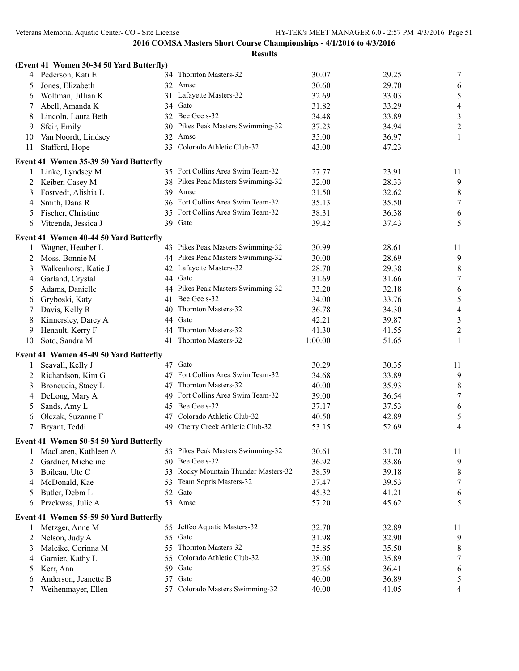|    | (Event 41 Women 30-34 50 Yard Butterfly) |     |                                   |         |       |                  |
|----|------------------------------------------|-----|-----------------------------------|---------|-------|------------------|
| 4  | Pederson, Kati E                         |     | 34 Thornton Masters-32            | 30.07   | 29.25 | 7                |
| 5  | Jones, Elizabeth                         |     | 32 Amsc                           | 30.60   | 29.70 | 6                |
| 6  | Woltman, Jillian K                       |     | 31 Lafayette Masters-32           | 32.69   | 33.03 | $\sqrt{5}$       |
| 7  | Abell, Amanda K                          | 34  | Gatc                              | 31.82   | 33.29 | $\overline{4}$   |
| 8  | Lincoln, Laura Beth                      |     | 32 Bee Gee s-32                   | 34.48   | 33.89 | $\mathfrak{Z}$   |
| 9  | Sfeir, Emily                             | 30  | Pikes Peak Masters Swimming-32    | 37.23   | 34.94 | $\sqrt{2}$       |
| 10 | Van Noordt, Lindsey                      |     | 32 Amsc                           | 35.00   | 36.97 | $\mathbf{1}$     |
| 11 | Stafford, Hope                           | 33  | Colorado Athletic Club-32         | 43.00   | 47.23 |                  |
|    | Event 41 Women 35-39 50 Yard Butterfly   |     |                                   |         |       |                  |
| 1  | Linke, Lyndsey M                         |     | 35 Fort Collins Area Swim Team-32 | 27.77   | 23.91 | 11               |
| 2  | Keiber, Casey M                          |     | 38 Pikes Peak Masters Swimming-32 | 32.00   | 28.33 | 9                |
| 3  | Fostvedt, Alishia L                      | 39. | Amsc                              | 31.50   | 32.62 | $\,8\,$          |
| 4  | Smith, Dana R                            |     | 36 Fort Collins Area Swim Team-32 | 35.13   | 35.50 | $\tau$           |
| 5  | Fischer, Christine                       |     | 35 Fort Collins Area Swim Team-32 | 38.31   | 36.38 | 6                |
| 6  | Vitcenda, Jessica J                      |     | 39 Gatc                           | 39.42   | 37.43 | 5                |
|    | Event 41 Women 40-44 50 Yard Butterfly   |     |                                   |         |       |                  |
| 1  | Wagner, Heather L                        |     | 43 Pikes Peak Masters Swimming-32 | 30.99   | 28.61 | 11               |
| 2  | Moss, Bonnie M                           |     | 44 Pikes Peak Masters Swimming-32 | 30.00   | 28.69 | 9                |
| 3  | Walkenhorst, Katie J                     | 42  | Lafayette Masters-32              | 28.70   | 29.38 | $\,8\,$          |
| 4  | Garland, Crystal                         |     | 44 Gatc                           | 31.69   | 31.66 | $\tau$           |
| 5  | Adams, Danielle                          | 44  | Pikes Peak Masters Swimming-32    | 33.20   | 32.18 | 6                |
| 6  | Gryboski, Katy                           | 41  | Bee Gee s-32                      | 34.00   | 33.76 | $\sqrt{5}$       |
| 7  | Davis, Kelly R                           | 40  | Thornton Masters-32               | 36.78   | 34.30 | $\overline{4}$   |
| 8  | Kinnersley, Darcy A                      | 44  | Gatc                              | 42.21   | 39.87 | $\mathfrak z$    |
| 9  | Henault, Kerry F                         | 44  | Thornton Masters-32               | 41.30   | 41.55 | $\boldsymbol{2}$ |
| 10 | Soto, Sandra M                           |     | 41 Thornton Masters-32            | 1:00.00 | 51.65 | $\mathbf{1}$     |
|    | Event 41 Women 45-49 50 Yard Butterfly   |     |                                   |         |       |                  |
| 1  | Seavall, Kelly J                         |     | 47 Gatc                           | 30.29   | 30.35 | 11               |
| 2  | Richardson, Kim G                        |     | 47 Fort Collins Area Swim Team-32 | 34.68   | 33.89 | 9                |
| 3  | Broncucia, Stacy L                       | 47  | Thornton Masters-32               | 40.00   | 35.93 | $\,8\,$          |
| 4  | DeLong, Mary A                           | 49  | Fort Collins Area Swim Team-32    | 39.00   | 36.54 | $\tau$           |
| 5  | Sands, Amy L                             |     | 45 Bee Gee s-32                   | 37.17   | 37.53 | 6                |
| 6  | Olczak, Suzanne F                        |     | 47 Colorado Athletic Club-32      | 40.50   | 42.89 | $\sqrt{5}$       |
| 7  | Bryant, Teddi                            | 49  | Cherry Creek Athletic Club-32     | 53.15   | 52.69 | $\overline{4}$   |
|    | Event 41 Women 50-54 50 Yard Butterfly   |     |                                   |         |       |                  |
| 1  | MacLaren, Kathleen A                     |     | 53 Pikes Peak Masters Swimming-32 | 30.61   | 31.70 | 11               |
| 2  | Gardner, Micheline                       | 50  | Bee Gee s-32                      | 36.92   | 33.86 | 9                |
| 3  | Boileau, Ute C                           | 53  | Rocky Mountain Thunder Masters-32 | 38.59   | 39.18 | 8                |
| 4  | McDonald, Kae                            | 53  | Team Sopris Masters-32            | 37.47   | 39.53 | 7                |
| 5  | Butler, Debra L                          | 52  | Gatc                              | 45.32   | 41.21 | 6                |
| 6  | Przekwas, Julie A                        | 53  | Amsc                              | 57.20   | 45.62 | 5                |
|    | Event 41 Women 55-59 50 Yard Butterfly   |     |                                   |         |       |                  |
| 1  | Metzger, Anne M                          |     | 55 Jeffco Aquatic Masters-32      | 32.70   | 32.89 | 11               |
| 2  | Nelson, Judy A                           |     | 55 Gate                           | 31.98   | 32.90 | 9                |
| 3  | Maleike, Corinna M                       | 55  | Thornton Masters-32               | 35.85   | 35.50 | 8                |
| 4  | Garnier, Kathy L                         | 55  | Colorado Athletic Club-32         | 38.00   | 35.89 | 7                |
| 5  | Kerr, Ann                                | 59  | Gatc                              | 37.65   | 36.41 | 6                |
| 6  | Anderson, Jeanette B                     | 57  | Gatc                              | 40.00   | 36.89 | 5                |
|    | Weihenmayer, Ellen                       | 57  | Colorado Masters Swimming-32      | 40.00   | 41.05 | 4                |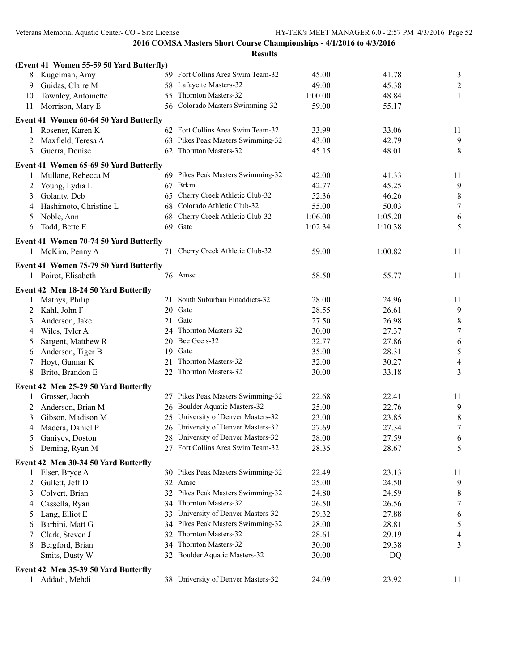|     | (Event 41 Women 55-59 50 Yard Butterfly) |    |                                    |         |         |                          |
|-----|------------------------------------------|----|------------------------------------|---------|---------|--------------------------|
| 8   | Kugelman, Amy                            |    | 59 Fort Collins Area Swim Team-32  | 45.00   | 41.78   | 3                        |
| 9   | Guidas, Claire M                         |    | 58 Lafayette Masters-32            | 49.00   | 45.38   | $\overline{2}$           |
| 10  | Townley, Antoinette                      |    | 55 Thornton Masters-32             | 1:00.00 | 48.84   | $\mathbf{1}$             |
| 11  | Morrison, Mary E                         |    | 56 Colorado Masters Swimming-32    | 59.00   | 55.17   |                          |
|     | Event 41 Women 60-64 50 Yard Butterfly   |    |                                    |         |         |                          |
| 1   | Rosener, Karen K                         |    | 62 Fort Collins Area Swim Team-32  | 33.99   | 33.06   | 11                       |
| 2   | Maxfield, Teresa A                       |    | 63 Pikes Peak Masters Swimming-32  | 43.00   | 42.79   | 9                        |
| 3   | Guerra, Denise                           |    | 62 Thornton Masters-32             | 45.15   | 48.01   | 8                        |
|     | Event 41 Women 65-69 50 Yard Butterfly   |    |                                    |         |         |                          |
| 1   | Mullane, Rebecca M                       |    | 69 Pikes Peak Masters Swimming-32  | 42.00   | 41.33   | 11                       |
| 2   | Young, Lydia L                           |    | 67 Brkm                            | 42.77   | 45.25   | 9                        |
| 3   | Golanty, Deb                             | 65 | Cherry Creek Athletic Club-32      | 52.36   | 46.26   | $\,8\,$                  |
| 4   | Hashimoto, Christine L                   |    | 68 Colorado Athletic Club-32       | 55.00   | 50.03   | $\tau$                   |
| 5   | Noble, Ann                               |    | 68 Cherry Creek Athletic Club-32   | 1:06.00 | 1:05.20 | 6                        |
| 6   | Todd, Bette E                            |    | 69 Gatc                            | 1:02.34 | 1:10.38 | 5                        |
|     | Event 41 Women 70-74 50 Yard Butterfly   |    |                                    |         |         |                          |
|     | 1 McKim, Penny A                         |    | 71 Cherry Creek Athletic Club-32   | 59.00   | 1:00.82 | 11                       |
|     |                                          |    |                                    |         |         |                          |
|     | Event 41 Women 75-79 50 Yard Butterfly   |    |                                    |         |         |                          |
|     | 1 Poirot, Elisabeth                      |    | 76 Amsc                            | 58.50   | 55.77   | 11                       |
|     | Event 42 Men 18-24 50 Yard Butterfly     |    |                                    |         |         |                          |
|     | Mathys, Philip                           | 21 | South Suburban Finaddicts-32       | 28.00   | 24.96   | 11                       |
| 2   | Kahl, John F                             | 20 | Gatc                               | 28.55   | 26.61   | $\overline{9}$           |
| 3   | Anderson, Jake                           |    | 21 Gate                            | 27.50   | 26.98   | $\,8\,$                  |
| 4   | Wiles, Tyler A                           |    | 24 Thornton Masters-32             | 30.00   | 27.37   | $\boldsymbol{7}$         |
| 5   | Sargent, Matthew R                       |    | 20 Bee Gee s-32                    | 32.77   | 27.86   | 6                        |
| 6   | Anderson, Tiger B                        |    | 19 Gate                            | 35.00   | 28.31   | $\sqrt{5}$               |
| 7   | Hoyt, Gunnar K                           |    | 21 Thornton Masters-32             | 32.00   | 30.27   | $\overline{4}$           |
| 8   | Brito, Brandon E                         |    | 22 Thornton Masters-32             | 30.00   | 33.18   | 3                        |
|     | Event 42 Men 25-29 50 Yard Butterfly     |    |                                    |         |         |                          |
|     | Grosser, Jacob                           |    | 27 Pikes Peak Masters Swimming-32  | 22.68   | 22.41   | 11                       |
| 2   | Anderson, Brian M                        |    | 26 Boulder Aquatic Masters-32      | 25.00   | 22.76   | 9                        |
| 3   | Gibson, Madison M                        |    | 25 University of Denver Masters-32 | 23.00   | 23.85   | $\,8\,$                  |
| 4   | Madera, Daniel P                         |    | 26 University of Denver Masters-32 | 27.69   | 27.34   | $\boldsymbol{7}$         |
| 5   | Ganiyev, Doston                          |    | 28 University of Denver Masters-32 | 28.00   | 27.59   | 6                        |
|     | 6 Deming, Ryan M                         |    | 27 Fort Collins Area Swim Team-32  | 28.35   | 28.67   | 5                        |
|     | Event 42 Men 30-34 50 Yard Butterfly     |    |                                    |         |         |                          |
| 1   | Elser, Bryce A                           |    | 30 Pikes Peak Masters Swimming-32  | 22.49   | 23.13   | 11                       |
| 2   | Gullett, Jeff D                          |    | 32 Amsc                            | 25.00   | 24.50   | 9                        |
| 3   | Colvert, Brian                           |    | 32 Pikes Peak Masters Swimming-32  | 24.80   | 24.59   | $\,$ $\,$                |
| 4   | Cassella, Ryan                           |    | 34 Thornton Masters-32             | 26.50   | 26.56   | 7                        |
| C   | Lang, Elliot E                           | 33 | University of Denver Masters-32    | 29.32   | 27.88   | 6                        |
| 6   | Barbini, Matt G                          |    | 34 Pikes Peak Masters Swimming-32  | 28.00   | 28.81   | $\sqrt{5}$               |
|     | Clark, Steven J                          | 32 | Thornton Masters-32                | 28.61   | 29.19   | $\overline{\mathcal{A}}$ |
|     | Bergford, Brian                          | 34 | Thornton Masters-32                | 30.00   | 29.38   | 3                        |
| --- | Smits, Dusty W                           |    | 32 Boulder Aquatic Masters-32      | 30.00   | DQ      |                          |
|     | Event 42 Men 35-39 50 Yard Butterfly     |    |                                    |         |         |                          |
|     | Addadi, Mehdi                            |    | 38 University of Denver Masters-32 | 24.09   | 23.92   | 11                       |
|     |                                          |    |                                    |         |         |                          |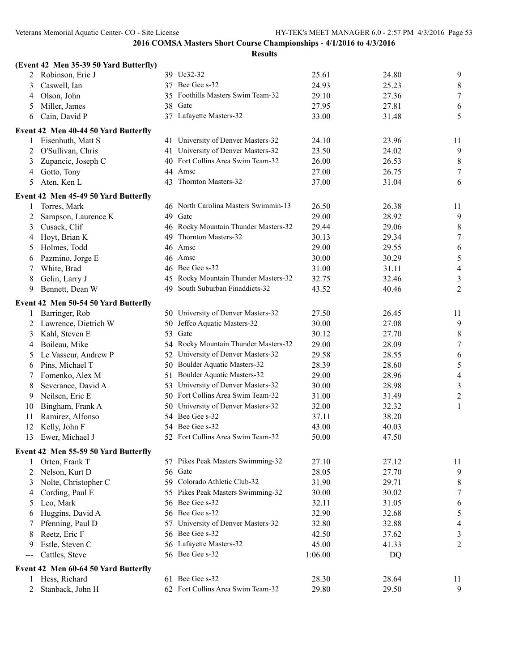|     | (Event 42 Men 35-39 50 Yard Butterfly) |    |                                      |         |       |                  |
|-----|----------------------------------------|----|--------------------------------------|---------|-------|------------------|
| 2   | Robinson, Eric J                       |    | 39 Uc32-32                           | 25.61   | 24.80 | 9                |
| 3   | Caswell, Ian                           |    | 37 Bee Gee s-32                      | 24.93   | 25.23 | $\,8\,$          |
| 4   | Olson, John                            | 35 | Foothills Masters Swim Team-32       | 29.10   | 27.36 | $\tau$           |
| 5   | Miller, James                          | 38 | Gatc                                 | 27.95   | 27.81 | 6                |
| 6   | Cain, David P                          |    | 37 Lafayette Masters-32              | 33.00   | 31.48 | 5                |
|     | Event 42 Men 40-44 50 Yard Butterfly   |    |                                      |         |       |                  |
| 1   | Eisenhuth, Matt S                      | 41 | University of Denver Masters-32      | 24.10   | 23.96 | 11               |
| 2   | O'Sullivan, Chris                      | 41 | University of Denver Masters-32      | 23.50   | 24.02 | $\overline{9}$   |
| 3   | Zupancic, Joseph C                     | 40 | Fort Collins Area Swim Team-32       | 26.00   | 26.53 | $\,8\,$          |
| 4   | Gotto, Tony                            | 44 | Amsc                                 | 27.00   | 26.75 | $\tau$           |
| 5   | Aten, Ken L                            | 43 | Thornton Masters-32                  | 37.00   | 31.04 | 6                |
|     | Event 42 Men 45-49 50 Yard Butterfly   |    |                                      |         |       |                  |
| 1   | Torres, Mark                           |    | 46 North Carolina Masters Swimmin-13 | 26.50   | 26.38 | 11               |
| 2   | Sampson, Laurence K                    | 49 | Gatc                                 | 29.00   | 28.92 | 9                |
| 3   | Cusack, Clif                           | 46 | Rocky Mountain Thunder Masters-32    | 29.44   | 29.06 | $\,8\,$          |
| 4   | Hoyt, Brian K                          | 49 | Thornton Masters-32                  | 30.13   | 29.34 | $\tau$           |
| 5   | Holmes, Todd                           | 46 | Amsc                                 | 29.00   | 29.55 | 6                |
| 6   | Pazmino, Jorge E                       | 46 | Amsc                                 | 30.00   | 30.29 | $\sqrt{5}$       |
| 7   | White, Brad                            | 46 | Bee Gee s-32                         | 31.00   | 31.11 | $\overline{4}$   |
| 8   | Gelin, Larry J                         | 45 | Rocky Mountain Thunder Masters-32    | 32.75   | 32.46 | $\mathfrak{Z}$   |
| 9   | Bennett, Dean W                        | 49 | South Suburban Finaddicts-32         | 43.52   | 40.46 | $\overline{2}$   |
|     | Event 42 Men 50-54 50 Yard Butterfly   |    |                                      |         |       |                  |
| 1   | Barringer, Rob                         |    | 50 University of Denver Masters-32   | 27.50   | 26.45 | 11               |
| 2   | Lawrence, Dietrich W                   | 50 | Jeffco Aquatic Masters-32            | 30.00   | 27.08 | 9                |
| 3   | Kahl, Steven E                         | 53 | Gatc                                 | 30.12   | 27.70 | $\,8\,$          |
| 4   | Boileau, Mike                          | 54 | Rocky Mountain Thunder Masters-32    | 29.00   | 28.09 | $\tau$           |
| 5   | Le Vasseur, Andrew P                   | 52 | University of Denver Masters-32      | 29.58   | 28.55 | 6                |
| 6   | Pins, Michael T                        | 50 | Boulder Aquatic Masters-32           | 28.39   | 28.60 | $\sqrt{5}$       |
| 7   | Fomenko, Alex M                        | 51 | Boulder Aquatic Masters-32           | 29.00   | 28.96 | $\overline{4}$   |
| 8   | Severance, David A                     | 53 | University of Denver Masters-32      | 30.00   | 28.98 | $\mathfrak{Z}$   |
| 9   | Neilsen, Eric E                        |    | 50 Fort Collins Area Swim Team-32    | 31.00   | 31.49 | $\sqrt{2}$       |
| 10  | Bingham, Frank A                       | 50 | University of Denver Masters-32      | 32.00   | 32.32 | $\mathbf{1}$     |
| 11  | Ramirez, Alfonso                       | 54 | Bee Gee s-32                         | 37.11   | 38.20 |                  |
| 12  | Kelly, John F                          | 54 | Bee Gee s-32                         | 43.00   | 40.03 |                  |
| 13  | Ewer, Michael J                        |    | 52 Fort Collins Area Swim Team-32    | 50.00   | 47.50 |                  |
|     | Event 42 Men 55-59 50 Yard Butterfly   |    |                                      |         |       |                  |
| 1   | Orten, Frank T                         |    | 57 Pikes Peak Masters Swimming-32    | 27.10   | 27.12 | 11               |
| 2   | Nelson, Kurt D                         |    | 56 Gatc                              | 28.05   | 27.70 | 9                |
| 3   | Nolte, Christopher C                   |    | 59 Colorado Athletic Club-32         | 31.90   | 29.71 | $\,8\,$          |
| 4   | Cording, Paul E                        |    | 55 Pikes Peak Masters Swimming-32    | 30.00   | 30.02 | $\boldsymbol{7}$ |
| 5   | Leo, Mark                              |    | 56 Bee Gee s-32                      | 32.11   | 31.05 | $\sqrt{6}$       |
| 6   | Huggins, David A                       |    | 56 Bee Gee s-32                      | 32.90   | 32.68 | $\mathfrak s$    |
| 7   | Pfenning, Paul D                       | 57 | University of Denver Masters-32      | 32.80   | 32.88 | $\overline{4}$   |
| 8   | Reetz, Eric F                          | 56 | Bee Gee s-32                         | 42.50   | 37.62 | $\mathfrak{Z}$   |
| 9   | Estle, Steven C                        |    | 56 Lafayette Masters-32              | 45.00   | 41.33 | $\overline{2}$   |
| --- | Cattles, Steve                         |    | 56 Bee Gee s-32                      | 1:06.00 | DQ    |                  |
|     | Event 42 Men 60-64 50 Yard Butterfly   |    |                                      |         |       |                  |
| 1   | Hess, Richard                          |    | 61 Bee Gee s-32                      | 28.30   | 28.64 | 11               |
|     | Stanback, John H                       |    | 62 Fort Collins Area Swim Team-32    | 29.80   | 29.50 | 9                |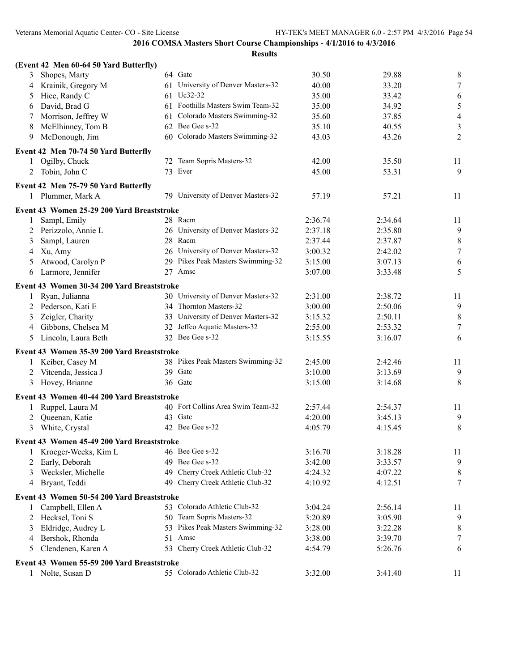|              | (Event 42 Men 60-64 50 Yard Butterfly)                    |                                    |         |         |                  |
|--------------|-----------------------------------------------------------|------------------------------------|---------|---------|------------------|
| 3            | Shopes, Marty                                             | 64 Gate                            | 30.50   | 29.88   | 8                |
| 4            | Krainik, Gregory M                                        | 61 University of Denver Masters-32 | 40.00   | 33.20   | $\tau$           |
| 5            | Hice, Randy C                                             | 61 Uc32-32                         | 35.00   | 33.42   | 6                |
| 6            | David, Brad G                                             | 61 Foothills Masters Swim Team-32  | 35.00   | 34.92   | 5                |
| 7            | Morrison, Jeffrey W                                       | 61 Colorado Masters Swimming-32    | 35.60   | 37.85   | $\overline{4}$   |
| 8            | McElhinney, Tom B                                         | 62 Bee Gee s-32                    | 35.10   | 40.55   | $\mathfrak{Z}$   |
| 9            | McDonough, Jim                                            | 60 Colorado Masters Swimming-32    | 43.03   | 43.26   | $\overline{2}$   |
|              | Event 42 Men 70-74 50 Yard Butterfly                      |                                    |         |         |                  |
| 1            | Ogilby, Chuck                                             | 72 Team Sopris Masters-32          | 42.00   | 35.50   | 11               |
| 2            | Tobin, John C                                             | 73 Ever                            | 45.00   | 53.31   | 9                |
|              |                                                           |                                    |         |         |                  |
|              | Event 42 Men 75-79 50 Yard Butterfly<br>1 Plummer, Mark A | 79 University of Denver Masters-32 | 57.19   | 57.21   | 11               |
|              |                                                           |                                    |         |         |                  |
|              | Event 43 Women 25-29 200 Yard Breaststroke                |                                    |         |         |                  |
| $\mathbf{1}$ | Sampl, Emily                                              | 28 Racm                            | 2:36.74 | 2:34.64 | 11               |
| 2            | Perizzolo, Annie L                                        | 26 University of Denver Masters-32 | 2:37.18 | 2:35.80 | 9                |
| 3            | Sampl, Lauren                                             | 28 Racm                            | 2:37.44 | 2:37.87 | $\,8\,$          |
| 4            | Xu, Amy                                                   | 26 University of Denver Masters-32 | 3:00.32 | 2:42.02 | $\boldsymbol{7}$ |
| 5            | Atwood, Carolyn P                                         | 29 Pikes Peak Masters Swimming-32  | 3:15.00 | 3:07.13 | 6                |
| 6            | Larmore, Jennifer                                         | 27 Amsc                            | 3:07.00 | 3:33.48 | 5                |
|              | Event 43 Women 30-34 200 Yard Breaststroke                |                                    |         |         |                  |
| $\mathbf{1}$ | Ryan, Julianna                                            | 30 University of Denver Masters-32 | 2:31.00 | 2:38.72 | 11               |
|              | 2 Pederson, Kati E                                        | 34 Thornton Masters-32             | 3:00.00 | 2:50.06 | 9                |
| 3            | Zeigler, Charity                                          | 33 University of Denver Masters-32 | 3:15.32 | 2:50.11 | $\,8\,$          |
| 4            | Gibbons, Chelsea M                                        | 32 Jeffco Aquatic Masters-32       | 2:55.00 | 2:53.32 | $\overline{7}$   |
| 5            | Lincoln, Laura Beth                                       | 32 Bee Gee s-32                    | 3:15.55 | 3:16.07 | 6                |
|              | Event 43 Women 35-39 200 Yard Breaststroke                |                                    |         |         |                  |
|              | 1 Keiber, Casey M                                         | 38 Pikes Peak Masters Swimming-32  | 2:45.00 | 2:42.46 | 11               |
| 2            | Vitcenda, Jessica J                                       | 39 Gate                            | 3:10.00 | 3:13.69 | 9                |
| 3            | Hovey, Brianne                                            | 36 Gatc                            | 3:15.00 | 3:14.68 | 8                |
|              |                                                           |                                    |         |         |                  |
|              | Event 43 Women 40-44 200 Yard Breaststroke                |                                    |         |         |                  |
|              | Ruppel, Laura M                                           | 40 Fort Collins Area Swim Team-32  | 2:57.44 | 2:54.37 | 11               |
| 2            | Queenan, Katie                                            | 43 Gate                            | 4:20.00 | 3:45.13 | 9                |
|              | 3 White, Crystal                                          | 42 Bee Gee s-32                    | 4:05.79 | 4:15.45 | 8                |
|              | Event 43 Women 45-49 200 Yard Breaststroke                |                                    |         |         |                  |
| 1            | Kroeger-Weeks, Kim L                                      | 46 Bee Gee s-32                    | 3:16.70 | 3:18.28 | 11               |
| 2            | Early, Deborah                                            | 49 Bee Gee s-32                    | 3:42.00 | 3:33.57 | 9                |
| 3            | Wecksler, Michelle                                        | 49 Cherry Creek Athletic Club-32   | 4:24.32 | 4:07.22 | 8                |
| 4            | Bryant, Teddi                                             | 49 Cherry Creek Athletic Club-32   | 4:10.92 | 4:12.51 | $\tau$           |
|              | Event 43 Women 50-54 200 Yard Breaststroke                |                                    |         |         |                  |
| 1            | Campbell, Ellen A                                         | 53 Colorado Athletic Club-32       | 3:04.24 | 2:56.14 | 11               |
| 2            | Hecksel, Toni S                                           | 50 Team Sopris Masters-32          | 3:20.89 | 3:05.90 | 9                |
| 3            | Eldridge, Audrey L                                        | 53 Pikes Peak Masters Swimming-32  | 3:28.00 | 3:22.28 | 8                |
| 4            | Bershok, Rhonda                                           | 51 Amsc                            | 3:38.00 | 3:39.70 | 7                |
| 5            | Clendenen, Karen A                                        | 53 Cherry Creek Athletic Club-32   | 4:54.79 | 5:26.76 | 6                |
|              | Event 43 Women 55-59 200 Yard Breaststroke                |                                    |         |         |                  |
|              | 1 Nolte, Susan D                                          | 55 Colorado Athletic Club-32       | 3:32.00 | 3:41.40 | 11               |
|              |                                                           |                                    |         |         |                  |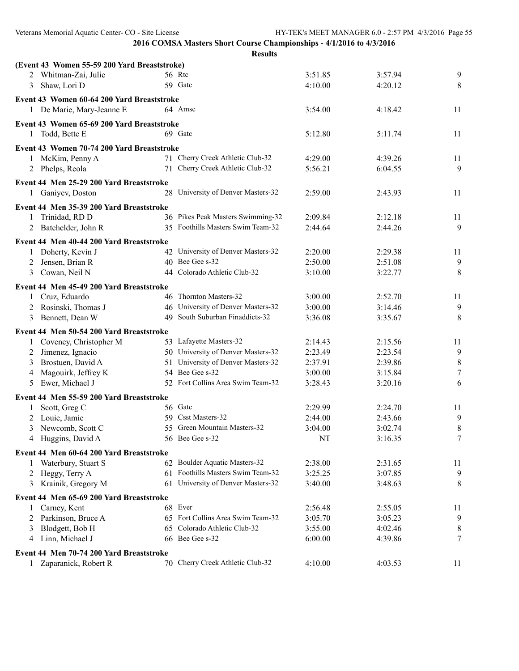| Veterans Memorial Aquatic Center-CO - Site License |                                                                      |         | HY-TEK's MEET MANAGER 6.0 - 2:57 PM 4/3/2016 Page 55 |         |
|----------------------------------------------------|----------------------------------------------------------------------|---------|------------------------------------------------------|---------|
|                                                    | 2016 COMSA Masters Short Course Championships - 4/1/2016 to 4/3/2016 |         |                                                      |         |
|                                                    | <b>Results</b>                                                       |         |                                                      |         |
| (Event 43 Women 55-59 200 Yard Breaststroke)       |                                                                      |         |                                                      |         |
| 2 Whitman-Zai, Julie                               | 56 Rtc                                                               | 3:51.85 | 3:57.94                                              | 9       |
| Shaw, Lori D<br>3                                  | 59 Gate                                                              | 4:10.00 | 4:20.12                                              | 8       |
| Event 43 Women 60-64 200 Yard Breaststroke         |                                                                      |         |                                                      |         |
| 1 De Marie, Mary-Jeanne E                          | 64 Amsc                                                              | 3:54.00 | 4:18.42                                              | 11      |
| Event 43 Women 65-69 200 Yard Breaststroke         |                                                                      |         |                                                      |         |
| 1 Todd, Bette E                                    | 69 Gate                                                              | 5:12.80 | 5:11.74                                              | 11      |
| Event 43 Women 70-74 200 Yard Breaststroke         |                                                                      |         |                                                      |         |
| 1 McKim, Penny A                                   | 71 Cherry Creek Athletic Club-32                                     | 4:29.00 | 4:39.26                                              | 11      |
| 2 Phelps, Reola                                    | 71 Cherry Creek Athletic Club-32                                     | 5:56.21 | 6:04.55                                              | 9       |
| Event 44 Men 25-29 200 Yard Breaststroke           |                                                                      |         |                                                      |         |
| 1 Ganiyev, Doston                                  | 28 University of Denver Masters-32                                   | 2:59.00 | 2:43.93                                              | 11      |
| Event 44 Men 35-39 200 Yard Breaststroke           |                                                                      |         |                                                      |         |
| Trinidad, RD D<br>$\mathbf{1}$                     | 36 Pikes Peak Masters Swimming-32                                    | 2:09.84 | 2:12.18                                              | 11      |
| 2 Batchelder, John R                               | 35 Foothills Masters Swim Team-32                                    | 2:44.64 | 2:44.26                                              | 9       |
|                                                    |                                                                      |         |                                                      |         |
| Event 44 Men 40-44 200 Yard Breaststroke           |                                                                      |         |                                                      |         |
| 1 Doherty, Kevin J                                 | 42 University of Denver Masters-32<br>40 Bee Gee s-32                | 2:20.00 | 2:29.38                                              | 11      |
| Jensen, Brian R<br>2<br>3 Cowan, Neil N            | 44 Colorado Athletic Club-32                                         | 2:50.00 | 2:51.08                                              | 9       |
|                                                    |                                                                      | 3:10.00 | 3:22.77                                              | 8       |
| Event 44 Men 45-49 200 Yard Breaststroke           |                                                                      |         |                                                      |         |
| 1 Cruz, Eduardo                                    | 46 Thornton Masters-32                                               | 3:00.00 | 2:52.70                                              | 11      |
| Rosinski, Thomas J<br>2                            | 46 University of Denver Masters-32                                   | 3:00.00 | 3:14.46                                              | 9       |
| 3 Bennett, Dean W                                  | 49 South Suburban Finaddicts-32                                      | 3:36.08 | 3:35.67                                              | 8       |
| Event 44 Men 50-54 200 Yard Breaststroke           |                                                                      |         |                                                      |         |
| 1 Coveney, Christopher M                           | 53 Lafayette Masters-32                                              | 2:14.43 | 2:15.56                                              | 11      |
| Jimenez, Ignacio<br>2                              | 50 University of Denver Masters-32                                   | 2:23.49 | 2:23.54                                              | 9       |
| Brostuen, David A<br>3                             | 51 University of Denver Masters-32                                   | 2:37.91 | 2:39.86                                              | $\,8\,$ |
| Magouirk, Jeffrey K<br>4                           | 54 Bee Gee s-32                                                      | 3:00.00 | 3:15.84                                              | 7       |
| Ewer, Michael J<br>5                               | 52 Fort Collins Area Swim Team-32                                    | 3:28.43 | 3:20.16                                              | 6       |
| Event 44 Men 55-59 200 Yard Breaststroke           |                                                                      |         |                                                      |         |
| Scott, Greg C<br>$\mathbf{1}$                      | 56 Gate                                                              | 2:29.99 | 2:24.70                                              | 11      |
| 2 Louie, Jamie                                     | 59 Csst Masters-32                                                   | 2:44.00 | 2:43.66                                              | 9       |
| 3 Newcomb, Scott C                                 | 55 Green Mountain Masters-32                                         | 3:04.00 | 3:02.74                                              | $\,8\,$ |
| 4 Huggins, David A                                 | 56 Bee Gee s-32                                                      | NT      | 3:16.35                                              | $\tau$  |
| Event 44 Men 60-64 200 Yard Breaststroke           |                                                                      |         |                                                      |         |

**Event 44 Men 60-64 200 Yard Breaststroke** Waterbury, Stuart S 62 Boulder Aquatic Masters-32 2:38.00 2:31.65 11 2 Heggy, Terry A 61 Foothills Masters Swim Team-32 3:25.25 3:07.85 9 Krainik, Gregory M 61 University of Denver Masters-32 3:40.00 3:48.63 8 **Event 44 Men 65-69 200 Yard Breaststroke** 1 Carney, Kent 68 Ever 2:56.48 2:55.05 11 Parkinson, Bruce A 65 Fort Collins Area Swim Team-32 3:05.70 3:05.23 9 3 Blodgett, Bob H 65 Colorado Athletic Club-32 3:55.00 4:02.46 8 Linn, Michael J 66 Bee Gee s-32 6:00.00 4:39.86 7 **Event 44 Men 70-74 200 Yard Breaststroke** Zaparanick, Robert R 70 Cherry Creek Athletic Club-32 4:10.00 4:03.53 11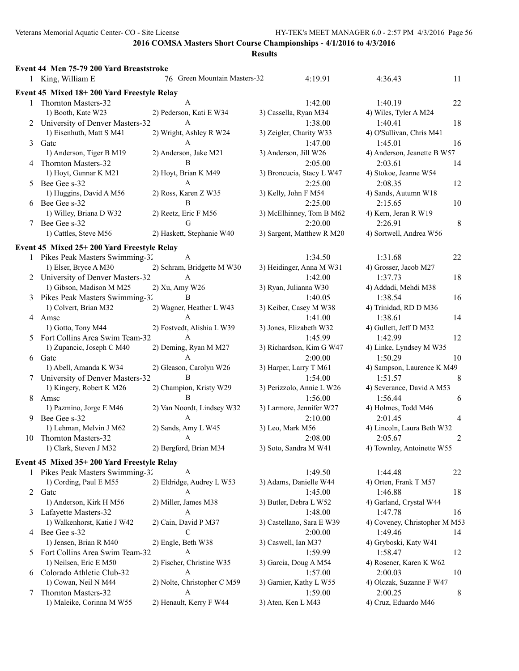|    | Event 44 Men 75-79 200 Yard Breaststroke   |                              |                                |                               |                |
|----|--------------------------------------------|------------------------------|--------------------------------|-------------------------------|----------------|
|    | 1 King, William E                          | 76 Green Mountain Masters-32 | 4:19.91                        | 4:36.43                       | 11             |
|    | Event 45 Mixed 18+200 Yard Freestyle Relay |                              |                                |                               |                |
| 1  | Thornton Masters-32                        | A                            | 1:42.00                        | 1:40.19                       | 22             |
|    | 1) Booth, Kate W23                         | 2) Pederson, Kati E W34      | 3) Cassella, Ryan M34          | 4) Wiles, Tyler A M24         |                |
|    | 2 University of Denver Masters-32          | A                            | 1:38.00                        | 1:40.41                       | 18             |
|    | 1) Eisenhuth, Matt S M41                   | 2) Wright, Ashley R W24      | 3) Zeigler, Charity W33        | 4) O'Sullivan, Chris M41      |                |
| 3  | Gatc                                       | A                            | 1:47.00                        | 1:45.01                       | 16             |
|    | 1) Anderson, Tiger B M19                   | 2) Anderson, Jake M21        | 3) Anderson, Jill W26          | 4) Anderson, Jeanette B W57   |                |
|    | Thornton Masters-32                        | B                            | 2:05.00                        | 2:03.61                       | 14             |
|    | 1) Hoyt, Gunnar K M21                      | 2) Hoyt, Brian K M49         | 3) Broncucia, Stacy L W47      | 4) Stokoe, Jeanne W54         |                |
| 5  | Bee Gee s-32                               | A                            | 2:25.00                        | 2:08.35                       | 12             |
|    | 1) Huggins, David A M56                    | 2) Ross, Karen Z W35         | 3) Kelly, John F M54           | 4) Sands, Autumn W18          |                |
|    | 6 Bee Gee s-32                             | B                            | 2:25.00                        | 2:15.65                       | 10             |
|    | 1) Willey, Briana D W32                    | 2) Reetz, Eric F M56         | 3) McElhinney, Tom B M62       | 4) Kern, Jeran R W19          |                |
|    | Bee Gee s-32                               | G                            | 2:20.00                        | 2:26.91                       | 8              |
|    | 1) Cattles, Steve M56                      | 2) Haskett, Stephanie W40    | 3) Sargent, Matthew R M20      | 4) Sortwell, Andrea W56       |                |
|    |                                            |                              |                                |                               |                |
|    | Event 45 Mixed 25+200 Yard Freestyle Relay |                              |                                |                               |                |
|    | 1 Pikes Peak Masters Swimming-32           | A                            | 1:34.50                        | 1:31.68                       | 22             |
|    | 1) Elser, Bryce A M30                      | 2) Schram, Bridgette M W30   | 3) Heidinger, Anna M W31       | 4) Grosser, Jacob M27         |                |
|    | 2 University of Denver Masters-32          | A                            | 1:42.00                        | 1:37.73                       | 18             |
|    | 1) Gibson, Madison M M25                   | 2) Xu, Amy W26               | 3) Ryan, Julianna W30          | 4) Addadi, Mehdi M38          |                |
|    | 3 Pikes Peak Masters Swimming-32           | B                            | 1:40.05                        | 1:38.54                       | 16             |
|    | 1) Colvert, Brian M32                      | 2) Wagner, Heather L W43     | 3) Keiber, Casey M W38         | 4) Trinidad, RD D M36         |                |
|    | 4 Amsc                                     | A                            | 1:41.00                        | 1:38.61                       | 14             |
|    | 1) Gotto, Tony M44                         | 2) Fostvedt, Alishia L W39   | 3) Jones, Elizabeth W32        | 4) Gullett, Jeff D M32        |                |
|    | 5 Fort Collins Area Swim Team-32           | $\overline{A}$               | 1:45.99                        | 1:42.99                       | 12             |
|    | 1) Zupancic, Joseph C M40                  | 2) Deming, Ryan M M27        | 3) Richardson, Kim G W47       | 4) Linke, Lyndsey M W35       |                |
|    | 6 Gatc                                     | A                            | 2:00.00                        | 1:50.29                       | 10             |
|    | 1) Abell, Amanda K W34                     | 2) Gleason, Carolyn W26      | 3) Harper, Larry T M61         | 4) Sampson, Laurence K M49    |                |
|    | University of Denver Masters-32            | B                            | 1:54.00                        | 1:51.57                       | 8              |
|    | 1) Kingery, Robert K M26                   | 2) Champion, Kristy W29      | 3) Perizzolo, Annie L W26      | 4) Severance, David A M53     |                |
| 8  | Amsc                                       | B                            | 1:56.00                        | 1:56.44                       | 6              |
|    | 1) Pazmino, Jorge E M46                    | 2) Van Noordt, Lindsey W32   | 3) Larmore, Jennifer W27       | 4) Holmes, Todd M46           |                |
| 9. | Bee Gee s-32                               | A                            | 2:10.00                        | 2:01.45                       | $\overline{4}$ |
|    | 1) Lehman, Melvin J M62                    | 2) Sands, Amy L W45          | 3) Leo, Mark M56               | 4) Lincoln, Laura Beth W32    |                |
|    | 10 Thornton Masters-32                     | A                            | 2:08.00                        | 2:05.67                       | 2              |
|    | 1) Clark, Steven J M32                     | 2) Bergford, Brian M34       | 3) Soto, Sandra M W41          | 4) Townley, Antoinette W55    |                |
|    | Event 45 Mixed 35+200 Yard Freestyle Relay |                              |                                |                               |                |
|    | 1 Pikes Peak Masters Swimming-32           | A                            | 1:49.50                        | 1:44.48                       | 22             |
|    | 1) Cording, Paul E M55                     | 2) Eldridge, Audrey L W53    | 3) Adams, Danielle W44         | 4) Orten, Frank T M57         |                |
|    | 2 Gate                                     | A                            | 1:45.00                        | 1:46.88                       | 18             |
|    | 1) Anderson, Kirk H M56                    | 2) Miller, James M38         | 3) Butler, Debra L W52         | 4) Garland, Crystal W44       |                |
|    | 3 Lafayette Masters-32                     | A                            | 1:48.00                        | 1:47.78                       | 16             |
|    | 1) Walkenhorst, Katie J W42                | 2) Cain, David P M37         | 3) Castellano, Sara E W39      | 4) Coveney, Christopher M M53 |                |
| 4  | Bee Gee s-32                               | C                            | 2:00.00                        | 1:49.46                       | 14             |
|    | 1) Jensen, Brian R M40                     | 2) Engle, Beth W38           |                                | 4) Gryboski, Katy W41         |                |
|    | Fort Collins Area Swim Team-32             | A                            | 3) Caswell, Ian M37<br>1:59.99 | 1:58.47                       | 12             |
| 5  | 1) Neilsen, Eric E M50                     | 2) Fischer, Christine W35    | 3) Garcia, Doug A M54          | 4) Rosener, Karen K W62       |                |
|    | Colorado Athletic Club-32                  | A                            | 1:57.00                        | 2:00.03                       | 10             |
| 6  | 1) Cowan, Neil N M44                       | 2) Nolte, Christopher C M59  | 3) Garnier, Kathy L W55        | 4) Olczak, Suzanne F W47      |                |
|    | Thornton Masters-32                        | A                            | 1:59.00                        | 2:00.25                       | 8              |
| 7  | 1) Maleike, Corinna M W55                  | 2) Henault, Kerry F W44      | 3) Aten, Ken L M43             | 4) Cruz, Eduardo M46          |                |
|    |                                            |                              |                                |                               |                |